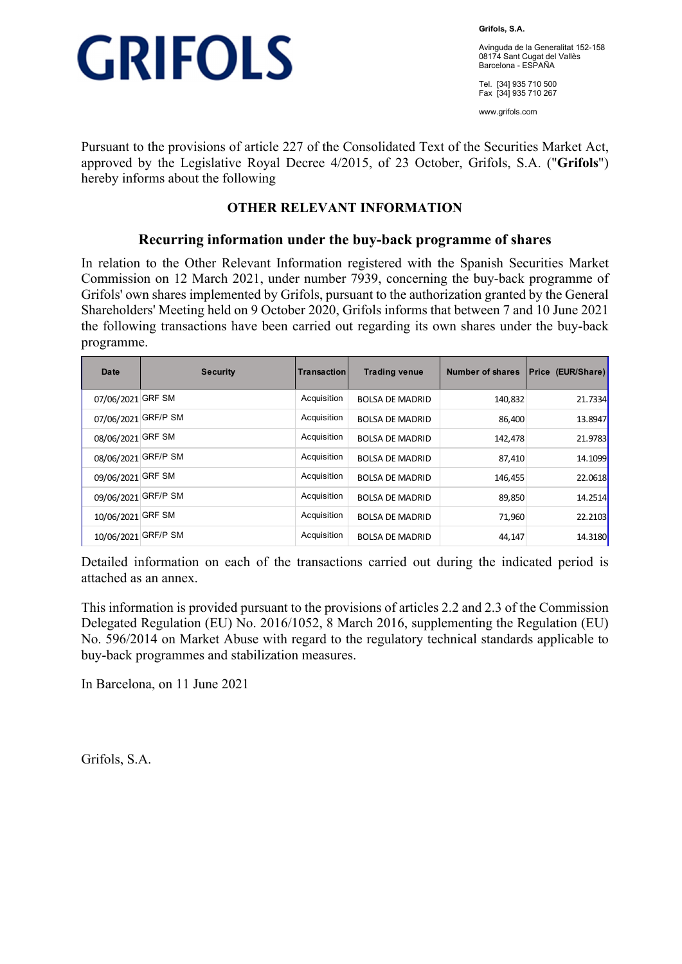

**Grifols, S.A.** 

Avinguda de la Generalitat 152-158 08174 Sant Cugat del Vallès Barcelona - ESPAÑA

Tel. [34] 935 710 500 Fax [34] 935 710 267

www.grifols.com

Pursuant to the provisions of article 227 of the Consolidated Text of the Securities Market Act, approved by the Legislative Royal Decree 4/2015, of 23 October, Grifols, S.A. ("**Grifols**") hereby informs about the following

### **OTHER RELEVANT INFORMATION**

### **Recurring information under the buy-back programme of shares**

In relation to the Other Relevant Information registered with the Spanish Securities Market Commission on 12 March 2021, under number 7939, concerning the buy-back programme of Grifols' own shares implemented by Grifols, pursuant to the authorization granted by the General Shareholders' Meeting held on 9 October 2020, Grifols informs that between 7 and 10 June 2021 the following transactions have been carried out regarding its own shares under the buy-back programme.

| Date       | <b>Security</b> | Transaction | <b>Trading venue</b>   | Number of shares | Price (EUR/Share) |
|------------|-----------------|-------------|------------------------|------------------|-------------------|
| 07/06/2021 | <b>GRF SM</b>   | Acquisition | <b>BOLSA DE MADRID</b> | 140,832          | 21.7334           |
| 07/06/2021 | <b>GRF/P SM</b> | Acquisition | <b>BOLSA DE MADRID</b> | 86,400           | 13.8947           |
| 08/06/2021 | <b>GRF SM</b>   | Acquisition | <b>BOLSA DE MADRID</b> | 142,478          | 21.9783           |
| 08/06/2021 | <b>GRF/P SM</b> | Acquisition | <b>BOLSA DE MADRID</b> | 87,410           | 14.1099           |
| 09/06/2021 | <b>GRF SM</b>   | Acquisition | <b>BOLSA DE MADRID</b> | 146,455          | 22.0618           |
| 09/06/2021 | <b>GRF/P SM</b> | Acquisition | <b>BOLSA DE MADRID</b> | 89,850           | 14.2514           |
| 10/06/2021 | <b>GRF SM</b>   | Acquisition | <b>BOLSA DE MADRID</b> | 71,960           | 22.2103           |
| 10/06/2021 | <b>GRF/P SM</b> | Acquisition | <b>BOLSA DE MADRID</b> | 44,147           | 14.3180           |

Detailed information on each of the transactions carried out during the indicated period is attached as an annex.

This information is provided pursuant to the provisions of articles 2.2 and 2.3 of the Commission Delegated Regulation (EU) No. 2016/1052, 8 March 2016, supplementing the Regulation (EU) No. 596/2014 on Market Abuse with regard to the regulatory technical standards applicable to buy-back programmes and stabilization measures.

In Barcelona, on 11 June 2021

Grifols, S.A.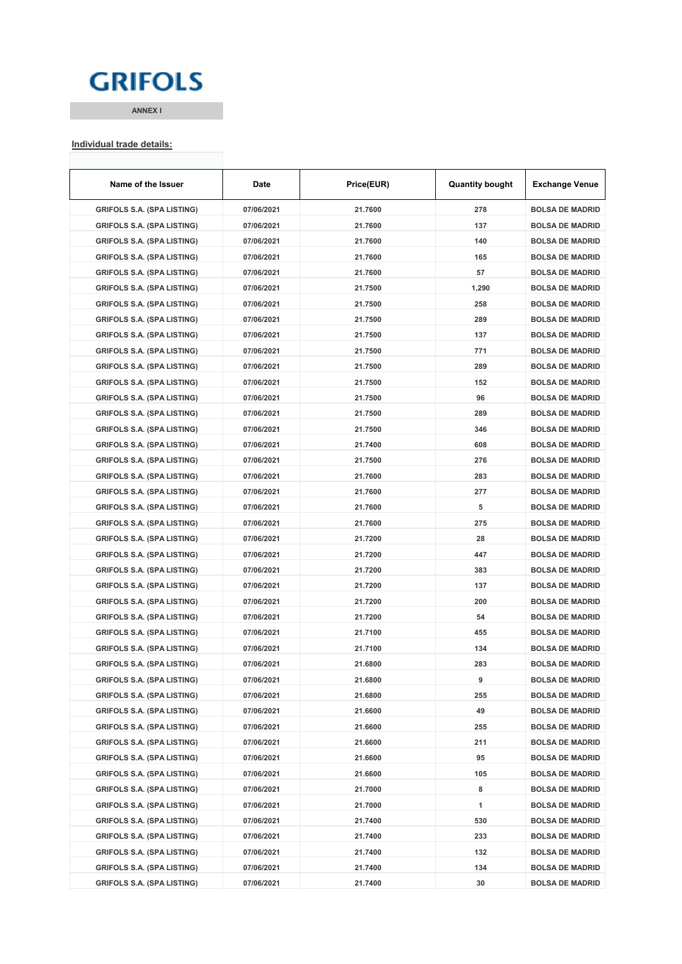## **GRIFOLS**

**ANNEX I**

#### **Individual trade details:**

| Name of the Issuer                                                     | Date       | Price(EUR) | <b>Quantity bought</b> | <b>Exchange Venue</b>  |
|------------------------------------------------------------------------|------------|------------|------------------------|------------------------|
| <b>GRIFOLS S.A. (SPA LISTING)</b>                                      | 07/06/2021 | 21.7600    | 278                    | <b>BOLSA DE MADRID</b> |
| <b>GRIFOLS S.A. (SPA LISTING)</b>                                      | 07/06/2021 | 21.7600    | 137                    | <b>BOLSA DE MADRID</b> |
| <b>GRIFOLS S.A. (SPA LISTING)</b>                                      | 07/06/2021 | 21.7600    | 140                    | <b>BOLSA DE MADRID</b> |
| <b>GRIFOLS S.A. (SPA LISTING)</b>                                      | 07/06/2021 | 21.7600    | 165                    | <b>BOLSA DE MADRID</b> |
| <b>GRIFOLS S.A. (SPA LISTING)</b>                                      | 07/06/2021 | 21.7600    | 57                     | <b>BOLSA DE MADRID</b> |
| <b>GRIFOLS S.A. (SPA LISTING)</b>                                      | 07/06/2021 | 21.7500    | 1,290                  | <b>BOLSA DE MADRID</b> |
| <b>GRIFOLS S.A. (SPA LISTING)</b>                                      | 07/06/2021 | 21.7500    | 258                    | <b>BOLSA DE MADRID</b> |
| <b>GRIFOLS S.A. (SPA LISTING)</b>                                      | 07/06/2021 | 21.7500    | 289                    | <b>BOLSA DE MADRID</b> |
| <b>GRIFOLS S.A. (SPA LISTING)</b>                                      | 07/06/2021 | 21.7500    | 137                    | <b>BOLSA DE MADRID</b> |
| <b>GRIFOLS S.A. (SPA LISTING)</b>                                      | 07/06/2021 | 21.7500    | 771                    | <b>BOLSA DE MADRID</b> |
| <b>GRIFOLS S.A. (SPA LISTING)</b>                                      | 07/06/2021 | 21.7500    | 289                    | <b>BOLSA DE MADRID</b> |
| <b>GRIFOLS S.A. (SPA LISTING)</b>                                      | 07/06/2021 | 21.7500    | 152                    | <b>BOLSA DE MADRID</b> |
| <b>GRIFOLS S.A. (SPA LISTING)</b>                                      | 07/06/2021 | 21.7500    | 96                     | <b>BOLSA DE MADRID</b> |
| <b>GRIFOLS S.A. (SPA LISTING)</b>                                      | 07/06/2021 | 21.7500    | 289                    | <b>BOLSA DE MADRID</b> |
| <b>GRIFOLS S.A. (SPA LISTING)</b>                                      | 07/06/2021 | 21.7500    | 346                    | <b>BOLSA DE MADRID</b> |
| <b>GRIFOLS S.A. (SPA LISTING)</b>                                      | 07/06/2021 | 21.7400    | 608                    | <b>BOLSA DE MADRID</b> |
| <b>GRIFOLS S.A. (SPA LISTING)</b>                                      | 07/06/2021 | 21.7500    | 276                    | <b>BOLSA DE MADRID</b> |
| <b>GRIFOLS S.A. (SPA LISTING)</b>                                      | 07/06/2021 | 21.7600    | 283                    | <b>BOLSA DE MADRID</b> |
| <b>GRIFOLS S.A. (SPA LISTING)</b>                                      | 07/06/2021 | 21.7600    | 277                    | <b>BOLSA DE MADRID</b> |
| <b>GRIFOLS S.A. (SPA LISTING)</b>                                      | 07/06/2021 | 21.7600    | 5                      | <b>BOLSA DE MADRID</b> |
| <b>GRIFOLS S.A. (SPA LISTING)</b>                                      | 07/06/2021 | 21.7600    | 275                    | <b>BOLSA DE MADRID</b> |
| <b>GRIFOLS S.A. (SPA LISTING)</b>                                      | 07/06/2021 | 21.7200    | 28                     | <b>BOLSA DE MADRID</b> |
| <b>GRIFOLS S.A. (SPA LISTING)</b>                                      | 07/06/2021 | 21.7200    | 447                    | <b>BOLSA DE MADRID</b> |
| <b>GRIFOLS S.A. (SPA LISTING)</b>                                      | 07/06/2021 | 21.7200    | 383                    | <b>BOLSA DE MADRID</b> |
| <b>GRIFOLS S.A. (SPA LISTING)</b>                                      | 07/06/2021 | 21.7200    | 137                    | <b>BOLSA DE MADRID</b> |
| <b>GRIFOLS S.A. (SPA LISTING)</b>                                      | 07/06/2021 | 21.7200    | 200                    | <b>BOLSA DE MADRID</b> |
| <b>GRIFOLS S.A. (SPA LISTING)</b>                                      | 07/06/2021 | 21.7200    | 54                     | <b>BOLSA DE MADRID</b> |
| <b>GRIFOLS S.A. (SPA LISTING)</b>                                      | 07/06/2021 | 21.7100    | 455                    | <b>BOLSA DE MADRID</b> |
| <b>GRIFOLS S.A. (SPA LISTING)</b>                                      | 07/06/2021 | 21.7100    | 134                    | <b>BOLSA DE MADRID</b> |
| <b>GRIFOLS S.A. (SPA LISTING)</b>                                      | 07/06/2021 | 21.6800    | 283                    | <b>BOLSA DE MADRID</b> |
|                                                                        | 07/06/2021 | 21.6800    | 9                      | <b>BOLSA DE MADRID</b> |
| GRIFOLS S.A. (SPA LISTING)<br><b>GRIFOLS S.A. (SPA LISTING)</b>        | 07/06/2021 | 21.6800    | 255                    | <b>BOLSA DE MADRID</b> |
| <b>GRIFOLS S.A. (SPA LISTING)</b>                                      |            | 21.6600    | 49                     | <b>BOLSA DE MADRID</b> |
|                                                                        | 07/06/2021 |            | 255                    |                        |
| <b>GRIFOLS S.A. (SPA LISTING)</b><br><b>GRIFOLS S.A. (SPA LISTING)</b> | 07/06/2021 | 21.6600    |                        | <b>BOLSA DE MADRID</b> |
|                                                                        | 07/06/2021 | 21.6600    | 211                    | <b>BOLSA DE MADRID</b> |
| <b>GRIFOLS S.A. (SPA LISTING)</b>                                      | 07/06/2021 | 21.6600    | 95                     | <b>BOLSA DE MADRID</b> |
| <b>GRIFOLS S.A. (SPA LISTING)</b>                                      | 07/06/2021 | 21.6600    | 105                    | <b>BOLSA DE MADRID</b> |
| <b>GRIFOLS S.A. (SPA LISTING)</b>                                      | 07/06/2021 | 21.7000    | 8                      | <b>BOLSA DE MADRID</b> |
| <b>GRIFOLS S.A. (SPA LISTING)</b>                                      | 07/06/2021 | 21.7000    | 1                      | <b>BOLSA DE MADRID</b> |
| <b>GRIFOLS S.A. (SPA LISTING)</b>                                      | 07/06/2021 | 21.7400    | 530                    | <b>BOLSA DE MADRID</b> |
| <b>GRIFOLS S.A. (SPA LISTING)</b>                                      | 07/06/2021 | 21.7400    | 233                    | <b>BOLSA DE MADRID</b> |
| <b>GRIFOLS S.A. (SPA LISTING)</b>                                      | 07/06/2021 | 21.7400    | 132                    | <b>BOLSA DE MADRID</b> |
| <b>GRIFOLS S.A. (SPA LISTING)</b>                                      | 07/06/2021 | 21.7400    | 134                    | <b>BOLSA DE MADRID</b> |
| <b>GRIFOLS S.A. (SPA LISTING)</b>                                      | 07/06/2021 | 21.7400    | 30                     | <b>BOLSA DE MADRID</b> |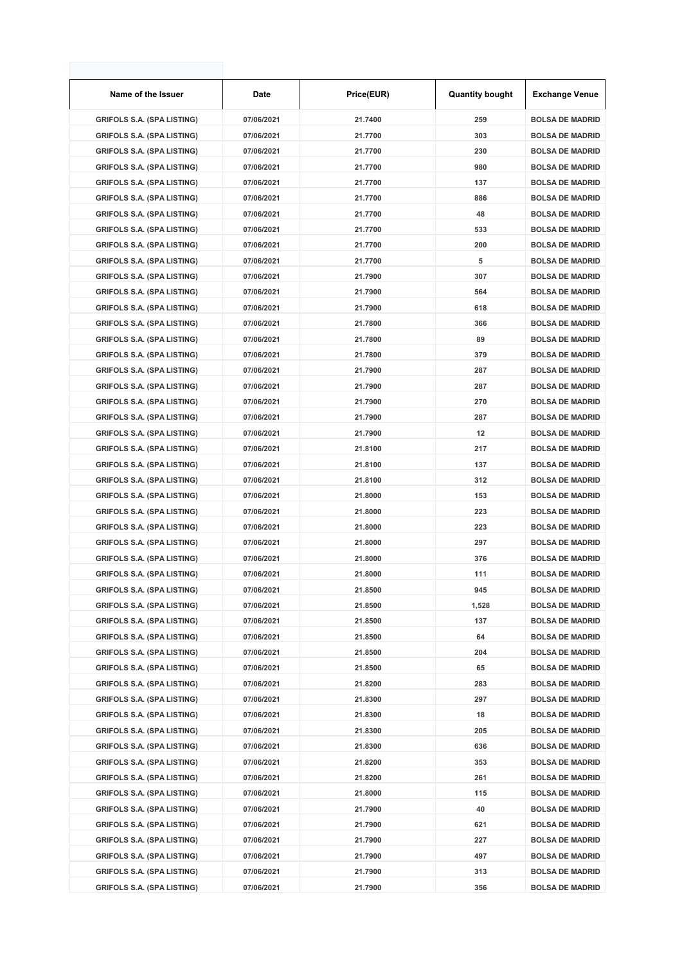| Name of the Issuer                | Date       | Price(EUR) | <b>Quantity bought</b> | <b>Exchange Venue</b>  |
|-----------------------------------|------------|------------|------------------------|------------------------|
| <b>GRIFOLS S.A. (SPA LISTING)</b> | 07/06/2021 | 21.7400    | 259                    | <b>BOLSA DE MADRID</b> |
| <b>GRIFOLS S.A. (SPA LISTING)</b> | 07/06/2021 | 21.7700    | 303                    | <b>BOLSA DE MADRID</b> |
| <b>GRIFOLS S.A. (SPA LISTING)</b> | 07/06/2021 | 21.7700    | 230                    | <b>BOLSA DE MADRID</b> |
| <b>GRIFOLS S.A. (SPA LISTING)</b> | 07/06/2021 | 21.7700    | 980                    | <b>BOLSA DE MADRID</b> |
| <b>GRIFOLS S.A. (SPA LISTING)</b> | 07/06/2021 | 21.7700    | 137                    | <b>BOLSA DE MADRID</b> |
| <b>GRIFOLS S.A. (SPA LISTING)</b> | 07/06/2021 | 21.7700    | 886                    | <b>BOLSA DE MADRID</b> |
| <b>GRIFOLS S.A. (SPA LISTING)</b> | 07/06/2021 | 21.7700    | 48                     | <b>BOLSA DE MADRID</b> |
| <b>GRIFOLS S.A. (SPA LISTING)</b> | 07/06/2021 | 21.7700    | 533                    | <b>BOLSA DE MADRID</b> |
| <b>GRIFOLS S.A. (SPA LISTING)</b> | 07/06/2021 | 21.7700    | 200                    | <b>BOLSA DE MADRID</b> |
| <b>GRIFOLS S.A. (SPA LISTING)</b> | 07/06/2021 | 21.7700    | 5                      | <b>BOLSA DE MADRID</b> |
| <b>GRIFOLS S.A. (SPA LISTING)</b> | 07/06/2021 | 21.7900    | 307                    | <b>BOLSA DE MADRID</b> |
| <b>GRIFOLS S.A. (SPA LISTING)</b> | 07/06/2021 | 21.7900    | 564                    | <b>BOLSA DE MADRID</b> |
| <b>GRIFOLS S.A. (SPA LISTING)</b> | 07/06/2021 | 21.7900    | 618                    | <b>BOLSA DE MADRID</b> |
| <b>GRIFOLS S.A. (SPA LISTING)</b> | 07/06/2021 | 21.7800    | 366                    | <b>BOLSA DE MADRID</b> |
| <b>GRIFOLS S.A. (SPA LISTING)</b> | 07/06/2021 | 21.7800    | 89                     | <b>BOLSA DE MADRID</b> |
| <b>GRIFOLS S.A. (SPA LISTING)</b> | 07/06/2021 | 21.7800    | 379                    | <b>BOLSA DE MADRID</b> |
| <b>GRIFOLS S.A. (SPA LISTING)</b> | 07/06/2021 | 21.7900    | 287                    | <b>BOLSA DE MADRID</b> |
| <b>GRIFOLS S.A. (SPA LISTING)</b> | 07/06/2021 | 21.7900    | 287                    | <b>BOLSA DE MADRID</b> |
| <b>GRIFOLS S.A. (SPA LISTING)</b> | 07/06/2021 | 21.7900    | 270                    | <b>BOLSA DE MADRID</b> |
| <b>GRIFOLS S.A. (SPA LISTING)</b> | 07/06/2021 | 21.7900    | 287                    | <b>BOLSA DE MADRID</b> |
| <b>GRIFOLS S.A. (SPA LISTING)</b> | 07/06/2021 | 21.7900    | 12                     | <b>BOLSA DE MADRID</b> |
| <b>GRIFOLS S.A. (SPA LISTING)</b> | 07/06/2021 | 21.8100    | 217                    | <b>BOLSA DE MADRID</b> |
| <b>GRIFOLS S.A. (SPA LISTING)</b> | 07/06/2021 | 21.8100    | 137                    | <b>BOLSA DE MADRID</b> |
| <b>GRIFOLS S.A. (SPA LISTING)</b> | 07/06/2021 | 21.8100    | 312                    | <b>BOLSA DE MADRID</b> |
| <b>GRIFOLS S.A. (SPA LISTING)</b> | 07/06/2021 | 21.8000    | 153                    | <b>BOLSA DE MADRID</b> |
| <b>GRIFOLS S.A. (SPA LISTING)</b> | 07/06/2021 | 21.8000    | 223                    | <b>BOLSA DE MADRID</b> |
| <b>GRIFOLS S.A. (SPA LISTING)</b> | 07/06/2021 | 21.8000    | 223                    | <b>BOLSA DE MADRID</b> |
| <b>GRIFOLS S.A. (SPA LISTING)</b> | 07/06/2021 | 21.8000    | 297                    | <b>BOLSA DE MADRID</b> |
| <b>GRIFOLS S.A. (SPA LISTING)</b> | 07/06/2021 | 21.8000    | 376                    | <b>BOLSA DE MADRID</b> |
| <b>GRIFOLS S.A. (SPA LISTING)</b> | 07/06/2021 | 21.8000    | 111                    | <b>BOLSA DE MADRID</b> |
| <b>GRIFOLS S.A. (SPA LISTING)</b> | 07/06/2021 | 21.8500    | 945                    | <b>BOLSA DE MADRID</b> |
| <b>GRIFOLS S.A. (SPA LISTING)</b> | 07/06/2021 | 21.8500    | 1,528                  | <b>BOLSA DE MADRID</b> |
| <b>GRIFOLS S.A. (SPA LISTING)</b> | 07/06/2021 | 21.8500    | 137                    | <b>BOLSA DE MADRID</b> |
| <b>GRIFOLS S.A. (SPA LISTING)</b> | 07/06/2021 | 21.8500    | 64                     | <b>BOLSA DE MADRID</b> |
| <b>GRIFOLS S.A. (SPA LISTING)</b> | 07/06/2021 | 21.8500    | 204                    | <b>BOLSA DE MADRID</b> |
| <b>GRIFOLS S.A. (SPA LISTING)</b> | 07/06/2021 | 21.8500    | 65                     | <b>BOLSA DE MADRID</b> |
| <b>GRIFOLS S.A. (SPA LISTING)</b> | 07/06/2021 | 21.8200    | 283                    | <b>BOLSA DE MADRID</b> |
| <b>GRIFOLS S.A. (SPA LISTING)</b> | 07/06/2021 | 21.8300    | 297                    | <b>BOLSA DE MADRID</b> |
| <b>GRIFOLS S.A. (SPA LISTING)</b> | 07/06/2021 | 21.8300    | 18                     | <b>BOLSA DE MADRID</b> |
| <b>GRIFOLS S.A. (SPA LISTING)</b> | 07/06/2021 | 21.8300    | 205                    | <b>BOLSA DE MADRID</b> |
| <b>GRIFOLS S.A. (SPA LISTING)</b> | 07/06/2021 | 21.8300    | 636                    | <b>BOLSA DE MADRID</b> |
| <b>GRIFOLS S.A. (SPA LISTING)</b> | 07/06/2021 | 21.8200    | 353                    | <b>BOLSA DE MADRID</b> |
| <b>GRIFOLS S.A. (SPA LISTING)</b> | 07/06/2021 | 21.8200    | 261                    | <b>BOLSA DE MADRID</b> |
| <b>GRIFOLS S.A. (SPA LISTING)</b> | 07/06/2021 | 21.8000    | 115                    | <b>BOLSA DE MADRID</b> |
| <b>GRIFOLS S.A. (SPA LISTING)</b> | 07/06/2021 | 21.7900    | 40                     | <b>BOLSA DE MADRID</b> |
| <b>GRIFOLS S.A. (SPA LISTING)</b> | 07/06/2021 | 21.7900    | 621                    | <b>BOLSA DE MADRID</b> |
| <b>GRIFOLS S.A. (SPA LISTING)</b> | 07/06/2021 | 21.7900    | 227                    | <b>BOLSA DE MADRID</b> |
| <b>GRIFOLS S.A. (SPA LISTING)</b> | 07/06/2021 | 21.7900    | 497                    | <b>BOLSA DE MADRID</b> |
| <b>GRIFOLS S.A. (SPA LISTING)</b> | 07/06/2021 | 21.7900    | 313                    | <b>BOLSA DE MADRID</b> |
| <b>GRIFOLS S.A. (SPA LISTING)</b> | 07/06/2021 | 21.7900    | 356                    | <b>BOLSA DE MADRID</b> |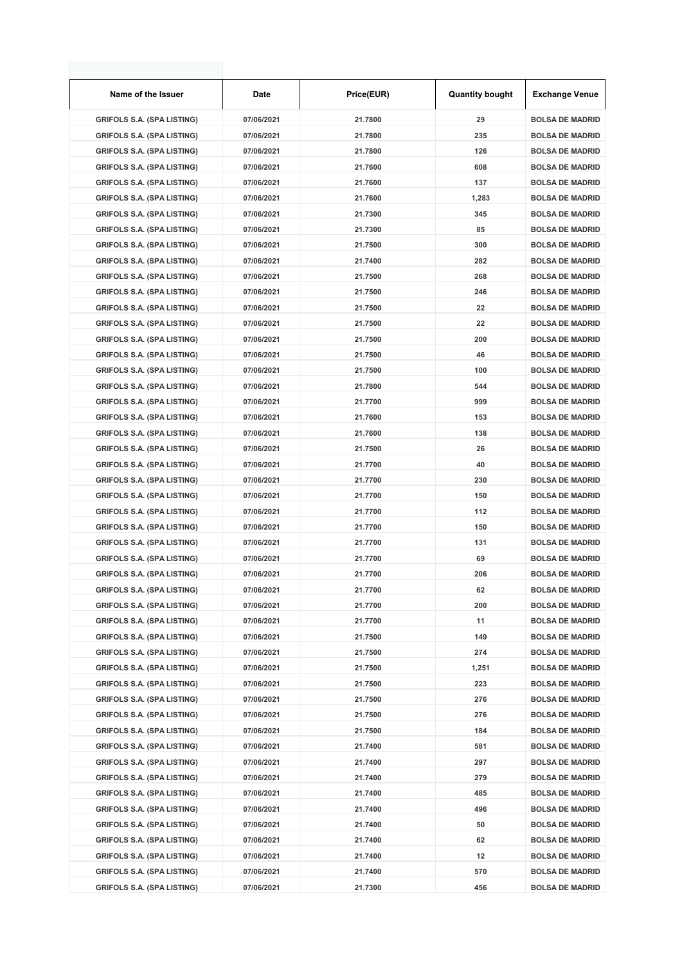| Name of the Issuer                | Date       | Price(EUR) | <b>Quantity bought</b> | <b>Exchange Venue</b>  |
|-----------------------------------|------------|------------|------------------------|------------------------|
| <b>GRIFOLS S.A. (SPA LISTING)</b> | 07/06/2021 | 21.7800    | 29                     | <b>BOLSA DE MADRID</b> |
| <b>GRIFOLS S.A. (SPA LISTING)</b> | 07/06/2021 | 21.7800    | 235                    | <b>BOLSA DE MADRID</b> |
| <b>GRIFOLS S.A. (SPA LISTING)</b> | 07/06/2021 | 21.7800    | 126                    | <b>BOLSA DE MADRID</b> |
| <b>GRIFOLS S.A. (SPA LISTING)</b> | 07/06/2021 | 21.7600    | 608                    | <b>BOLSA DE MADRID</b> |
| <b>GRIFOLS S.A. (SPA LISTING)</b> | 07/06/2021 | 21.7600    | 137                    | <b>BOLSA DE MADRID</b> |
| <b>GRIFOLS S.A. (SPA LISTING)</b> | 07/06/2021 | 21.7600    | 1,283                  | <b>BOLSA DE MADRID</b> |
| <b>GRIFOLS S.A. (SPA LISTING)</b> | 07/06/2021 | 21.7300    | 345                    | <b>BOLSA DE MADRID</b> |
| <b>GRIFOLS S.A. (SPA LISTING)</b> | 07/06/2021 | 21.7300    | 85                     | <b>BOLSA DE MADRID</b> |
| <b>GRIFOLS S.A. (SPA LISTING)</b> | 07/06/2021 | 21.7500    | 300                    | <b>BOLSA DE MADRID</b> |
| <b>GRIFOLS S.A. (SPA LISTING)</b> | 07/06/2021 | 21.7400    | 282                    | <b>BOLSA DE MADRID</b> |
| <b>GRIFOLS S.A. (SPA LISTING)</b> | 07/06/2021 | 21.7500    | 268                    | <b>BOLSA DE MADRID</b> |
| <b>GRIFOLS S.A. (SPA LISTING)</b> | 07/06/2021 | 21.7500    | 246                    | <b>BOLSA DE MADRID</b> |
| <b>GRIFOLS S.A. (SPA LISTING)</b> | 07/06/2021 | 21.7500    | 22                     | <b>BOLSA DE MADRID</b> |
| <b>GRIFOLS S.A. (SPA LISTING)</b> | 07/06/2021 | 21.7500    | 22                     | <b>BOLSA DE MADRID</b> |
| <b>GRIFOLS S.A. (SPA LISTING)</b> | 07/06/2021 | 21.7500    | 200                    | <b>BOLSA DE MADRID</b> |
| <b>GRIFOLS S.A. (SPA LISTING)</b> | 07/06/2021 | 21.7500    | 46                     | <b>BOLSA DE MADRID</b> |
| <b>GRIFOLS S.A. (SPA LISTING)</b> | 07/06/2021 | 21.7500    | 100                    | <b>BOLSA DE MADRID</b> |
| <b>GRIFOLS S.A. (SPA LISTING)</b> | 07/06/2021 | 21.7800    | 544                    | <b>BOLSA DE MADRID</b> |
| <b>GRIFOLS S.A. (SPA LISTING)</b> | 07/06/2021 | 21.7700    | 999                    | <b>BOLSA DE MADRID</b> |
| <b>GRIFOLS S.A. (SPA LISTING)</b> | 07/06/2021 | 21.7600    | 153                    | <b>BOLSA DE MADRID</b> |
| <b>GRIFOLS S.A. (SPA LISTING)</b> | 07/06/2021 | 21.7600    | 138                    | <b>BOLSA DE MADRID</b> |
| <b>GRIFOLS S.A. (SPA LISTING)</b> | 07/06/2021 | 21.7500    | 26                     | <b>BOLSA DE MADRID</b> |
| <b>GRIFOLS S.A. (SPA LISTING)</b> | 07/06/2021 | 21.7700    | 40                     | <b>BOLSA DE MADRID</b> |
| <b>GRIFOLS S.A. (SPA LISTING)</b> | 07/06/2021 | 21.7700    | 230                    | <b>BOLSA DE MADRID</b> |
| <b>GRIFOLS S.A. (SPA LISTING)</b> | 07/06/2021 | 21.7700    | 150                    | <b>BOLSA DE MADRID</b> |
| <b>GRIFOLS S.A. (SPA LISTING)</b> | 07/06/2021 | 21.7700    | 112                    | <b>BOLSA DE MADRID</b> |
| <b>GRIFOLS S.A. (SPA LISTING)</b> | 07/06/2021 | 21.7700    | 150                    | <b>BOLSA DE MADRID</b> |
| <b>GRIFOLS S.A. (SPA LISTING)</b> | 07/06/2021 | 21.7700    | 131                    | <b>BOLSA DE MADRID</b> |
| <b>GRIFOLS S.A. (SPA LISTING)</b> | 07/06/2021 | 21.7700    | 69                     | <b>BOLSA DE MADRID</b> |
| <b>GRIFOLS S.A. (SPA LISTING)</b> | 07/06/2021 | 21.7700    | 206                    | <b>BOLSA DE MADRID</b> |
| <b>GRIFOLS S.A. (SPA LISTING)</b> | 07/06/2021 | 21.7700    | 62                     | <b>BOLSA DE MADRID</b> |
| <b>GRIFOLS S.A. (SPA LISTING)</b> | 07/06/2021 | 21.7700    | 200                    | <b>BOLSA DE MADRID</b> |
| <b>GRIFOLS S.A. (SPA LISTING)</b> | 07/06/2021 | 21.7700    | 11                     | <b>BOLSA DE MADRID</b> |
| <b>GRIFOLS S.A. (SPA LISTING)</b> | 07/06/2021 | 21.7500    | 149                    | <b>BOLSA DE MADRID</b> |
| <b>GRIFOLS S.A. (SPA LISTING)</b> | 07/06/2021 | 21.7500    | 274                    | <b>BOLSA DE MADRID</b> |
| <b>GRIFOLS S.A. (SPA LISTING)</b> | 07/06/2021 | 21.7500    | 1,251                  | <b>BOLSA DE MADRID</b> |
| <b>GRIFOLS S.A. (SPA LISTING)</b> | 07/06/2021 | 21.7500    | 223                    | <b>BOLSA DE MADRID</b> |
| <b>GRIFOLS S.A. (SPA LISTING)</b> | 07/06/2021 | 21.7500    | 276                    | <b>BOLSA DE MADRID</b> |
| <b>GRIFOLS S.A. (SPA LISTING)</b> | 07/06/2021 | 21.7500    | 276                    | <b>BOLSA DE MADRID</b> |
| <b>GRIFOLS S.A. (SPA LISTING)</b> | 07/06/2021 | 21.7500    | 184                    | <b>BOLSA DE MADRID</b> |
| <b>GRIFOLS S.A. (SPA LISTING)</b> | 07/06/2021 | 21.7400    | 581                    | <b>BOLSA DE MADRID</b> |
| <b>GRIFOLS S.A. (SPA LISTING)</b> | 07/06/2021 | 21.7400    | 297                    | <b>BOLSA DE MADRID</b> |
| <b>GRIFOLS S.A. (SPA LISTING)</b> | 07/06/2021 | 21.7400    | 279                    | <b>BOLSA DE MADRID</b> |
| <b>GRIFOLS S.A. (SPA LISTING)</b> | 07/06/2021 | 21.7400    | 485                    | <b>BOLSA DE MADRID</b> |
| <b>GRIFOLS S.A. (SPA LISTING)</b> | 07/06/2021 | 21.7400    | 496                    | <b>BOLSA DE MADRID</b> |
| <b>GRIFOLS S.A. (SPA LISTING)</b> | 07/06/2021 | 21.7400    | 50                     | <b>BOLSA DE MADRID</b> |
| <b>GRIFOLS S.A. (SPA LISTING)</b> | 07/06/2021 | 21.7400    | 62                     | <b>BOLSA DE MADRID</b> |
| <b>GRIFOLS S.A. (SPA LISTING)</b> | 07/06/2021 | 21.7400    | 12                     | <b>BOLSA DE MADRID</b> |
| <b>GRIFOLS S.A. (SPA LISTING)</b> | 07/06/2021 | 21.7400    | 570                    | <b>BOLSA DE MADRID</b> |
| <b>GRIFOLS S.A. (SPA LISTING)</b> | 07/06/2021 | 21.7300    | 456                    | <b>BOLSA DE MADRID</b> |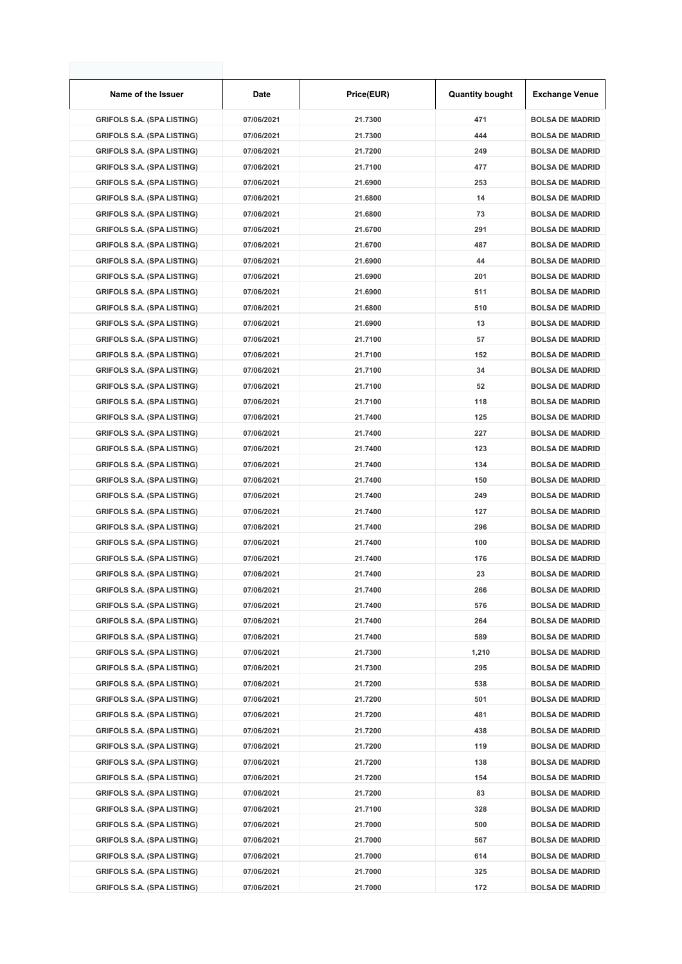| Name of the Issuer                | Date       | Price(EUR) | <b>Quantity bought</b> | <b>Exchange Venue</b>  |
|-----------------------------------|------------|------------|------------------------|------------------------|
| <b>GRIFOLS S.A. (SPA LISTING)</b> | 07/06/2021 | 21.7300    | 471                    | <b>BOLSA DE MADRID</b> |
| <b>GRIFOLS S.A. (SPA LISTING)</b> | 07/06/2021 | 21.7300    | 444                    | <b>BOLSA DE MADRID</b> |
| <b>GRIFOLS S.A. (SPA LISTING)</b> | 07/06/2021 | 21.7200    | 249                    | <b>BOLSA DE MADRID</b> |
| <b>GRIFOLS S.A. (SPA LISTING)</b> | 07/06/2021 | 21.7100    | 477                    | <b>BOLSA DE MADRID</b> |
| <b>GRIFOLS S.A. (SPA LISTING)</b> | 07/06/2021 | 21.6900    | 253                    | <b>BOLSA DE MADRID</b> |
| <b>GRIFOLS S.A. (SPA LISTING)</b> | 07/06/2021 | 21.6800    | 14                     | <b>BOLSA DE MADRID</b> |
| <b>GRIFOLS S.A. (SPA LISTING)</b> | 07/06/2021 | 21.6800    | 73                     | <b>BOLSA DE MADRID</b> |
| <b>GRIFOLS S.A. (SPA LISTING)</b> | 07/06/2021 | 21.6700    | 291                    | <b>BOLSA DE MADRID</b> |
| <b>GRIFOLS S.A. (SPA LISTING)</b> | 07/06/2021 | 21.6700    | 487                    | <b>BOLSA DE MADRID</b> |
| <b>GRIFOLS S.A. (SPA LISTING)</b> | 07/06/2021 | 21.6900    | 44                     | <b>BOLSA DE MADRID</b> |
| <b>GRIFOLS S.A. (SPA LISTING)</b> | 07/06/2021 | 21.6900    | 201                    | <b>BOLSA DE MADRID</b> |
| <b>GRIFOLS S.A. (SPA LISTING)</b> | 07/06/2021 | 21.6900    | 511                    | <b>BOLSA DE MADRID</b> |
| <b>GRIFOLS S.A. (SPA LISTING)</b> | 07/06/2021 | 21.6800    | 510                    | <b>BOLSA DE MADRID</b> |
| <b>GRIFOLS S.A. (SPA LISTING)</b> | 07/06/2021 | 21.6900    | 13                     | <b>BOLSA DE MADRID</b> |
| <b>GRIFOLS S.A. (SPA LISTING)</b> | 07/06/2021 | 21.7100    | 57                     | <b>BOLSA DE MADRID</b> |
| <b>GRIFOLS S.A. (SPA LISTING)</b> | 07/06/2021 | 21.7100    | 152                    | <b>BOLSA DE MADRID</b> |
| <b>GRIFOLS S.A. (SPA LISTING)</b> | 07/06/2021 | 21.7100    | 34                     | <b>BOLSA DE MADRID</b> |
| <b>GRIFOLS S.A. (SPA LISTING)</b> | 07/06/2021 | 21.7100    | 52                     | <b>BOLSA DE MADRID</b> |
| <b>GRIFOLS S.A. (SPA LISTING)</b> | 07/06/2021 | 21.7100    | 118                    | <b>BOLSA DE MADRID</b> |
| <b>GRIFOLS S.A. (SPA LISTING)</b> | 07/06/2021 | 21.7400    | 125                    | <b>BOLSA DE MADRID</b> |
| <b>GRIFOLS S.A. (SPA LISTING)</b> | 07/06/2021 | 21.7400    | 227                    | <b>BOLSA DE MADRID</b> |
| <b>GRIFOLS S.A. (SPA LISTING)</b> | 07/06/2021 | 21.7400    | 123                    | <b>BOLSA DE MADRID</b> |
| <b>GRIFOLS S.A. (SPA LISTING)</b> | 07/06/2021 | 21.7400    | 134                    | <b>BOLSA DE MADRID</b> |
| <b>GRIFOLS S.A. (SPA LISTING)</b> | 07/06/2021 | 21.7400    | 150                    | <b>BOLSA DE MADRID</b> |
| <b>GRIFOLS S.A. (SPA LISTING)</b> | 07/06/2021 | 21.7400    | 249                    | <b>BOLSA DE MADRID</b> |
| <b>GRIFOLS S.A. (SPA LISTING)</b> | 07/06/2021 | 21.7400    | 127                    | <b>BOLSA DE MADRID</b> |
| <b>GRIFOLS S.A. (SPA LISTING)</b> | 07/06/2021 | 21.7400    | 296                    | <b>BOLSA DE MADRID</b> |
| <b>GRIFOLS S.A. (SPA LISTING)</b> | 07/06/2021 | 21.7400    | 100                    | <b>BOLSA DE MADRID</b> |
| <b>GRIFOLS S.A. (SPA LISTING)</b> | 07/06/2021 | 21.7400    | 176                    | <b>BOLSA DE MADRID</b> |
| <b>GRIFOLS S.A. (SPA LISTING)</b> | 07/06/2021 | 21.7400    | 23                     | <b>BOLSA DE MADRID</b> |
| <b>GRIFOLS S.A. (SPA LISTING)</b> | 07/06/2021 | 21.7400    | 266                    | <b>BOLSA DE MADRID</b> |
| <b>GRIFOLS S.A. (SPA LISTING)</b> | 07/06/2021 | 21.7400    | 576                    | <b>BOLSA DE MADRID</b> |
| <b>GRIFOLS S.A. (SPA LISTING)</b> | 07/06/2021 | 21.7400    | 264                    | <b>BOLSA DE MADRID</b> |
| <b>GRIFOLS S.A. (SPA LISTING)</b> | 07/06/2021 | 21.7400    | 589                    | <b>BOLSA DE MADRID</b> |
| <b>GRIFOLS S.A. (SPA LISTING)</b> | 07/06/2021 | 21.7300    | 1,210                  | <b>BOLSA DE MADRID</b> |
| <b>GRIFOLS S.A. (SPA LISTING)</b> | 07/06/2021 | 21.7300    | 295                    | <b>BOLSA DE MADRID</b> |
| <b>GRIFOLS S.A. (SPA LISTING)</b> | 07/06/2021 | 21.7200    | 538                    | <b>BOLSA DE MADRID</b> |
| <b>GRIFOLS S.A. (SPA LISTING)</b> | 07/06/2021 | 21.7200    | 501                    | <b>BOLSA DE MADRID</b> |
| <b>GRIFOLS S.A. (SPA LISTING)</b> | 07/06/2021 | 21.7200    | 481                    | <b>BOLSA DE MADRID</b> |
| <b>GRIFOLS S.A. (SPA LISTING)</b> | 07/06/2021 | 21.7200    | 438                    | <b>BOLSA DE MADRID</b> |
| <b>GRIFOLS S.A. (SPA LISTING)</b> | 07/06/2021 | 21.7200    | 119                    | <b>BOLSA DE MADRID</b> |
| <b>GRIFOLS S.A. (SPA LISTING)</b> | 07/06/2021 | 21.7200    | 138                    | <b>BOLSA DE MADRID</b> |
| <b>GRIFOLS S.A. (SPA LISTING)</b> | 07/06/2021 | 21.7200    | 154                    | <b>BOLSA DE MADRID</b> |
| <b>GRIFOLS S.A. (SPA LISTING)</b> | 07/06/2021 | 21.7200    | 83                     | <b>BOLSA DE MADRID</b> |
| <b>GRIFOLS S.A. (SPA LISTING)</b> | 07/06/2021 | 21.7100    | 328                    | <b>BOLSA DE MADRID</b> |
| <b>GRIFOLS S.A. (SPA LISTING)</b> | 07/06/2021 | 21.7000    | 500                    | <b>BOLSA DE MADRID</b> |
| <b>GRIFOLS S.A. (SPA LISTING)</b> | 07/06/2021 | 21.7000    | 567                    | <b>BOLSA DE MADRID</b> |
| <b>GRIFOLS S.A. (SPA LISTING)</b> | 07/06/2021 | 21.7000    | 614                    | <b>BOLSA DE MADRID</b> |
| <b>GRIFOLS S.A. (SPA LISTING)</b> | 07/06/2021 | 21.7000    | 325                    | <b>BOLSA DE MADRID</b> |
| <b>GRIFOLS S.A. (SPA LISTING)</b> | 07/06/2021 | 21.7000    | 172                    | <b>BOLSA DE MADRID</b> |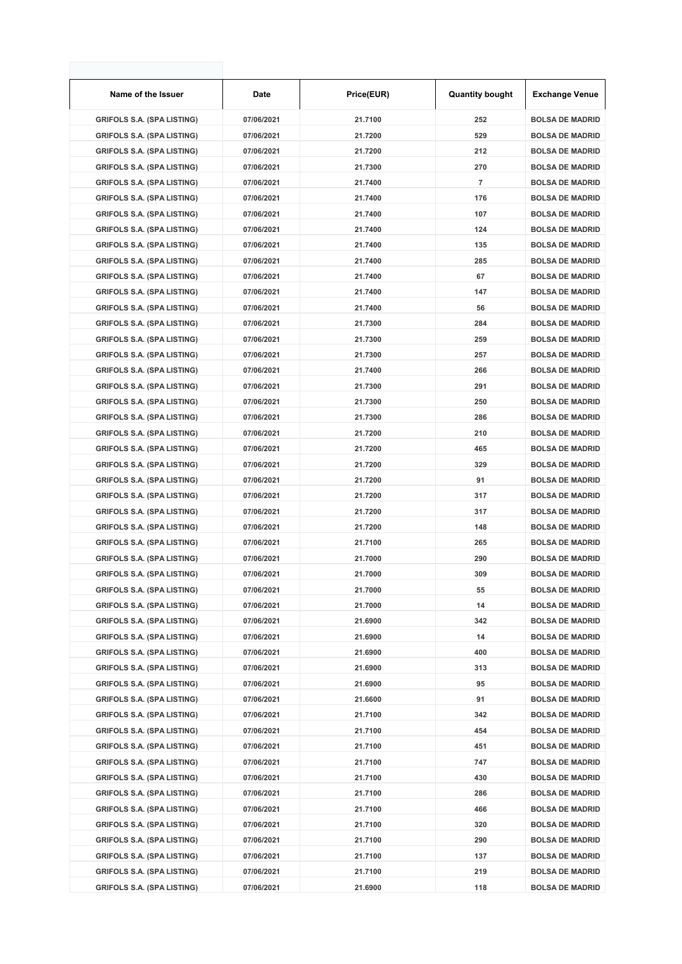| Name of the Issuer                | Date       | Price(EUR) | <b>Quantity bought</b> | <b>Exchange Venue</b>  |
|-----------------------------------|------------|------------|------------------------|------------------------|
| <b>GRIFOLS S.A. (SPA LISTING)</b> | 07/06/2021 | 21.7100    | 252                    | <b>BOLSA DE MADRID</b> |
| <b>GRIFOLS S.A. (SPA LISTING)</b> | 07/06/2021 | 21.7200    | 529                    | <b>BOLSA DE MADRID</b> |
| <b>GRIFOLS S.A. (SPA LISTING)</b> | 07/06/2021 | 21.7200    | 212                    | <b>BOLSA DE MADRID</b> |
| <b>GRIFOLS S.A. (SPA LISTING)</b> | 07/06/2021 | 21.7300    | 270                    | <b>BOLSA DE MADRID</b> |
| <b>GRIFOLS S.A. (SPA LISTING)</b> | 07/06/2021 | 21.7400    | 7                      | <b>BOLSA DE MADRID</b> |
| <b>GRIFOLS S.A. (SPA LISTING)</b> | 07/06/2021 | 21.7400    | 176                    | <b>BOLSA DE MADRID</b> |
| <b>GRIFOLS S.A. (SPA LISTING)</b> | 07/06/2021 | 21.7400    | 107                    | <b>BOLSA DE MADRID</b> |
| <b>GRIFOLS S.A. (SPA LISTING)</b> | 07/06/2021 | 21.7400    | 124                    | <b>BOLSA DE MADRID</b> |
| <b>GRIFOLS S.A. (SPA LISTING)</b> | 07/06/2021 | 21.7400    | 135                    | <b>BOLSA DE MADRID</b> |
| <b>GRIFOLS S.A. (SPA LISTING)</b> | 07/06/2021 | 21.7400    | 285                    | <b>BOLSA DE MADRID</b> |
| <b>GRIFOLS S.A. (SPA LISTING)</b> | 07/06/2021 | 21.7400    | 67                     | <b>BOLSA DE MADRID</b> |
| <b>GRIFOLS S.A. (SPA LISTING)</b> | 07/06/2021 | 21.7400    | 147                    | <b>BOLSA DE MADRID</b> |
| <b>GRIFOLS S.A. (SPA LISTING)</b> | 07/06/2021 | 21.7400    | 56                     | <b>BOLSA DE MADRID</b> |
| <b>GRIFOLS S.A. (SPA LISTING)</b> | 07/06/2021 | 21.7300    | 284                    | <b>BOLSA DE MADRID</b> |
| <b>GRIFOLS S.A. (SPA LISTING)</b> | 07/06/2021 | 21.7300    | 259                    | <b>BOLSA DE MADRID</b> |
| <b>GRIFOLS S.A. (SPA LISTING)</b> | 07/06/2021 | 21.7300    | 257                    | <b>BOLSA DE MADRID</b> |
| <b>GRIFOLS S.A. (SPA LISTING)</b> | 07/06/2021 | 21.7400    | 266                    | <b>BOLSA DE MADRID</b> |
| <b>GRIFOLS S.A. (SPA LISTING)</b> | 07/06/2021 | 21.7300    | 291                    | <b>BOLSA DE MADRID</b> |
| <b>GRIFOLS S.A. (SPA LISTING)</b> | 07/06/2021 | 21.7300    | 250                    | <b>BOLSA DE MADRID</b> |
| <b>GRIFOLS S.A. (SPA LISTING)</b> | 07/06/2021 | 21.7300    | 286                    | <b>BOLSA DE MADRID</b> |
| <b>GRIFOLS S.A. (SPA LISTING)</b> | 07/06/2021 | 21.7200    | 210                    | <b>BOLSA DE MADRID</b> |
| <b>GRIFOLS S.A. (SPA LISTING)</b> | 07/06/2021 | 21.7200    | 465                    | <b>BOLSA DE MADRID</b> |
| <b>GRIFOLS S.A. (SPA LISTING)</b> | 07/06/2021 | 21.7200    | 329                    | <b>BOLSA DE MADRID</b> |
| <b>GRIFOLS S.A. (SPA LISTING)</b> | 07/06/2021 | 21.7200    | 91                     | <b>BOLSA DE MADRID</b> |
| <b>GRIFOLS S.A. (SPA LISTING)</b> | 07/06/2021 | 21.7200    | 317                    | <b>BOLSA DE MADRID</b> |
| <b>GRIFOLS S.A. (SPA LISTING)</b> | 07/06/2021 | 21.7200    | 317                    | <b>BOLSA DE MADRID</b> |
| <b>GRIFOLS S.A. (SPA LISTING)</b> | 07/06/2021 | 21.7200    | 148                    | <b>BOLSA DE MADRID</b> |
| <b>GRIFOLS S.A. (SPA LISTING)</b> | 07/06/2021 | 21.7100    | 265                    | <b>BOLSA DE MADRID</b> |
| <b>GRIFOLS S.A. (SPA LISTING)</b> | 07/06/2021 | 21.7000    | 290                    | <b>BOLSA DE MADRID</b> |
| <b>GRIFOLS S.A. (SPA LISTING)</b> | 07/06/2021 | 21.7000    | 309                    | <b>BOLSA DE MADRID</b> |
| <b>GRIFOLS S.A. (SPA LISTING)</b> | 07/06/2021 | 21.7000    | 55                     | <b>BOLSA DE MADRID</b> |
| <b>GRIFOLS S.A. (SPA LISTING)</b> | 07/06/2021 | 21.7000    | 14                     | <b>BOLSA DE MADRID</b> |
| <b>GRIFOLS S.A. (SPA LISTING)</b> | 07/06/2021 | 21.6900    | 342                    | <b>BOLSA DE MADRID</b> |
| <b>GRIFOLS S.A. (SPA LISTING)</b> | 07/06/2021 | 21.6900    | 14                     | <b>BOLSA DE MADRID</b> |
| <b>GRIFOLS S.A. (SPA LISTING)</b> | 07/06/2021 | 21.6900    | 400                    | <b>BOLSA DE MADRID</b> |
| <b>GRIFOLS S.A. (SPA LISTING)</b> | 07/06/2021 | 21.6900    | 313                    | <b>BOLSA DE MADRID</b> |
| <b>GRIFOLS S.A. (SPA LISTING)</b> | 07/06/2021 | 21.6900    | 95                     | <b>BOLSA DE MADRID</b> |
| <b>GRIFOLS S.A. (SPA LISTING)</b> | 07/06/2021 | 21.6600    | 91                     | <b>BOLSA DE MADRID</b> |
| <b>GRIFOLS S.A. (SPA LISTING)</b> | 07/06/2021 | 21.7100    | 342                    | <b>BOLSA DE MADRID</b> |
| <b>GRIFOLS S.A. (SPA LISTING)</b> | 07/06/2021 | 21.7100    | 454                    | <b>BOLSA DE MADRID</b> |
| <b>GRIFOLS S.A. (SPA LISTING)</b> | 07/06/2021 | 21.7100    | 451                    | <b>BOLSA DE MADRID</b> |
| <b>GRIFOLS S.A. (SPA LISTING)</b> | 07/06/2021 | 21.7100    | 747                    | <b>BOLSA DE MADRID</b> |
| <b>GRIFOLS S.A. (SPA LISTING)</b> | 07/06/2021 | 21.7100    | 430                    | <b>BOLSA DE MADRID</b> |
| <b>GRIFOLS S.A. (SPA LISTING)</b> | 07/06/2021 | 21.7100    | 286                    | <b>BOLSA DE MADRID</b> |
| <b>GRIFOLS S.A. (SPA LISTING)</b> | 07/06/2021 | 21.7100    | 466                    | <b>BOLSA DE MADRID</b> |
| <b>GRIFOLS S.A. (SPA LISTING)</b> | 07/06/2021 | 21.7100    | 320                    | <b>BOLSA DE MADRID</b> |
| <b>GRIFOLS S.A. (SPA LISTING)</b> | 07/06/2021 | 21.7100    | 290                    | <b>BOLSA DE MADRID</b> |
| <b>GRIFOLS S.A. (SPA LISTING)</b> | 07/06/2021 | 21.7100    | 137                    | <b>BOLSA DE MADRID</b> |
| <b>GRIFOLS S.A. (SPA LISTING)</b> | 07/06/2021 | 21.7100    | 219                    | <b>BOLSA DE MADRID</b> |
| <b>GRIFOLS S.A. (SPA LISTING)</b> | 07/06/2021 | 21.6900    | 118                    | <b>BOLSA DE MADRID</b> |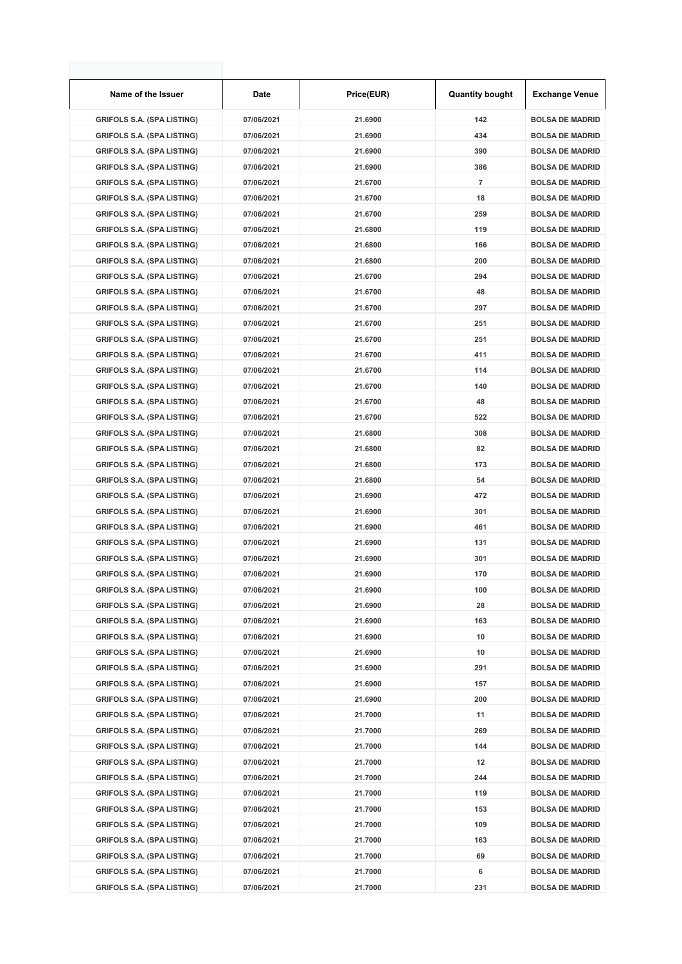| Name of the Issuer                                                     | Date                     | Price(EUR)         | <b>Quantity bought</b> | <b>Exchange Venue</b>                            |
|------------------------------------------------------------------------|--------------------------|--------------------|------------------------|--------------------------------------------------|
| <b>GRIFOLS S.A. (SPA LISTING)</b>                                      | 07/06/2021               | 21.6900            | 142                    | <b>BOLSA DE MADRID</b>                           |
| <b>GRIFOLS S.A. (SPA LISTING)</b>                                      | 07/06/2021               | 21.6900            | 434                    | <b>BOLSA DE MADRID</b>                           |
| <b>GRIFOLS S.A. (SPA LISTING)</b>                                      | 07/06/2021               | 21.6900            | 390                    | <b>BOLSA DE MADRID</b>                           |
| <b>GRIFOLS S.A. (SPA LISTING)</b>                                      | 07/06/2021               | 21.6900            | 386                    | <b>BOLSA DE MADRID</b>                           |
| <b>GRIFOLS S.A. (SPA LISTING)</b>                                      | 07/06/2021               | 21.6700            | $\overline{7}$         | <b>BOLSA DE MADRID</b>                           |
| <b>GRIFOLS S.A. (SPA LISTING)</b>                                      | 07/06/2021               | 21.6700            | 18                     | <b>BOLSA DE MADRID</b>                           |
| <b>GRIFOLS S.A. (SPA LISTING)</b>                                      | 07/06/2021               | 21.6700            | 259                    | <b>BOLSA DE MADRID</b>                           |
| <b>GRIFOLS S.A. (SPA LISTING)</b>                                      | 07/06/2021               | 21.6800            | 119                    | <b>BOLSA DE MADRID</b>                           |
| <b>GRIFOLS S.A. (SPA LISTING)</b>                                      | 07/06/2021               | 21.6800            | 166                    | <b>BOLSA DE MADRID</b>                           |
| <b>GRIFOLS S.A. (SPA LISTING)</b>                                      | 07/06/2021               | 21.6800            | 200                    | <b>BOLSA DE MADRID</b>                           |
| <b>GRIFOLS S.A. (SPA LISTING)</b>                                      | 07/06/2021               | 21.6700            | 294                    | <b>BOLSA DE MADRID</b>                           |
| <b>GRIFOLS S.A. (SPA LISTING)</b>                                      | 07/06/2021               | 21.6700            | 48                     | <b>BOLSA DE MADRID</b>                           |
| <b>GRIFOLS S.A. (SPA LISTING)</b>                                      | 07/06/2021               | 21.6700            | 297                    | <b>BOLSA DE MADRID</b>                           |
| <b>GRIFOLS S.A. (SPA LISTING)</b>                                      | 07/06/2021               | 21.6700            | 251                    | <b>BOLSA DE MADRID</b>                           |
| <b>GRIFOLS S.A. (SPA LISTING)</b>                                      | 07/06/2021               | 21.6700            | 251                    | <b>BOLSA DE MADRID</b>                           |
| <b>GRIFOLS S.A. (SPA LISTING)</b>                                      | 07/06/2021               | 21.6700            | 411                    | <b>BOLSA DE MADRID</b>                           |
| <b>GRIFOLS S.A. (SPA LISTING)</b>                                      | 07/06/2021               | 21.6700            | 114                    | <b>BOLSA DE MADRID</b>                           |
| <b>GRIFOLS S.A. (SPA LISTING)</b>                                      | 07/06/2021               | 21.6700            | 140                    | <b>BOLSA DE MADRID</b>                           |
| <b>GRIFOLS S.A. (SPA LISTING)</b>                                      | 07/06/2021               | 21.6700            | 48                     | <b>BOLSA DE MADRID</b>                           |
| <b>GRIFOLS S.A. (SPA LISTING)</b>                                      | 07/06/2021               | 21.6700            | 522                    | <b>BOLSA DE MADRID</b>                           |
| <b>GRIFOLS S.A. (SPA LISTING)</b>                                      | 07/06/2021               | 21.6800            | 308                    | <b>BOLSA DE MADRID</b>                           |
| <b>GRIFOLS S.A. (SPA LISTING)</b>                                      | 07/06/2021               | 21.6800            | 82                     | <b>BOLSA DE MADRID</b>                           |
| <b>GRIFOLS S.A. (SPA LISTING)</b>                                      | 07/06/2021               | 21.6800            | 173                    | <b>BOLSA DE MADRID</b>                           |
| <b>GRIFOLS S.A. (SPA LISTING)</b>                                      | 07/06/2021               | 21.6800            | 54                     | <b>BOLSA DE MADRID</b>                           |
| <b>GRIFOLS S.A. (SPA LISTING)</b>                                      | 07/06/2021               | 21.6900            | 472                    | <b>BOLSA DE MADRID</b>                           |
| <b>GRIFOLS S.A. (SPA LISTING)</b>                                      | 07/06/2021               | 21.6900            | 301                    | <b>BOLSA DE MADRID</b>                           |
| <b>GRIFOLS S.A. (SPA LISTING)</b>                                      | 07/06/2021               | 21.6900            | 461                    | <b>BOLSA DE MADRID</b>                           |
| <b>GRIFOLS S.A. (SPA LISTING)</b>                                      | 07/06/2021               | 21.6900            | 131                    | <b>BOLSA DE MADRID</b>                           |
| <b>GRIFOLS S.A. (SPA LISTING)</b>                                      | 07/06/2021               | 21.6900            | 301                    | <b>BOLSA DE MADRID</b>                           |
| <b>GRIFOLS S.A. (SPA LISTING)</b>                                      | 07/06/2021               | 21.6900            | 170                    | <b>BOLSA DE MADRID</b>                           |
|                                                                        |                          |                    |                        |                                                  |
| <b>GRIFOLS S.A. (SPA LISTING)</b><br><b>GRIFOLS S.A. (SPA LISTING)</b> | 07/06/2021<br>07/06/2021 | 21.6900<br>21.6900 | 100<br>28              | <b>BOLSA DE MADRID</b><br><b>BOLSA DE MADRID</b> |
| <b>GRIFOLS S.A. (SPA LISTING)</b>                                      | 07/06/2021               | 21.6900            | 163                    | <b>BOLSA DE MADRID</b>                           |
|                                                                        | 07/06/2021               | 21.6900            | 10                     | <b>BOLSA DE MADRID</b>                           |
| <b>GRIFOLS S.A. (SPA LISTING)</b><br><b>GRIFOLS S.A. (SPA LISTING)</b> |                          |                    |                        | <b>BOLSA DE MADRID</b>                           |
|                                                                        | 07/06/2021               | 21.6900            | 10                     |                                                  |
| <b>GRIFOLS S.A. (SPA LISTING)</b>                                      | 07/06/2021               | 21.6900            | 291                    | <b>BOLSA DE MADRID</b>                           |
| <b>GRIFOLS S.A. (SPA LISTING)</b>                                      | 07/06/2021               | 21.6900            | 157                    | <b>BOLSA DE MADRID</b>                           |
| <b>GRIFOLS S.A. (SPA LISTING)</b>                                      | 07/06/2021               | 21.6900            | 200                    | <b>BOLSA DE MADRID</b>                           |
| <b>GRIFOLS S.A. (SPA LISTING)</b>                                      | 07/06/2021               | 21.7000            | 11                     | <b>BOLSA DE MADRID</b>                           |
| <b>GRIFOLS S.A. (SPA LISTING)</b>                                      | 07/06/2021               | 21.7000            | 269                    | <b>BOLSA DE MADRID</b>                           |
| <b>GRIFOLS S.A. (SPA LISTING)</b>                                      | 07/06/2021               | 21.7000            | 144                    | <b>BOLSA DE MADRID</b>                           |
| <b>GRIFOLS S.A. (SPA LISTING)</b>                                      | 07/06/2021               | 21.7000            | 12                     | <b>BOLSA DE MADRID</b>                           |
| <b>GRIFOLS S.A. (SPA LISTING)</b>                                      | 07/06/2021               | 21.7000            | 244                    | <b>BOLSA DE MADRID</b>                           |
| <b>GRIFOLS S.A. (SPA LISTING)</b>                                      | 07/06/2021               | 21.7000            | 119                    | <b>BOLSA DE MADRID</b>                           |
| <b>GRIFOLS S.A. (SPA LISTING)</b>                                      | 07/06/2021               | 21.7000            | 153                    | <b>BOLSA DE MADRID</b>                           |
| <b>GRIFOLS S.A. (SPA LISTING)</b>                                      | 07/06/2021               | 21.7000            | 109                    | <b>BOLSA DE MADRID</b>                           |
| <b>GRIFOLS S.A. (SPA LISTING)</b>                                      | 07/06/2021               | 21.7000            | 163                    | <b>BOLSA DE MADRID</b>                           |
| <b>GRIFOLS S.A. (SPA LISTING)</b>                                      | 07/06/2021               | 21.7000            | 69                     | <b>BOLSA DE MADRID</b>                           |
| <b>GRIFOLS S.A. (SPA LISTING)</b>                                      | 07/06/2021               | 21.7000            | 6                      | <b>BOLSA DE MADRID</b>                           |
| <b>GRIFOLS S.A. (SPA LISTING)</b>                                      | 07/06/2021               | 21.7000            | 231                    | <b>BOLSA DE MADRID</b>                           |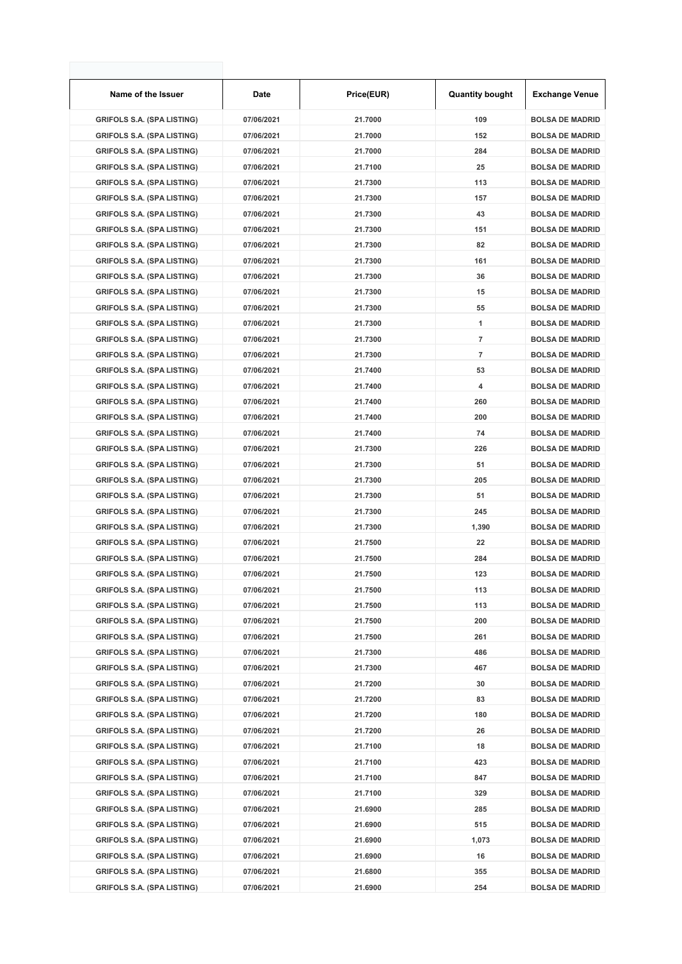| <b>GRIFOLS S.A. (SPA LISTING)</b><br>07/06/2021<br>21.7000<br>109<br><b>BOLSA DE MADRID</b><br>21.7000<br>152<br><b>BOLSA DE MADRID</b><br><b>GRIFOLS S.A. (SPA LISTING)</b><br>07/06/2021<br><b>GRIFOLS S.A. (SPA LISTING)</b><br>07/06/2021<br>21.7000<br>284<br><b>BOLSA DE MADRID</b><br><b>GRIFOLS S.A. (SPA LISTING)</b><br>07/06/2021<br>21.7100<br>25<br><b>BOLSA DE MADRID</b><br>07/06/2021<br>21.7300<br>113<br><b>GRIFOLS S.A. (SPA LISTING)</b><br><b>BOLSA DE MADRID</b><br><b>GRIFOLS S.A. (SPA LISTING)</b><br>07/06/2021<br>21.7300<br>157<br><b>BOLSA DE MADRID</b><br><b>GRIFOLS S.A. (SPA LISTING)</b><br>07/06/2021<br>21.7300<br>43<br><b>BOLSA DE MADRID</b><br>21.7300<br>151<br><b>BOLSA DE MADRID</b><br><b>GRIFOLS S.A. (SPA LISTING)</b><br>07/06/2021<br><b>GRIFOLS S.A. (SPA LISTING)</b><br>07/06/2021<br>21.7300<br>82<br><b>BOLSA DE MADRID</b><br>07/06/2021<br>21.7300<br>161<br><b>BOLSA DE MADRID</b><br><b>GRIFOLS S.A. (SPA LISTING)</b><br>36<br><b>GRIFOLS S.A. (SPA LISTING)</b><br>07/06/2021<br>21.7300<br><b>BOLSA DE MADRID</b><br><b>GRIFOLS S.A. (SPA LISTING)</b><br>07/06/2021<br>21.7300<br>15<br><b>BOLSA DE MADRID</b><br><b>GRIFOLS S.A. (SPA LISTING)</b><br>55<br>07/06/2021<br>21.7300<br><b>BOLSA DE MADRID</b><br>1<br><b>GRIFOLS S.A. (SPA LISTING)</b><br>07/06/2021<br>21.7300<br><b>BOLSA DE MADRID</b><br>$\overline{7}$<br><b>GRIFOLS S.A. (SPA LISTING)</b><br>21.7300<br><b>BOLSA DE MADRID</b><br>07/06/2021<br>$\overline{7}$<br>21.7300<br><b>GRIFOLS S.A. (SPA LISTING)</b><br>07/06/2021<br><b>BOLSA DE MADRID</b><br><b>GRIFOLS S.A. (SPA LISTING)</b><br>07/06/2021<br>21.7400<br>53<br><b>BOLSA DE MADRID</b><br><b>GRIFOLS S.A. (SPA LISTING)</b><br>07/06/2021<br>21.7400<br>4<br><b>BOLSA DE MADRID</b><br><b>GRIFOLS S.A. (SPA LISTING)</b><br>07/06/2021<br>21.7400<br>260<br><b>BOLSA DE MADRID</b><br>200<br><b>BOLSA DE MADRID</b><br><b>GRIFOLS S.A. (SPA LISTING)</b><br>07/06/2021<br>21.7400<br><b>GRIFOLS S.A. (SPA LISTING)</b><br>07/06/2021<br>74<br>21.7400<br><b>BOLSA DE MADRID</b><br>226<br><b>GRIFOLS S.A. (SPA LISTING)</b><br>07/06/2021<br>21.7300<br><b>BOLSA DE MADRID</b><br><b>GRIFOLS S.A. (SPA LISTING)</b><br>07/06/2021<br>21.7300<br>51<br><b>BOLSA DE MADRID</b><br>205<br><b>GRIFOLS S.A. (SPA LISTING)</b><br>07/06/2021<br>21.7300<br><b>BOLSA DE MADRID</b><br><b>GRIFOLS S.A. (SPA LISTING)</b><br>07/06/2021<br>21.7300<br>51<br><b>BOLSA DE MADRID</b><br><b>GRIFOLS S.A. (SPA LISTING)</b><br>07/06/2021<br>21.7300<br>245<br><b>BOLSA DE MADRID</b><br><b>GRIFOLS S.A. (SPA LISTING)</b><br>07/06/2021<br>1,390<br><b>BOLSA DE MADRID</b><br>21.7300<br>07/06/2021<br>21.7500<br>22<br><b>GRIFOLS S.A. (SPA LISTING)</b><br><b>BOLSA DE MADRID</b><br><b>GRIFOLS S.A. (SPA LISTING)</b><br>284<br>07/06/2021<br>21.7500<br><b>BOLSA DE MADRID</b><br>123<br><b>GRIFOLS S.A. (SPA LISTING)</b><br>07/06/2021<br>21.7500<br><b>BOLSA DE MADRID</b><br><b>GRIFOLS S.A. (SPA LISTING)</b><br>07/06/2021<br>21.7500<br>113<br><b>BOLSA DE MADRID</b><br><b>GRIFOLS S.A. (SPA LISTING)</b><br>07/06/2021<br>21.7500<br>113<br><b>BOLSA DE MADRID</b><br>200<br><b>GRIFOLS S.A. (SPA LISTING)</b><br>07/06/2021<br>21.7500<br><b>BOLSA DE MADRID</b><br><b>GRIFOLS S.A. (SPA LISTING)</b><br>21.7500<br>261<br><b>BOLSA DE MADRID</b><br>07/06/2021<br><b>GRIFOLS S.A. (SPA LISTING)</b><br>07/06/2021<br>21.7300<br>486<br><b>BOLSA DE MADRID</b><br><b>GRIFOLS S.A. (SPA LISTING)</b><br>21.7300<br>467<br><b>BOLSA DE MADRID</b><br>07/06/2021<br><b>GRIFOLS S.A. (SPA LISTING)</b><br>07/06/2021<br>21.7200<br>30<br><b>BOLSA DE MADRID</b><br><b>GRIFOLS S.A. (SPA LISTING)</b><br>83<br>07/06/2021<br>21.7200<br><b>BOLSA DE MADRID</b><br>21.7200<br>180<br><b>GRIFOLS S.A. (SPA LISTING)</b><br>07/06/2021<br><b>BOLSA DE MADRID</b><br><b>GRIFOLS S.A. (SPA LISTING)</b><br>21.7200<br>26<br><b>BOLSA DE MADRID</b><br>07/06/2021<br><b>GRIFOLS S.A. (SPA LISTING)</b><br>21.7100<br>18<br><b>BOLSA DE MADRID</b><br>07/06/2021<br><b>GRIFOLS S.A. (SPA LISTING)</b><br>07/06/2021<br>21.7100<br>423<br><b>BOLSA DE MADRID</b><br><b>GRIFOLS S.A. (SPA LISTING)</b><br>21.7100<br>847<br><b>BOLSA DE MADRID</b><br>07/06/2021<br><b>GRIFOLS S.A. (SPA LISTING)</b><br>07/06/2021<br>21.7100<br>329<br><b>BOLSA DE MADRID</b><br><b>GRIFOLS S.A. (SPA LISTING)</b><br>21.6900<br>285<br><b>BOLSA DE MADRID</b><br>07/06/2021<br><b>GRIFOLS S.A. (SPA LISTING)</b><br>07/06/2021<br>21.6900<br>515<br><b>BOLSA DE MADRID</b><br><b>GRIFOLS S.A. (SPA LISTING)</b><br>21.6900<br>1,073<br>07/06/2021<br><b>BOLSA DE MADRID</b><br><b>GRIFOLS S.A. (SPA LISTING)</b><br>07/06/2021<br>21.6900<br>16<br><b>BOLSA DE MADRID</b><br><b>GRIFOLS S.A. (SPA LISTING)</b><br>21.6800<br>355<br>07/06/2021<br><b>BOLSA DE MADRID</b> | Name of the Issuer                | Date       | Price(EUR) | <b>Quantity bought</b> | <b>Exchange Venue</b>  |
|---------------------------------------------------------------------------------------------------------------------------------------------------------------------------------------------------------------------------------------------------------------------------------------------------------------------------------------------------------------------------------------------------------------------------------------------------------------------------------------------------------------------------------------------------------------------------------------------------------------------------------------------------------------------------------------------------------------------------------------------------------------------------------------------------------------------------------------------------------------------------------------------------------------------------------------------------------------------------------------------------------------------------------------------------------------------------------------------------------------------------------------------------------------------------------------------------------------------------------------------------------------------------------------------------------------------------------------------------------------------------------------------------------------------------------------------------------------------------------------------------------------------------------------------------------------------------------------------------------------------------------------------------------------------------------------------------------------------------------------------------------------------------------------------------------------------------------------------------------------------------------------------------------------------------------------------------------------------------------------------------------------------------------------------------------------------------------------------------------------------------------------------------------------------------------------------------------------------------------------------------------------------------------------------------------------------------------------------------------------------------------------------------------------------------------------------------------------------------------------------------------------------------------------------------------------------------------------------------------------------------------------------------------------------------------------------------------------------------------------------------------------------------------------------------------------------------------------------------------------------------------------------------------------------------------------------------------------------------------------------------------------------------------------------------------------------------------------------------------------------------------------------------------------------------------------------------------------------------------------------------------------------------------------------------------------------------------------------------------------------------------------------------------------------------------------------------------------------------------------------------------------------------------------------------------------------------------------------------------------------------------------------------------------------------------------------------------------------------------------------------------------------------------------------------------------------------------------------------------------------------------------------------------------------------------------------------------------------------------------------------------------------------------------------------------------------------------------------------------------------------------------------------------------------------------------------------------------------------------------------------------------------------------------------------------------------------------------------------------------------------------------------------------------------------------------------------------------------------------------------------------------------------------------------------------------------------------------------------------------------------------------------------------------------------------------------------------------------------------------------------------------------------------------------------------------------------------------------------|-----------------------------------|------------|------------|------------------------|------------------------|
|                                                                                                                                                                                                                                                                                                                                                                                                                                                                                                                                                                                                                                                                                                                                                                                                                                                                                                                                                                                                                                                                                                                                                                                                                                                                                                                                                                                                                                                                                                                                                                                                                                                                                                                                                                                                                                                                                                                                                                                                                                                                                                                                                                                                                                                                                                                                                                                                                                                                                                                                                                                                                                                                                                                                                                                                                                                                                                                                                                                                                                                                                                                                                                                                                                                                                                                                                                                                                                                                                                                                                                                                                                                                                                                                                                                                                                                                                                                                                                                                                                                                                                                                                                                                                                                                                                                                                                                                                                                                                                                                                                                                                                                                                                                                                                                                                                                   |                                   |            |            |                        |                        |
|                                                                                                                                                                                                                                                                                                                                                                                                                                                                                                                                                                                                                                                                                                                                                                                                                                                                                                                                                                                                                                                                                                                                                                                                                                                                                                                                                                                                                                                                                                                                                                                                                                                                                                                                                                                                                                                                                                                                                                                                                                                                                                                                                                                                                                                                                                                                                                                                                                                                                                                                                                                                                                                                                                                                                                                                                                                                                                                                                                                                                                                                                                                                                                                                                                                                                                                                                                                                                                                                                                                                                                                                                                                                                                                                                                                                                                                                                                                                                                                                                                                                                                                                                                                                                                                                                                                                                                                                                                                                                                                                                                                                                                                                                                                                                                                                                                                   |                                   |            |            |                        |                        |
|                                                                                                                                                                                                                                                                                                                                                                                                                                                                                                                                                                                                                                                                                                                                                                                                                                                                                                                                                                                                                                                                                                                                                                                                                                                                                                                                                                                                                                                                                                                                                                                                                                                                                                                                                                                                                                                                                                                                                                                                                                                                                                                                                                                                                                                                                                                                                                                                                                                                                                                                                                                                                                                                                                                                                                                                                                                                                                                                                                                                                                                                                                                                                                                                                                                                                                                                                                                                                                                                                                                                                                                                                                                                                                                                                                                                                                                                                                                                                                                                                                                                                                                                                                                                                                                                                                                                                                                                                                                                                                                                                                                                                                                                                                                                                                                                                                                   |                                   |            |            |                        |                        |
|                                                                                                                                                                                                                                                                                                                                                                                                                                                                                                                                                                                                                                                                                                                                                                                                                                                                                                                                                                                                                                                                                                                                                                                                                                                                                                                                                                                                                                                                                                                                                                                                                                                                                                                                                                                                                                                                                                                                                                                                                                                                                                                                                                                                                                                                                                                                                                                                                                                                                                                                                                                                                                                                                                                                                                                                                                                                                                                                                                                                                                                                                                                                                                                                                                                                                                                                                                                                                                                                                                                                                                                                                                                                                                                                                                                                                                                                                                                                                                                                                                                                                                                                                                                                                                                                                                                                                                                                                                                                                                                                                                                                                                                                                                                                                                                                                                                   |                                   |            |            |                        |                        |
|                                                                                                                                                                                                                                                                                                                                                                                                                                                                                                                                                                                                                                                                                                                                                                                                                                                                                                                                                                                                                                                                                                                                                                                                                                                                                                                                                                                                                                                                                                                                                                                                                                                                                                                                                                                                                                                                                                                                                                                                                                                                                                                                                                                                                                                                                                                                                                                                                                                                                                                                                                                                                                                                                                                                                                                                                                                                                                                                                                                                                                                                                                                                                                                                                                                                                                                                                                                                                                                                                                                                                                                                                                                                                                                                                                                                                                                                                                                                                                                                                                                                                                                                                                                                                                                                                                                                                                                                                                                                                                                                                                                                                                                                                                                                                                                                                                                   |                                   |            |            |                        |                        |
|                                                                                                                                                                                                                                                                                                                                                                                                                                                                                                                                                                                                                                                                                                                                                                                                                                                                                                                                                                                                                                                                                                                                                                                                                                                                                                                                                                                                                                                                                                                                                                                                                                                                                                                                                                                                                                                                                                                                                                                                                                                                                                                                                                                                                                                                                                                                                                                                                                                                                                                                                                                                                                                                                                                                                                                                                                                                                                                                                                                                                                                                                                                                                                                                                                                                                                                                                                                                                                                                                                                                                                                                                                                                                                                                                                                                                                                                                                                                                                                                                                                                                                                                                                                                                                                                                                                                                                                                                                                                                                                                                                                                                                                                                                                                                                                                                                                   |                                   |            |            |                        |                        |
|                                                                                                                                                                                                                                                                                                                                                                                                                                                                                                                                                                                                                                                                                                                                                                                                                                                                                                                                                                                                                                                                                                                                                                                                                                                                                                                                                                                                                                                                                                                                                                                                                                                                                                                                                                                                                                                                                                                                                                                                                                                                                                                                                                                                                                                                                                                                                                                                                                                                                                                                                                                                                                                                                                                                                                                                                                                                                                                                                                                                                                                                                                                                                                                                                                                                                                                                                                                                                                                                                                                                                                                                                                                                                                                                                                                                                                                                                                                                                                                                                                                                                                                                                                                                                                                                                                                                                                                                                                                                                                                                                                                                                                                                                                                                                                                                                                                   |                                   |            |            |                        |                        |
|                                                                                                                                                                                                                                                                                                                                                                                                                                                                                                                                                                                                                                                                                                                                                                                                                                                                                                                                                                                                                                                                                                                                                                                                                                                                                                                                                                                                                                                                                                                                                                                                                                                                                                                                                                                                                                                                                                                                                                                                                                                                                                                                                                                                                                                                                                                                                                                                                                                                                                                                                                                                                                                                                                                                                                                                                                                                                                                                                                                                                                                                                                                                                                                                                                                                                                                                                                                                                                                                                                                                                                                                                                                                                                                                                                                                                                                                                                                                                                                                                                                                                                                                                                                                                                                                                                                                                                                                                                                                                                                                                                                                                                                                                                                                                                                                                                                   |                                   |            |            |                        |                        |
|                                                                                                                                                                                                                                                                                                                                                                                                                                                                                                                                                                                                                                                                                                                                                                                                                                                                                                                                                                                                                                                                                                                                                                                                                                                                                                                                                                                                                                                                                                                                                                                                                                                                                                                                                                                                                                                                                                                                                                                                                                                                                                                                                                                                                                                                                                                                                                                                                                                                                                                                                                                                                                                                                                                                                                                                                                                                                                                                                                                                                                                                                                                                                                                                                                                                                                                                                                                                                                                                                                                                                                                                                                                                                                                                                                                                                                                                                                                                                                                                                                                                                                                                                                                                                                                                                                                                                                                                                                                                                                                                                                                                                                                                                                                                                                                                                                                   |                                   |            |            |                        |                        |
|                                                                                                                                                                                                                                                                                                                                                                                                                                                                                                                                                                                                                                                                                                                                                                                                                                                                                                                                                                                                                                                                                                                                                                                                                                                                                                                                                                                                                                                                                                                                                                                                                                                                                                                                                                                                                                                                                                                                                                                                                                                                                                                                                                                                                                                                                                                                                                                                                                                                                                                                                                                                                                                                                                                                                                                                                                                                                                                                                                                                                                                                                                                                                                                                                                                                                                                                                                                                                                                                                                                                                                                                                                                                                                                                                                                                                                                                                                                                                                                                                                                                                                                                                                                                                                                                                                                                                                                                                                                                                                                                                                                                                                                                                                                                                                                                                                                   |                                   |            |            |                        |                        |
|                                                                                                                                                                                                                                                                                                                                                                                                                                                                                                                                                                                                                                                                                                                                                                                                                                                                                                                                                                                                                                                                                                                                                                                                                                                                                                                                                                                                                                                                                                                                                                                                                                                                                                                                                                                                                                                                                                                                                                                                                                                                                                                                                                                                                                                                                                                                                                                                                                                                                                                                                                                                                                                                                                                                                                                                                                                                                                                                                                                                                                                                                                                                                                                                                                                                                                                                                                                                                                                                                                                                                                                                                                                                                                                                                                                                                                                                                                                                                                                                                                                                                                                                                                                                                                                                                                                                                                                                                                                                                                                                                                                                                                                                                                                                                                                                                                                   |                                   |            |            |                        |                        |
|                                                                                                                                                                                                                                                                                                                                                                                                                                                                                                                                                                                                                                                                                                                                                                                                                                                                                                                                                                                                                                                                                                                                                                                                                                                                                                                                                                                                                                                                                                                                                                                                                                                                                                                                                                                                                                                                                                                                                                                                                                                                                                                                                                                                                                                                                                                                                                                                                                                                                                                                                                                                                                                                                                                                                                                                                                                                                                                                                                                                                                                                                                                                                                                                                                                                                                                                                                                                                                                                                                                                                                                                                                                                                                                                                                                                                                                                                                                                                                                                                                                                                                                                                                                                                                                                                                                                                                                                                                                                                                                                                                                                                                                                                                                                                                                                                                                   |                                   |            |            |                        |                        |
|                                                                                                                                                                                                                                                                                                                                                                                                                                                                                                                                                                                                                                                                                                                                                                                                                                                                                                                                                                                                                                                                                                                                                                                                                                                                                                                                                                                                                                                                                                                                                                                                                                                                                                                                                                                                                                                                                                                                                                                                                                                                                                                                                                                                                                                                                                                                                                                                                                                                                                                                                                                                                                                                                                                                                                                                                                                                                                                                                                                                                                                                                                                                                                                                                                                                                                                                                                                                                                                                                                                                                                                                                                                                                                                                                                                                                                                                                                                                                                                                                                                                                                                                                                                                                                                                                                                                                                                                                                                                                                                                                                                                                                                                                                                                                                                                                                                   |                                   |            |            |                        |                        |
|                                                                                                                                                                                                                                                                                                                                                                                                                                                                                                                                                                                                                                                                                                                                                                                                                                                                                                                                                                                                                                                                                                                                                                                                                                                                                                                                                                                                                                                                                                                                                                                                                                                                                                                                                                                                                                                                                                                                                                                                                                                                                                                                                                                                                                                                                                                                                                                                                                                                                                                                                                                                                                                                                                                                                                                                                                                                                                                                                                                                                                                                                                                                                                                                                                                                                                                                                                                                                                                                                                                                                                                                                                                                                                                                                                                                                                                                                                                                                                                                                                                                                                                                                                                                                                                                                                                                                                                                                                                                                                                                                                                                                                                                                                                                                                                                                                                   |                                   |            |            |                        |                        |
|                                                                                                                                                                                                                                                                                                                                                                                                                                                                                                                                                                                                                                                                                                                                                                                                                                                                                                                                                                                                                                                                                                                                                                                                                                                                                                                                                                                                                                                                                                                                                                                                                                                                                                                                                                                                                                                                                                                                                                                                                                                                                                                                                                                                                                                                                                                                                                                                                                                                                                                                                                                                                                                                                                                                                                                                                                                                                                                                                                                                                                                                                                                                                                                                                                                                                                                                                                                                                                                                                                                                                                                                                                                                                                                                                                                                                                                                                                                                                                                                                                                                                                                                                                                                                                                                                                                                                                                                                                                                                                                                                                                                                                                                                                                                                                                                                                                   |                                   |            |            |                        |                        |
|                                                                                                                                                                                                                                                                                                                                                                                                                                                                                                                                                                                                                                                                                                                                                                                                                                                                                                                                                                                                                                                                                                                                                                                                                                                                                                                                                                                                                                                                                                                                                                                                                                                                                                                                                                                                                                                                                                                                                                                                                                                                                                                                                                                                                                                                                                                                                                                                                                                                                                                                                                                                                                                                                                                                                                                                                                                                                                                                                                                                                                                                                                                                                                                                                                                                                                                                                                                                                                                                                                                                                                                                                                                                                                                                                                                                                                                                                                                                                                                                                                                                                                                                                                                                                                                                                                                                                                                                                                                                                                                                                                                                                                                                                                                                                                                                                                                   |                                   |            |            |                        |                        |
|                                                                                                                                                                                                                                                                                                                                                                                                                                                                                                                                                                                                                                                                                                                                                                                                                                                                                                                                                                                                                                                                                                                                                                                                                                                                                                                                                                                                                                                                                                                                                                                                                                                                                                                                                                                                                                                                                                                                                                                                                                                                                                                                                                                                                                                                                                                                                                                                                                                                                                                                                                                                                                                                                                                                                                                                                                                                                                                                                                                                                                                                                                                                                                                                                                                                                                                                                                                                                                                                                                                                                                                                                                                                                                                                                                                                                                                                                                                                                                                                                                                                                                                                                                                                                                                                                                                                                                                                                                                                                                                                                                                                                                                                                                                                                                                                                                                   |                                   |            |            |                        |                        |
|                                                                                                                                                                                                                                                                                                                                                                                                                                                                                                                                                                                                                                                                                                                                                                                                                                                                                                                                                                                                                                                                                                                                                                                                                                                                                                                                                                                                                                                                                                                                                                                                                                                                                                                                                                                                                                                                                                                                                                                                                                                                                                                                                                                                                                                                                                                                                                                                                                                                                                                                                                                                                                                                                                                                                                                                                                                                                                                                                                                                                                                                                                                                                                                                                                                                                                                                                                                                                                                                                                                                                                                                                                                                                                                                                                                                                                                                                                                                                                                                                                                                                                                                                                                                                                                                                                                                                                                                                                                                                                                                                                                                                                                                                                                                                                                                                                                   |                                   |            |            |                        |                        |
|                                                                                                                                                                                                                                                                                                                                                                                                                                                                                                                                                                                                                                                                                                                                                                                                                                                                                                                                                                                                                                                                                                                                                                                                                                                                                                                                                                                                                                                                                                                                                                                                                                                                                                                                                                                                                                                                                                                                                                                                                                                                                                                                                                                                                                                                                                                                                                                                                                                                                                                                                                                                                                                                                                                                                                                                                                                                                                                                                                                                                                                                                                                                                                                                                                                                                                                                                                                                                                                                                                                                                                                                                                                                                                                                                                                                                                                                                                                                                                                                                                                                                                                                                                                                                                                                                                                                                                                                                                                                                                                                                                                                                                                                                                                                                                                                                                                   |                                   |            |            |                        |                        |
|                                                                                                                                                                                                                                                                                                                                                                                                                                                                                                                                                                                                                                                                                                                                                                                                                                                                                                                                                                                                                                                                                                                                                                                                                                                                                                                                                                                                                                                                                                                                                                                                                                                                                                                                                                                                                                                                                                                                                                                                                                                                                                                                                                                                                                                                                                                                                                                                                                                                                                                                                                                                                                                                                                                                                                                                                                                                                                                                                                                                                                                                                                                                                                                                                                                                                                                                                                                                                                                                                                                                                                                                                                                                                                                                                                                                                                                                                                                                                                                                                                                                                                                                                                                                                                                                                                                                                                                                                                                                                                                                                                                                                                                                                                                                                                                                                                                   |                                   |            |            |                        |                        |
|                                                                                                                                                                                                                                                                                                                                                                                                                                                                                                                                                                                                                                                                                                                                                                                                                                                                                                                                                                                                                                                                                                                                                                                                                                                                                                                                                                                                                                                                                                                                                                                                                                                                                                                                                                                                                                                                                                                                                                                                                                                                                                                                                                                                                                                                                                                                                                                                                                                                                                                                                                                                                                                                                                                                                                                                                                                                                                                                                                                                                                                                                                                                                                                                                                                                                                                                                                                                                                                                                                                                                                                                                                                                                                                                                                                                                                                                                                                                                                                                                                                                                                                                                                                                                                                                                                                                                                                                                                                                                                                                                                                                                                                                                                                                                                                                                                                   |                                   |            |            |                        |                        |
|                                                                                                                                                                                                                                                                                                                                                                                                                                                                                                                                                                                                                                                                                                                                                                                                                                                                                                                                                                                                                                                                                                                                                                                                                                                                                                                                                                                                                                                                                                                                                                                                                                                                                                                                                                                                                                                                                                                                                                                                                                                                                                                                                                                                                                                                                                                                                                                                                                                                                                                                                                                                                                                                                                                                                                                                                                                                                                                                                                                                                                                                                                                                                                                                                                                                                                                                                                                                                                                                                                                                                                                                                                                                                                                                                                                                                                                                                                                                                                                                                                                                                                                                                                                                                                                                                                                                                                                                                                                                                                                                                                                                                                                                                                                                                                                                                                                   |                                   |            |            |                        |                        |
|                                                                                                                                                                                                                                                                                                                                                                                                                                                                                                                                                                                                                                                                                                                                                                                                                                                                                                                                                                                                                                                                                                                                                                                                                                                                                                                                                                                                                                                                                                                                                                                                                                                                                                                                                                                                                                                                                                                                                                                                                                                                                                                                                                                                                                                                                                                                                                                                                                                                                                                                                                                                                                                                                                                                                                                                                                                                                                                                                                                                                                                                                                                                                                                                                                                                                                                                                                                                                                                                                                                                                                                                                                                                                                                                                                                                                                                                                                                                                                                                                                                                                                                                                                                                                                                                                                                                                                                                                                                                                                                                                                                                                                                                                                                                                                                                                                                   |                                   |            |            |                        |                        |
|                                                                                                                                                                                                                                                                                                                                                                                                                                                                                                                                                                                                                                                                                                                                                                                                                                                                                                                                                                                                                                                                                                                                                                                                                                                                                                                                                                                                                                                                                                                                                                                                                                                                                                                                                                                                                                                                                                                                                                                                                                                                                                                                                                                                                                                                                                                                                                                                                                                                                                                                                                                                                                                                                                                                                                                                                                                                                                                                                                                                                                                                                                                                                                                                                                                                                                                                                                                                                                                                                                                                                                                                                                                                                                                                                                                                                                                                                                                                                                                                                                                                                                                                                                                                                                                                                                                                                                                                                                                                                                                                                                                                                                                                                                                                                                                                                                                   |                                   |            |            |                        |                        |
|                                                                                                                                                                                                                                                                                                                                                                                                                                                                                                                                                                                                                                                                                                                                                                                                                                                                                                                                                                                                                                                                                                                                                                                                                                                                                                                                                                                                                                                                                                                                                                                                                                                                                                                                                                                                                                                                                                                                                                                                                                                                                                                                                                                                                                                                                                                                                                                                                                                                                                                                                                                                                                                                                                                                                                                                                                                                                                                                                                                                                                                                                                                                                                                                                                                                                                                                                                                                                                                                                                                                                                                                                                                                                                                                                                                                                                                                                                                                                                                                                                                                                                                                                                                                                                                                                                                                                                                                                                                                                                                                                                                                                                                                                                                                                                                                                                                   |                                   |            |            |                        |                        |
|                                                                                                                                                                                                                                                                                                                                                                                                                                                                                                                                                                                                                                                                                                                                                                                                                                                                                                                                                                                                                                                                                                                                                                                                                                                                                                                                                                                                                                                                                                                                                                                                                                                                                                                                                                                                                                                                                                                                                                                                                                                                                                                                                                                                                                                                                                                                                                                                                                                                                                                                                                                                                                                                                                                                                                                                                                                                                                                                                                                                                                                                                                                                                                                                                                                                                                                                                                                                                                                                                                                                                                                                                                                                                                                                                                                                                                                                                                                                                                                                                                                                                                                                                                                                                                                                                                                                                                                                                                                                                                                                                                                                                                                                                                                                                                                                                                                   |                                   |            |            |                        |                        |
|                                                                                                                                                                                                                                                                                                                                                                                                                                                                                                                                                                                                                                                                                                                                                                                                                                                                                                                                                                                                                                                                                                                                                                                                                                                                                                                                                                                                                                                                                                                                                                                                                                                                                                                                                                                                                                                                                                                                                                                                                                                                                                                                                                                                                                                                                                                                                                                                                                                                                                                                                                                                                                                                                                                                                                                                                                                                                                                                                                                                                                                                                                                                                                                                                                                                                                                                                                                                                                                                                                                                                                                                                                                                                                                                                                                                                                                                                                                                                                                                                                                                                                                                                                                                                                                                                                                                                                                                                                                                                                                                                                                                                                                                                                                                                                                                                                                   |                                   |            |            |                        |                        |
|                                                                                                                                                                                                                                                                                                                                                                                                                                                                                                                                                                                                                                                                                                                                                                                                                                                                                                                                                                                                                                                                                                                                                                                                                                                                                                                                                                                                                                                                                                                                                                                                                                                                                                                                                                                                                                                                                                                                                                                                                                                                                                                                                                                                                                                                                                                                                                                                                                                                                                                                                                                                                                                                                                                                                                                                                                                                                                                                                                                                                                                                                                                                                                                                                                                                                                                                                                                                                                                                                                                                                                                                                                                                                                                                                                                                                                                                                                                                                                                                                                                                                                                                                                                                                                                                                                                                                                                                                                                                                                                                                                                                                                                                                                                                                                                                                                                   |                                   |            |            |                        |                        |
|                                                                                                                                                                                                                                                                                                                                                                                                                                                                                                                                                                                                                                                                                                                                                                                                                                                                                                                                                                                                                                                                                                                                                                                                                                                                                                                                                                                                                                                                                                                                                                                                                                                                                                                                                                                                                                                                                                                                                                                                                                                                                                                                                                                                                                                                                                                                                                                                                                                                                                                                                                                                                                                                                                                                                                                                                                                                                                                                                                                                                                                                                                                                                                                                                                                                                                                                                                                                                                                                                                                                                                                                                                                                                                                                                                                                                                                                                                                                                                                                                                                                                                                                                                                                                                                                                                                                                                                                                                                                                                                                                                                                                                                                                                                                                                                                                                                   |                                   |            |            |                        |                        |
|                                                                                                                                                                                                                                                                                                                                                                                                                                                                                                                                                                                                                                                                                                                                                                                                                                                                                                                                                                                                                                                                                                                                                                                                                                                                                                                                                                                                                                                                                                                                                                                                                                                                                                                                                                                                                                                                                                                                                                                                                                                                                                                                                                                                                                                                                                                                                                                                                                                                                                                                                                                                                                                                                                                                                                                                                                                                                                                                                                                                                                                                                                                                                                                                                                                                                                                                                                                                                                                                                                                                                                                                                                                                                                                                                                                                                                                                                                                                                                                                                                                                                                                                                                                                                                                                                                                                                                                                                                                                                                                                                                                                                                                                                                                                                                                                                                                   |                                   |            |            |                        |                        |
|                                                                                                                                                                                                                                                                                                                                                                                                                                                                                                                                                                                                                                                                                                                                                                                                                                                                                                                                                                                                                                                                                                                                                                                                                                                                                                                                                                                                                                                                                                                                                                                                                                                                                                                                                                                                                                                                                                                                                                                                                                                                                                                                                                                                                                                                                                                                                                                                                                                                                                                                                                                                                                                                                                                                                                                                                                                                                                                                                                                                                                                                                                                                                                                                                                                                                                                                                                                                                                                                                                                                                                                                                                                                                                                                                                                                                                                                                                                                                                                                                                                                                                                                                                                                                                                                                                                                                                                                                                                                                                                                                                                                                                                                                                                                                                                                                                                   |                                   |            |            |                        |                        |
|                                                                                                                                                                                                                                                                                                                                                                                                                                                                                                                                                                                                                                                                                                                                                                                                                                                                                                                                                                                                                                                                                                                                                                                                                                                                                                                                                                                                                                                                                                                                                                                                                                                                                                                                                                                                                                                                                                                                                                                                                                                                                                                                                                                                                                                                                                                                                                                                                                                                                                                                                                                                                                                                                                                                                                                                                                                                                                                                                                                                                                                                                                                                                                                                                                                                                                                                                                                                                                                                                                                                                                                                                                                                                                                                                                                                                                                                                                                                                                                                                                                                                                                                                                                                                                                                                                                                                                                                                                                                                                                                                                                                                                                                                                                                                                                                                                                   |                                   |            |            |                        |                        |
|                                                                                                                                                                                                                                                                                                                                                                                                                                                                                                                                                                                                                                                                                                                                                                                                                                                                                                                                                                                                                                                                                                                                                                                                                                                                                                                                                                                                                                                                                                                                                                                                                                                                                                                                                                                                                                                                                                                                                                                                                                                                                                                                                                                                                                                                                                                                                                                                                                                                                                                                                                                                                                                                                                                                                                                                                                                                                                                                                                                                                                                                                                                                                                                                                                                                                                                                                                                                                                                                                                                                                                                                                                                                                                                                                                                                                                                                                                                                                                                                                                                                                                                                                                                                                                                                                                                                                                                                                                                                                                                                                                                                                                                                                                                                                                                                                                                   |                                   |            |            |                        |                        |
|                                                                                                                                                                                                                                                                                                                                                                                                                                                                                                                                                                                                                                                                                                                                                                                                                                                                                                                                                                                                                                                                                                                                                                                                                                                                                                                                                                                                                                                                                                                                                                                                                                                                                                                                                                                                                                                                                                                                                                                                                                                                                                                                                                                                                                                                                                                                                                                                                                                                                                                                                                                                                                                                                                                                                                                                                                                                                                                                                                                                                                                                                                                                                                                                                                                                                                                                                                                                                                                                                                                                                                                                                                                                                                                                                                                                                                                                                                                                                                                                                                                                                                                                                                                                                                                                                                                                                                                                                                                                                                                                                                                                                                                                                                                                                                                                                                                   |                                   |            |            |                        |                        |
|                                                                                                                                                                                                                                                                                                                                                                                                                                                                                                                                                                                                                                                                                                                                                                                                                                                                                                                                                                                                                                                                                                                                                                                                                                                                                                                                                                                                                                                                                                                                                                                                                                                                                                                                                                                                                                                                                                                                                                                                                                                                                                                                                                                                                                                                                                                                                                                                                                                                                                                                                                                                                                                                                                                                                                                                                                                                                                                                                                                                                                                                                                                                                                                                                                                                                                                                                                                                                                                                                                                                                                                                                                                                                                                                                                                                                                                                                                                                                                                                                                                                                                                                                                                                                                                                                                                                                                                                                                                                                                                                                                                                                                                                                                                                                                                                                                                   |                                   |            |            |                        |                        |
|                                                                                                                                                                                                                                                                                                                                                                                                                                                                                                                                                                                                                                                                                                                                                                                                                                                                                                                                                                                                                                                                                                                                                                                                                                                                                                                                                                                                                                                                                                                                                                                                                                                                                                                                                                                                                                                                                                                                                                                                                                                                                                                                                                                                                                                                                                                                                                                                                                                                                                                                                                                                                                                                                                                                                                                                                                                                                                                                                                                                                                                                                                                                                                                                                                                                                                                                                                                                                                                                                                                                                                                                                                                                                                                                                                                                                                                                                                                                                                                                                                                                                                                                                                                                                                                                                                                                                                                                                                                                                                                                                                                                                                                                                                                                                                                                                                                   |                                   |            |            |                        |                        |
|                                                                                                                                                                                                                                                                                                                                                                                                                                                                                                                                                                                                                                                                                                                                                                                                                                                                                                                                                                                                                                                                                                                                                                                                                                                                                                                                                                                                                                                                                                                                                                                                                                                                                                                                                                                                                                                                                                                                                                                                                                                                                                                                                                                                                                                                                                                                                                                                                                                                                                                                                                                                                                                                                                                                                                                                                                                                                                                                                                                                                                                                                                                                                                                                                                                                                                                                                                                                                                                                                                                                                                                                                                                                                                                                                                                                                                                                                                                                                                                                                                                                                                                                                                                                                                                                                                                                                                                                                                                                                                                                                                                                                                                                                                                                                                                                                                                   |                                   |            |            |                        |                        |
|                                                                                                                                                                                                                                                                                                                                                                                                                                                                                                                                                                                                                                                                                                                                                                                                                                                                                                                                                                                                                                                                                                                                                                                                                                                                                                                                                                                                                                                                                                                                                                                                                                                                                                                                                                                                                                                                                                                                                                                                                                                                                                                                                                                                                                                                                                                                                                                                                                                                                                                                                                                                                                                                                                                                                                                                                                                                                                                                                                                                                                                                                                                                                                                                                                                                                                                                                                                                                                                                                                                                                                                                                                                                                                                                                                                                                                                                                                                                                                                                                                                                                                                                                                                                                                                                                                                                                                                                                                                                                                                                                                                                                                                                                                                                                                                                                                                   |                                   |            |            |                        |                        |
|                                                                                                                                                                                                                                                                                                                                                                                                                                                                                                                                                                                                                                                                                                                                                                                                                                                                                                                                                                                                                                                                                                                                                                                                                                                                                                                                                                                                                                                                                                                                                                                                                                                                                                                                                                                                                                                                                                                                                                                                                                                                                                                                                                                                                                                                                                                                                                                                                                                                                                                                                                                                                                                                                                                                                                                                                                                                                                                                                                                                                                                                                                                                                                                                                                                                                                                                                                                                                                                                                                                                                                                                                                                                                                                                                                                                                                                                                                                                                                                                                                                                                                                                                                                                                                                                                                                                                                                                                                                                                                                                                                                                                                                                                                                                                                                                                                                   |                                   |            |            |                        |                        |
|                                                                                                                                                                                                                                                                                                                                                                                                                                                                                                                                                                                                                                                                                                                                                                                                                                                                                                                                                                                                                                                                                                                                                                                                                                                                                                                                                                                                                                                                                                                                                                                                                                                                                                                                                                                                                                                                                                                                                                                                                                                                                                                                                                                                                                                                                                                                                                                                                                                                                                                                                                                                                                                                                                                                                                                                                                                                                                                                                                                                                                                                                                                                                                                                                                                                                                                                                                                                                                                                                                                                                                                                                                                                                                                                                                                                                                                                                                                                                                                                                                                                                                                                                                                                                                                                                                                                                                                                                                                                                                                                                                                                                                                                                                                                                                                                                                                   |                                   |            |            |                        |                        |
|                                                                                                                                                                                                                                                                                                                                                                                                                                                                                                                                                                                                                                                                                                                                                                                                                                                                                                                                                                                                                                                                                                                                                                                                                                                                                                                                                                                                                                                                                                                                                                                                                                                                                                                                                                                                                                                                                                                                                                                                                                                                                                                                                                                                                                                                                                                                                                                                                                                                                                                                                                                                                                                                                                                                                                                                                                                                                                                                                                                                                                                                                                                                                                                                                                                                                                                                                                                                                                                                                                                                                                                                                                                                                                                                                                                                                                                                                                                                                                                                                                                                                                                                                                                                                                                                                                                                                                                                                                                                                                                                                                                                                                                                                                                                                                                                                                                   |                                   |            |            |                        |                        |
|                                                                                                                                                                                                                                                                                                                                                                                                                                                                                                                                                                                                                                                                                                                                                                                                                                                                                                                                                                                                                                                                                                                                                                                                                                                                                                                                                                                                                                                                                                                                                                                                                                                                                                                                                                                                                                                                                                                                                                                                                                                                                                                                                                                                                                                                                                                                                                                                                                                                                                                                                                                                                                                                                                                                                                                                                                                                                                                                                                                                                                                                                                                                                                                                                                                                                                                                                                                                                                                                                                                                                                                                                                                                                                                                                                                                                                                                                                                                                                                                                                                                                                                                                                                                                                                                                                                                                                                                                                                                                                                                                                                                                                                                                                                                                                                                                                                   |                                   |            |            |                        |                        |
|                                                                                                                                                                                                                                                                                                                                                                                                                                                                                                                                                                                                                                                                                                                                                                                                                                                                                                                                                                                                                                                                                                                                                                                                                                                                                                                                                                                                                                                                                                                                                                                                                                                                                                                                                                                                                                                                                                                                                                                                                                                                                                                                                                                                                                                                                                                                                                                                                                                                                                                                                                                                                                                                                                                                                                                                                                                                                                                                                                                                                                                                                                                                                                                                                                                                                                                                                                                                                                                                                                                                                                                                                                                                                                                                                                                                                                                                                                                                                                                                                                                                                                                                                                                                                                                                                                                                                                                                                                                                                                                                                                                                                                                                                                                                                                                                                                                   |                                   |            |            |                        |                        |
|                                                                                                                                                                                                                                                                                                                                                                                                                                                                                                                                                                                                                                                                                                                                                                                                                                                                                                                                                                                                                                                                                                                                                                                                                                                                                                                                                                                                                                                                                                                                                                                                                                                                                                                                                                                                                                                                                                                                                                                                                                                                                                                                                                                                                                                                                                                                                                                                                                                                                                                                                                                                                                                                                                                                                                                                                                                                                                                                                                                                                                                                                                                                                                                                                                                                                                                                                                                                                                                                                                                                                                                                                                                                                                                                                                                                                                                                                                                                                                                                                                                                                                                                                                                                                                                                                                                                                                                                                                                                                                                                                                                                                                                                                                                                                                                                                                                   |                                   |            |            |                        |                        |
|                                                                                                                                                                                                                                                                                                                                                                                                                                                                                                                                                                                                                                                                                                                                                                                                                                                                                                                                                                                                                                                                                                                                                                                                                                                                                                                                                                                                                                                                                                                                                                                                                                                                                                                                                                                                                                                                                                                                                                                                                                                                                                                                                                                                                                                                                                                                                                                                                                                                                                                                                                                                                                                                                                                                                                                                                                                                                                                                                                                                                                                                                                                                                                                                                                                                                                                                                                                                                                                                                                                                                                                                                                                                                                                                                                                                                                                                                                                                                                                                                                                                                                                                                                                                                                                                                                                                                                                                                                                                                                                                                                                                                                                                                                                                                                                                                                                   |                                   |            |            |                        |                        |
|                                                                                                                                                                                                                                                                                                                                                                                                                                                                                                                                                                                                                                                                                                                                                                                                                                                                                                                                                                                                                                                                                                                                                                                                                                                                                                                                                                                                                                                                                                                                                                                                                                                                                                                                                                                                                                                                                                                                                                                                                                                                                                                                                                                                                                                                                                                                                                                                                                                                                                                                                                                                                                                                                                                                                                                                                                                                                                                                                                                                                                                                                                                                                                                                                                                                                                                                                                                                                                                                                                                                                                                                                                                                                                                                                                                                                                                                                                                                                                                                                                                                                                                                                                                                                                                                                                                                                                                                                                                                                                                                                                                                                                                                                                                                                                                                                                                   |                                   |            |            |                        |                        |
|                                                                                                                                                                                                                                                                                                                                                                                                                                                                                                                                                                                                                                                                                                                                                                                                                                                                                                                                                                                                                                                                                                                                                                                                                                                                                                                                                                                                                                                                                                                                                                                                                                                                                                                                                                                                                                                                                                                                                                                                                                                                                                                                                                                                                                                                                                                                                                                                                                                                                                                                                                                                                                                                                                                                                                                                                                                                                                                                                                                                                                                                                                                                                                                                                                                                                                                                                                                                                                                                                                                                                                                                                                                                                                                                                                                                                                                                                                                                                                                                                                                                                                                                                                                                                                                                                                                                                                                                                                                                                                                                                                                                                                                                                                                                                                                                                                                   |                                   |            |            |                        |                        |
|                                                                                                                                                                                                                                                                                                                                                                                                                                                                                                                                                                                                                                                                                                                                                                                                                                                                                                                                                                                                                                                                                                                                                                                                                                                                                                                                                                                                                                                                                                                                                                                                                                                                                                                                                                                                                                                                                                                                                                                                                                                                                                                                                                                                                                                                                                                                                                                                                                                                                                                                                                                                                                                                                                                                                                                                                                                                                                                                                                                                                                                                                                                                                                                                                                                                                                                                                                                                                                                                                                                                                                                                                                                                                                                                                                                                                                                                                                                                                                                                                                                                                                                                                                                                                                                                                                                                                                                                                                                                                                                                                                                                                                                                                                                                                                                                                                                   |                                   |            |            |                        |                        |
|                                                                                                                                                                                                                                                                                                                                                                                                                                                                                                                                                                                                                                                                                                                                                                                                                                                                                                                                                                                                                                                                                                                                                                                                                                                                                                                                                                                                                                                                                                                                                                                                                                                                                                                                                                                                                                                                                                                                                                                                                                                                                                                                                                                                                                                                                                                                                                                                                                                                                                                                                                                                                                                                                                                                                                                                                                                                                                                                                                                                                                                                                                                                                                                                                                                                                                                                                                                                                                                                                                                                                                                                                                                                                                                                                                                                                                                                                                                                                                                                                                                                                                                                                                                                                                                                                                                                                                                                                                                                                                                                                                                                                                                                                                                                                                                                                                                   |                                   |            |            |                        |                        |
|                                                                                                                                                                                                                                                                                                                                                                                                                                                                                                                                                                                                                                                                                                                                                                                                                                                                                                                                                                                                                                                                                                                                                                                                                                                                                                                                                                                                                                                                                                                                                                                                                                                                                                                                                                                                                                                                                                                                                                                                                                                                                                                                                                                                                                                                                                                                                                                                                                                                                                                                                                                                                                                                                                                                                                                                                                                                                                                                                                                                                                                                                                                                                                                                                                                                                                                                                                                                                                                                                                                                                                                                                                                                                                                                                                                                                                                                                                                                                                                                                                                                                                                                                                                                                                                                                                                                                                                                                                                                                                                                                                                                                                                                                                                                                                                                                                                   | <b>GRIFOLS S.A. (SPA LISTING)</b> | 07/06/2021 | 21.6900    | 254                    | <b>BOLSA DE MADRID</b> |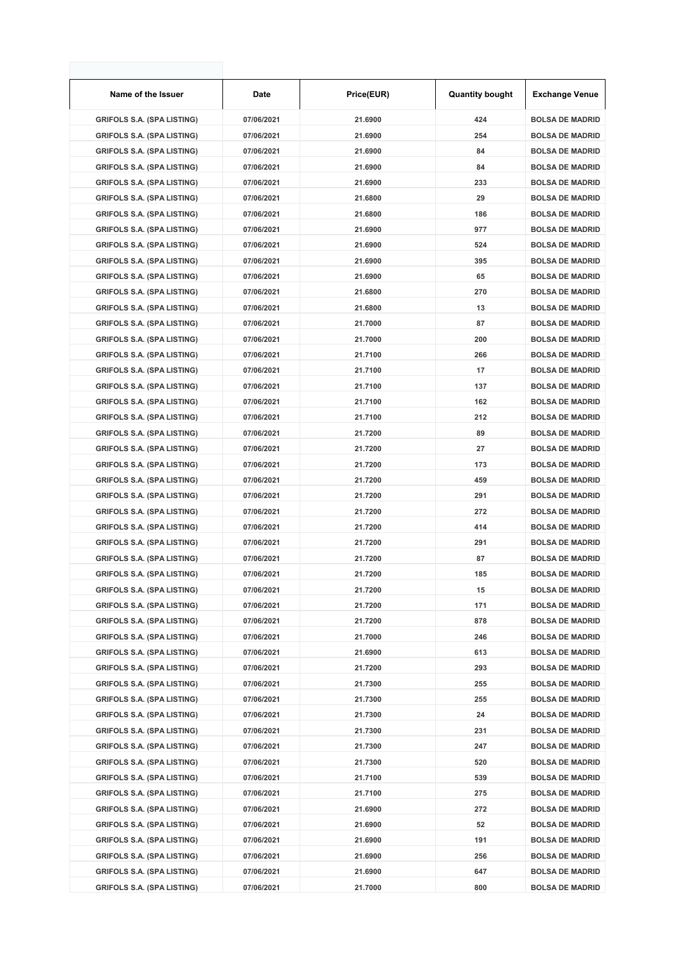| Name of the Issuer                | Date       | Price(EUR) | <b>Quantity bought</b> | <b>Exchange Venue</b>  |
|-----------------------------------|------------|------------|------------------------|------------------------|
| <b>GRIFOLS S.A. (SPA LISTING)</b> | 07/06/2021 | 21.6900    | 424                    | <b>BOLSA DE MADRID</b> |
| <b>GRIFOLS S.A. (SPA LISTING)</b> | 07/06/2021 | 21.6900    | 254                    | <b>BOLSA DE MADRID</b> |
| <b>GRIFOLS S.A. (SPA LISTING)</b> | 07/06/2021 | 21.6900    | 84                     | <b>BOLSA DE MADRID</b> |
| <b>GRIFOLS S.A. (SPA LISTING)</b> | 07/06/2021 | 21.6900    | 84                     | <b>BOLSA DE MADRID</b> |
| <b>GRIFOLS S.A. (SPA LISTING)</b> | 07/06/2021 | 21.6900    | 233                    | <b>BOLSA DE MADRID</b> |
| <b>GRIFOLS S.A. (SPA LISTING)</b> | 07/06/2021 | 21.6800    | 29                     | <b>BOLSA DE MADRID</b> |
| <b>GRIFOLS S.A. (SPA LISTING)</b> | 07/06/2021 | 21.6800    | 186                    | <b>BOLSA DE MADRID</b> |
| <b>GRIFOLS S.A. (SPA LISTING)</b> | 07/06/2021 | 21.6900    | 977                    | <b>BOLSA DE MADRID</b> |
| <b>GRIFOLS S.A. (SPA LISTING)</b> | 07/06/2021 | 21.6900    | 524                    | <b>BOLSA DE MADRID</b> |
| <b>GRIFOLS S.A. (SPA LISTING)</b> | 07/06/2021 | 21.6900    | 395                    | <b>BOLSA DE MADRID</b> |
| <b>GRIFOLS S.A. (SPA LISTING)</b> | 07/06/2021 | 21.6900    | 65                     | <b>BOLSA DE MADRID</b> |
| <b>GRIFOLS S.A. (SPA LISTING)</b> | 07/06/2021 | 21.6800    | 270                    | <b>BOLSA DE MADRID</b> |
| <b>GRIFOLS S.A. (SPA LISTING)</b> | 07/06/2021 | 21.6800    | 13                     | <b>BOLSA DE MADRID</b> |
| <b>GRIFOLS S.A. (SPA LISTING)</b> | 07/06/2021 | 21.7000    | 87                     | <b>BOLSA DE MADRID</b> |
| <b>GRIFOLS S.A. (SPA LISTING)</b> | 07/06/2021 | 21.7000    | 200                    | <b>BOLSA DE MADRID</b> |
| <b>GRIFOLS S.A. (SPA LISTING)</b> | 07/06/2021 | 21.7100    | 266                    | <b>BOLSA DE MADRID</b> |
| <b>GRIFOLS S.A. (SPA LISTING)</b> | 07/06/2021 | 21.7100    | 17                     | <b>BOLSA DE MADRID</b> |
| <b>GRIFOLS S.A. (SPA LISTING)</b> | 07/06/2021 | 21.7100    | 137                    | <b>BOLSA DE MADRID</b> |
| <b>GRIFOLS S.A. (SPA LISTING)</b> | 07/06/2021 | 21.7100    | 162                    | <b>BOLSA DE MADRID</b> |
| <b>GRIFOLS S.A. (SPA LISTING)</b> | 07/06/2021 | 21.7100    | 212                    | <b>BOLSA DE MADRID</b> |
| <b>GRIFOLS S.A. (SPA LISTING)</b> | 07/06/2021 | 21.7200    | 89                     | <b>BOLSA DE MADRID</b> |
| <b>GRIFOLS S.A. (SPA LISTING)</b> | 07/06/2021 | 21.7200    | 27                     | <b>BOLSA DE MADRID</b> |
| <b>GRIFOLS S.A. (SPA LISTING)</b> | 07/06/2021 | 21.7200    | 173                    | <b>BOLSA DE MADRID</b> |
| <b>GRIFOLS S.A. (SPA LISTING)</b> | 07/06/2021 | 21.7200    | 459                    | <b>BOLSA DE MADRID</b> |
| <b>GRIFOLS S.A. (SPA LISTING)</b> | 07/06/2021 | 21.7200    | 291                    | <b>BOLSA DE MADRID</b> |
| <b>GRIFOLS S.A. (SPA LISTING)</b> | 07/06/2021 | 21.7200    | 272                    | <b>BOLSA DE MADRID</b> |
| <b>GRIFOLS S.A. (SPA LISTING)</b> | 07/06/2021 | 21.7200    | 414                    | <b>BOLSA DE MADRID</b> |
| <b>GRIFOLS S.A. (SPA LISTING)</b> | 07/06/2021 | 21.7200    | 291                    | <b>BOLSA DE MADRID</b> |
| <b>GRIFOLS S.A. (SPA LISTING)</b> | 07/06/2021 | 21.7200    | 87                     | <b>BOLSA DE MADRID</b> |
| <b>GRIFOLS S.A. (SPA LISTING)</b> | 07/06/2021 | 21.7200    | 185                    | <b>BOLSA DE MADRID</b> |
| <b>GRIFOLS S.A. (SPA LISTING)</b> | 07/06/2021 | 21.7200    | 15                     | <b>BOLSA DE MADRID</b> |
| <b>GRIFOLS S.A. (SPA LISTING)</b> | 07/06/2021 | 21.7200    | 171                    | <b>BOLSA DE MADRID</b> |
| <b>GRIFOLS S.A. (SPA LISTING)</b> | 07/06/2021 | 21.7200    | 878                    | <b>BOLSA DE MADRID</b> |
| <b>GRIFOLS S.A. (SPA LISTING)</b> | 07/06/2021 | 21.7000    | 246                    | <b>BOLSA DE MADRID</b> |
| <b>GRIFOLS S.A. (SPA LISTING)</b> | 07/06/2021 | 21.6900    | 613                    | <b>BOLSA DE MADRID</b> |
| <b>GRIFOLS S.A. (SPA LISTING)</b> | 07/06/2021 | 21.7200    | 293                    | <b>BOLSA DE MADRID</b> |
| <b>GRIFOLS S.A. (SPA LISTING)</b> | 07/06/2021 | 21.7300    | 255                    | <b>BOLSA DE MADRID</b> |
| <b>GRIFOLS S.A. (SPA LISTING)</b> | 07/06/2021 | 21.7300    | 255                    | <b>BOLSA DE MADRID</b> |
| <b>GRIFOLS S.A. (SPA LISTING)</b> | 07/06/2021 | 21.7300    | 24                     | <b>BOLSA DE MADRID</b> |
| <b>GRIFOLS S.A. (SPA LISTING)</b> | 07/06/2021 | 21.7300    | 231                    | <b>BOLSA DE MADRID</b> |
| <b>GRIFOLS S.A. (SPA LISTING)</b> | 07/06/2021 | 21.7300    | 247                    | <b>BOLSA DE MADRID</b> |
| <b>GRIFOLS S.A. (SPA LISTING)</b> | 07/06/2021 | 21.7300    | 520                    | <b>BOLSA DE MADRID</b> |
| <b>GRIFOLS S.A. (SPA LISTING)</b> | 07/06/2021 | 21.7100    | 539                    | <b>BOLSA DE MADRID</b> |
| <b>GRIFOLS S.A. (SPA LISTING)</b> | 07/06/2021 | 21.7100    | 275                    | <b>BOLSA DE MADRID</b> |
| <b>GRIFOLS S.A. (SPA LISTING)</b> | 07/06/2021 | 21.6900    | 272                    | <b>BOLSA DE MADRID</b> |
| <b>GRIFOLS S.A. (SPA LISTING)</b> | 07/06/2021 | 21.6900    | 52                     | <b>BOLSA DE MADRID</b> |
| <b>GRIFOLS S.A. (SPA LISTING)</b> | 07/06/2021 | 21.6900    | 191                    | <b>BOLSA DE MADRID</b> |
| <b>GRIFOLS S.A. (SPA LISTING)</b> | 07/06/2021 | 21.6900    | 256                    | <b>BOLSA DE MADRID</b> |
| <b>GRIFOLS S.A. (SPA LISTING)</b> | 07/06/2021 | 21.6900    | 647                    | <b>BOLSA DE MADRID</b> |
| <b>GRIFOLS S.A. (SPA LISTING)</b> | 07/06/2021 | 21.7000    | 800                    | <b>BOLSA DE MADRID</b> |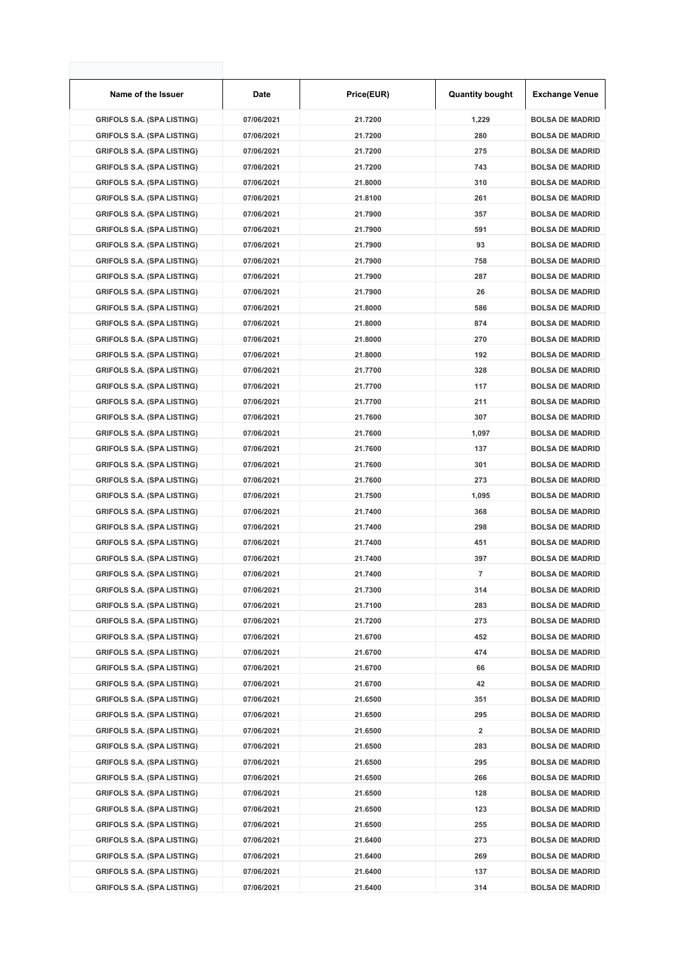| Name of the Issuer                | Date       | Price(EUR) | <b>Quantity bought</b>  | <b>Exchange Venue</b>  |
|-----------------------------------|------------|------------|-------------------------|------------------------|
| <b>GRIFOLS S.A. (SPA LISTING)</b> | 07/06/2021 | 21.7200    | 1,229                   | <b>BOLSA DE MADRID</b> |
| <b>GRIFOLS S.A. (SPA LISTING)</b> | 07/06/2021 | 21.7200    | 280                     | <b>BOLSA DE MADRID</b> |
| <b>GRIFOLS S.A. (SPA LISTING)</b> | 07/06/2021 | 21.7200    | 275                     | <b>BOLSA DE MADRID</b> |
| <b>GRIFOLS S.A. (SPA LISTING)</b> | 07/06/2021 | 21.7200    | 743                     | <b>BOLSA DE MADRID</b> |
| <b>GRIFOLS S.A. (SPA LISTING)</b> | 07/06/2021 | 21.8000    | 310                     | <b>BOLSA DE MADRID</b> |
| <b>GRIFOLS S.A. (SPA LISTING)</b> | 07/06/2021 | 21.8100    | 261                     | <b>BOLSA DE MADRID</b> |
| <b>GRIFOLS S.A. (SPA LISTING)</b> | 07/06/2021 | 21.7900    | 357                     | <b>BOLSA DE MADRID</b> |
| <b>GRIFOLS S.A. (SPA LISTING)</b> | 07/06/2021 | 21.7900    | 591                     | <b>BOLSA DE MADRID</b> |
| <b>GRIFOLS S.A. (SPA LISTING)</b> | 07/06/2021 | 21.7900    | 93                      | <b>BOLSA DE MADRID</b> |
| <b>GRIFOLS S.A. (SPA LISTING)</b> | 07/06/2021 | 21.7900    | 758                     | <b>BOLSA DE MADRID</b> |
| <b>GRIFOLS S.A. (SPA LISTING)</b> | 07/06/2021 | 21.7900    | 287                     | <b>BOLSA DE MADRID</b> |
| <b>GRIFOLS S.A. (SPA LISTING)</b> | 07/06/2021 | 21.7900    | 26                      | <b>BOLSA DE MADRID</b> |
| <b>GRIFOLS S.A. (SPA LISTING)</b> | 07/06/2021 | 21.8000    | 586                     | <b>BOLSA DE MADRID</b> |
| <b>GRIFOLS S.A. (SPA LISTING)</b> | 07/06/2021 | 21.8000    | 874                     | <b>BOLSA DE MADRID</b> |
| <b>GRIFOLS S.A. (SPA LISTING)</b> | 07/06/2021 | 21.8000    | 270                     | <b>BOLSA DE MADRID</b> |
| <b>GRIFOLS S.A. (SPA LISTING)</b> | 07/06/2021 | 21.8000    | 192                     | <b>BOLSA DE MADRID</b> |
| <b>GRIFOLS S.A. (SPA LISTING)</b> | 07/06/2021 | 21.7700    | 328                     | <b>BOLSA DE MADRID</b> |
| <b>GRIFOLS S.A. (SPA LISTING)</b> | 07/06/2021 | 21.7700    | 117                     | <b>BOLSA DE MADRID</b> |
| <b>GRIFOLS S.A. (SPA LISTING)</b> | 07/06/2021 | 21.7700    | 211                     | <b>BOLSA DE MADRID</b> |
| <b>GRIFOLS S.A. (SPA LISTING)</b> | 07/06/2021 | 21.7600    | 307                     | <b>BOLSA DE MADRID</b> |
| <b>GRIFOLS S.A. (SPA LISTING)</b> | 07/06/2021 | 21.7600    | 1,097                   | <b>BOLSA DE MADRID</b> |
| <b>GRIFOLS S.A. (SPA LISTING)</b> | 07/06/2021 | 21.7600    | 137                     | <b>BOLSA DE MADRID</b> |
| <b>GRIFOLS S.A. (SPA LISTING)</b> | 07/06/2021 | 21.7600    | 301                     | <b>BOLSA DE MADRID</b> |
| <b>GRIFOLS S.A. (SPA LISTING)</b> | 07/06/2021 | 21.7600    | 273                     | <b>BOLSA DE MADRID</b> |
| <b>GRIFOLS S.A. (SPA LISTING)</b> | 07/06/2021 | 21.7500    | 1,095                   | <b>BOLSA DE MADRID</b> |
| <b>GRIFOLS S.A. (SPA LISTING)</b> | 07/06/2021 | 21.7400    | 368                     | <b>BOLSA DE MADRID</b> |
| <b>GRIFOLS S.A. (SPA LISTING)</b> | 07/06/2021 | 21.7400    | 298                     | <b>BOLSA DE MADRID</b> |
| <b>GRIFOLS S.A. (SPA LISTING)</b> | 07/06/2021 | 21.7400    | 451                     | <b>BOLSA DE MADRID</b> |
| <b>GRIFOLS S.A. (SPA LISTING)</b> | 07/06/2021 | 21.7400    | 397                     | <b>BOLSA DE MADRID</b> |
| <b>GRIFOLS S.A. (SPA LISTING)</b> | 07/06/2021 | 21.7400    | 7                       | <b>BOLSA DE MADRID</b> |
| <b>GRIFOLS S.A. (SPA LISTING)</b> | 07/06/2021 | 21.7300    | 314                     | <b>BOLSA DE MADRID</b> |
| <b>GRIFOLS S.A. (SPA LISTING)</b> | 07/06/2021 | 21.7100    | 283                     | <b>BOLSA DE MADRID</b> |
| <b>GRIFOLS S.A. (SPA LISTING)</b> | 07/06/2021 | 21.7200    | 273                     | <b>BOLSA DE MADRID</b> |
| <b>GRIFOLS S.A. (SPA LISTING)</b> | 07/06/2021 | 21.6700    | 452                     | <b>BOLSA DE MADRID</b> |
| <b>GRIFOLS S.A. (SPA LISTING)</b> | 07/06/2021 | 21.6700    | 474                     | <b>BOLSA DE MADRID</b> |
| <b>GRIFOLS S.A. (SPA LISTING)</b> | 07/06/2021 | 21.6700    | 66                      | <b>BOLSA DE MADRID</b> |
| <b>GRIFOLS S.A. (SPA LISTING)</b> | 07/06/2021 | 21.6700    | 42                      | <b>BOLSA DE MADRID</b> |
| <b>GRIFOLS S.A. (SPA LISTING)</b> | 07/06/2021 | 21.6500    | 351                     | <b>BOLSA DE MADRID</b> |
| <b>GRIFOLS S.A. (SPA LISTING)</b> | 07/06/2021 | 21.6500    | 295                     | <b>BOLSA DE MADRID</b> |
| <b>GRIFOLS S.A. (SPA LISTING)</b> | 07/06/2021 | 21.6500    | $\overline{\mathbf{2}}$ | <b>BOLSA DE MADRID</b> |
| <b>GRIFOLS S.A. (SPA LISTING)</b> | 07/06/2021 | 21.6500    | 283                     | <b>BOLSA DE MADRID</b> |
| <b>GRIFOLS S.A. (SPA LISTING)</b> | 07/06/2021 | 21.6500    | 295                     | <b>BOLSA DE MADRID</b> |
| <b>GRIFOLS S.A. (SPA LISTING)</b> | 07/06/2021 | 21.6500    | 266                     | <b>BOLSA DE MADRID</b> |
| <b>GRIFOLS S.A. (SPA LISTING)</b> | 07/06/2021 | 21.6500    | 128                     | <b>BOLSA DE MADRID</b> |
| <b>GRIFOLS S.A. (SPA LISTING)</b> | 07/06/2021 | 21.6500    | 123                     | <b>BOLSA DE MADRID</b> |
| <b>GRIFOLS S.A. (SPA LISTING)</b> | 07/06/2021 | 21.6500    | 255                     | <b>BOLSA DE MADRID</b> |
| <b>GRIFOLS S.A. (SPA LISTING)</b> | 07/06/2021 | 21.6400    | 273                     | <b>BOLSA DE MADRID</b> |
| <b>GRIFOLS S.A. (SPA LISTING)</b> | 07/06/2021 | 21.6400    | 269                     | <b>BOLSA DE MADRID</b> |
| <b>GRIFOLS S.A. (SPA LISTING)</b> | 07/06/2021 | 21.6400    | 137                     | <b>BOLSA DE MADRID</b> |
| <b>GRIFOLS S.A. (SPA LISTING)</b> | 07/06/2021 | 21.6400    | 314                     | <b>BOLSA DE MADRID</b> |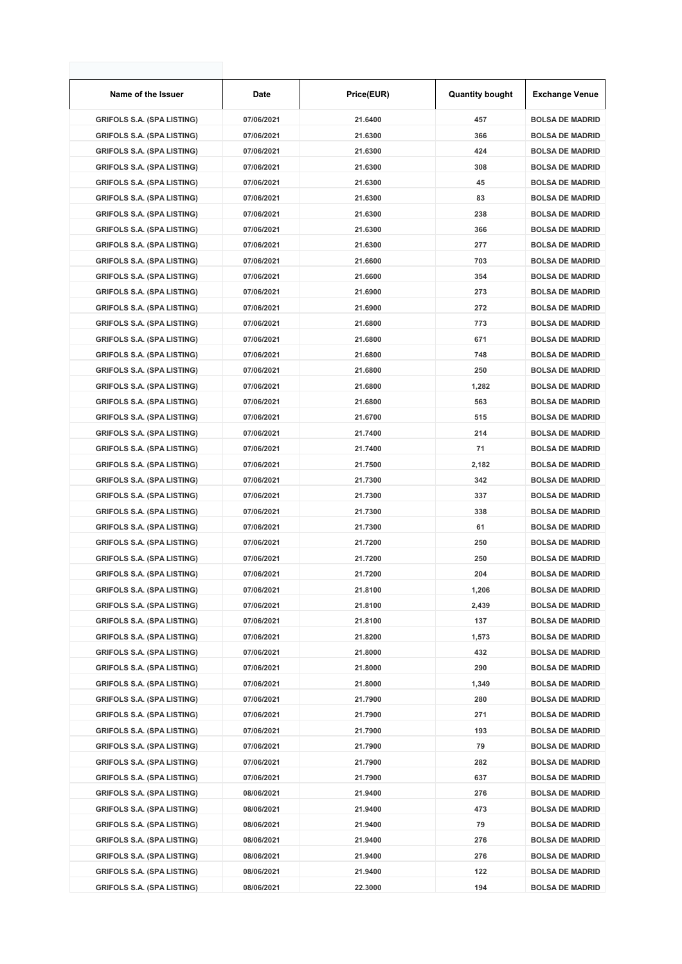| Name of the Issuer                | Date       | Price(EUR) | <b>Quantity bought</b> | <b>Exchange Venue</b>  |
|-----------------------------------|------------|------------|------------------------|------------------------|
| <b>GRIFOLS S.A. (SPA LISTING)</b> | 07/06/2021 | 21.6400    | 457                    | <b>BOLSA DE MADRID</b> |
| <b>GRIFOLS S.A. (SPA LISTING)</b> | 07/06/2021 | 21.6300    | 366                    | <b>BOLSA DE MADRID</b> |
| <b>GRIFOLS S.A. (SPA LISTING)</b> | 07/06/2021 | 21.6300    | 424                    | <b>BOLSA DE MADRID</b> |
| <b>GRIFOLS S.A. (SPA LISTING)</b> | 07/06/2021 | 21.6300    | 308                    | <b>BOLSA DE MADRID</b> |
| <b>GRIFOLS S.A. (SPA LISTING)</b> | 07/06/2021 | 21.6300    | 45                     | <b>BOLSA DE MADRID</b> |
| <b>GRIFOLS S.A. (SPA LISTING)</b> | 07/06/2021 | 21.6300    | 83                     | <b>BOLSA DE MADRID</b> |
| <b>GRIFOLS S.A. (SPA LISTING)</b> | 07/06/2021 | 21.6300    | 238                    | <b>BOLSA DE MADRID</b> |
| <b>GRIFOLS S.A. (SPA LISTING)</b> | 07/06/2021 | 21.6300    | 366                    | <b>BOLSA DE MADRID</b> |
| <b>GRIFOLS S.A. (SPA LISTING)</b> | 07/06/2021 | 21.6300    | 277                    | <b>BOLSA DE MADRID</b> |
| <b>GRIFOLS S.A. (SPA LISTING)</b> | 07/06/2021 | 21.6600    | 703                    | <b>BOLSA DE MADRID</b> |
| <b>GRIFOLS S.A. (SPA LISTING)</b> | 07/06/2021 | 21.6600    | 354                    | <b>BOLSA DE MADRID</b> |
| <b>GRIFOLS S.A. (SPA LISTING)</b> | 07/06/2021 | 21.6900    | 273                    | <b>BOLSA DE MADRID</b> |
| <b>GRIFOLS S.A. (SPA LISTING)</b> | 07/06/2021 | 21.6900    | 272                    | <b>BOLSA DE MADRID</b> |
| <b>GRIFOLS S.A. (SPA LISTING)</b> | 07/06/2021 | 21.6800    | 773                    | <b>BOLSA DE MADRID</b> |
| <b>GRIFOLS S.A. (SPA LISTING)</b> | 07/06/2021 | 21.6800    | 671                    | <b>BOLSA DE MADRID</b> |
| <b>GRIFOLS S.A. (SPA LISTING)</b> | 07/06/2021 | 21.6800    | 748                    | <b>BOLSA DE MADRID</b> |
| <b>GRIFOLS S.A. (SPA LISTING)</b> | 07/06/2021 | 21.6800    | 250                    | <b>BOLSA DE MADRID</b> |
| <b>GRIFOLS S.A. (SPA LISTING)</b> | 07/06/2021 | 21.6800    | 1,282                  | <b>BOLSA DE MADRID</b> |
| <b>GRIFOLS S.A. (SPA LISTING)</b> | 07/06/2021 | 21.6800    | 563                    | <b>BOLSA DE MADRID</b> |
| <b>GRIFOLS S.A. (SPA LISTING)</b> | 07/06/2021 | 21.6700    | 515                    | <b>BOLSA DE MADRID</b> |
| <b>GRIFOLS S.A. (SPA LISTING)</b> | 07/06/2021 | 21.7400    | 214                    | <b>BOLSA DE MADRID</b> |
| <b>GRIFOLS S.A. (SPA LISTING)</b> | 07/06/2021 | 21.7400    | 71                     | <b>BOLSA DE MADRID</b> |
| <b>GRIFOLS S.A. (SPA LISTING)</b> | 07/06/2021 | 21.7500    | 2,182                  | <b>BOLSA DE MADRID</b> |
| <b>GRIFOLS S.A. (SPA LISTING)</b> | 07/06/2021 | 21.7300    | 342                    | <b>BOLSA DE MADRID</b> |
| <b>GRIFOLS S.A. (SPA LISTING)</b> | 07/06/2021 | 21.7300    | 337                    | <b>BOLSA DE MADRID</b> |
| <b>GRIFOLS S.A. (SPA LISTING)</b> | 07/06/2021 | 21.7300    | 338                    | <b>BOLSA DE MADRID</b> |
| <b>GRIFOLS S.A. (SPA LISTING)</b> | 07/06/2021 | 21.7300    | 61                     | <b>BOLSA DE MADRID</b> |
| <b>GRIFOLS S.A. (SPA LISTING)</b> | 07/06/2021 | 21.7200    | 250                    | <b>BOLSA DE MADRID</b> |
| <b>GRIFOLS S.A. (SPA LISTING)</b> | 07/06/2021 | 21.7200    | 250                    | <b>BOLSA DE MADRID</b> |
| <b>GRIFOLS S.A. (SPA LISTING)</b> | 07/06/2021 | 21.7200    | 204                    | <b>BOLSA DE MADRID</b> |
| <b>GRIFOLS S.A. (SPA LISTING)</b> | 07/06/2021 | 21.8100    | 1,206                  | <b>BOLSA DE MADRID</b> |
| <b>GRIFOLS S.A. (SPA LISTING)</b> | 07/06/2021 | 21.8100    | 2,439                  | <b>BOLSA DE MADRID</b> |
| <b>GRIFOLS S.A. (SPA LISTING)</b> | 07/06/2021 | 21.8100    | 137                    | <b>BOLSA DE MADRID</b> |
| <b>GRIFOLS S.A. (SPA LISTING)</b> | 07/06/2021 | 21.8200    | 1,573                  | <b>BOLSA DE MADRID</b> |
| <b>GRIFOLS S.A. (SPA LISTING)</b> | 07/06/2021 | 21.8000    | 432                    | <b>BOLSA DE MADRID</b> |
| <b>GRIFOLS S.A. (SPA LISTING)</b> | 07/06/2021 | 21.8000    | 290                    | <b>BOLSA DE MADRID</b> |
| <b>GRIFOLS S.A. (SPA LISTING)</b> | 07/06/2021 | 21.8000    | 1,349                  | <b>BOLSA DE MADRID</b> |
| <b>GRIFOLS S.A. (SPA LISTING)</b> | 07/06/2021 | 21.7900    | 280                    | <b>BOLSA DE MADRID</b> |
| <b>GRIFOLS S.A. (SPA LISTING)</b> | 07/06/2021 | 21.7900    | 271                    | <b>BOLSA DE MADRID</b> |
| <b>GRIFOLS S.A. (SPA LISTING)</b> | 07/06/2021 | 21.7900    | 193                    | <b>BOLSA DE MADRID</b> |
| <b>GRIFOLS S.A. (SPA LISTING)</b> | 07/06/2021 | 21.7900    | 79                     | <b>BOLSA DE MADRID</b> |
| <b>GRIFOLS S.A. (SPA LISTING)</b> | 07/06/2021 | 21.7900    | 282                    | <b>BOLSA DE MADRID</b> |
| <b>GRIFOLS S.A. (SPA LISTING)</b> | 07/06/2021 | 21.7900    | 637                    | <b>BOLSA DE MADRID</b> |
| <b>GRIFOLS S.A. (SPA LISTING)</b> | 08/06/2021 | 21.9400    | 276                    | <b>BOLSA DE MADRID</b> |
| <b>GRIFOLS S.A. (SPA LISTING)</b> | 08/06/2021 | 21.9400    | 473                    | <b>BOLSA DE MADRID</b> |
| <b>GRIFOLS S.A. (SPA LISTING)</b> | 08/06/2021 | 21.9400    | 79                     | <b>BOLSA DE MADRID</b> |
| <b>GRIFOLS S.A. (SPA LISTING)</b> | 08/06/2021 | 21.9400    | 276                    | <b>BOLSA DE MADRID</b> |
| <b>GRIFOLS S.A. (SPA LISTING)</b> | 08/06/2021 | 21.9400    | 276                    | <b>BOLSA DE MADRID</b> |
| <b>GRIFOLS S.A. (SPA LISTING)</b> | 08/06/2021 | 21.9400    | 122                    | <b>BOLSA DE MADRID</b> |
| <b>GRIFOLS S.A. (SPA LISTING)</b> | 08/06/2021 | 22.3000    | 194                    | <b>BOLSA DE MADRID</b> |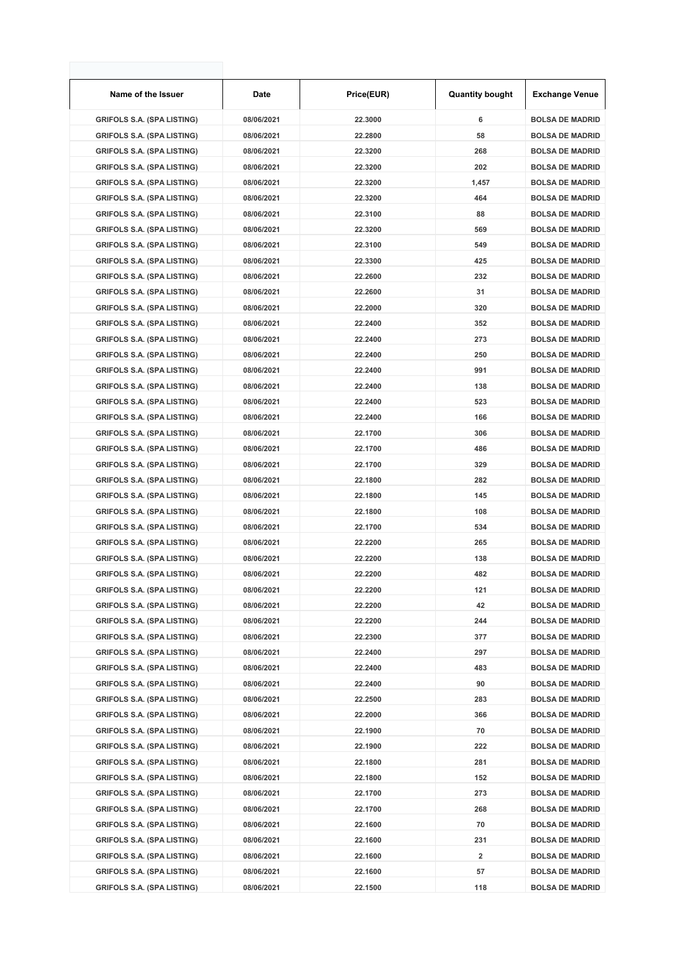| Name of the Issuer                | Date       | Price(EUR) | <b>Quantity bought</b> | <b>Exchange Venue</b>  |
|-----------------------------------|------------|------------|------------------------|------------------------|
| <b>GRIFOLS S.A. (SPA LISTING)</b> | 08/06/2021 | 22.3000    | 6                      | <b>BOLSA DE MADRID</b> |
| <b>GRIFOLS S.A. (SPA LISTING)</b> | 08/06/2021 | 22.2800    | 58                     | <b>BOLSA DE MADRID</b> |
| <b>GRIFOLS S.A. (SPA LISTING)</b> | 08/06/2021 | 22.3200    | 268                    | <b>BOLSA DE MADRID</b> |
| <b>GRIFOLS S.A. (SPA LISTING)</b> | 08/06/2021 | 22.3200    | 202                    | <b>BOLSA DE MADRID</b> |
| <b>GRIFOLS S.A. (SPA LISTING)</b> | 08/06/2021 | 22.3200    | 1,457                  | <b>BOLSA DE MADRID</b> |
| <b>GRIFOLS S.A. (SPA LISTING)</b> | 08/06/2021 | 22.3200    | 464                    | <b>BOLSA DE MADRID</b> |
| <b>GRIFOLS S.A. (SPA LISTING)</b> | 08/06/2021 | 22.3100    | 88                     | <b>BOLSA DE MADRID</b> |
| <b>GRIFOLS S.A. (SPA LISTING)</b> | 08/06/2021 | 22.3200    | 569                    | <b>BOLSA DE MADRID</b> |
| <b>GRIFOLS S.A. (SPA LISTING)</b> | 08/06/2021 | 22.3100    | 549                    | <b>BOLSA DE MADRID</b> |
| <b>GRIFOLS S.A. (SPA LISTING)</b> | 08/06/2021 | 22.3300    | 425                    | <b>BOLSA DE MADRID</b> |
| <b>GRIFOLS S.A. (SPA LISTING)</b> | 08/06/2021 | 22.2600    | 232                    | <b>BOLSA DE MADRID</b> |
| <b>GRIFOLS S.A. (SPA LISTING)</b> | 08/06/2021 | 22.2600    | 31                     | <b>BOLSA DE MADRID</b> |
| <b>GRIFOLS S.A. (SPA LISTING)</b> | 08/06/2021 | 22.2000    | 320                    | <b>BOLSA DE MADRID</b> |
| <b>GRIFOLS S.A. (SPA LISTING)</b> | 08/06/2021 | 22.2400    | 352                    | <b>BOLSA DE MADRID</b> |
| <b>GRIFOLS S.A. (SPA LISTING)</b> | 08/06/2021 | 22.2400    | 273                    | <b>BOLSA DE MADRID</b> |
| <b>GRIFOLS S.A. (SPA LISTING)</b> | 08/06/2021 | 22.2400    | 250                    | <b>BOLSA DE MADRID</b> |
| <b>GRIFOLS S.A. (SPA LISTING)</b> | 08/06/2021 | 22.2400    | 991                    | <b>BOLSA DE MADRID</b> |
| <b>GRIFOLS S.A. (SPA LISTING)</b> | 08/06/2021 | 22.2400    | 138                    | <b>BOLSA DE MADRID</b> |
| <b>GRIFOLS S.A. (SPA LISTING)</b> | 08/06/2021 | 22.2400    | 523                    | <b>BOLSA DE MADRID</b> |
| <b>GRIFOLS S.A. (SPA LISTING)</b> | 08/06/2021 | 22.2400    | 166                    | <b>BOLSA DE MADRID</b> |
| <b>GRIFOLS S.A. (SPA LISTING)</b> | 08/06/2021 | 22.1700    | 306                    | <b>BOLSA DE MADRID</b> |
| <b>GRIFOLS S.A. (SPA LISTING)</b> | 08/06/2021 | 22.1700    | 486                    | <b>BOLSA DE MADRID</b> |
| <b>GRIFOLS S.A. (SPA LISTING)</b> | 08/06/2021 | 22.1700    | 329                    | <b>BOLSA DE MADRID</b> |
| <b>GRIFOLS S.A. (SPA LISTING)</b> | 08/06/2021 | 22.1800    | 282                    | <b>BOLSA DE MADRID</b> |
| <b>GRIFOLS S.A. (SPA LISTING)</b> | 08/06/2021 | 22.1800    | 145                    | <b>BOLSA DE MADRID</b> |
| <b>GRIFOLS S.A. (SPA LISTING)</b> | 08/06/2021 | 22.1800    | 108                    | <b>BOLSA DE MADRID</b> |
| <b>GRIFOLS S.A. (SPA LISTING)</b> | 08/06/2021 | 22.1700    | 534                    | <b>BOLSA DE MADRID</b> |
| <b>GRIFOLS S.A. (SPA LISTING)</b> | 08/06/2021 | 22.2200    | 265                    | <b>BOLSA DE MADRID</b> |
| <b>GRIFOLS S.A. (SPA LISTING)</b> | 08/06/2021 | 22.2200    | 138                    | <b>BOLSA DE MADRID</b> |
| <b>GRIFOLS S.A. (SPA LISTING)</b> | 08/06/2021 | 22.2200    | 482                    | <b>BOLSA DE MADRID</b> |
| <b>GRIFOLS S.A. (SPA LISTING)</b> | 08/06/2021 | 22.2200    | 121                    | <b>BOLSA DE MADRID</b> |
| <b>GRIFOLS S.A. (SPA LISTING)</b> | 08/06/2021 | 22.2200    | 42                     | <b>BOLSA DE MADRID</b> |
| <b>GRIFOLS S.A. (SPA LISTING)</b> | 08/06/2021 | 22.2200    | 244                    | <b>BOLSA DE MADRID</b> |
| <b>GRIFOLS S.A. (SPA LISTING)</b> | 08/06/2021 | 22.2300    | 377                    | <b>BOLSA DE MADRID</b> |
| <b>GRIFOLS S.A. (SPA LISTING)</b> | 08/06/2021 | 22.2400    | 297                    | <b>BOLSA DE MADRID</b> |
| <b>GRIFOLS S.A. (SPA LISTING)</b> | 08/06/2021 | 22.2400    | 483                    | <b>BOLSA DE MADRID</b> |
| <b>GRIFOLS S.A. (SPA LISTING)</b> | 08/06/2021 | 22.2400    | 90                     | <b>BOLSA DE MADRID</b> |
| <b>GRIFOLS S.A. (SPA LISTING)</b> | 08/06/2021 | 22.2500    | 283                    | <b>BOLSA DE MADRID</b> |
| <b>GRIFOLS S.A. (SPA LISTING)</b> | 08/06/2021 | 22.2000    | 366                    | <b>BOLSA DE MADRID</b> |
| <b>GRIFOLS S.A. (SPA LISTING)</b> | 08/06/2021 | 22.1900    | 70                     | <b>BOLSA DE MADRID</b> |
| <b>GRIFOLS S.A. (SPA LISTING)</b> | 08/06/2021 | 22.1900    | 222                    | <b>BOLSA DE MADRID</b> |
| <b>GRIFOLS S.A. (SPA LISTING)</b> | 08/06/2021 | 22.1800    | 281                    | <b>BOLSA DE MADRID</b> |
| <b>GRIFOLS S.A. (SPA LISTING)</b> | 08/06/2021 | 22.1800    | 152                    | <b>BOLSA DE MADRID</b> |
| <b>GRIFOLS S.A. (SPA LISTING)</b> | 08/06/2021 | 22.1700    | 273                    | <b>BOLSA DE MADRID</b> |
| <b>GRIFOLS S.A. (SPA LISTING)</b> | 08/06/2021 | 22.1700    | 268                    | <b>BOLSA DE MADRID</b> |
| <b>GRIFOLS S.A. (SPA LISTING)</b> | 08/06/2021 | 22.1600    | 70                     | <b>BOLSA DE MADRID</b> |
| <b>GRIFOLS S.A. (SPA LISTING)</b> | 08/06/2021 | 22.1600    | 231                    | <b>BOLSA DE MADRID</b> |
| <b>GRIFOLS S.A. (SPA LISTING)</b> | 08/06/2021 | 22.1600    | 2                      | <b>BOLSA DE MADRID</b> |
| <b>GRIFOLS S.A. (SPA LISTING)</b> | 08/06/2021 | 22.1600    | 57                     | <b>BOLSA DE MADRID</b> |
| <b>GRIFOLS S.A. (SPA LISTING)</b> | 08/06/2021 | 22.1500    | 118                    | <b>BOLSA DE MADRID</b> |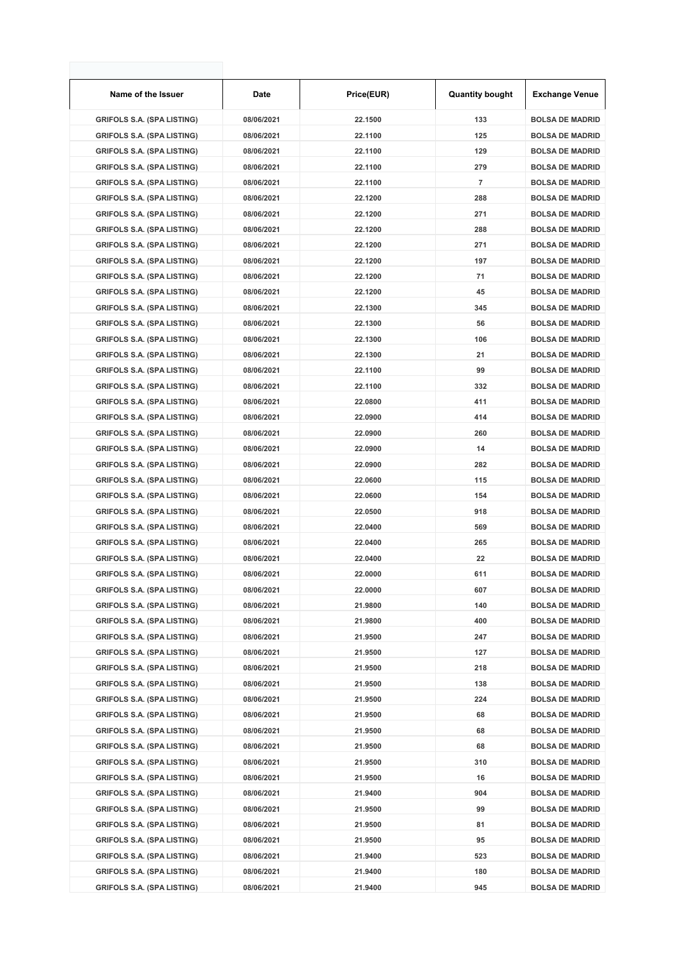| <b>GRIFOLS S.A. (SPA LISTING)</b><br>08/06/2021<br>22.1500<br>133<br><b>BOLSA DE MADRID</b><br>125<br><b>BOLSA DE MADRID</b><br><b>GRIFOLS S.A. (SPA LISTING)</b><br>08/06/2021<br>22.1100<br><b>GRIFOLS S.A. (SPA LISTING)</b><br>08/06/2021<br>22.1100<br>129<br><b>BOLSA DE MADRID</b><br><b>GRIFOLS S.A. (SPA LISTING)</b><br>08/06/2021<br>22.1100<br>279<br><b>BOLSA DE MADRID</b><br>7<br>08/06/2021<br>22.1100<br><b>GRIFOLS S.A. (SPA LISTING)</b><br><b>BOLSA DE MADRID</b><br>288<br><b>GRIFOLS S.A. (SPA LISTING)</b><br>08/06/2021<br>22.1200<br><b>BOLSA DE MADRID</b><br><b>GRIFOLS S.A. (SPA LISTING)</b><br>08/06/2021<br>22.1200<br>271<br><b>BOLSA DE MADRID</b><br>22.1200<br>288<br><b>GRIFOLS S.A. (SPA LISTING)</b><br>08/06/2021<br><b>BOLSA DE MADRID</b><br><b>GRIFOLS S.A. (SPA LISTING)</b><br>08/06/2021<br>22.1200<br>271<br><b>BOLSA DE MADRID</b><br>22.1200<br>197<br><b>BOLSA DE MADRID</b><br><b>GRIFOLS S.A. (SPA LISTING)</b><br>08/06/2021<br><b>GRIFOLS S.A. (SPA LISTING)</b><br>08/06/2021<br>22.1200<br>71<br><b>BOLSA DE MADRID</b><br><b>GRIFOLS S.A. (SPA LISTING)</b><br>08/06/2021<br>22.1200<br>45<br><b>BOLSA DE MADRID</b><br>345<br><b>GRIFOLS S.A. (SPA LISTING)</b><br>08/06/2021<br>22.1300<br><b>BOLSA DE MADRID</b><br>56<br><b>GRIFOLS S.A. (SPA LISTING)</b><br>08/06/2021<br>22.1300<br><b>BOLSA DE MADRID</b><br><b>GRIFOLS S.A. (SPA LISTING)</b><br>22.1300<br>106<br>08/06/2021<br><b>BOLSA DE MADRID</b><br>22.1300<br><b>GRIFOLS S.A. (SPA LISTING)</b><br>08/06/2021<br>21<br><b>BOLSA DE MADRID</b><br><b>GRIFOLS S.A. (SPA LISTING)</b><br>08/06/2021<br>22.1100<br>99<br><b>BOLSA DE MADRID</b><br><b>GRIFOLS S.A. (SPA LISTING)</b><br>08/06/2021<br>22.1100<br>332<br><b>BOLSA DE MADRID</b><br><b>GRIFOLS S.A. (SPA LISTING)</b><br>08/06/2021<br>22.0800<br>411<br><b>BOLSA DE MADRID</b><br>22.0900<br>414<br><b>GRIFOLS S.A. (SPA LISTING)</b><br>08/06/2021<br><b>BOLSA DE MADRID</b><br><b>GRIFOLS S.A. (SPA LISTING)</b><br>08/06/2021<br>22.0900<br>260<br><b>BOLSA DE MADRID</b><br>22.0900<br>14<br><b>GRIFOLS S.A. (SPA LISTING)</b><br>08/06/2021<br><b>BOLSA DE MADRID</b><br>22.0900<br>282<br><b>BOLSA DE MADRID</b><br><b>GRIFOLS S.A. (SPA LISTING)</b><br>08/06/2021<br>115<br><b>GRIFOLS S.A. (SPA LISTING)</b><br>08/06/2021<br>22.0600<br><b>BOLSA DE MADRID</b><br><b>GRIFOLS S.A. (SPA LISTING)</b><br>08/06/2021<br>22.0600<br>154<br><b>BOLSA DE MADRID</b><br><b>GRIFOLS S.A. (SPA LISTING)</b><br>08/06/2021<br>22.0500<br>918<br><b>BOLSA DE MADRID</b><br><b>GRIFOLS S.A. (SPA LISTING)</b><br>08/06/2021<br>22.0400<br>569<br><b>BOLSA DE MADRID</b><br>08/06/2021<br>22.0400<br>265<br><b>GRIFOLS S.A. (SPA LISTING)</b><br><b>BOLSA DE MADRID</b><br><b>GRIFOLS S.A. (SPA LISTING)</b><br>22.0400<br>22<br>08/06/2021<br><b>BOLSA DE MADRID</b><br>611<br><b>GRIFOLS S.A. (SPA LISTING)</b><br>08/06/2021<br>22.0000<br><b>BOLSA DE MADRID</b><br><b>GRIFOLS S.A. (SPA LISTING)</b><br>08/06/2021<br>22.0000<br>607<br><b>BOLSA DE MADRID</b><br><b>GRIFOLS S.A. (SPA LISTING)</b><br>08/06/2021<br>21.9800<br>140<br><b>BOLSA DE MADRID</b><br><b>GRIFOLS S.A. (SPA LISTING)</b><br>08/06/2021<br>21.9800<br>400<br><b>BOLSA DE MADRID</b><br><b>GRIFOLS S.A. (SPA LISTING)</b><br>21.9500<br><b>BOLSA DE MADRID</b><br>08/06/2021<br>247<br><b>GRIFOLS S.A. (SPA LISTING)</b><br>08/06/2021<br>21.9500<br>127<br><b>BOLSA DE MADRID</b><br><b>GRIFOLS S.A. (SPA LISTING)</b><br>21.9500<br>218<br><b>BOLSA DE MADRID</b><br>08/06/2021<br><b>GRIFOLS S.A. (SPA LISTING)</b><br>08/06/2021<br>21.9500<br>138<br><b>BOLSA DE MADRID</b><br><b>GRIFOLS S.A. (SPA LISTING)</b><br>224<br>08/06/2021<br>21.9500<br><b>BOLSA DE MADRID</b><br>68<br><b>GRIFOLS S.A. (SPA LISTING)</b><br>08/06/2021<br>21.9500<br><b>BOLSA DE MADRID</b><br><b>GRIFOLS S.A. (SPA LISTING)</b><br>21.9500<br>68<br><b>BOLSA DE MADRID</b><br>08/06/2021<br><b>GRIFOLS S.A. (SPA LISTING)</b><br>68<br><b>BOLSA DE MADRID</b><br>08/06/2021<br>21.9500<br><b>GRIFOLS S.A. (SPA LISTING)</b><br>08/06/2021<br>21.9500<br>310<br><b>BOLSA DE MADRID</b><br><b>GRIFOLS S.A. (SPA LISTING)</b><br>21.9500<br>16<br><b>BOLSA DE MADRID</b><br>08/06/2021<br><b>GRIFOLS S.A. (SPA LISTING)</b><br>08/06/2021<br>21.9400<br>904<br><b>BOLSA DE MADRID</b><br><b>GRIFOLS S.A. (SPA LISTING)</b><br>21.9500<br>99<br><b>BOLSA DE MADRID</b><br>08/06/2021<br><b>GRIFOLS S.A. (SPA LISTING)</b><br>08/06/2021<br>21.9500<br>81<br><b>BOLSA DE MADRID</b><br><b>GRIFOLS S.A. (SPA LISTING)</b><br>21.9500<br>95<br>08/06/2021<br><b>BOLSA DE MADRID</b><br><b>GRIFOLS S.A. (SPA LISTING)</b><br>08/06/2021<br>21.9400<br>523<br><b>BOLSA DE MADRID</b><br><b>GRIFOLS S.A. (SPA LISTING)</b><br>180<br>08/06/2021<br>21.9400<br><b>BOLSA DE MADRID</b> | Name of the Issuer                | Date       | Price(EUR) | <b>Quantity bought</b> | <b>Exchange Venue</b>  |
|-----------------------------------------------------------------------------------------------------------------------------------------------------------------------------------------------------------------------------------------------------------------------------------------------------------------------------------------------------------------------------------------------------------------------------------------------------------------------------------------------------------------------------------------------------------------------------------------------------------------------------------------------------------------------------------------------------------------------------------------------------------------------------------------------------------------------------------------------------------------------------------------------------------------------------------------------------------------------------------------------------------------------------------------------------------------------------------------------------------------------------------------------------------------------------------------------------------------------------------------------------------------------------------------------------------------------------------------------------------------------------------------------------------------------------------------------------------------------------------------------------------------------------------------------------------------------------------------------------------------------------------------------------------------------------------------------------------------------------------------------------------------------------------------------------------------------------------------------------------------------------------------------------------------------------------------------------------------------------------------------------------------------------------------------------------------------------------------------------------------------------------------------------------------------------------------------------------------------------------------------------------------------------------------------------------------------------------------------------------------------------------------------------------------------------------------------------------------------------------------------------------------------------------------------------------------------------------------------------------------------------------------------------------------------------------------------------------------------------------------------------------------------------------------------------------------------------------------------------------------------------------------------------------------------------------------------------------------------------------------------------------------------------------------------------------------------------------------------------------------------------------------------------------------------------------------------------------------------------------------------------------------------------------------------------------------------------------------------------------------------------------------------------------------------------------------------------------------------------------------------------------------------------------------------------------------------------------------------------------------------------------------------------------------------------------------------------------------------------------------------------------------------------------------------------------------------------------------------------------------------------------------------------------------------------------------------------------------------------------------------------------------------------------------------------------------------------------------------------------------------------------------------------------------------------------------------------------------------------------------------------------------------------------------------------------------------------------------------------------------------------------------------------------------------------------------------------------------------------------------------------------------------------------------------------------------------------------------------------------------------------------------------------------------------------------------------------------------------------------------------------------------------------------------------------------------------------|-----------------------------------|------------|------------|------------------------|------------------------|
|                                                                                                                                                                                                                                                                                                                                                                                                                                                                                                                                                                                                                                                                                                                                                                                                                                                                                                                                                                                                                                                                                                                                                                                                                                                                                                                                                                                                                                                                                                                                                                                                                                                                                                                                                                                                                                                                                                                                                                                                                                                                                                                                                                                                                                                                                                                                                                                                                                                                                                                                                                                                                                                                                                                                                                                                                                                                                                                                                                                                                                                                                                                                                                                                                                                                                                                                                                                                                                                                                                                                                                                                                                                                                                                                                                                                                                                                                                                                                                                                                                                                                                                                                                                                                                                                                                                                                                                                                                                                                                                                                                                                                                                                                                                                                                                                                             |                                   |            |            |                        |                        |
|                                                                                                                                                                                                                                                                                                                                                                                                                                                                                                                                                                                                                                                                                                                                                                                                                                                                                                                                                                                                                                                                                                                                                                                                                                                                                                                                                                                                                                                                                                                                                                                                                                                                                                                                                                                                                                                                                                                                                                                                                                                                                                                                                                                                                                                                                                                                                                                                                                                                                                                                                                                                                                                                                                                                                                                                                                                                                                                                                                                                                                                                                                                                                                                                                                                                                                                                                                                                                                                                                                                                                                                                                                                                                                                                                                                                                                                                                                                                                                                                                                                                                                                                                                                                                                                                                                                                                                                                                                                                                                                                                                                                                                                                                                                                                                                                                             |                                   |            |            |                        |                        |
|                                                                                                                                                                                                                                                                                                                                                                                                                                                                                                                                                                                                                                                                                                                                                                                                                                                                                                                                                                                                                                                                                                                                                                                                                                                                                                                                                                                                                                                                                                                                                                                                                                                                                                                                                                                                                                                                                                                                                                                                                                                                                                                                                                                                                                                                                                                                                                                                                                                                                                                                                                                                                                                                                                                                                                                                                                                                                                                                                                                                                                                                                                                                                                                                                                                                                                                                                                                                                                                                                                                                                                                                                                                                                                                                                                                                                                                                                                                                                                                                                                                                                                                                                                                                                                                                                                                                                                                                                                                                                                                                                                                                                                                                                                                                                                                                                             |                                   |            |            |                        |                        |
|                                                                                                                                                                                                                                                                                                                                                                                                                                                                                                                                                                                                                                                                                                                                                                                                                                                                                                                                                                                                                                                                                                                                                                                                                                                                                                                                                                                                                                                                                                                                                                                                                                                                                                                                                                                                                                                                                                                                                                                                                                                                                                                                                                                                                                                                                                                                                                                                                                                                                                                                                                                                                                                                                                                                                                                                                                                                                                                                                                                                                                                                                                                                                                                                                                                                                                                                                                                                                                                                                                                                                                                                                                                                                                                                                                                                                                                                                                                                                                                                                                                                                                                                                                                                                                                                                                                                                                                                                                                                                                                                                                                                                                                                                                                                                                                                                             |                                   |            |            |                        |                        |
|                                                                                                                                                                                                                                                                                                                                                                                                                                                                                                                                                                                                                                                                                                                                                                                                                                                                                                                                                                                                                                                                                                                                                                                                                                                                                                                                                                                                                                                                                                                                                                                                                                                                                                                                                                                                                                                                                                                                                                                                                                                                                                                                                                                                                                                                                                                                                                                                                                                                                                                                                                                                                                                                                                                                                                                                                                                                                                                                                                                                                                                                                                                                                                                                                                                                                                                                                                                                                                                                                                                                                                                                                                                                                                                                                                                                                                                                                                                                                                                                                                                                                                                                                                                                                                                                                                                                                                                                                                                                                                                                                                                                                                                                                                                                                                                                                             |                                   |            |            |                        |                        |
|                                                                                                                                                                                                                                                                                                                                                                                                                                                                                                                                                                                                                                                                                                                                                                                                                                                                                                                                                                                                                                                                                                                                                                                                                                                                                                                                                                                                                                                                                                                                                                                                                                                                                                                                                                                                                                                                                                                                                                                                                                                                                                                                                                                                                                                                                                                                                                                                                                                                                                                                                                                                                                                                                                                                                                                                                                                                                                                                                                                                                                                                                                                                                                                                                                                                                                                                                                                                                                                                                                                                                                                                                                                                                                                                                                                                                                                                                                                                                                                                                                                                                                                                                                                                                                                                                                                                                                                                                                                                                                                                                                                                                                                                                                                                                                                                                             |                                   |            |            |                        |                        |
|                                                                                                                                                                                                                                                                                                                                                                                                                                                                                                                                                                                                                                                                                                                                                                                                                                                                                                                                                                                                                                                                                                                                                                                                                                                                                                                                                                                                                                                                                                                                                                                                                                                                                                                                                                                                                                                                                                                                                                                                                                                                                                                                                                                                                                                                                                                                                                                                                                                                                                                                                                                                                                                                                                                                                                                                                                                                                                                                                                                                                                                                                                                                                                                                                                                                                                                                                                                                                                                                                                                                                                                                                                                                                                                                                                                                                                                                                                                                                                                                                                                                                                                                                                                                                                                                                                                                                                                                                                                                                                                                                                                                                                                                                                                                                                                                                             |                                   |            |            |                        |                        |
|                                                                                                                                                                                                                                                                                                                                                                                                                                                                                                                                                                                                                                                                                                                                                                                                                                                                                                                                                                                                                                                                                                                                                                                                                                                                                                                                                                                                                                                                                                                                                                                                                                                                                                                                                                                                                                                                                                                                                                                                                                                                                                                                                                                                                                                                                                                                                                                                                                                                                                                                                                                                                                                                                                                                                                                                                                                                                                                                                                                                                                                                                                                                                                                                                                                                                                                                                                                                                                                                                                                                                                                                                                                                                                                                                                                                                                                                                                                                                                                                                                                                                                                                                                                                                                                                                                                                                                                                                                                                                                                                                                                                                                                                                                                                                                                                                             |                                   |            |            |                        |                        |
|                                                                                                                                                                                                                                                                                                                                                                                                                                                                                                                                                                                                                                                                                                                                                                                                                                                                                                                                                                                                                                                                                                                                                                                                                                                                                                                                                                                                                                                                                                                                                                                                                                                                                                                                                                                                                                                                                                                                                                                                                                                                                                                                                                                                                                                                                                                                                                                                                                                                                                                                                                                                                                                                                                                                                                                                                                                                                                                                                                                                                                                                                                                                                                                                                                                                                                                                                                                                                                                                                                                                                                                                                                                                                                                                                                                                                                                                                                                                                                                                                                                                                                                                                                                                                                                                                                                                                                                                                                                                                                                                                                                                                                                                                                                                                                                                                             |                                   |            |            |                        |                        |
|                                                                                                                                                                                                                                                                                                                                                                                                                                                                                                                                                                                                                                                                                                                                                                                                                                                                                                                                                                                                                                                                                                                                                                                                                                                                                                                                                                                                                                                                                                                                                                                                                                                                                                                                                                                                                                                                                                                                                                                                                                                                                                                                                                                                                                                                                                                                                                                                                                                                                                                                                                                                                                                                                                                                                                                                                                                                                                                                                                                                                                                                                                                                                                                                                                                                                                                                                                                                                                                                                                                                                                                                                                                                                                                                                                                                                                                                                                                                                                                                                                                                                                                                                                                                                                                                                                                                                                                                                                                                                                                                                                                                                                                                                                                                                                                                                             |                                   |            |            |                        |                        |
|                                                                                                                                                                                                                                                                                                                                                                                                                                                                                                                                                                                                                                                                                                                                                                                                                                                                                                                                                                                                                                                                                                                                                                                                                                                                                                                                                                                                                                                                                                                                                                                                                                                                                                                                                                                                                                                                                                                                                                                                                                                                                                                                                                                                                                                                                                                                                                                                                                                                                                                                                                                                                                                                                                                                                                                                                                                                                                                                                                                                                                                                                                                                                                                                                                                                                                                                                                                                                                                                                                                                                                                                                                                                                                                                                                                                                                                                                                                                                                                                                                                                                                                                                                                                                                                                                                                                                                                                                                                                                                                                                                                                                                                                                                                                                                                                                             |                                   |            |            |                        |                        |
|                                                                                                                                                                                                                                                                                                                                                                                                                                                                                                                                                                                                                                                                                                                                                                                                                                                                                                                                                                                                                                                                                                                                                                                                                                                                                                                                                                                                                                                                                                                                                                                                                                                                                                                                                                                                                                                                                                                                                                                                                                                                                                                                                                                                                                                                                                                                                                                                                                                                                                                                                                                                                                                                                                                                                                                                                                                                                                                                                                                                                                                                                                                                                                                                                                                                                                                                                                                                                                                                                                                                                                                                                                                                                                                                                                                                                                                                                                                                                                                                                                                                                                                                                                                                                                                                                                                                                                                                                                                                                                                                                                                                                                                                                                                                                                                                                             |                                   |            |            |                        |                        |
|                                                                                                                                                                                                                                                                                                                                                                                                                                                                                                                                                                                                                                                                                                                                                                                                                                                                                                                                                                                                                                                                                                                                                                                                                                                                                                                                                                                                                                                                                                                                                                                                                                                                                                                                                                                                                                                                                                                                                                                                                                                                                                                                                                                                                                                                                                                                                                                                                                                                                                                                                                                                                                                                                                                                                                                                                                                                                                                                                                                                                                                                                                                                                                                                                                                                                                                                                                                                                                                                                                                                                                                                                                                                                                                                                                                                                                                                                                                                                                                                                                                                                                                                                                                                                                                                                                                                                                                                                                                                                                                                                                                                                                                                                                                                                                                                                             |                                   |            |            |                        |                        |
|                                                                                                                                                                                                                                                                                                                                                                                                                                                                                                                                                                                                                                                                                                                                                                                                                                                                                                                                                                                                                                                                                                                                                                                                                                                                                                                                                                                                                                                                                                                                                                                                                                                                                                                                                                                                                                                                                                                                                                                                                                                                                                                                                                                                                                                                                                                                                                                                                                                                                                                                                                                                                                                                                                                                                                                                                                                                                                                                                                                                                                                                                                                                                                                                                                                                                                                                                                                                                                                                                                                                                                                                                                                                                                                                                                                                                                                                                                                                                                                                                                                                                                                                                                                                                                                                                                                                                                                                                                                                                                                                                                                                                                                                                                                                                                                                                             |                                   |            |            |                        |                        |
|                                                                                                                                                                                                                                                                                                                                                                                                                                                                                                                                                                                                                                                                                                                                                                                                                                                                                                                                                                                                                                                                                                                                                                                                                                                                                                                                                                                                                                                                                                                                                                                                                                                                                                                                                                                                                                                                                                                                                                                                                                                                                                                                                                                                                                                                                                                                                                                                                                                                                                                                                                                                                                                                                                                                                                                                                                                                                                                                                                                                                                                                                                                                                                                                                                                                                                                                                                                                                                                                                                                                                                                                                                                                                                                                                                                                                                                                                                                                                                                                                                                                                                                                                                                                                                                                                                                                                                                                                                                                                                                                                                                                                                                                                                                                                                                                                             |                                   |            |            |                        |                        |
|                                                                                                                                                                                                                                                                                                                                                                                                                                                                                                                                                                                                                                                                                                                                                                                                                                                                                                                                                                                                                                                                                                                                                                                                                                                                                                                                                                                                                                                                                                                                                                                                                                                                                                                                                                                                                                                                                                                                                                                                                                                                                                                                                                                                                                                                                                                                                                                                                                                                                                                                                                                                                                                                                                                                                                                                                                                                                                                                                                                                                                                                                                                                                                                                                                                                                                                                                                                                                                                                                                                                                                                                                                                                                                                                                                                                                                                                                                                                                                                                                                                                                                                                                                                                                                                                                                                                                                                                                                                                                                                                                                                                                                                                                                                                                                                                                             |                                   |            |            |                        |                        |
|                                                                                                                                                                                                                                                                                                                                                                                                                                                                                                                                                                                                                                                                                                                                                                                                                                                                                                                                                                                                                                                                                                                                                                                                                                                                                                                                                                                                                                                                                                                                                                                                                                                                                                                                                                                                                                                                                                                                                                                                                                                                                                                                                                                                                                                                                                                                                                                                                                                                                                                                                                                                                                                                                                                                                                                                                                                                                                                                                                                                                                                                                                                                                                                                                                                                                                                                                                                                                                                                                                                                                                                                                                                                                                                                                                                                                                                                                                                                                                                                                                                                                                                                                                                                                                                                                                                                                                                                                                                                                                                                                                                                                                                                                                                                                                                                                             |                                   |            |            |                        |                        |
|                                                                                                                                                                                                                                                                                                                                                                                                                                                                                                                                                                                                                                                                                                                                                                                                                                                                                                                                                                                                                                                                                                                                                                                                                                                                                                                                                                                                                                                                                                                                                                                                                                                                                                                                                                                                                                                                                                                                                                                                                                                                                                                                                                                                                                                                                                                                                                                                                                                                                                                                                                                                                                                                                                                                                                                                                                                                                                                                                                                                                                                                                                                                                                                                                                                                                                                                                                                                                                                                                                                                                                                                                                                                                                                                                                                                                                                                                                                                                                                                                                                                                                                                                                                                                                                                                                                                                                                                                                                                                                                                                                                                                                                                                                                                                                                                                             |                                   |            |            |                        |                        |
|                                                                                                                                                                                                                                                                                                                                                                                                                                                                                                                                                                                                                                                                                                                                                                                                                                                                                                                                                                                                                                                                                                                                                                                                                                                                                                                                                                                                                                                                                                                                                                                                                                                                                                                                                                                                                                                                                                                                                                                                                                                                                                                                                                                                                                                                                                                                                                                                                                                                                                                                                                                                                                                                                                                                                                                                                                                                                                                                                                                                                                                                                                                                                                                                                                                                                                                                                                                                                                                                                                                                                                                                                                                                                                                                                                                                                                                                                                                                                                                                                                                                                                                                                                                                                                                                                                                                                                                                                                                                                                                                                                                                                                                                                                                                                                                                                             |                                   |            |            |                        |                        |
|                                                                                                                                                                                                                                                                                                                                                                                                                                                                                                                                                                                                                                                                                                                                                                                                                                                                                                                                                                                                                                                                                                                                                                                                                                                                                                                                                                                                                                                                                                                                                                                                                                                                                                                                                                                                                                                                                                                                                                                                                                                                                                                                                                                                                                                                                                                                                                                                                                                                                                                                                                                                                                                                                                                                                                                                                                                                                                                                                                                                                                                                                                                                                                                                                                                                                                                                                                                                                                                                                                                                                                                                                                                                                                                                                                                                                                                                                                                                                                                                                                                                                                                                                                                                                                                                                                                                                                                                                                                                                                                                                                                                                                                                                                                                                                                                                             |                                   |            |            |                        |                        |
|                                                                                                                                                                                                                                                                                                                                                                                                                                                                                                                                                                                                                                                                                                                                                                                                                                                                                                                                                                                                                                                                                                                                                                                                                                                                                                                                                                                                                                                                                                                                                                                                                                                                                                                                                                                                                                                                                                                                                                                                                                                                                                                                                                                                                                                                                                                                                                                                                                                                                                                                                                                                                                                                                                                                                                                                                                                                                                                                                                                                                                                                                                                                                                                                                                                                                                                                                                                                                                                                                                                                                                                                                                                                                                                                                                                                                                                                                                                                                                                                                                                                                                                                                                                                                                                                                                                                                                                                                                                                                                                                                                                                                                                                                                                                                                                                                             |                                   |            |            |                        |                        |
|                                                                                                                                                                                                                                                                                                                                                                                                                                                                                                                                                                                                                                                                                                                                                                                                                                                                                                                                                                                                                                                                                                                                                                                                                                                                                                                                                                                                                                                                                                                                                                                                                                                                                                                                                                                                                                                                                                                                                                                                                                                                                                                                                                                                                                                                                                                                                                                                                                                                                                                                                                                                                                                                                                                                                                                                                                                                                                                                                                                                                                                                                                                                                                                                                                                                                                                                                                                                                                                                                                                                                                                                                                                                                                                                                                                                                                                                                                                                                                                                                                                                                                                                                                                                                                                                                                                                                                                                                                                                                                                                                                                                                                                                                                                                                                                                                             |                                   |            |            |                        |                        |
|                                                                                                                                                                                                                                                                                                                                                                                                                                                                                                                                                                                                                                                                                                                                                                                                                                                                                                                                                                                                                                                                                                                                                                                                                                                                                                                                                                                                                                                                                                                                                                                                                                                                                                                                                                                                                                                                                                                                                                                                                                                                                                                                                                                                                                                                                                                                                                                                                                                                                                                                                                                                                                                                                                                                                                                                                                                                                                                                                                                                                                                                                                                                                                                                                                                                                                                                                                                                                                                                                                                                                                                                                                                                                                                                                                                                                                                                                                                                                                                                                                                                                                                                                                                                                                                                                                                                                                                                                                                                                                                                                                                                                                                                                                                                                                                                                             |                                   |            |            |                        |                        |
|                                                                                                                                                                                                                                                                                                                                                                                                                                                                                                                                                                                                                                                                                                                                                                                                                                                                                                                                                                                                                                                                                                                                                                                                                                                                                                                                                                                                                                                                                                                                                                                                                                                                                                                                                                                                                                                                                                                                                                                                                                                                                                                                                                                                                                                                                                                                                                                                                                                                                                                                                                                                                                                                                                                                                                                                                                                                                                                                                                                                                                                                                                                                                                                                                                                                                                                                                                                                                                                                                                                                                                                                                                                                                                                                                                                                                                                                                                                                                                                                                                                                                                                                                                                                                                                                                                                                                                                                                                                                                                                                                                                                                                                                                                                                                                                                                             |                                   |            |            |                        |                        |
|                                                                                                                                                                                                                                                                                                                                                                                                                                                                                                                                                                                                                                                                                                                                                                                                                                                                                                                                                                                                                                                                                                                                                                                                                                                                                                                                                                                                                                                                                                                                                                                                                                                                                                                                                                                                                                                                                                                                                                                                                                                                                                                                                                                                                                                                                                                                                                                                                                                                                                                                                                                                                                                                                                                                                                                                                                                                                                                                                                                                                                                                                                                                                                                                                                                                                                                                                                                                                                                                                                                                                                                                                                                                                                                                                                                                                                                                                                                                                                                                                                                                                                                                                                                                                                                                                                                                                                                                                                                                                                                                                                                                                                                                                                                                                                                                                             |                                   |            |            |                        |                        |
|                                                                                                                                                                                                                                                                                                                                                                                                                                                                                                                                                                                                                                                                                                                                                                                                                                                                                                                                                                                                                                                                                                                                                                                                                                                                                                                                                                                                                                                                                                                                                                                                                                                                                                                                                                                                                                                                                                                                                                                                                                                                                                                                                                                                                                                                                                                                                                                                                                                                                                                                                                                                                                                                                                                                                                                                                                                                                                                                                                                                                                                                                                                                                                                                                                                                                                                                                                                                                                                                                                                                                                                                                                                                                                                                                                                                                                                                                                                                                                                                                                                                                                                                                                                                                                                                                                                                                                                                                                                                                                                                                                                                                                                                                                                                                                                                                             |                                   |            |            |                        |                        |
|                                                                                                                                                                                                                                                                                                                                                                                                                                                                                                                                                                                                                                                                                                                                                                                                                                                                                                                                                                                                                                                                                                                                                                                                                                                                                                                                                                                                                                                                                                                                                                                                                                                                                                                                                                                                                                                                                                                                                                                                                                                                                                                                                                                                                                                                                                                                                                                                                                                                                                                                                                                                                                                                                                                                                                                                                                                                                                                                                                                                                                                                                                                                                                                                                                                                                                                                                                                                                                                                                                                                                                                                                                                                                                                                                                                                                                                                                                                                                                                                                                                                                                                                                                                                                                                                                                                                                                                                                                                                                                                                                                                                                                                                                                                                                                                                                             |                                   |            |            |                        |                        |
|                                                                                                                                                                                                                                                                                                                                                                                                                                                                                                                                                                                                                                                                                                                                                                                                                                                                                                                                                                                                                                                                                                                                                                                                                                                                                                                                                                                                                                                                                                                                                                                                                                                                                                                                                                                                                                                                                                                                                                                                                                                                                                                                                                                                                                                                                                                                                                                                                                                                                                                                                                                                                                                                                                                                                                                                                                                                                                                                                                                                                                                                                                                                                                                                                                                                                                                                                                                                                                                                                                                                                                                                                                                                                                                                                                                                                                                                                                                                                                                                                                                                                                                                                                                                                                                                                                                                                                                                                                                                                                                                                                                                                                                                                                                                                                                                                             |                                   |            |            |                        |                        |
|                                                                                                                                                                                                                                                                                                                                                                                                                                                                                                                                                                                                                                                                                                                                                                                                                                                                                                                                                                                                                                                                                                                                                                                                                                                                                                                                                                                                                                                                                                                                                                                                                                                                                                                                                                                                                                                                                                                                                                                                                                                                                                                                                                                                                                                                                                                                                                                                                                                                                                                                                                                                                                                                                                                                                                                                                                                                                                                                                                                                                                                                                                                                                                                                                                                                                                                                                                                                                                                                                                                                                                                                                                                                                                                                                                                                                                                                                                                                                                                                                                                                                                                                                                                                                                                                                                                                                                                                                                                                                                                                                                                                                                                                                                                                                                                                                             |                                   |            |            |                        |                        |
|                                                                                                                                                                                                                                                                                                                                                                                                                                                                                                                                                                                                                                                                                                                                                                                                                                                                                                                                                                                                                                                                                                                                                                                                                                                                                                                                                                                                                                                                                                                                                                                                                                                                                                                                                                                                                                                                                                                                                                                                                                                                                                                                                                                                                                                                                                                                                                                                                                                                                                                                                                                                                                                                                                                                                                                                                                                                                                                                                                                                                                                                                                                                                                                                                                                                                                                                                                                                                                                                                                                                                                                                                                                                                                                                                                                                                                                                                                                                                                                                                                                                                                                                                                                                                                                                                                                                                                                                                                                                                                                                                                                                                                                                                                                                                                                                                             |                                   |            |            |                        |                        |
|                                                                                                                                                                                                                                                                                                                                                                                                                                                                                                                                                                                                                                                                                                                                                                                                                                                                                                                                                                                                                                                                                                                                                                                                                                                                                                                                                                                                                                                                                                                                                                                                                                                                                                                                                                                                                                                                                                                                                                                                                                                                                                                                                                                                                                                                                                                                                                                                                                                                                                                                                                                                                                                                                                                                                                                                                                                                                                                                                                                                                                                                                                                                                                                                                                                                                                                                                                                                                                                                                                                                                                                                                                                                                                                                                                                                                                                                                                                                                                                                                                                                                                                                                                                                                                                                                                                                                                                                                                                                                                                                                                                                                                                                                                                                                                                                                             |                                   |            |            |                        |                        |
|                                                                                                                                                                                                                                                                                                                                                                                                                                                                                                                                                                                                                                                                                                                                                                                                                                                                                                                                                                                                                                                                                                                                                                                                                                                                                                                                                                                                                                                                                                                                                                                                                                                                                                                                                                                                                                                                                                                                                                                                                                                                                                                                                                                                                                                                                                                                                                                                                                                                                                                                                                                                                                                                                                                                                                                                                                                                                                                                                                                                                                                                                                                                                                                                                                                                                                                                                                                                                                                                                                                                                                                                                                                                                                                                                                                                                                                                                                                                                                                                                                                                                                                                                                                                                                                                                                                                                                                                                                                                                                                                                                                                                                                                                                                                                                                                                             |                                   |            |            |                        |                        |
|                                                                                                                                                                                                                                                                                                                                                                                                                                                                                                                                                                                                                                                                                                                                                                                                                                                                                                                                                                                                                                                                                                                                                                                                                                                                                                                                                                                                                                                                                                                                                                                                                                                                                                                                                                                                                                                                                                                                                                                                                                                                                                                                                                                                                                                                                                                                                                                                                                                                                                                                                                                                                                                                                                                                                                                                                                                                                                                                                                                                                                                                                                                                                                                                                                                                                                                                                                                                                                                                                                                                                                                                                                                                                                                                                                                                                                                                                                                                                                                                                                                                                                                                                                                                                                                                                                                                                                                                                                                                                                                                                                                                                                                                                                                                                                                                                             |                                   |            |            |                        |                        |
|                                                                                                                                                                                                                                                                                                                                                                                                                                                                                                                                                                                                                                                                                                                                                                                                                                                                                                                                                                                                                                                                                                                                                                                                                                                                                                                                                                                                                                                                                                                                                                                                                                                                                                                                                                                                                                                                                                                                                                                                                                                                                                                                                                                                                                                                                                                                                                                                                                                                                                                                                                                                                                                                                                                                                                                                                                                                                                                                                                                                                                                                                                                                                                                                                                                                                                                                                                                                                                                                                                                                                                                                                                                                                                                                                                                                                                                                                                                                                                                                                                                                                                                                                                                                                                                                                                                                                                                                                                                                                                                                                                                                                                                                                                                                                                                                                             |                                   |            |            |                        |                        |
|                                                                                                                                                                                                                                                                                                                                                                                                                                                                                                                                                                                                                                                                                                                                                                                                                                                                                                                                                                                                                                                                                                                                                                                                                                                                                                                                                                                                                                                                                                                                                                                                                                                                                                                                                                                                                                                                                                                                                                                                                                                                                                                                                                                                                                                                                                                                                                                                                                                                                                                                                                                                                                                                                                                                                                                                                                                                                                                                                                                                                                                                                                                                                                                                                                                                                                                                                                                                                                                                                                                                                                                                                                                                                                                                                                                                                                                                                                                                                                                                                                                                                                                                                                                                                                                                                                                                                                                                                                                                                                                                                                                                                                                                                                                                                                                                                             |                                   |            |            |                        |                        |
|                                                                                                                                                                                                                                                                                                                                                                                                                                                                                                                                                                                                                                                                                                                                                                                                                                                                                                                                                                                                                                                                                                                                                                                                                                                                                                                                                                                                                                                                                                                                                                                                                                                                                                                                                                                                                                                                                                                                                                                                                                                                                                                                                                                                                                                                                                                                                                                                                                                                                                                                                                                                                                                                                                                                                                                                                                                                                                                                                                                                                                                                                                                                                                                                                                                                                                                                                                                                                                                                                                                                                                                                                                                                                                                                                                                                                                                                                                                                                                                                                                                                                                                                                                                                                                                                                                                                                                                                                                                                                                                                                                                                                                                                                                                                                                                                                             |                                   |            |            |                        |                        |
|                                                                                                                                                                                                                                                                                                                                                                                                                                                                                                                                                                                                                                                                                                                                                                                                                                                                                                                                                                                                                                                                                                                                                                                                                                                                                                                                                                                                                                                                                                                                                                                                                                                                                                                                                                                                                                                                                                                                                                                                                                                                                                                                                                                                                                                                                                                                                                                                                                                                                                                                                                                                                                                                                                                                                                                                                                                                                                                                                                                                                                                                                                                                                                                                                                                                                                                                                                                                                                                                                                                                                                                                                                                                                                                                                                                                                                                                                                                                                                                                                                                                                                                                                                                                                                                                                                                                                                                                                                                                                                                                                                                                                                                                                                                                                                                                                             |                                   |            |            |                        |                        |
|                                                                                                                                                                                                                                                                                                                                                                                                                                                                                                                                                                                                                                                                                                                                                                                                                                                                                                                                                                                                                                                                                                                                                                                                                                                                                                                                                                                                                                                                                                                                                                                                                                                                                                                                                                                                                                                                                                                                                                                                                                                                                                                                                                                                                                                                                                                                                                                                                                                                                                                                                                                                                                                                                                                                                                                                                                                                                                                                                                                                                                                                                                                                                                                                                                                                                                                                                                                                                                                                                                                                                                                                                                                                                                                                                                                                                                                                                                                                                                                                                                                                                                                                                                                                                                                                                                                                                                                                                                                                                                                                                                                                                                                                                                                                                                                                                             |                                   |            |            |                        |                        |
|                                                                                                                                                                                                                                                                                                                                                                                                                                                                                                                                                                                                                                                                                                                                                                                                                                                                                                                                                                                                                                                                                                                                                                                                                                                                                                                                                                                                                                                                                                                                                                                                                                                                                                                                                                                                                                                                                                                                                                                                                                                                                                                                                                                                                                                                                                                                                                                                                                                                                                                                                                                                                                                                                                                                                                                                                                                                                                                                                                                                                                                                                                                                                                                                                                                                                                                                                                                                                                                                                                                                                                                                                                                                                                                                                                                                                                                                                                                                                                                                                                                                                                                                                                                                                                                                                                                                                                                                                                                                                                                                                                                                                                                                                                                                                                                                                             |                                   |            |            |                        |                        |
|                                                                                                                                                                                                                                                                                                                                                                                                                                                                                                                                                                                                                                                                                                                                                                                                                                                                                                                                                                                                                                                                                                                                                                                                                                                                                                                                                                                                                                                                                                                                                                                                                                                                                                                                                                                                                                                                                                                                                                                                                                                                                                                                                                                                                                                                                                                                                                                                                                                                                                                                                                                                                                                                                                                                                                                                                                                                                                                                                                                                                                                                                                                                                                                                                                                                                                                                                                                                                                                                                                                                                                                                                                                                                                                                                                                                                                                                                                                                                                                                                                                                                                                                                                                                                                                                                                                                                                                                                                                                                                                                                                                                                                                                                                                                                                                                                             |                                   |            |            |                        |                        |
|                                                                                                                                                                                                                                                                                                                                                                                                                                                                                                                                                                                                                                                                                                                                                                                                                                                                                                                                                                                                                                                                                                                                                                                                                                                                                                                                                                                                                                                                                                                                                                                                                                                                                                                                                                                                                                                                                                                                                                                                                                                                                                                                                                                                                                                                                                                                                                                                                                                                                                                                                                                                                                                                                                                                                                                                                                                                                                                                                                                                                                                                                                                                                                                                                                                                                                                                                                                                                                                                                                                                                                                                                                                                                                                                                                                                                                                                                                                                                                                                                                                                                                                                                                                                                                                                                                                                                                                                                                                                                                                                                                                                                                                                                                                                                                                                                             |                                   |            |            |                        |                        |
|                                                                                                                                                                                                                                                                                                                                                                                                                                                                                                                                                                                                                                                                                                                                                                                                                                                                                                                                                                                                                                                                                                                                                                                                                                                                                                                                                                                                                                                                                                                                                                                                                                                                                                                                                                                                                                                                                                                                                                                                                                                                                                                                                                                                                                                                                                                                                                                                                                                                                                                                                                                                                                                                                                                                                                                                                                                                                                                                                                                                                                                                                                                                                                                                                                                                                                                                                                                                                                                                                                                                                                                                                                                                                                                                                                                                                                                                                                                                                                                                                                                                                                                                                                                                                                                                                                                                                                                                                                                                                                                                                                                                                                                                                                                                                                                                                             |                                   |            |            |                        |                        |
|                                                                                                                                                                                                                                                                                                                                                                                                                                                                                                                                                                                                                                                                                                                                                                                                                                                                                                                                                                                                                                                                                                                                                                                                                                                                                                                                                                                                                                                                                                                                                                                                                                                                                                                                                                                                                                                                                                                                                                                                                                                                                                                                                                                                                                                                                                                                                                                                                                                                                                                                                                                                                                                                                                                                                                                                                                                                                                                                                                                                                                                                                                                                                                                                                                                                                                                                                                                                                                                                                                                                                                                                                                                                                                                                                                                                                                                                                                                                                                                                                                                                                                                                                                                                                                                                                                                                                                                                                                                                                                                                                                                                                                                                                                                                                                                                                             |                                   |            |            |                        |                        |
|                                                                                                                                                                                                                                                                                                                                                                                                                                                                                                                                                                                                                                                                                                                                                                                                                                                                                                                                                                                                                                                                                                                                                                                                                                                                                                                                                                                                                                                                                                                                                                                                                                                                                                                                                                                                                                                                                                                                                                                                                                                                                                                                                                                                                                                                                                                                                                                                                                                                                                                                                                                                                                                                                                                                                                                                                                                                                                                                                                                                                                                                                                                                                                                                                                                                                                                                                                                                                                                                                                                                                                                                                                                                                                                                                                                                                                                                                                                                                                                                                                                                                                                                                                                                                                                                                                                                                                                                                                                                                                                                                                                                                                                                                                                                                                                                                             |                                   |            |            |                        |                        |
|                                                                                                                                                                                                                                                                                                                                                                                                                                                                                                                                                                                                                                                                                                                                                                                                                                                                                                                                                                                                                                                                                                                                                                                                                                                                                                                                                                                                                                                                                                                                                                                                                                                                                                                                                                                                                                                                                                                                                                                                                                                                                                                                                                                                                                                                                                                                                                                                                                                                                                                                                                                                                                                                                                                                                                                                                                                                                                                                                                                                                                                                                                                                                                                                                                                                                                                                                                                                                                                                                                                                                                                                                                                                                                                                                                                                                                                                                                                                                                                                                                                                                                                                                                                                                                                                                                                                                                                                                                                                                                                                                                                                                                                                                                                                                                                                                             |                                   |            |            |                        |                        |
|                                                                                                                                                                                                                                                                                                                                                                                                                                                                                                                                                                                                                                                                                                                                                                                                                                                                                                                                                                                                                                                                                                                                                                                                                                                                                                                                                                                                                                                                                                                                                                                                                                                                                                                                                                                                                                                                                                                                                                                                                                                                                                                                                                                                                                                                                                                                                                                                                                                                                                                                                                                                                                                                                                                                                                                                                                                                                                                                                                                                                                                                                                                                                                                                                                                                                                                                                                                                                                                                                                                                                                                                                                                                                                                                                                                                                                                                                                                                                                                                                                                                                                                                                                                                                                                                                                                                                                                                                                                                                                                                                                                                                                                                                                                                                                                                                             |                                   |            |            |                        |                        |
|                                                                                                                                                                                                                                                                                                                                                                                                                                                                                                                                                                                                                                                                                                                                                                                                                                                                                                                                                                                                                                                                                                                                                                                                                                                                                                                                                                                                                                                                                                                                                                                                                                                                                                                                                                                                                                                                                                                                                                                                                                                                                                                                                                                                                                                                                                                                                                                                                                                                                                                                                                                                                                                                                                                                                                                                                                                                                                                                                                                                                                                                                                                                                                                                                                                                                                                                                                                                                                                                                                                                                                                                                                                                                                                                                                                                                                                                                                                                                                                                                                                                                                                                                                                                                                                                                                                                                                                                                                                                                                                                                                                                                                                                                                                                                                                                                             |                                   |            |            |                        |                        |
|                                                                                                                                                                                                                                                                                                                                                                                                                                                                                                                                                                                                                                                                                                                                                                                                                                                                                                                                                                                                                                                                                                                                                                                                                                                                                                                                                                                                                                                                                                                                                                                                                                                                                                                                                                                                                                                                                                                                                                                                                                                                                                                                                                                                                                                                                                                                                                                                                                                                                                                                                                                                                                                                                                                                                                                                                                                                                                                                                                                                                                                                                                                                                                                                                                                                                                                                                                                                                                                                                                                                                                                                                                                                                                                                                                                                                                                                                                                                                                                                                                                                                                                                                                                                                                                                                                                                                                                                                                                                                                                                                                                                                                                                                                                                                                                                                             |                                   |            |            |                        |                        |
|                                                                                                                                                                                                                                                                                                                                                                                                                                                                                                                                                                                                                                                                                                                                                                                                                                                                                                                                                                                                                                                                                                                                                                                                                                                                                                                                                                                                                                                                                                                                                                                                                                                                                                                                                                                                                                                                                                                                                                                                                                                                                                                                                                                                                                                                                                                                                                                                                                                                                                                                                                                                                                                                                                                                                                                                                                                                                                                                                                                                                                                                                                                                                                                                                                                                                                                                                                                                                                                                                                                                                                                                                                                                                                                                                                                                                                                                                                                                                                                                                                                                                                                                                                                                                                                                                                                                                                                                                                                                                                                                                                                                                                                                                                                                                                                                                             |                                   |            |            |                        |                        |
|                                                                                                                                                                                                                                                                                                                                                                                                                                                                                                                                                                                                                                                                                                                                                                                                                                                                                                                                                                                                                                                                                                                                                                                                                                                                                                                                                                                                                                                                                                                                                                                                                                                                                                                                                                                                                                                                                                                                                                                                                                                                                                                                                                                                                                                                                                                                                                                                                                                                                                                                                                                                                                                                                                                                                                                                                                                                                                                                                                                                                                                                                                                                                                                                                                                                                                                                                                                                                                                                                                                                                                                                                                                                                                                                                                                                                                                                                                                                                                                                                                                                                                                                                                                                                                                                                                                                                                                                                                                                                                                                                                                                                                                                                                                                                                                                                             | <b>GRIFOLS S.A. (SPA LISTING)</b> | 08/06/2021 | 21.9400    | 945                    | <b>BOLSA DE MADRID</b> |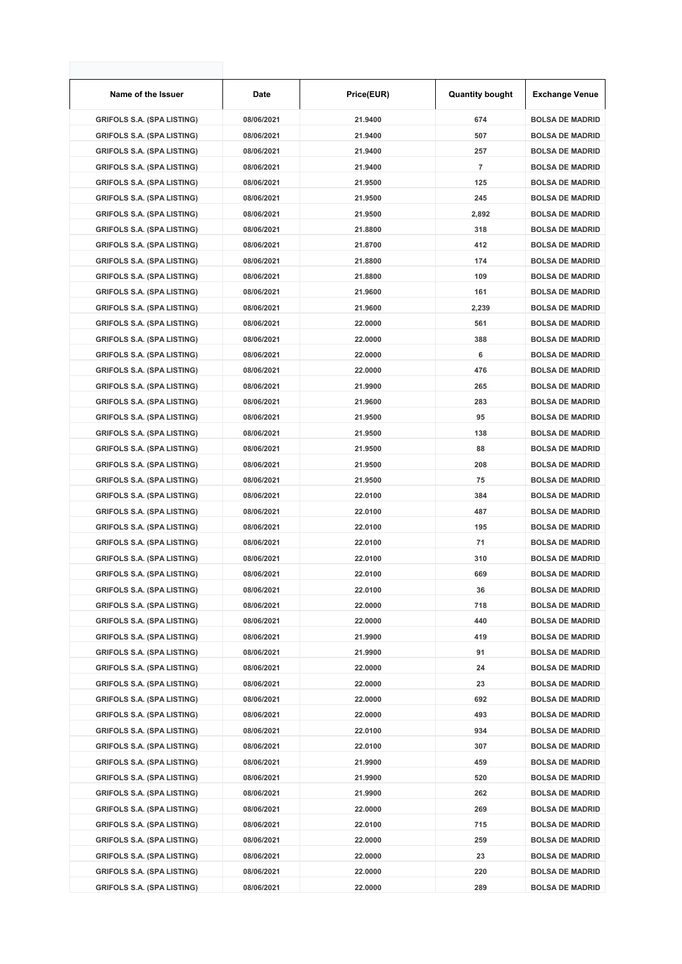| Name of the Issuer                                                     | Date       | Price(EUR)         | <b>Quantity bought</b> | <b>Exchange Venue</b>                            |
|------------------------------------------------------------------------|------------|--------------------|------------------------|--------------------------------------------------|
| <b>GRIFOLS S.A. (SPA LISTING)</b>                                      | 08/06/2021 | 21.9400            | 674                    | <b>BOLSA DE MADRID</b>                           |
| <b>GRIFOLS S.A. (SPA LISTING)</b>                                      | 08/06/2021 | 21.9400            | 507                    | <b>BOLSA DE MADRID</b>                           |
| <b>GRIFOLS S.A. (SPA LISTING)</b>                                      | 08/06/2021 | 21.9400            | 257                    | <b>BOLSA DE MADRID</b>                           |
| <b>GRIFOLS S.A. (SPA LISTING)</b>                                      | 08/06/2021 | 21.9400            | $\overline{7}$         | <b>BOLSA DE MADRID</b>                           |
| <b>GRIFOLS S.A. (SPA LISTING)</b>                                      | 08/06/2021 | 21.9500            | 125                    | <b>BOLSA DE MADRID</b>                           |
| <b>GRIFOLS S.A. (SPA LISTING)</b>                                      | 08/06/2021 | 21.9500            | 245                    | <b>BOLSA DE MADRID</b>                           |
| <b>GRIFOLS S.A. (SPA LISTING)</b>                                      | 08/06/2021 | 21.9500            | 2,892                  | <b>BOLSA DE MADRID</b>                           |
| <b>GRIFOLS S.A. (SPA LISTING)</b>                                      | 08/06/2021 | 21.8800            | 318                    | <b>BOLSA DE MADRID</b>                           |
| <b>GRIFOLS S.A. (SPA LISTING)</b>                                      | 08/06/2021 | 21.8700            | 412                    | <b>BOLSA DE MADRID</b>                           |
| <b>GRIFOLS S.A. (SPA LISTING)</b>                                      | 08/06/2021 | 21.8800            | 174                    | <b>BOLSA DE MADRID</b>                           |
| <b>GRIFOLS S.A. (SPA LISTING)</b>                                      | 08/06/2021 | 21.8800            | 109                    | <b>BOLSA DE MADRID</b>                           |
| <b>GRIFOLS S.A. (SPA LISTING)</b>                                      | 08/06/2021 | 21.9600            | 161                    | <b>BOLSA DE MADRID</b>                           |
| <b>GRIFOLS S.A. (SPA LISTING)</b>                                      | 08/06/2021 | 21.9600            | 2,239                  | <b>BOLSA DE MADRID</b>                           |
| <b>GRIFOLS S.A. (SPA LISTING)</b>                                      | 08/06/2021 | 22,0000            | 561                    | <b>BOLSA DE MADRID</b>                           |
| <b>GRIFOLS S.A. (SPA LISTING)</b>                                      | 08/06/2021 | 22.0000            | 388                    | <b>BOLSA DE MADRID</b>                           |
| <b>GRIFOLS S.A. (SPA LISTING)</b>                                      | 08/06/2021 | 22.0000            | 6                      | <b>BOLSA DE MADRID</b>                           |
| <b>GRIFOLS S.A. (SPA LISTING)</b>                                      | 08/06/2021 | 22.0000            | 476                    | <b>BOLSA DE MADRID</b>                           |
| <b>GRIFOLS S.A. (SPA LISTING)</b>                                      | 08/06/2021 | 21.9900            | 265                    | <b>BOLSA DE MADRID</b>                           |
| <b>GRIFOLS S.A. (SPA LISTING)</b>                                      | 08/06/2021 | 21.9600            | 283                    | <b>BOLSA DE MADRID</b>                           |
| <b>GRIFOLS S.A. (SPA LISTING)</b>                                      | 08/06/2021 | 21.9500            | 95                     | <b>BOLSA DE MADRID</b>                           |
| <b>GRIFOLS S.A. (SPA LISTING)</b>                                      | 08/06/2021 | 21.9500            | 138                    | <b>BOLSA DE MADRID</b>                           |
| <b>GRIFOLS S.A. (SPA LISTING)</b>                                      | 08/06/2021 | 21.9500            | 88                     | <b>BOLSA DE MADRID</b>                           |
| <b>GRIFOLS S.A. (SPA LISTING)</b>                                      | 08/06/2021 | 21.9500            | 208                    | <b>BOLSA DE MADRID</b>                           |
| <b>GRIFOLS S.A. (SPA LISTING)</b>                                      | 08/06/2021 | 21.9500            | 75                     | <b>BOLSA DE MADRID</b>                           |
| <b>GRIFOLS S.A. (SPA LISTING)</b>                                      | 08/06/2021 | 22.0100            | 384                    | <b>BOLSA DE MADRID</b>                           |
| <b>GRIFOLS S.A. (SPA LISTING)</b>                                      | 08/06/2021 | 22.0100            | 487                    | <b>BOLSA DE MADRID</b>                           |
| <b>GRIFOLS S.A. (SPA LISTING)</b>                                      | 08/06/2021 | 22.0100            | 195                    | <b>BOLSA DE MADRID</b>                           |
| <b>GRIFOLS S.A. (SPA LISTING)</b>                                      | 08/06/2021 | 22.0100            | 71                     | <b>BOLSA DE MADRID</b>                           |
| <b>GRIFOLS S.A. (SPA LISTING)</b>                                      | 08/06/2021 | 22.0100            | 310                    | <b>BOLSA DE MADRID</b>                           |
| <b>GRIFOLS S.A. (SPA LISTING)</b>                                      | 08/06/2021 | 22.0100            | 669                    | <b>BOLSA DE MADRID</b>                           |
| <b>GRIFOLS S.A. (SPA LISTING)</b>                                      | 08/06/2021 | 22.0100            | 36                     |                                                  |
| <b>GRIFOLS S.A. (SPA LISTING)</b>                                      | 08/06/2021 | 22.0000            | 718                    | <b>BOLSA DE MADRID</b><br><b>BOLSA DE MADRID</b> |
| <b>GRIFOLS S.A. (SPA LISTING)</b>                                      | 08/06/2021 | 22.0000            | 440                    | <b>BOLSA DE MADRID</b>                           |
| <b>GRIFOLS S.A. (SPA LISTING)</b>                                      | 08/06/2021 | 21.9900            | 419                    | <b>BOLSA DE MADRID</b>                           |
| <b>GRIFOLS S.A. (SPA LISTING)</b>                                      | 08/06/2021 | 21.9900            | 91                     | <b>BOLSA DE MADRID</b>                           |
| <b>GRIFOLS S.A. (SPA LISTING)</b>                                      | 08/06/2021 | 22.0000            | 24                     | <b>BOLSA DE MADRID</b>                           |
| <b>GRIFOLS S.A. (SPA LISTING)</b>                                      | 08/06/2021 | 22.0000            | 23                     | <b>BOLSA DE MADRID</b>                           |
| <b>GRIFOLS S.A. (SPA LISTING)</b>                                      | 08/06/2021 | 22.0000            | 692                    | <b>BOLSA DE MADRID</b>                           |
| <b>GRIFOLS S.A. (SPA LISTING)</b>                                      | 08/06/2021 | 22.0000            | 493                    |                                                  |
|                                                                        |            |                    |                        | <b>BOLSA DE MADRID</b>                           |
| <b>GRIFOLS S.A. (SPA LISTING)</b><br><b>GRIFOLS S.A. (SPA LISTING)</b> | 08/06/2021 | 22.0100<br>22.0100 | 934<br>307             | <b>BOLSA DE MADRID</b><br><b>BOLSA DE MADRID</b> |
|                                                                        | 08/06/2021 |                    |                        |                                                  |
| <b>GRIFOLS S.A. (SPA LISTING)</b>                                      | 08/06/2021 | 21.9900            | 459                    | <b>BOLSA DE MADRID</b>                           |
| <b>GRIFOLS S.A. (SPA LISTING)</b>                                      | 08/06/2021 | 21.9900            | 520                    | <b>BOLSA DE MADRID</b>                           |
| <b>GRIFOLS S.A. (SPA LISTING)</b>                                      | 08/06/2021 | 21.9900            | 262                    | <b>BOLSA DE MADRID</b>                           |
| <b>GRIFOLS S.A. (SPA LISTING)</b>                                      | 08/06/2021 | 22.0000            | 269                    | <b>BOLSA DE MADRID</b>                           |
| <b>GRIFOLS S.A. (SPA LISTING)</b>                                      | 08/06/2021 | 22.0100            | 715                    | <b>BOLSA DE MADRID</b>                           |
| <b>GRIFOLS S.A. (SPA LISTING)</b>                                      | 08/06/2021 | 22.0000            | 259                    | <b>BOLSA DE MADRID</b>                           |
| <b>GRIFOLS S.A. (SPA LISTING)</b>                                      | 08/06/2021 | 22.0000            | 23                     | <b>BOLSA DE MADRID</b>                           |
| <b>GRIFOLS S.A. (SPA LISTING)</b>                                      | 08/06/2021 | 22.0000            | 220                    | <b>BOLSA DE MADRID</b>                           |
| <b>GRIFOLS S.A. (SPA LISTING)</b>                                      | 08/06/2021 | 22.0000            | 289                    | <b>BOLSA DE MADRID</b>                           |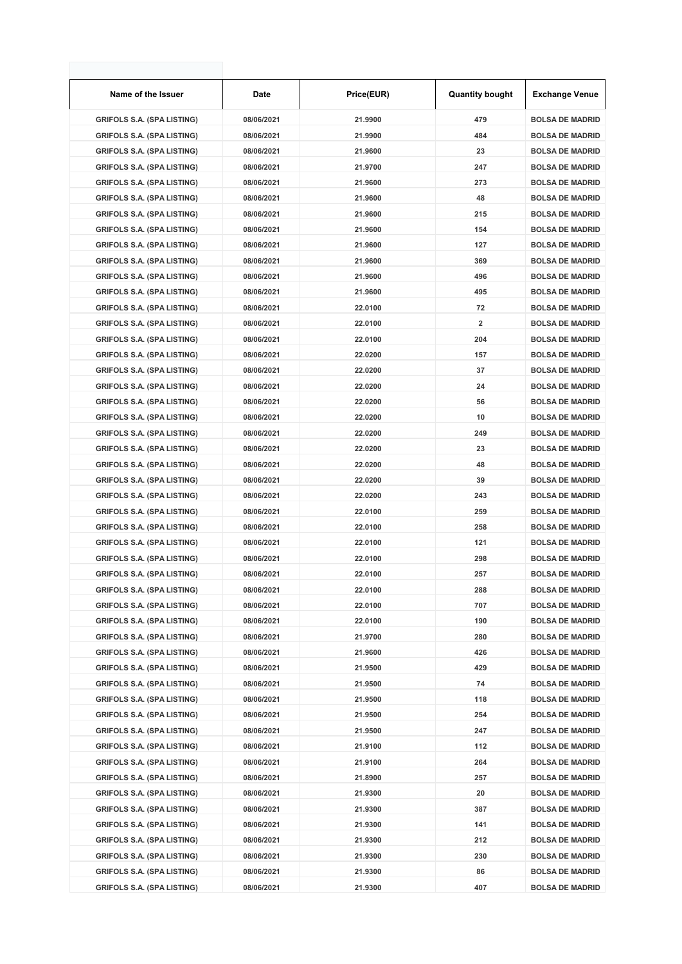| Name of the Issuer                | Date       | Price(EUR) | <b>Quantity bought</b> | <b>Exchange Venue</b>  |
|-----------------------------------|------------|------------|------------------------|------------------------|
| <b>GRIFOLS S.A. (SPA LISTING)</b> | 08/06/2021 | 21.9900    | 479                    | <b>BOLSA DE MADRID</b> |
| <b>GRIFOLS S.A. (SPA LISTING)</b> | 08/06/2021 | 21.9900    | 484                    | <b>BOLSA DE MADRID</b> |
| <b>GRIFOLS S.A. (SPA LISTING)</b> | 08/06/2021 | 21.9600    | 23                     | <b>BOLSA DE MADRID</b> |
| <b>GRIFOLS S.A. (SPA LISTING)</b> | 08/06/2021 | 21.9700    | 247                    | <b>BOLSA DE MADRID</b> |
| <b>GRIFOLS S.A. (SPA LISTING)</b> | 08/06/2021 | 21.9600    | 273                    | <b>BOLSA DE MADRID</b> |
| <b>GRIFOLS S.A. (SPA LISTING)</b> | 08/06/2021 | 21.9600    | 48                     | <b>BOLSA DE MADRID</b> |
| <b>GRIFOLS S.A. (SPA LISTING)</b> | 08/06/2021 | 21.9600    | 215                    | <b>BOLSA DE MADRID</b> |
| <b>GRIFOLS S.A. (SPA LISTING)</b> | 08/06/2021 | 21.9600    | 154                    | <b>BOLSA DE MADRID</b> |
| <b>GRIFOLS S.A. (SPA LISTING)</b> | 08/06/2021 | 21.9600    | 127                    | <b>BOLSA DE MADRID</b> |
| <b>GRIFOLS S.A. (SPA LISTING)</b> | 08/06/2021 | 21.9600    | 369                    | <b>BOLSA DE MADRID</b> |
| <b>GRIFOLS S.A. (SPA LISTING)</b> | 08/06/2021 | 21.9600    | 496                    | <b>BOLSA DE MADRID</b> |
| <b>GRIFOLS S.A. (SPA LISTING)</b> | 08/06/2021 | 21.9600    | 495                    | <b>BOLSA DE MADRID</b> |
| <b>GRIFOLS S.A. (SPA LISTING)</b> | 08/06/2021 | 22.0100    | 72                     | <b>BOLSA DE MADRID</b> |
| <b>GRIFOLS S.A. (SPA LISTING)</b> | 08/06/2021 | 22.0100    | 2                      | <b>BOLSA DE MADRID</b> |
| <b>GRIFOLS S.A. (SPA LISTING)</b> | 08/06/2021 | 22.0100    | 204                    | <b>BOLSA DE MADRID</b> |
| <b>GRIFOLS S.A. (SPA LISTING)</b> | 08/06/2021 | 22.0200    | 157                    | <b>BOLSA DE MADRID</b> |
| <b>GRIFOLS S.A. (SPA LISTING)</b> | 08/06/2021 | 22.0200    | 37                     | <b>BOLSA DE MADRID</b> |
| <b>GRIFOLS S.A. (SPA LISTING)</b> | 08/06/2021 | 22.0200    | 24                     | <b>BOLSA DE MADRID</b> |
| <b>GRIFOLS S.A. (SPA LISTING)</b> | 08/06/2021 | 22.0200    | 56                     | <b>BOLSA DE MADRID</b> |
| <b>GRIFOLS S.A. (SPA LISTING)</b> | 08/06/2021 | 22.0200    | 10                     | <b>BOLSA DE MADRID</b> |
| <b>GRIFOLS S.A. (SPA LISTING)</b> | 08/06/2021 | 22.0200    | 249                    | <b>BOLSA DE MADRID</b> |
| <b>GRIFOLS S.A. (SPA LISTING)</b> | 08/06/2021 | 22.0200    | 23                     | <b>BOLSA DE MADRID</b> |
| <b>GRIFOLS S.A. (SPA LISTING)</b> | 08/06/2021 | 22.0200    | 48                     | <b>BOLSA DE MADRID</b> |
| <b>GRIFOLS S.A. (SPA LISTING)</b> | 08/06/2021 | 22.0200    | 39                     | <b>BOLSA DE MADRID</b> |
| <b>GRIFOLS S.A. (SPA LISTING)</b> | 08/06/2021 | 22.0200    | 243                    | <b>BOLSA DE MADRID</b> |
| <b>GRIFOLS S.A. (SPA LISTING)</b> | 08/06/2021 | 22.0100    | 259                    | <b>BOLSA DE MADRID</b> |
| <b>GRIFOLS S.A. (SPA LISTING)</b> | 08/06/2021 | 22.0100    | 258                    | <b>BOLSA DE MADRID</b> |
| <b>GRIFOLS S.A. (SPA LISTING)</b> | 08/06/2021 | 22.0100    | 121                    | <b>BOLSA DE MADRID</b> |
| <b>GRIFOLS S.A. (SPA LISTING)</b> | 08/06/2021 | 22.0100    | 298                    | <b>BOLSA DE MADRID</b> |
| <b>GRIFOLS S.A. (SPA LISTING)</b> | 08/06/2021 | 22.0100    | 257                    | <b>BOLSA DE MADRID</b> |
| <b>GRIFOLS S.A. (SPA LISTING)</b> | 08/06/2021 | 22.0100    | 288                    | <b>BOLSA DE MADRID</b> |
| <b>GRIFOLS S.A. (SPA LISTING)</b> | 08/06/2021 | 22.0100    | 707                    | <b>BOLSA DE MADRID</b> |
| <b>GRIFOLS S.A. (SPA LISTING)</b> | 08/06/2021 | 22.0100    | 190                    | <b>BOLSA DE MADRID</b> |
| <b>GRIFOLS S.A. (SPA LISTING)</b> | 08/06/2021 | 21.9700    | 280                    | <b>BOLSA DE MADRID</b> |
| <b>GRIFOLS S.A. (SPA LISTING)</b> | 08/06/2021 | 21.9600    | 426                    | <b>BOLSA DE MADRID</b> |
| <b>GRIFOLS S.A. (SPA LISTING)</b> | 08/06/2021 | 21.9500    | 429                    | <b>BOLSA DE MADRID</b> |
| <b>GRIFOLS S.A. (SPA LISTING)</b> | 08/06/2021 | 21.9500    | 74                     | <b>BOLSA DE MADRID</b> |
| <b>GRIFOLS S.A. (SPA LISTING)</b> | 08/06/2021 | 21.9500    | 118                    | <b>BOLSA DE MADRID</b> |
| <b>GRIFOLS S.A. (SPA LISTING)</b> | 08/06/2021 | 21.9500    | 254                    | <b>BOLSA DE MADRID</b> |
| <b>GRIFOLS S.A. (SPA LISTING)</b> | 08/06/2021 | 21.9500    | 247                    | <b>BOLSA DE MADRID</b> |
| <b>GRIFOLS S.A. (SPA LISTING)</b> | 08/06/2021 | 21.9100    | 112                    | <b>BOLSA DE MADRID</b> |
| <b>GRIFOLS S.A. (SPA LISTING)</b> | 08/06/2021 | 21.9100    | 264                    | <b>BOLSA DE MADRID</b> |
| <b>GRIFOLS S.A. (SPA LISTING)</b> | 08/06/2021 | 21.8900    | 257                    | <b>BOLSA DE MADRID</b> |
| <b>GRIFOLS S.A. (SPA LISTING)</b> | 08/06/2021 | 21.9300    | 20                     | <b>BOLSA DE MADRID</b> |
| <b>GRIFOLS S.A. (SPA LISTING)</b> | 08/06/2021 | 21.9300    | 387                    | <b>BOLSA DE MADRID</b> |
| <b>GRIFOLS S.A. (SPA LISTING)</b> | 08/06/2021 | 21.9300    | 141                    | <b>BOLSA DE MADRID</b> |
| <b>GRIFOLS S.A. (SPA LISTING)</b> | 08/06/2021 | 21.9300    | 212                    | <b>BOLSA DE MADRID</b> |
| <b>GRIFOLS S.A. (SPA LISTING)</b> | 08/06/2021 | 21.9300    | 230                    | <b>BOLSA DE MADRID</b> |
| <b>GRIFOLS S.A. (SPA LISTING)</b> | 08/06/2021 | 21.9300    | 86                     | <b>BOLSA DE MADRID</b> |
| <b>GRIFOLS S.A. (SPA LISTING)</b> | 08/06/2021 | 21.9300    | 407                    | <b>BOLSA DE MADRID</b> |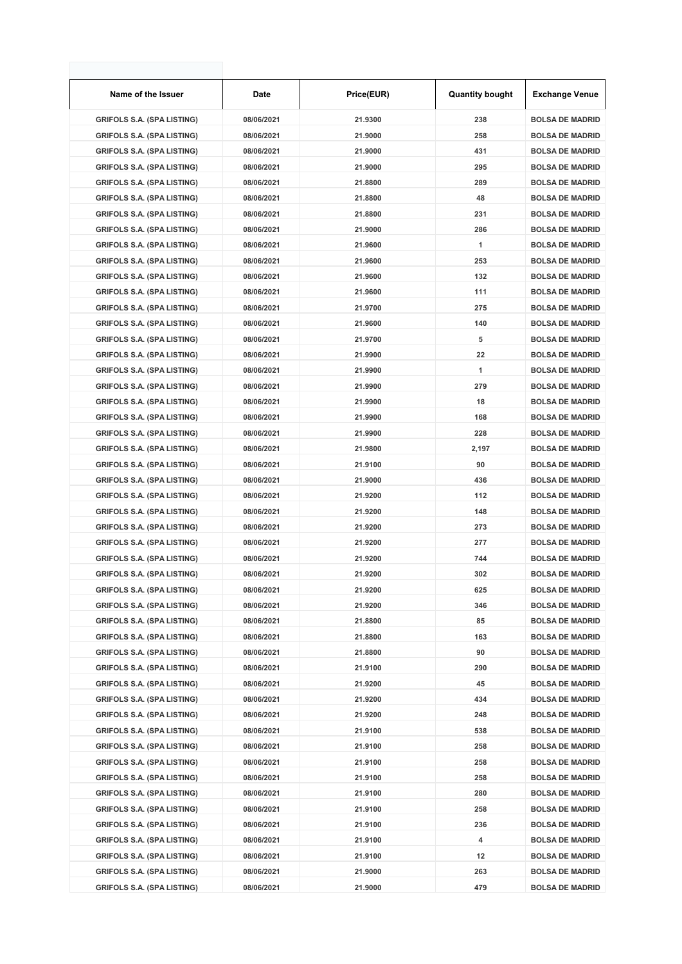| Name of the Issuer                | Date       | Price(EUR) | <b>Quantity bought</b> | <b>Exchange Venue</b>  |
|-----------------------------------|------------|------------|------------------------|------------------------|
| <b>GRIFOLS S.A. (SPA LISTING)</b> | 08/06/2021 | 21.9300    | 238                    | <b>BOLSA DE MADRID</b> |
| <b>GRIFOLS S.A. (SPA LISTING)</b> | 08/06/2021 | 21.9000    | 258                    | <b>BOLSA DE MADRID</b> |
| <b>GRIFOLS S.A. (SPA LISTING)</b> | 08/06/2021 | 21.9000    | 431                    | <b>BOLSA DE MADRID</b> |
| <b>GRIFOLS S.A. (SPA LISTING)</b> | 08/06/2021 | 21.9000    | 295                    | <b>BOLSA DE MADRID</b> |
| <b>GRIFOLS S.A. (SPA LISTING)</b> | 08/06/2021 | 21.8800    | 289                    | <b>BOLSA DE MADRID</b> |
| <b>GRIFOLS S.A. (SPA LISTING)</b> | 08/06/2021 | 21.8800    | 48                     | <b>BOLSA DE MADRID</b> |
| <b>GRIFOLS S.A. (SPA LISTING)</b> | 08/06/2021 | 21.8800    | 231                    | <b>BOLSA DE MADRID</b> |
| <b>GRIFOLS S.A. (SPA LISTING)</b> | 08/06/2021 | 21.9000    | 286                    | <b>BOLSA DE MADRID</b> |
| <b>GRIFOLS S.A. (SPA LISTING)</b> | 08/06/2021 | 21.9600    | 1                      | <b>BOLSA DE MADRID</b> |
| <b>GRIFOLS S.A. (SPA LISTING)</b> | 08/06/2021 | 21.9600    | 253                    | <b>BOLSA DE MADRID</b> |
| <b>GRIFOLS S.A. (SPA LISTING)</b> | 08/06/2021 | 21.9600    | 132                    | <b>BOLSA DE MADRID</b> |
| <b>GRIFOLS S.A. (SPA LISTING)</b> | 08/06/2021 | 21.9600    | 111                    | <b>BOLSA DE MADRID</b> |
| <b>GRIFOLS S.A. (SPA LISTING)</b> | 08/06/2021 | 21.9700    | 275                    | <b>BOLSA DE MADRID</b> |
| <b>GRIFOLS S.A. (SPA LISTING)</b> | 08/06/2021 | 21.9600    | 140                    | <b>BOLSA DE MADRID</b> |
| <b>GRIFOLS S.A. (SPA LISTING)</b> | 08/06/2021 | 21.9700    | 5                      | <b>BOLSA DE MADRID</b> |
| <b>GRIFOLS S.A. (SPA LISTING)</b> | 08/06/2021 | 21.9900    | 22                     | <b>BOLSA DE MADRID</b> |
| <b>GRIFOLS S.A. (SPA LISTING)</b> | 08/06/2021 | 21.9900    | 1                      | <b>BOLSA DE MADRID</b> |
| <b>GRIFOLS S.A. (SPA LISTING)</b> | 08/06/2021 | 21.9900    | 279                    | <b>BOLSA DE MADRID</b> |
| <b>GRIFOLS S.A. (SPA LISTING)</b> | 08/06/2021 | 21.9900    | 18                     | <b>BOLSA DE MADRID</b> |
| <b>GRIFOLS S.A. (SPA LISTING)</b> | 08/06/2021 | 21.9900    | 168                    | <b>BOLSA DE MADRID</b> |
| <b>GRIFOLS S.A. (SPA LISTING)</b> | 08/06/2021 | 21.9900    | 228                    | <b>BOLSA DE MADRID</b> |
| <b>GRIFOLS S.A. (SPA LISTING)</b> | 08/06/2021 | 21.9800    | 2,197                  | <b>BOLSA DE MADRID</b> |
| <b>GRIFOLS S.A. (SPA LISTING)</b> | 08/06/2021 | 21.9100    | 90                     | <b>BOLSA DE MADRID</b> |
| <b>GRIFOLS S.A. (SPA LISTING)</b> | 08/06/2021 | 21.9000    | 436                    | <b>BOLSA DE MADRID</b> |
| <b>GRIFOLS S.A. (SPA LISTING)</b> | 08/06/2021 | 21.9200    | 112                    | <b>BOLSA DE MADRID</b> |
| <b>GRIFOLS S.A. (SPA LISTING)</b> | 08/06/2021 | 21.9200    | 148                    | <b>BOLSA DE MADRID</b> |
| <b>GRIFOLS S.A. (SPA LISTING)</b> | 08/06/2021 | 21.9200    | 273                    | <b>BOLSA DE MADRID</b> |
| <b>GRIFOLS S.A. (SPA LISTING)</b> | 08/06/2021 | 21.9200    | 277                    | <b>BOLSA DE MADRID</b> |
| <b>GRIFOLS S.A. (SPA LISTING)</b> | 08/06/2021 | 21.9200    | 744                    | <b>BOLSA DE MADRID</b> |
| <b>GRIFOLS S.A. (SPA LISTING)</b> | 08/06/2021 | 21.9200    | 302                    | <b>BOLSA DE MADRID</b> |
| <b>GRIFOLS S.A. (SPA LISTING)</b> | 08/06/2021 | 21.9200    | 625                    | <b>BOLSA DE MADRID</b> |
| <b>GRIFOLS S.A. (SPA LISTING)</b> | 08/06/2021 | 21.9200    | 346                    | <b>BOLSA DE MADRID</b> |
| <b>GRIFOLS S.A. (SPA LISTING)</b> | 08/06/2021 | 21.8800    | 85                     | <b>BOLSA DE MADRID</b> |
| <b>GRIFOLS S.A. (SPA LISTING)</b> | 08/06/2021 | 21.8800    | 163                    | <b>BOLSA DE MADRID</b> |
| <b>GRIFOLS S.A. (SPA LISTING)</b> | 08/06/2021 | 21.8800    | 90                     | <b>BOLSA DE MADRID</b> |
| <b>GRIFOLS S.A. (SPA LISTING)</b> | 08/06/2021 | 21.9100    | 290                    | <b>BOLSA DE MADRID</b> |
| <b>GRIFOLS S.A. (SPA LISTING)</b> | 08/06/2021 | 21.9200    | 45                     | <b>BOLSA DE MADRID</b> |
| <b>GRIFOLS S.A. (SPA LISTING)</b> | 08/06/2021 | 21.9200    | 434                    | <b>BOLSA DE MADRID</b> |
| <b>GRIFOLS S.A. (SPA LISTING)</b> | 08/06/2021 | 21.9200    | 248                    | <b>BOLSA DE MADRID</b> |
| <b>GRIFOLS S.A. (SPA LISTING)</b> | 08/06/2021 | 21.9100    | 538                    | <b>BOLSA DE MADRID</b> |
| <b>GRIFOLS S.A. (SPA LISTING)</b> | 08/06/2021 | 21.9100    | 258                    | <b>BOLSA DE MADRID</b> |
| <b>GRIFOLS S.A. (SPA LISTING)</b> | 08/06/2021 | 21.9100    | 258                    | <b>BOLSA DE MADRID</b> |
| <b>GRIFOLS S.A. (SPA LISTING)</b> | 08/06/2021 | 21.9100    | 258                    | <b>BOLSA DE MADRID</b> |
| <b>GRIFOLS S.A. (SPA LISTING)</b> | 08/06/2021 | 21.9100    | 280                    | <b>BOLSA DE MADRID</b> |
| <b>GRIFOLS S.A. (SPA LISTING)</b> | 08/06/2021 | 21.9100    | 258                    | <b>BOLSA DE MADRID</b> |
| <b>GRIFOLS S.A. (SPA LISTING)</b> | 08/06/2021 | 21.9100    | 236                    | <b>BOLSA DE MADRID</b> |
| <b>GRIFOLS S.A. (SPA LISTING)</b> | 08/06/2021 | 21.9100    | 4                      | <b>BOLSA DE MADRID</b> |
| <b>GRIFOLS S.A. (SPA LISTING)</b> | 08/06/2021 | 21.9100    | 12                     | <b>BOLSA DE MADRID</b> |
| <b>GRIFOLS S.A. (SPA LISTING)</b> | 08/06/2021 | 21.9000    | 263                    | <b>BOLSA DE MADRID</b> |
| <b>GRIFOLS S.A. (SPA LISTING)</b> | 08/06/2021 | 21.9000    | 479                    | <b>BOLSA DE MADRID</b> |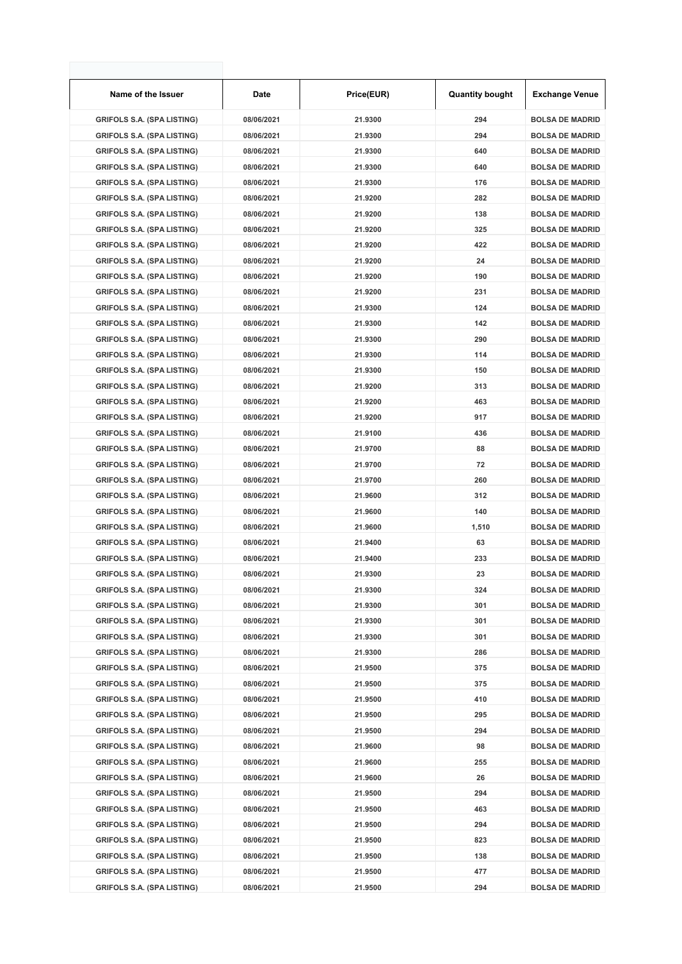| Name of the Issuer                                                     | Date                     | Price(EUR)         | <b>Quantity bought</b> | <b>Exchange Venue</b>                            |
|------------------------------------------------------------------------|--------------------------|--------------------|------------------------|--------------------------------------------------|
| <b>GRIFOLS S.A. (SPA LISTING)</b>                                      | 08/06/2021               | 21.9300            | 294                    | <b>BOLSA DE MADRID</b>                           |
| <b>GRIFOLS S.A. (SPA LISTING)</b>                                      | 08/06/2021               | 21.9300            | 294                    | <b>BOLSA DE MADRID</b>                           |
| <b>GRIFOLS S.A. (SPA LISTING)</b>                                      | 08/06/2021               | 21.9300            | 640                    | <b>BOLSA DE MADRID</b>                           |
| <b>GRIFOLS S.A. (SPA LISTING)</b>                                      | 08/06/2021               | 21.9300            | 640                    | <b>BOLSA DE MADRID</b>                           |
| <b>GRIFOLS S.A. (SPA LISTING)</b>                                      | 08/06/2021               | 21.9300            | 176                    | <b>BOLSA DE MADRID</b>                           |
| <b>GRIFOLS S.A. (SPA LISTING)</b>                                      | 08/06/2021               | 21.9200            | 282                    | <b>BOLSA DE MADRID</b>                           |
| <b>GRIFOLS S.A. (SPA LISTING)</b>                                      | 08/06/2021               | 21.9200            | 138                    | <b>BOLSA DE MADRID</b>                           |
| <b>GRIFOLS S.A. (SPA LISTING)</b>                                      | 08/06/2021               | 21.9200            | 325                    | <b>BOLSA DE MADRID</b>                           |
| <b>GRIFOLS S.A. (SPA LISTING)</b>                                      | 08/06/2021               | 21.9200            | 422                    | <b>BOLSA DE MADRID</b>                           |
| <b>GRIFOLS S.A. (SPA LISTING)</b>                                      | 08/06/2021               | 21.9200            | 24                     | <b>BOLSA DE MADRID</b>                           |
| <b>GRIFOLS S.A. (SPA LISTING)</b>                                      | 08/06/2021               | 21.9200            | 190                    | <b>BOLSA DE MADRID</b>                           |
| <b>GRIFOLS S.A. (SPA LISTING)</b>                                      | 08/06/2021               | 21.9200            | 231                    | <b>BOLSA DE MADRID</b>                           |
| <b>GRIFOLS S.A. (SPA LISTING)</b>                                      | 08/06/2021               | 21.9300            | 124                    | <b>BOLSA DE MADRID</b>                           |
| <b>GRIFOLS S.A. (SPA LISTING)</b>                                      | 08/06/2021               | 21.9300            | 142                    | <b>BOLSA DE MADRID</b>                           |
| <b>GRIFOLS S.A. (SPA LISTING)</b>                                      | 08/06/2021               | 21.9300            | 290                    | <b>BOLSA DE MADRID</b>                           |
| <b>GRIFOLS S.A. (SPA LISTING)</b>                                      | 08/06/2021               | 21.9300            | 114                    | <b>BOLSA DE MADRID</b>                           |
| <b>GRIFOLS S.A. (SPA LISTING)</b>                                      | 08/06/2021               | 21.9300            | 150                    | <b>BOLSA DE MADRID</b>                           |
| <b>GRIFOLS S.A. (SPA LISTING)</b>                                      | 08/06/2021               | 21.9200            | 313                    | <b>BOLSA DE MADRID</b>                           |
| <b>GRIFOLS S.A. (SPA LISTING)</b>                                      | 08/06/2021               | 21.9200            | 463                    | <b>BOLSA DE MADRID</b>                           |
| <b>GRIFOLS S.A. (SPA LISTING)</b>                                      | 08/06/2021               | 21.9200            | 917                    | <b>BOLSA DE MADRID</b>                           |
| <b>GRIFOLS S.A. (SPA LISTING)</b>                                      | 08/06/2021               | 21.9100            | 436                    | <b>BOLSA DE MADRID</b>                           |
| <b>GRIFOLS S.A. (SPA LISTING)</b>                                      | 08/06/2021               | 21.9700            | 88                     | <b>BOLSA DE MADRID</b>                           |
| <b>GRIFOLS S.A. (SPA LISTING)</b>                                      | 08/06/2021               | 21.9700            | 72                     | <b>BOLSA DE MADRID</b>                           |
| <b>GRIFOLS S.A. (SPA LISTING)</b>                                      | 08/06/2021               | 21.9700            | 260                    | <b>BOLSA DE MADRID</b>                           |
| <b>GRIFOLS S.A. (SPA LISTING)</b>                                      | 08/06/2021               | 21.9600            | 312                    | <b>BOLSA DE MADRID</b>                           |
| <b>GRIFOLS S.A. (SPA LISTING)</b>                                      | 08/06/2021               | 21.9600            | 140                    | <b>BOLSA DE MADRID</b>                           |
| <b>GRIFOLS S.A. (SPA LISTING)</b>                                      | 08/06/2021               | 21.9600            | 1,510                  | <b>BOLSA DE MADRID</b>                           |
| <b>GRIFOLS S.A. (SPA LISTING)</b>                                      | 08/06/2021               | 21.9400            | 63                     | <b>BOLSA DE MADRID</b>                           |
| <b>GRIFOLS S.A. (SPA LISTING)</b>                                      | 08/06/2021               | 21.9400            | 233                    | <b>BOLSA DE MADRID</b>                           |
| <b>GRIFOLS S.A. (SPA LISTING)</b>                                      | 08/06/2021               | 21.9300            | 23                     | <b>BOLSA DE MADRID</b>                           |
| <b>GRIFOLS S.A. (SPA LISTING)</b>                                      | 08/06/2021               | 21.9300            | 324                    | <b>BOLSA DE MADRID</b>                           |
| <b>GRIFOLS S.A. (SPA LISTING)</b>                                      | 08/06/2021               | 21.9300            | 301                    | <b>BOLSA DE MADRID</b>                           |
| <b>GRIFOLS S.A. (SPA LISTING)</b>                                      | 08/06/2021               | 21.9300            | 301                    | <b>BOLSA DE MADRID</b>                           |
| <b>GRIFOLS S.A. (SPA LISTING)</b>                                      | 08/06/2021               | 21.9300            | 301                    | <b>BOLSA DE MADRID</b>                           |
| <b>GRIFOLS S.A. (SPA LISTING)</b>                                      | 08/06/2021               | 21.9300            | 286                    | <b>BOLSA DE MADRID</b>                           |
| <b>GRIFOLS S.A. (SPA LISTING)</b>                                      | 08/06/2021               | 21.9500            | 375                    | <b>BOLSA DE MADRID</b>                           |
| <b>GRIFOLS S.A. (SPA LISTING)</b>                                      | 08/06/2021               | 21.9500            | 375                    | <b>BOLSA DE MADRID</b>                           |
| <b>GRIFOLS S.A. (SPA LISTING)</b>                                      | 08/06/2021               | 21.9500            | 410                    | <b>BOLSA DE MADRID</b>                           |
| <b>GRIFOLS S.A. (SPA LISTING)</b>                                      | 08/06/2021               | 21.9500            | 295                    | <b>BOLSA DE MADRID</b>                           |
| <b>GRIFOLS S.A. (SPA LISTING)</b>                                      | 08/06/2021               | 21.9500            | 294                    | <b>BOLSA DE MADRID</b>                           |
| <b>GRIFOLS S.A. (SPA LISTING)</b>                                      | 08/06/2021               | 21.9600            | 98                     | <b>BOLSA DE MADRID</b>                           |
|                                                                        |                          |                    |                        |                                                  |
| <b>GRIFOLS S.A. (SPA LISTING)</b><br><b>GRIFOLS S.A. (SPA LISTING)</b> | 08/06/2021<br>08/06/2021 | 21.9600<br>21.9600 | 255<br>26              | <b>BOLSA DE MADRID</b><br><b>BOLSA DE MADRID</b> |
| <b>GRIFOLS S.A. (SPA LISTING)</b>                                      | 08/06/2021               | 21.9500            | 294                    | <b>BOLSA DE MADRID</b>                           |
|                                                                        |                          | 21.9500            | 463                    | <b>BOLSA DE MADRID</b>                           |
| <b>GRIFOLS S.A. (SPA LISTING)</b>                                      | 08/06/2021               |                    |                        |                                                  |
| <b>GRIFOLS S.A. (SPA LISTING)</b>                                      | 08/06/2021               | 21.9500            | 294                    | <b>BOLSA DE MADRID</b>                           |
| <b>GRIFOLS S.A. (SPA LISTING)</b>                                      | 08/06/2021               | 21.9500            | 823                    | <b>BOLSA DE MADRID</b>                           |
| <b>GRIFOLS S.A. (SPA LISTING)</b><br><b>GRIFOLS S.A. (SPA LISTING)</b> | 08/06/2021               | 21.9500            | 138<br>477             | <b>BOLSA DE MADRID</b>                           |
|                                                                        | 08/06/2021<br>08/06/2021 | 21.9500<br>21.9500 | 294                    | <b>BOLSA DE MADRID</b><br><b>BOLSA DE MADRID</b> |
| <b>GRIFOLS S.A. (SPA LISTING)</b>                                      |                          |                    |                        |                                                  |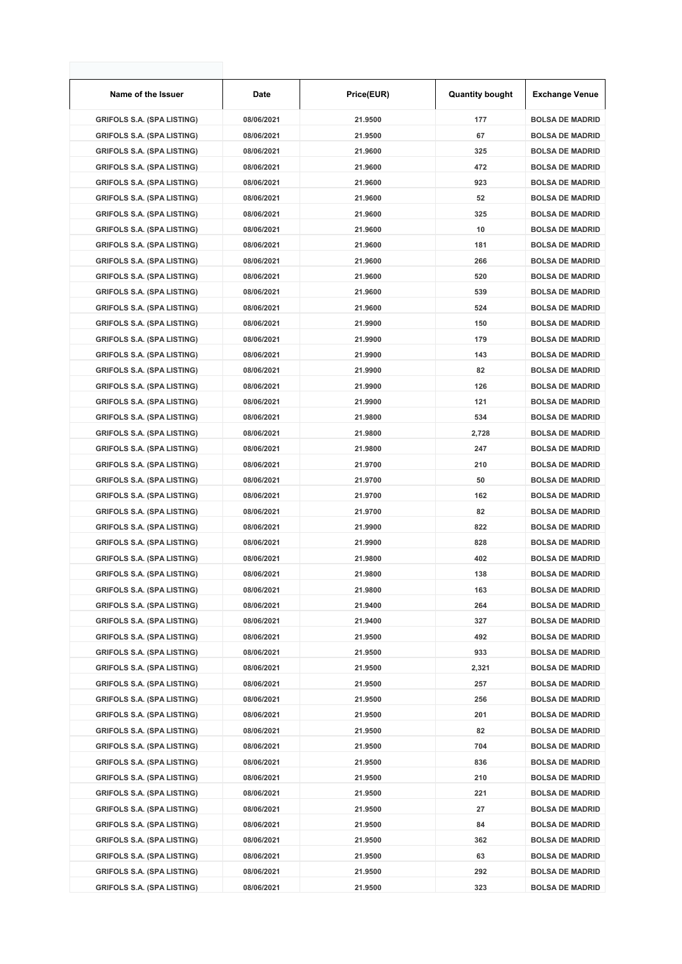| Name of the Issuer                | Date       | Price(EUR) | <b>Quantity bought</b> | <b>Exchange Venue</b>  |
|-----------------------------------|------------|------------|------------------------|------------------------|
| <b>GRIFOLS S.A. (SPA LISTING)</b> | 08/06/2021 | 21.9500    | 177                    | <b>BOLSA DE MADRID</b> |
| <b>GRIFOLS S.A. (SPA LISTING)</b> | 08/06/2021 | 21.9500    | 67                     | <b>BOLSA DE MADRID</b> |
| <b>GRIFOLS S.A. (SPA LISTING)</b> | 08/06/2021 | 21.9600    | 325                    | <b>BOLSA DE MADRID</b> |
| <b>GRIFOLS S.A. (SPA LISTING)</b> | 08/06/2021 | 21.9600    | 472                    | <b>BOLSA DE MADRID</b> |
| <b>GRIFOLS S.A. (SPA LISTING)</b> | 08/06/2021 | 21.9600    | 923                    | <b>BOLSA DE MADRID</b> |
| <b>GRIFOLS S.A. (SPA LISTING)</b> | 08/06/2021 | 21.9600    | 52                     | <b>BOLSA DE MADRID</b> |
| <b>GRIFOLS S.A. (SPA LISTING)</b> | 08/06/2021 | 21.9600    | 325                    | <b>BOLSA DE MADRID</b> |
| <b>GRIFOLS S.A. (SPA LISTING)</b> | 08/06/2021 | 21.9600    | 10                     | <b>BOLSA DE MADRID</b> |
| <b>GRIFOLS S.A. (SPA LISTING)</b> | 08/06/2021 | 21.9600    | 181                    | <b>BOLSA DE MADRID</b> |
| <b>GRIFOLS S.A. (SPA LISTING)</b> | 08/06/2021 | 21.9600    | 266                    | <b>BOLSA DE MADRID</b> |
| <b>GRIFOLS S.A. (SPA LISTING)</b> | 08/06/2021 | 21.9600    | 520                    | <b>BOLSA DE MADRID</b> |
| <b>GRIFOLS S.A. (SPA LISTING)</b> | 08/06/2021 | 21.9600    | 539                    | <b>BOLSA DE MADRID</b> |
| <b>GRIFOLS S.A. (SPA LISTING)</b> | 08/06/2021 | 21.9600    | 524                    | <b>BOLSA DE MADRID</b> |
| <b>GRIFOLS S.A. (SPA LISTING)</b> | 08/06/2021 | 21.9900    | 150                    | <b>BOLSA DE MADRID</b> |
| <b>GRIFOLS S.A. (SPA LISTING)</b> | 08/06/2021 | 21.9900    | 179                    | <b>BOLSA DE MADRID</b> |
| <b>GRIFOLS S.A. (SPA LISTING)</b> | 08/06/2021 | 21.9900    | 143                    | <b>BOLSA DE MADRID</b> |
| <b>GRIFOLS S.A. (SPA LISTING)</b> | 08/06/2021 | 21.9900    | 82                     | <b>BOLSA DE MADRID</b> |
| <b>GRIFOLS S.A. (SPA LISTING)</b> | 08/06/2021 | 21.9900    | 126                    | <b>BOLSA DE MADRID</b> |
| <b>GRIFOLS S.A. (SPA LISTING)</b> | 08/06/2021 | 21.9900    | 121                    | <b>BOLSA DE MADRID</b> |
| <b>GRIFOLS S.A. (SPA LISTING)</b> | 08/06/2021 | 21.9800    | 534                    | <b>BOLSA DE MADRID</b> |
| <b>GRIFOLS S.A. (SPA LISTING)</b> | 08/06/2021 | 21.9800    | 2,728                  | <b>BOLSA DE MADRID</b> |
| <b>GRIFOLS S.A. (SPA LISTING)</b> | 08/06/2021 | 21.9800    | 247                    | <b>BOLSA DE MADRID</b> |
| <b>GRIFOLS S.A. (SPA LISTING)</b> | 08/06/2021 | 21.9700    | 210                    | <b>BOLSA DE MADRID</b> |
| <b>GRIFOLS S.A. (SPA LISTING)</b> | 08/06/2021 | 21.9700    | 50                     | <b>BOLSA DE MADRID</b> |
| <b>GRIFOLS S.A. (SPA LISTING)</b> | 08/06/2021 | 21.9700    | 162                    | <b>BOLSA DE MADRID</b> |
| <b>GRIFOLS S.A. (SPA LISTING)</b> | 08/06/2021 | 21.9700    | 82                     | <b>BOLSA DE MADRID</b> |
| <b>GRIFOLS S.A. (SPA LISTING)</b> | 08/06/2021 | 21.9900    | 822                    | <b>BOLSA DE MADRID</b> |
| <b>GRIFOLS S.A. (SPA LISTING)</b> | 08/06/2021 | 21.9900    | 828                    | <b>BOLSA DE MADRID</b> |
| <b>GRIFOLS S.A. (SPA LISTING)</b> | 08/06/2021 | 21.9800    | 402                    | <b>BOLSA DE MADRID</b> |
| <b>GRIFOLS S.A. (SPA LISTING)</b> | 08/06/2021 | 21.9800    | 138                    | <b>BOLSA DE MADRID</b> |
| <b>GRIFOLS S.A. (SPA LISTING)</b> | 08/06/2021 | 21.9800    | 163                    | <b>BOLSA DE MADRID</b> |
| <b>GRIFOLS S.A. (SPA LISTING)</b> | 08/06/2021 | 21.9400    | 264                    | <b>BOLSA DE MADRID</b> |
| <b>GRIFOLS S.A. (SPA LISTING)</b> | 08/06/2021 | 21.9400    | 327                    | <b>BOLSA DE MADRID</b> |
| <b>GRIFOLS S.A. (SPA LISTING)</b> | 08/06/2021 | 21.9500    | 492                    | <b>BOLSA DE MADRID</b> |
| <b>GRIFOLS S.A. (SPA LISTING)</b> | 08/06/2021 | 21.9500    | 933                    | <b>BOLSA DE MADRID</b> |
| <b>GRIFOLS S.A. (SPA LISTING)</b> | 08/06/2021 | 21.9500    | 2,321                  | <b>BOLSA DE MADRID</b> |
| <b>GRIFOLS S.A. (SPA LISTING)</b> | 08/06/2021 | 21.9500    | 257                    | <b>BOLSA DE MADRID</b> |
| <b>GRIFOLS S.A. (SPA LISTING)</b> | 08/06/2021 | 21.9500    | 256                    | <b>BOLSA DE MADRID</b> |
| <b>GRIFOLS S.A. (SPA LISTING)</b> | 08/06/2021 | 21.9500    | 201                    | <b>BOLSA DE MADRID</b> |
| <b>GRIFOLS S.A. (SPA LISTING)</b> | 08/06/2021 | 21.9500    | 82                     | <b>BOLSA DE MADRID</b> |
| <b>GRIFOLS S.A. (SPA LISTING)</b> | 08/06/2021 | 21.9500    | 704                    | <b>BOLSA DE MADRID</b> |
| <b>GRIFOLS S.A. (SPA LISTING)</b> | 08/06/2021 | 21.9500    | 836                    | <b>BOLSA DE MADRID</b> |
| <b>GRIFOLS S.A. (SPA LISTING)</b> | 08/06/2021 | 21.9500    | 210                    | <b>BOLSA DE MADRID</b> |
| <b>GRIFOLS S.A. (SPA LISTING)</b> | 08/06/2021 | 21.9500    | 221                    | <b>BOLSA DE MADRID</b> |
| <b>GRIFOLS S.A. (SPA LISTING)</b> | 08/06/2021 | 21.9500    | 27                     | <b>BOLSA DE MADRID</b> |
| <b>GRIFOLS S.A. (SPA LISTING)</b> | 08/06/2021 | 21.9500    | 84                     | <b>BOLSA DE MADRID</b> |
| <b>GRIFOLS S.A. (SPA LISTING)</b> | 08/06/2021 | 21.9500    | 362                    | <b>BOLSA DE MADRID</b> |
| <b>GRIFOLS S.A. (SPA LISTING)</b> | 08/06/2021 | 21.9500    | 63                     | <b>BOLSA DE MADRID</b> |
| <b>GRIFOLS S.A. (SPA LISTING)</b> | 08/06/2021 | 21.9500    | 292                    | <b>BOLSA DE MADRID</b> |
| <b>GRIFOLS S.A. (SPA LISTING)</b> | 08/06/2021 | 21.9500    | 323                    | <b>BOLSA DE MADRID</b> |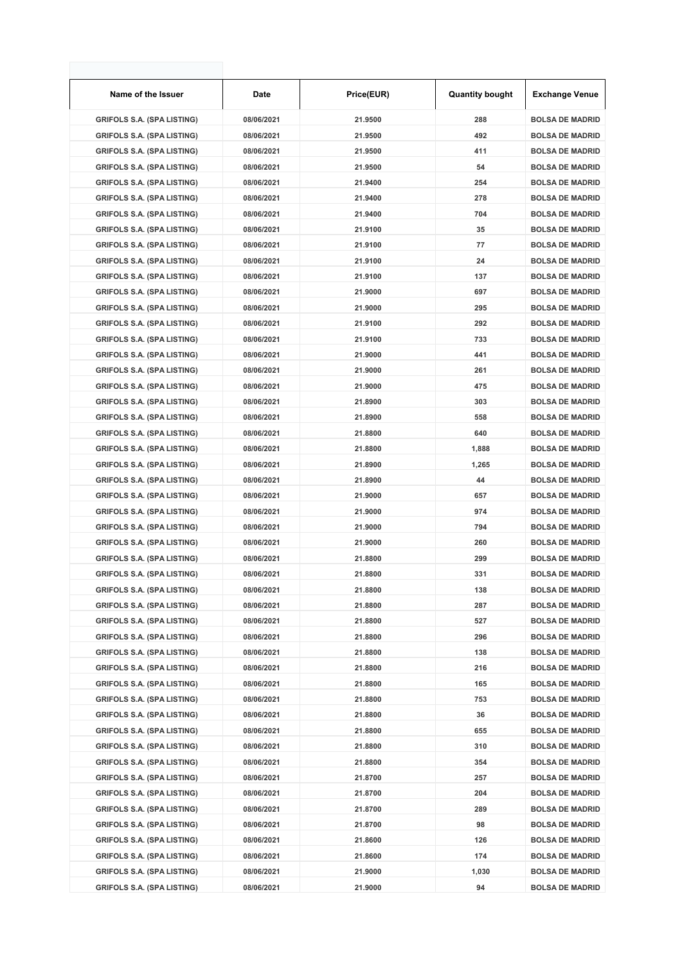| Name of the Issuer                | Date       | Price(EUR) | <b>Quantity bought</b> | <b>Exchange Venue</b>  |
|-----------------------------------|------------|------------|------------------------|------------------------|
| <b>GRIFOLS S.A. (SPA LISTING)</b> | 08/06/2021 | 21.9500    | 288                    | <b>BOLSA DE MADRID</b> |
| <b>GRIFOLS S.A. (SPA LISTING)</b> | 08/06/2021 | 21.9500    | 492                    | <b>BOLSA DE MADRID</b> |
| <b>GRIFOLS S.A. (SPA LISTING)</b> | 08/06/2021 | 21.9500    | 411                    | <b>BOLSA DE MADRID</b> |
| <b>GRIFOLS S.A. (SPA LISTING)</b> | 08/06/2021 | 21.9500    | 54                     | <b>BOLSA DE MADRID</b> |
| <b>GRIFOLS S.A. (SPA LISTING)</b> | 08/06/2021 | 21.9400    | 254                    | <b>BOLSA DE MADRID</b> |
| <b>GRIFOLS S.A. (SPA LISTING)</b> | 08/06/2021 | 21.9400    | 278                    | <b>BOLSA DE MADRID</b> |
| <b>GRIFOLS S.A. (SPA LISTING)</b> | 08/06/2021 | 21.9400    | 704                    | <b>BOLSA DE MADRID</b> |
| <b>GRIFOLS S.A. (SPA LISTING)</b> | 08/06/2021 | 21.9100    | 35                     | <b>BOLSA DE MADRID</b> |
| <b>GRIFOLS S.A. (SPA LISTING)</b> | 08/06/2021 | 21.9100    | 77                     | <b>BOLSA DE MADRID</b> |
| <b>GRIFOLS S.A. (SPA LISTING)</b> | 08/06/2021 | 21.9100    | 24                     | <b>BOLSA DE MADRID</b> |
| <b>GRIFOLS S.A. (SPA LISTING)</b> | 08/06/2021 | 21.9100    | 137                    | <b>BOLSA DE MADRID</b> |
| <b>GRIFOLS S.A. (SPA LISTING)</b> | 08/06/2021 | 21.9000    | 697                    | <b>BOLSA DE MADRID</b> |
| <b>GRIFOLS S.A. (SPA LISTING)</b> | 08/06/2021 | 21.9000    | 295                    | <b>BOLSA DE MADRID</b> |
| <b>GRIFOLS S.A. (SPA LISTING)</b> | 08/06/2021 | 21.9100    | 292                    | <b>BOLSA DE MADRID</b> |
| <b>GRIFOLS S.A. (SPA LISTING)</b> | 08/06/2021 | 21.9100    | 733                    | <b>BOLSA DE MADRID</b> |
| <b>GRIFOLS S.A. (SPA LISTING)</b> | 08/06/2021 | 21.9000    | 441                    | <b>BOLSA DE MADRID</b> |
| <b>GRIFOLS S.A. (SPA LISTING)</b> | 08/06/2021 | 21.9000    | 261                    | <b>BOLSA DE MADRID</b> |
| <b>GRIFOLS S.A. (SPA LISTING)</b> | 08/06/2021 | 21.9000    | 475                    | <b>BOLSA DE MADRID</b> |
| <b>GRIFOLS S.A. (SPA LISTING)</b> | 08/06/2021 | 21.8900    | 303                    | <b>BOLSA DE MADRID</b> |
| <b>GRIFOLS S.A. (SPA LISTING)</b> | 08/06/2021 | 21.8900    | 558                    | <b>BOLSA DE MADRID</b> |
| <b>GRIFOLS S.A. (SPA LISTING)</b> | 08/06/2021 | 21.8800    | 640                    | <b>BOLSA DE MADRID</b> |
| <b>GRIFOLS S.A. (SPA LISTING)</b> | 08/06/2021 | 21.8800    | 1,888                  | <b>BOLSA DE MADRID</b> |
| <b>GRIFOLS S.A. (SPA LISTING)</b> | 08/06/2021 | 21.8900    | 1,265                  | <b>BOLSA DE MADRID</b> |
| <b>GRIFOLS S.A. (SPA LISTING)</b> | 08/06/2021 | 21.8900    | 44                     | <b>BOLSA DE MADRID</b> |
| <b>GRIFOLS S.A. (SPA LISTING)</b> | 08/06/2021 | 21.9000    | 657                    | <b>BOLSA DE MADRID</b> |
| <b>GRIFOLS S.A. (SPA LISTING)</b> | 08/06/2021 | 21.9000    | 974                    | <b>BOLSA DE MADRID</b> |
| <b>GRIFOLS S.A. (SPA LISTING)</b> | 08/06/2021 | 21.9000    | 794                    | <b>BOLSA DE MADRID</b> |
| <b>GRIFOLS S.A. (SPA LISTING)</b> | 08/06/2021 | 21.9000    | 260                    | <b>BOLSA DE MADRID</b> |
| <b>GRIFOLS S.A. (SPA LISTING)</b> | 08/06/2021 | 21.8800    | 299                    | <b>BOLSA DE MADRID</b> |
| <b>GRIFOLS S.A. (SPA LISTING)</b> | 08/06/2021 | 21.8800    | 331                    | <b>BOLSA DE MADRID</b> |
| <b>GRIFOLS S.A. (SPA LISTING)</b> | 08/06/2021 | 21.8800    | 138                    | <b>BOLSA DE MADRID</b> |
| <b>GRIFOLS S.A. (SPA LISTING)</b> | 08/06/2021 | 21.8800    | 287                    | <b>BOLSA DE MADRID</b> |
| <b>GRIFOLS S.A. (SPA LISTING)</b> | 08/06/2021 | 21.8800    | 527                    | <b>BOLSA DE MADRID</b> |
| <b>GRIFOLS S.A. (SPA LISTING)</b> | 08/06/2021 | 21.8800    | 296                    | <b>BOLSA DE MADRID</b> |
| <b>GRIFOLS S.A. (SPA LISTING)</b> | 08/06/2021 | 21.8800    | 138                    | <b>BOLSA DE MADRID</b> |
| <b>GRIFOLS S.A. (SPA LISTING)</b> | 08/06/2021 | 21.8800    | 216                    | <b>BOLSA DE MADRID</b> |
| <b>GRIFOLS S.A. (SPA LISTING)</b> | 08/06/2021 | 21.8800    | 165                    | <b>BOLSA DE MADRID</b> |
| <b>GRIFOLS S.A. (SPA LISTING)</b> | 08/06/2021 | 21.8800    | 753                    | <b>BOLSA DE MADRID</b> |
| <b>GRIFOLS S.A. (SPA LISTING)</b> | 08/06/2021 | 21.8800    | 36                     | <b>BOLSA DE MADRID</b> |
| <b>GRIFOLS S.A. (SPA LISTING)</b> | 08/06/2021 | 21.8800    | 655                    | <b>BOLSA DE MADRID</b> |
| <b>GRIFOLS S.A. (SPA LISTING)</b> | 08/06/2021 | 21.8800    | 310                    | <b>BOLSA DE MADRID</b> |
| <b>GRIFOLS S.A. (SPA LISTING)</b> | 08/06/2021 | 21.8800    | 354                    | <b>BOLSA DE MADRID</b> |
| <b>GRIFOLS S.A. (SPA LISTING)</b> | 08/06/2021 | 21.8700    | 257                    | <b>BOLSA DE MADRID</b> |
| <b>GRIFOLS S.A. (SPA LISTING)</b> | 08/06/2021 | 21.8700    | 204                    | <b>BOLSA DE MADRID</b> |
| <b>GRIFOLS S.A. (SPA LISTING)</b> | 08/06/2021 | 21.8700    | 289                    | <b>BOLSA DE MADRID</b> |
| <b>GRIFOLS S.A. (SPA LISTING)</b> | 08/06/2021 | 21.8700    | 98                     | <b>BOLSA DE MADRID</b> |
| <b>GRIFOLS S.A. (SPA LISTING)</b> | 08/06/2021 | 21.8600    | 126                    | <b>BOLSA DE MADRID</b> |
| <b>GRIFOLS S.A. (SPA LISTING)</b> | 08/06/2021 | 21.8600    | 174                    | <b>BOLSA DE MADRID</b> |
| <b>GRIFOLS S.A. (SPA LISTING)</b> | 08/06/2021 | 21.9000    | 1,030                  | <b>BOLSA DE MADRID</b> |
| <b>GRIFOLS S.A. (SPA LISTING)</b> | 08/06/2021 | 21.9000    | 94                     | <b>BOLSA DE MADRID</b> |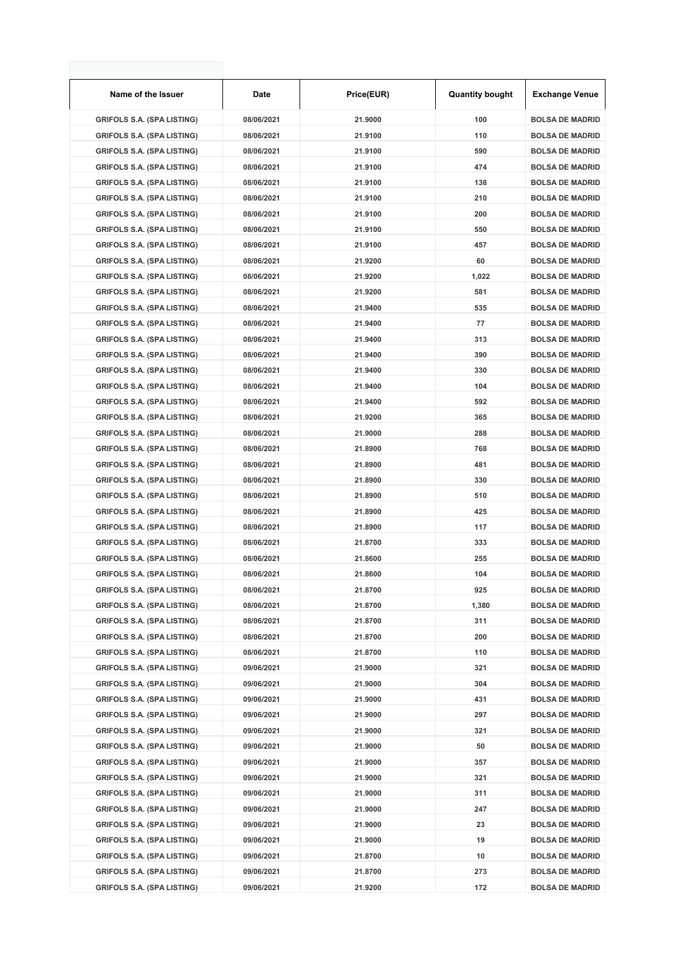| Name of the Issuer                | Date       | Price(EUR) | <b>Quantity bought</b> | <b>Exchange Venue</b>  |
|-----------------------------------|------------|------------|------------------------|------------------------|
| <b>GRIFOLS S.A. (SPA LISTING)</b> | 08/06/2021 | 21.9000    | 100                    | <b>BOLSA DE MADRID</b> |
| <b>GRIFOLS S.A. (SPA LISTING)</b> | 08/06/2021 | 21.9100    | 110                    | <b>BOLSA DE MADRID</b> |
| <b>GRIFOLS S.A. (SPA LISTING)</b> | 08/06/2021 | 21.9100    | 590                    | <b>BOLSA DE MADRID</b> |
| <b>GRIFOLS S.A. (SPA LISTING)</b> | 08/06/2021 | 21.9100    | 474                    | <b>BOLSA DE MADRID</b> |
| <b>GRIFOLS S.A. (SPA LISTING)</b> | 08/06/2021 | 21.9100    | 138                    | <b>BOLSA DE MADRID</b> |
| <b>GRIFOLS S.A. (SPA LISTING)</b> | 08/06/2021 | 21.9100    | 210                    | <b>BOLSA DE MADRID</b> |
| <b>GRIFOLS S.A. (SPA LISTING)</b> | 08/06/2021 | 21.9100    | 200                    | <b>BOLSA DE MADRID</b> |
| <b>GRIFOLS S.A. (SPA LISTING)</b> | 08/06/2021 | 21.9100    | 550                    | <b>BOLSA DE MADRID</b> |
| <b>GRIFOLS S.A. (SPA LISTING)</b> | 08/06/2021 | 21.9100    | 457                    | <b>BOLSA DE MADRID</b> |
| <b>GRIFOLS S.A. (SPA LISTING)</b> | 08/06/2021 | 21.9200    | 60                     | <b>BOLSA DE MADRID</b> |
| <b>GRIFOLS S.A. (SPA LISTING)</b> | 08/06/2021 | 21.9200    | 1,022                  | <b>BOLSA DE MADRID</b> |
| <b>GRIFOLS S.A. (SPA LISTING)</b> | 08/06/2021 | 21.9200    | 581                    | <b>BOLSA DE MADRID</b> |
| <b>GRIFOLS S.A. (SPA LISTING)</b> | 08/06/2021 | 21.9400    | 535                    | <b>BOLSA DE MADRID</b> |
| <b>GRIFOLS S.A. (SPA LISTING)</b> | 08/06/2021 | 21.9400    | 77                     | <b>BOLSA DE MADRID</b> |
| <b>GRIFOLS S.A. (SPA LISTING)</b> | 08/06/2021 | 21.9400    | 313                    | <b>BOLSA DE MADRID</b> |
| <b>GRIFOLS S.A. (SPA LISTING)</b> | 08/06/2021 | 21.9400    | 390                    | <b>BOLSA DE MADRID</b> |
| <b>GRIFOLS S.A. (SPA LISTING)</b> | 08/06/2021 | 21.9400    | 330                    | <b>BOLSA DE MADRID</b> |
| <b>GRIFOLS S.A. (SPA LISTING)</b> | 08/06/2021 | 21.9400    | 104                    | <b>BOLSA DE MADRID</b> |
| <b>GRIFOLS S.A. (SPA LISTING)</b> | 08/06/2021 | 21.9400    | 592                    | <b>BOLSA DE MADRID</b> |
| <b>GRIFOLS S.A. (SPA LISTING)</b> | 08/06/2021 | 21.9200    | 365                    | <b>BOLSA DE MADRID</b> |
| <b>GRIFOLS S.A. (SPA LISTING)</b> | 08/06/2021 | 21.9000    | 288                    | <b>BOLSA DE MADRID</b> |
| <b>GRIFOLS S.A. (SPA LISTING)</b> | 08/06/2021 | 21.8900    | 768                    | <b>BOLSA DE MADRID</b> |
| <b>GRIFOLS S.A. (SPA LISTING)</b> | 08/06/2021 | 21.8900    | 481                    | <b>BOLSA DE MADRID</b> |
| <b>GRIFOLS S.A. (SPA LISTING)</b> | 08/06/2021 | 21.8900    | 330                    | <b>BOLSA DE MADRID</b> |
| <b>GRIFOLS S.A. (SPA LISTING)</b> | 08/06/2021 | 21.8900    | 510                    | <b>BOLSA DE MADRID</b> |
| <b>GRIFOLS S.A. (SPA LISTING)</b> | 08/06/2021 | 21.8900    | 425                    | <b>BOLSA DE MADRID</b> |
| <b>GRIFOLS S.A. (SPA LISTING)</b> | 08/06/2021 | 21.8900    | 117                    | <b>BOLSA DE MADRID</b> |
| <b>GRIFOLS S.A. (SPA LISTING)</b> | 08/06/2021 | 21.8700    | 333                    | <b>BOLSA DE MADRID</b> |
| <b>GRIFOLS S.A. (SPA LISTING)</b> | 08/06/2021 | 21.8600    | 255                    | <b>BOLSA DE MADRID</b> |
| <b>GRIFOLS S.A. (SPA LISTING)</b> | 08/06/2021 | 21.8600    | 104                    | <b>BOLSA DE MADRID</b> |
| <b>GRIFOLS S.A. (SPA LISTING)</b> | 08/06/2021 | 21.8700    | 925                    | <b>BOLSA DE MADRID</b> |
| <b>GRIFOLS S.A. (SPA LISTING)</b> | 08/06/2021 | 21.8700    | 1,380                  | <b>BOLSA DE MADRID</b> |
| <b>GRIFOLS S.A. (SPA LISTING)</b> | 08/06/2021 | 21.8700    | 311                    | <b>BOLSA DE MADRID</b> |
| <b>GRIFOLS S.A. (SPA LISTING)</b> | 08/06/2021 | 21.8700    | 200                    | <b>BOLSA DE MADRID</b> |
| <b>GRIFOLS S.A. (SPA LISTING)</b> | 08/06/2021 | 21.8700    | 110                    | <b>BOLSA DE MADRID</b> |
| <b>GRIFOLS S.A. (SPA LISTING)</b> | 09/06/2021 | 21.9000    | 321                    | <b>BOLSA DE MADRID</b> |
| <b>GRIFOLS S.A. (SPA LISTING)</b> | 09/06/2021 | 21.9000    | 304                    | <b>BOLSA DE MADRID</b> |
| <b>GRIFOLS S.A. (SPA LISTING)</b> | 09/06/2021 | 21.9000    | 431                    | <b>BOLSA DE MADRID</b> |
| <b>GRIFOLS S.A. (SPA LISTING)</b> | 09/06/2021 | 21.9000    | 297                    | <b>BOLSA DE MADRID</b> |
| <b>GRIFOLS S.A. (SPA LISTING)</b> | 09/06/2021 | 21.9000    | 321                    | <b>BOLSA DE MADRID</b> |
| <b>GRIFOLS S.A. (SPA LISTING)</b> | 09/06/2021 | 21.9000    | 50                     | <b>BOLSA DE MADRID</b> |
| <b>GRIFOLS S.A. (SPA LISTING)</b> | 09/06/2021 | 21.9000    | 357                    | <b>BOLSA DE MADRID</b> |
| <b>GRIFOLS S.A. (SPA LISTING)</b> | 09/06/2021 | 21.9000    | 321                    | <b>BOLSA DE MADRID</b> |
| <b>GRIFOLS S.A. (SPA LISTING)</b> | 09/06/2021 | 21.9000    | 311                    | <b>BOLSA DE MADRID</b> |
| <b>GRIFOLS S.A. (SPA LISTING)</b> | 09/06/2021 | 21.9000    | 247                    | <b>BOLSA DE MADRID</b> |
| <b>GRIFOLS S.A. (SPA LISTING)</b> | 09/06/2021 | 21.9000    | 23                     | <b>BOLSA DE MADRID</b> |
| <b>GRIFOLS S.A. (SPA LISTING)</b> | 09/06/2021 | 21.9000    | 19                     | <b>BOLSA DE MADRID</b> |
| <b>GRIFOLS S.A. (SPA LISTING)</b> | 09/06/2021 | 21.8700    | 10                     | <b>BOLSA DE MADRID</b> |
| <b>GRIFOLS S.A. (SPA LISTING)</b> | 09/06/2021 | 21.8700    | 273                    | <b>BOLSA DE MADRID</b> |
| <b>GRIFOLS S.A. (SPA LISTING)</b> | 09/06/2021 | 21.9200    | 172                    | <b>BOLSA DE MADRID</b> |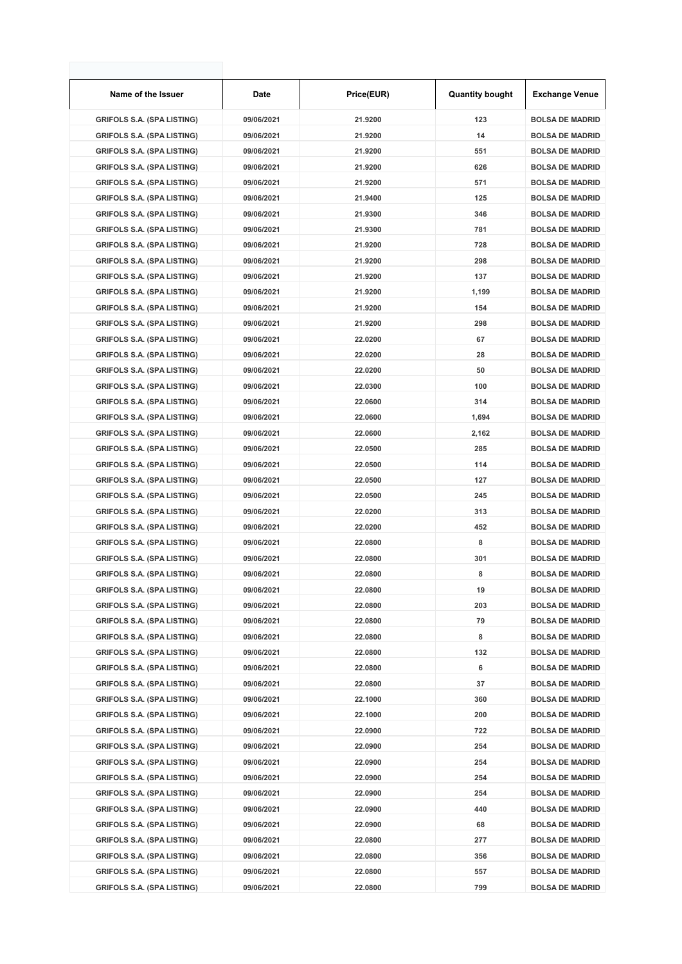| Name of the Issuer                | Date       | Price(EUR) | <b>Quantity bought</b> | <b>Exchange Venue</b>  |
|-----------------------------------|------------|------------|------------------------|------------------------|
| <b>GRIFOLS S.A. (SPA LISTING)</b> | 09/06/2021 | 21.9200    | 123                    | <b>BOLSA DE MADRID</b> |
| <b>GRIFOLS S.A. (SPA LISTING)</b> | 09/06/2021 | 21.9200    | 14                     | <b>BOLSA DE MADRID</b> |
| <b>GRIFOLS S.A. (SPA LISTING)</b> | 09/06/2021 | 21.9200    | 551                    | <b>BOLSA DE MADRID</b> |
| <b>GRIFOLS S.A. (SPA LISTING)</b> | 09/06/2021 | 21.9200    | 626                    | <b>BOLSA DE MADRID</b> |
| <b>GRIFOLS S.A. (SPA LISTING)</b> | 09/06/2021 | 21.9200    | 571                    | <b>BOLSA DE MADRID</b> |
| <b>GRIFOLS S.A. (SPA LISTING)</b> | 09/06/2021 | 21.9400    | 125                    | <b>BOLSA DE MADRID</b> |
| <b>GRIFOLS S.A. (SPA LISTING)</b> | 09/06/2021 | 21.9300    | 346                    | <b>BOLSA DE MADRID</b> |
| <b>GRIFOLS S.A. (SPA LISTING)</b> | 09/06/2021 | 21.9300    | 781                    | <b>BOLSA DE MADRID</b> |
| <b>GRIFOLS S.A. (SPA LISTING)</b> | 09/06/2021 | 21.9200    | 728                    | <b>BOLSA DE MADRID</b> |
| <b>GRIFOLS S.A. (SPA LISTING)</b> | 09/06/2021 | 21.9200    | 298                    | <b>BOLSA DE MADRID</b> |
| <b>GRIFOLS S.A. (SPA LISTING)</b> | 09/06/2021 | 21.9200    | 137                    | <b>BOLSA DE MADRID</b> |
| <b>GRIFOLS S.A. (SPA LISTING)</b> | 09/06/2021 | 21.9200    | 1,199                  | <b>BOLSA DE MADRID</b> |
| <b>GRIFOLS S.A. (SPA LISTING)</b> | 09/06/2021 | 21.9200    | 154                    | <b>BOLSA DE MADRID</b> |
| <b>GRIFOLS S.A. (SPA LISTING)</b> | 09/06/2021 | 21.9200    | 298                    | <b>BOLSA DE MADRID</b> |
| <b>GRIFOLS S.A. (SPA LISTING)</b> | 09/06/2021 | 22.0200    | 67                     | <b>BOLSA DE MADRID</b> |
| <b>GRIFOLS S.A. (SPA LISTING)</b> | 09/06/2021 | 22.0200    | 28                     | <b>BOLSA DE MADRID</b> |
| <b>GRIFOLS S.A. (SPA LISTING)</b> | 09/06/2021 | 22.0200    | 50                     | <b>BOLSA DE MADRID</b> |
| <b>GRIFOLS S.A. (SPA LISTING)</b> | 09/06/2021 | 22.0300    | 100                    | <b>BOLSA DE MADRID</b> |
| <b>GRIFOLS S.A. (SPA LISTING)</b> | 09/06/2021 | 22.0600    | 314                    | <b>BOLSA DE MADRID</b> |
| <b>GRIFOLS S.A. (SPA LISTING)</b> | 09/06/2021 | 22.0600    | 1,694                  | <b>BOLSA DE MADRID</b> |
| <b>GRIFOLS S.A. (SPA LISTING)</b> | 09/06/2021 | 22.0600    | 2,162                  | <b>BOLSA DE MADRID</b> |
| <b>GRIFOLS S.A. (SPA LISTING)</b> | 09/06/2021 | 22.0500    | 285                    | <b>BOLSA DE MADRID</b> |
| <b>GRIFOLS S.A. (SPA LISTING)</b> | 09/06/2021 | 22.0500    | 114                    | <b>BOLSA DE MADRID</b> |
| <b>GRIFOLS S.A. (SPA LISTING)</b> | 09/06/2021 | 22.0500    | 127                    | <b>BOLSA DE MADRID</b> |
| <b>GRIFOLS S.A. (SPA LISTING)</b> | 09/06/2021 | 22.0500    | 245                    | <b>BOLSA DE MADRID</b> |
| <b>GRIFOLS S.A. (SPA LISTING)</b> | 09/06/2021 | 22.0200    | 313                    | <b>BOLSA DE MADRID</b> |
| <b>GRIFOLS S.A. (SPA LISTING)</b> | 09/06/2021 | 22.0200    | 452                    | <b>BOLSA DE MADRID</b> |
| <b>GRIFOLS S.A. (SPA LISTING)</b> | 09/06/2021 | 22.0800    | 8                      | <b>BOLSA DE MADRID</b> |
| <b>GRIFOLS S.A. (SPA LISTING)</b> | 09/06/2021 | 22.0800    | 301                    | <b>BOLSA DE MADRID</b> |
| <b>GRIFOLS S.A. (SPA LISTING)</b> | 09/06/2021 | 22.0800    | 8                      | <b>BOLSA DE MADRID</b> |
| <b>GRIFOLS S.A. (SPA LISTING)</b> | 09/06/2021 | 22.0800    | 19                     | <b>BOLSA DE MADRID</b> |
| <b>GRIFOLS S.A. (SPA LISTING)</b> | 09/06/2021 | 22.0800    | 203                    | <b>BOLSA DE MADRID</b> |
| <b>GRIFOLS S.A. (SPA LISTING)</b> | 09/06/2021 | 22.0800    | 79                     | <b>BOLSA DE MADRID</b> |
| <b>GRIFOLS S.A. (SPA LISTING)</b> | 09/06/2021 | 22.0800    | 8                      | <b>BOLSA DE MADRID</b> |
| <b>GRIFOLS S.A. (SPA LISTING)</b> | 09/06/2021 | 22.0800    | 132                    | <b>BOLSA DE MADRID</b> |
| <b>GRIFOLS S.A. (SPA LISTING)</b> | 09/06/2021 | 22.0800    | 6                      | <b>BOLSA DE MADRID</b> |
| <b>GRIFOLS S.A. (SPA LISTING)</b> | 09/06/2021 | 22.0800    | 37                     | <b>BOLSA DE MADRID</b> |
| <b>GRIFOLS S.A. (SPA LISTING)</b> | 09/06/2021 | 22.1000    | 360                    | <b>BOLSA DE MADRID</b> |
| <b>GRIFOLS S.A. (SPA LISTING)</b> | 09/06/2021 | 22.1000    | 200                    | <b>BOLSA DE MADRID</b> |
| <b>GRIFOLS S.A. (SPA LISTING)</b> | 09/06/2021 | 22.0900    | 722                    | <b>BOLSA DE MADRID</b> |
| <b>GRIFOLS S.A. (SPA LISTING)</b> | 09/06/2021 | 22.0900    | 254                    | <b>BOLSA DE MADRID</b> |
| <b>GRIFOLS S.A. (SPA LISTING)</b> | 09/06/2021 | 22.0900    | 254                    | <b>BOLSA DE MADRID</b> |
| <b>GRIFOLS S.A. (SPA LISTING)</b> | 09/06/2021 | 22.0900    | 254                    | <b>BOLSA DE MADRID</b> |
| <b>GRIFOLS S.A. (SPA LISTING)</b> | 09/06/2021 | 22.0900    | 254                    | <b>BOLSA DE MADRID</b> |
| <b>GRIFOLS S.A. (SPA LISTING)</b> | 09/06/2021 | 22.0900    | 440                    | <b>BOLSA DE MADRID</b> |
| <b>GRIFOLS S.A. (SPA LISTING)</b> | 09/06/2021 | 22.0900    | 68                     | <b>BOLSA DE MADRID</b> |
| <b>GRIFOLS S.A. (SPA LISTING)</b> | 09/06/2021 | 22.0800    | 277                    | <b>BOLSA DE MADRID</b> |
| <b>GRIFOLS S.A. (SPA LISTING)</b> | 09/06/2021 | 22.0800    | 356                    | <b>BOLSA DE MADRID</b> |
| <b>GRIFOLS S.A. (SPA LISTING)</b> | 09/06/2021 | 22.0800    | 557                    | <b>BOLSA DE MADRID</b> |
| <b>GRIFOLS S.A. (SPA LISTING)</b> | 09/06/2021 | 22.0800    | 799                    | <b>BOLSA DE MADRID</b> |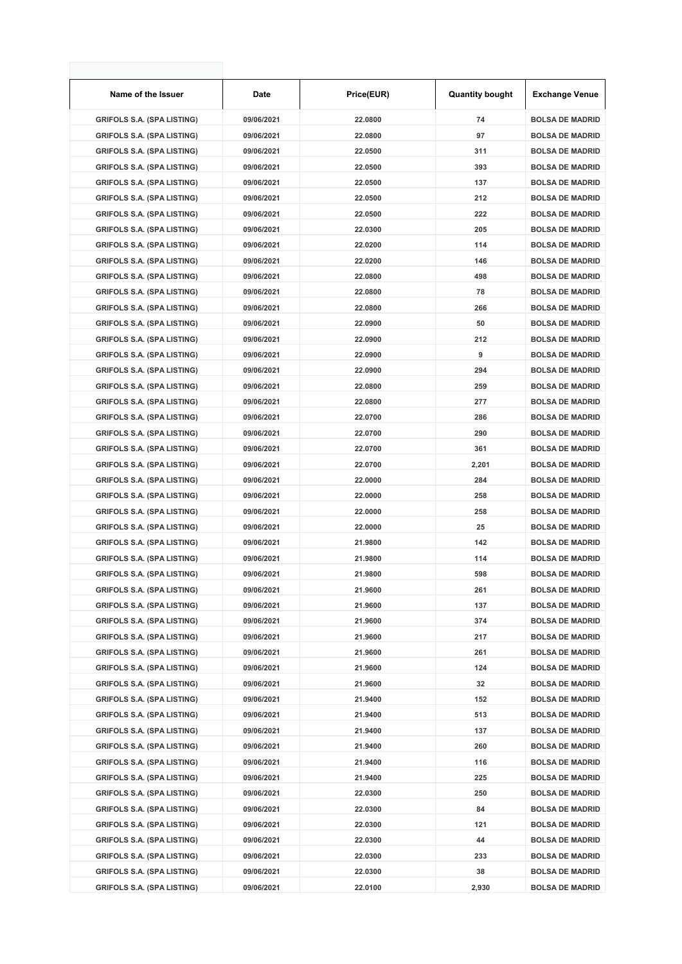| Name of the Issuer                | Date       | Price(EUR) | <b>Quantity bought</b> | <b>Exchange Venue</b>  |
|-----------------------------------|------------|------------|------------------------|------------------------|
| <b>GRIFOLS S.A. (SPA LISTING)</b> | 09/06/2021 | 22.0800    | 74                     | <b>BOLSA DE MADRID</b> |
| <b>GRIFOLS S.A. (SPA LISTING)</b> | 09/06/2021 | 22.0800    | 97                     | <b>BOLSA DE MADRID</b> |
| <b>GRIFOLS S.A. (SPA LISTING)</b> | 09/06/2021 | 22.0500    | 311                    | <b>BOLSA DE MADRID</b> |
| <b>GRIFOLS S.A. (SPA LISTING)</b> | 09/06/2021 | 22.0500    | 393                    | <b>BOLSA DE MADRID</b> |
| <b>GRIFOLS S.A. (SPA LISTING)</b> | 09/06/2021 | 22.0500    | 137                    | <b>BOLSA DE MADRID</b> |
| <b>GRIFOLS S.A. (SPA LISTING)</b> | 09/06/2021 | 22.0500    | 212                    | <b>BOLSA DE MADRID</b> |
| <b>GRIFOLS S.A. (SPA LISTING)</b> | 09/06/2021 | 22.0500    | 222                    | <b>BOLSA DE MADRID</b> |
| <b>GRIFOLS S.A. (SPA LISTING)</b> | 09/06/2021 | 22.0300    | 205                    | <b>BOLSA DE MADRID</b> |
| <b>GRIFOLS S.A. (SPA LISTING)</b> | 09/06/2021 | 22.0200    | 114                    | <b>BOLSA DE MADRID</b> |
| <b>GRIFOLS S.A. (SPA LISTING)</b> | 09/06/2021 | 22.0200    | 146                    | <b>BOLSA DE MADRID</b> |
| <b>GRIFOLS S.A. (SPA LISTING)</b> | 09/06/2021 | 22.0800    | 498                    | <b>BOLSA DE MADRID</b> |
| <b>GRIFOLS S.A. (SPA LISTING)</b> | 09/06/2021 | 22.0800    | 78                     | <b>BOLSA DE MADRID</b> |
| <b>GRIFOLS S.A. (SPA LISTING)</b> | 09/06/2021 | 22.0800    | 266                    | <b>BOLSA DE MADRID</b> |
| <b>GRIFOLS S.A. (SPA LISTING)</b> | 09/06/2021 | 22.0900    | 50                     | <b>BOLSA DE MADRID</b> |
| <b>GRIFOLS S.A. (SPA LISTING)</b> | 09/06/2021 | 22.0900    | 212                    | <b>BOLSA DE MADRID</b> |
| <b>GRIFOLS S.A. (SPA LISTING)</b> | 09/06/2021 | 22.0900    | 9                      | <b>BOLSA DE MADRID</b> |
| <b>GRIFOLS S.A. (SPA LISTING)</b> | 09/06/2021 | 22.0900    | 294                    | <b>BOLSA DE MADRID</b> |
| <b>GRIFOLS S.A. (SPA LISTING)</b> | 09/06/2021 | 22.0800    | 259                    | <b>BOLSA DE MADRID</b> |
| <b>GRIFOLS S.A. (SPA LISTING)</b> | 09/06/2021 | 22.0800    | 277                    | <b>BOLSA DE MADRID</b> |
| <b>GRIFOLS S.A. (SPA LISTING)</b> | 09/06/2021 | 22.0700    | 286                    | <b>BOLSA DE MADRID</b> |
| <b>GRIFOLS S.A. (SPA LISTING)</b> | 09/06/2021 | 22.0700    | 290                    | <b>BOLSA DE MADRID</b> |
| <b>GRIFOLS S.A. (SPA LISTING)</b> | 09/06/2021 | 22.0700    | 361                    | <b>BOLSA DE MADRID</b> |
| <b>GRIFOLS S.A. (SPA LISTING)</b> | 09/06/2021 | 22.0700    | 2,201                  | <b>BOLSA DE MADRID</b> |
| <b>GRIFOLS S.A. (SPA LISTING)</b> | 09/06/2021 | 22.0000    | 284                    | <b>BOLSA DE MADRID</b> |
| <b>GRIFOLS S.A. (SPA LISTING)</b> | 09/06/2021 | 22.0000    | 258                    | <b>BOLSA DE MADRID</b> |
| <b>GRIFOLS S.A. (SPA LISTING)</b> | 09/06/2021 | 22.0000    | 258                    | <b>BOLSA DE MADRID</b> |
| <b>GRIFOLS S.A. (SPA LISTING)</b> | 09/06/2021 | 22.0000    | 25                     | <b>BOLSA DE MADRID</b> |
| <b>GRIFOLS S.A. (SPA LISTING)</b> | 09/06/2021 | 21.9800    | 142                    | <b>BOLSA DE MADRID</b> |
| <b>GRIFOLS S.A. (SPA LISTING)</b> | 09/06/2021 | 21.9800    | 114                    | <b>BOLSA DE MADRID</b> |
| <b>GRIFOLS S.A. (SPA LISTING)</b> | 09/06/2021 | 21.9800    | 598                    | <b>BOLSA DE MADRID</b> |
| <b>GRIFOLS S.A. (SPA LISTING)</b> | 09/06/2021 | 21.9600    | 261                    | <b>BOLSA DE MADRID</b> |
| <b>GRIFOLS S.A. (SPA LISTING)</b> | 09/06/2021 | 21.9600    | 137                    | <b>BOLSA DE MADRID</b> |
| <b>GRIFOLS S.A. (SPA LISTING)</b> | 09/06/2021 | 21.9600    | 374                    | <b>BOLSA DE MADRID</b> |
| <b>GRIFOLS S.A. (SPA LISTING)</b> | 09/06/2021 | 21.9600    | 217                    | <b>BOLSA DE MADRID</b> |
| <b>GRIFOLS S.A. (SPA LISTING)</b> | 09/06/2021 | 21.9600    | 261                    | <b>BOLSA DE MADRID</b> |
| <b>GRIFOLS S.A. (SPA LISTING)</b> | 09/06/2021 | 21.9600    | 124                    | <b>BOLSA DE MADRID</b> |
| <b>GRIFOLS S.A. (SPA LISTING)</b> | 09/06/2021 | 21.9600    | 32                     | <b>BOLSA DE MADRID</b> |
| <b>GRIFOLS S.A. (SPA LISTING)</b> | 09/06/2021 | 21.9400    | 152                    | <b>BOLSA DE MADRID</b> |
| <b>GRIFOLS S.A. (SPA LISTING)</b> | 09/06/2021 | 21.9400    | 513                    | <b>BOLSA DE MADRID</b> |
| <b>GRIFOLS S.A. (SPA LISTING)</b> | 09/06/2021 | 21.9400    | 137                    | <b>BOLSA DE MADRID</b> |
| <b>GRIFOLS S.A. (SPA LISTING)</b> | 09/06/2021 | 21.9400    | 260                    | <b>BOLSA DE MADRID</b> |
| <b>GRIFOLS S.A. (SPA LISTING)</b> | 09/06/2021 | 21.9400    | 116                    | <b>BOLSA DE MADRID</b> |
| <b>GRIFOLS S.A. (SPA LISTING)</b> | 09/06/2021 | 21.9400    | 225                    | <b>BOLSA DE MADRID</b> |
| <b>GRIFOLS S.A. (SPA LISTING)</b> | 09/06/2021 | 22.0300    | 250                    | <b>BOLSA DE MADRID</b> |
| <b>GRIFOLS S.A. (SPA LISTING)</b> | 09/06/2021 | 22.0300    | 84                     | <b>BOLSA DE MADRID</b> |
| <b>GRIFOLS S.A. (SPA LISTING)</b> | 09/06/2021 | 22.0300    | 121                    | <b>BOLSA DE MADRID</b> |
| <b>GRIFOLS S.A. (SPA LISTING)</b> | 09/06/2021 | 22.0300    | 44                     | <b>BOLSA DE MADRID</b> |
| <b>GRIFOLS S.A. (SPA LISTING)</b> | 09/06/2021 | 22.0300    | 233                    | <b>BOLSA DE MADRID</b> |
| <b>GRIFOLS S.A. (SPA LISTING)</b> | 09/06/2021 | 22.0300    | 38                     | <b>BOLSA DE MADRID</b> |
| <b>GRIFOLS S.A. (SPA LISTING)</b> | 09/06/2021 | 22.0100    | 2,930                  | <b>BOLSA DE MADRID</b> |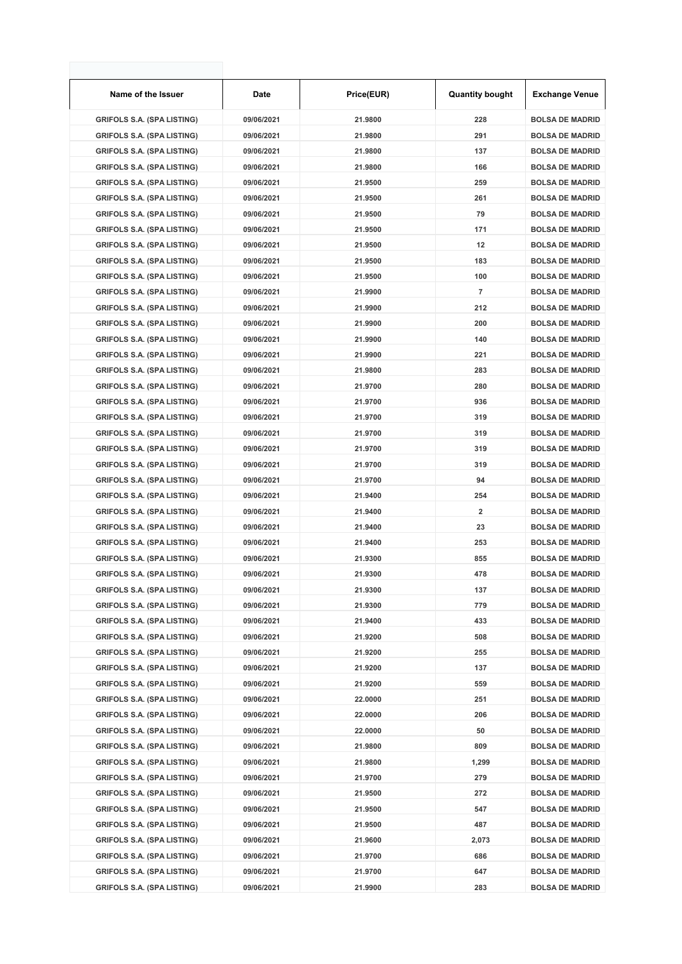| Name of the Issuer                | Date       | Price(EUR) | <b>Quantity bought</b> | <b>Exchange Venue</b>  |
|-----------------------------------|------------|------------|------------------------|------------------------|
| <b>GRIFOLS S.A. (SPA LISTING)</b> | 09/06/2021 | 21.9800    | 228                    | <b>BOLSA DE MADRID</b> |
| <b>GRIFOLS S.A. (SPA LISTING)</b> | 09/06/2021 | 21.9800    | 291                    | <b>BOLSA DE MADRID</b> |
| <b>GRIFOLS S.A. (SPA LISTING)</b> | 09/06/2021 | 21.9800    | 137                    | <b>BOLSA DE MADRID</b> |
| <b>GRIFOLS S.A. (SPA LISTING)</b> | 09/06/2021 | 21.9800    | 166                    | <b>BOLSA DE MADRID</b> |
| <b>GRIFOLS S.A. (SPA LISTING)</b> | 09/06/2021 | 21.9500    | 259                    | <b>BOLSA DE MADRID</b> |
| <b>GRIFOLS S.A. (SPA LISTING)</b> | 09/06/2021 | 21.9500    | 261                    | <b>BOLSA DE MADRID</b> |
| <b>GRIFOLS S.A. (SPA LISTING)</b> | 09/06/2021 | 21.9500    | 79                     | <b>BOLSA DE MADRID</b> |
| <b>GRIFOLS S.A. (SPA LISTING)</b> | 09/06/2021 | 21.9500    | 171                    | <b>BOLSA DE MADRID</b> |
| <b>GRIFOLS S.A. (SPA LISTING)</b> | 09/06/2021 | 21.9500    | 12                     | <b>BOLSA DE MADRID</b> |
| <b>GRIFOLS S.A. (SPA LISTING)</b> | 09/06/2021 | 21.9500    | 183                    | <b>BOLSA DE MADRID</b> |
| <b>GRIFOLS S.A. (SPA LISTING)</b> | 09/06/2021 | 21.9500    | 100                    | <b>BOLSA DE MADRID</b> |
| <b>GRIFOLS S.A. (SPA LISTING)</b> | 09/06/2021 | 21.9900    | 7                      | <b>BOLSA DE MADRID</b> |
| <b>GRIFOLS S.A. (SPA LISTING)</b> | 09/06/2021 | 21.9900    | 212                    | <b>BOLSA DE MADRID</b> |
| <b>GRIFOLS S.A. (SPA LISTING)</b> | 09/06/2021 | 21.9900    | 200                    | <b>BOLSA DE MADRID</b> |
| <b>GRIFOLS S.A. (SPA LISTING)</b> | 09/06/2021 | 21.9900    | 140                    | <b>BOLSA DE MADRID</b> |
| <b>GRIFOLS S.A. (SPA LISTING)</b> | 09/06/2021 | 21.9900    | 221                    | <b>BOLSA DE MADRID</b> |
| <b>GRIFOLS S.A. (SPA LISTING)</b> | 09/06/2021 | 21.9800    | 283                    | <b>BOLSA DE MADRID</b> |
| <b>GRIFOLS S.A. (SPA LISTING)</b> | 09/06/2021 | 21.9700    | 280                    | <b>BOLSA DE MADRID</b> |
| <b>GRIFOLS S.A. (SPA LISTING)</b> | 09/06/2021 | 21.9700    | 936                    | <b>BOLSA DE MADRID</b> |
| <b>GRIFOLS S.A. (SPA LISTING)</b> | 09/06/2021 | 21.9700    | 319                    | <b>BOLSA DE MADRID</b> |
| <b>GRIFOLS S.A. (SPA LISTING)</b> | 09/06/2021 | 21.9700    | 319                    | <b>BOLSA DE MADRID</b> |
| <b>GRIFOLS S.A. (SPA LISTING)</b> | 09/06/2021 | 21.9700    | 319                    | <b>BOLSA DE MADRID</b> |
| <b>GRIFOLS S.A. (SPA LISTING)</b> | 09/06/2021 | 21.9700    | 319                    | <b>BOLSA DE MADRID</b> |
| <b>GRIFOLS S.A. (SPA LISTING)</b> | 09/06/2021 | 21.9700    | 94                     | <b>BOLSA DE MADRID</b> |
| <b>GRIFOLS S.A. (SPA LISTING)</b> | 09/06/2021 | 21.9400    | 254                    | <b>BOLSA DE MADRID</b> |
| <b>GRIFOLS S.A. (SPA LISTING)</b> | 09/06/2021 | 21.9400    | 2                      | <b>BOLSA DE MADRID</b> |
| <b>GRIFOLS S.A. (SPA LISTING)</b> | 09/06/2021 | 21.9400    | 23                     | <b>BOLSA DE MADRID</b> |
| <b>GRIFOLS S.A. (SPA LISTING)</b> | 09/06/2021 | 21.9400    | 253                    | <b>BOLSA DE MADRID</b> |
| <b>GRIFOLS S.A. (SPA LISTING)</b> | 09/06/2021 | 21.9300    | 855                    | <b>BOLSA DE MADRID</b> |
| <b>GRIFOLS S.A. (SPA LISTING)</b> | 09/06/2021 | 21.9300    | 478                    | <b>BOLSA DE MADRID</b> |
| <b>GRIFOLS S.A. (SPA LISTING)</b> | 09/06/2021 | 21.9300    | 137                    | <b>BOLSA DE MADRID</b> |
| <b>GRIFOLS S.A. (SPA LISTING)</b> | 09/06/2021 | 21.9300    | 779                    | <b>BOLSA DE MADRID</b> |
| <b>GRIFOLS S.A. (SPA LISTING)</b> | 09/06/2021 | 21.9400    | 433                    | <b>BOLSA DE MADRID</b> |
| <b>GRIFOLS S.A. (SPA LISTING)</b> | 09/06/2021 | 21.9200    | 508                    | <b>BOLSA DE MADRID</b> |
| <b>GRIFOLS S.A. (SPA LISTING)</b> | 09/06/2021 | 21.9200    | 255                    | <b>BOLSA DE MADRID</b> |
| <b>GRIFOLS S.A. (SPA LISTING)</b> | 09/06/2021 | 21.9200    | 137                    | <b>BOLSA DE MADRID</b> |
| <b>GRIFOLS S.A. (SPA LISTING)</b> | 09/06/2021 | 21.9200    | 559                    | <b>BOLSA DE MADRID</b> |
| <b>GRIFOLS S.A. (SPA LISTING)</b> | 09/06/2021 | 22.0000    | 251                    | <b>BOLSA DE MADRID</b> |
| <b>GRIFOLS S.A. (SPA LISTING)</b> | 09/06/2021 | 22.0000    | 206                    | <b>BOLSA DE MADRID</b> |
| <b>GRIFOLS S.A. (SPA LISTING)</b> | 09/06/2021 | 22.0000    | 50                     | <b>BOLSA DE MADRID</b> |
| <b>GRIFOLS S.A. (SPA LISTING)</b> | 09/06/2021 | 21.9800    | 809                    | <b>BOLSA DE MADRID</b> |
| <b>GRIFOLS S.A. (SPA LISTING)</b> | 09/06/2021 | 21.9800    | 1,299                  | <b>BOLSA DE MADRID</b> |
| <b>GRIFOLS S.A. (SPA LISTING)</b> | 09/06/2021 | 21.9700    | 279                    | <b>BOLSA DE MADRID</b> |
| <b>GRIFOLS S.A. (SPA LISTING)</b> | 09/06/2021 | 21.9500    | 272                    | <b>BOLSA DE MADRID</b> |
| <b>GRIFOLS S.A. (SPA LISTING)</b> | 09/06/2021 | 21.9500    | 547                    | <b>BOLSA DE MADRID</b> |
| <b>GRIFOLS S.A. (SPA LISTING)</b> | 09/06/2021 | 21.9500    | 487                    | <b>BOLSA DE MADRID</b> |
| <b>GRIFOLS S.A. (SPA LISTING)</b> | 09/06/2021 | 21.9600    | 2,073                  | <b>BOLSA DE MADRID</b> |
| <b>GRIFOLS S.A. (SPA LISTING)</b> | 09/06/2021 | 21.9700    | 686                    | <b>BOLSA DE MADRID</b> |
| <b>GRIFOLS S.A. (SPA LISTING)</b> | 09/06/2021 | 21.9700    | 647                    | <b>BOLSA DE MADRID</b> |
| <b>GRIFOLS S.A. (SPA LISTING)</b> | 09/06/2021 | 21.9900    | 283                    | <b>BOLSA DE MADRID</b> |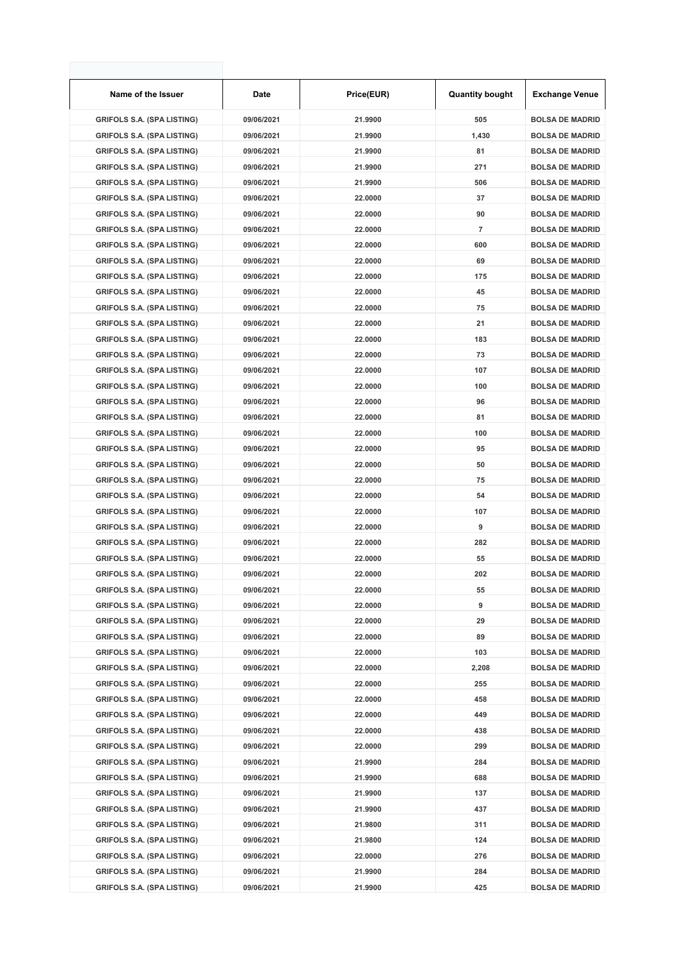| Name of the Issuer                | Date       | Price(EUR) | <b>Quantity bought</b> | <b>Exchange Venue</b>  |
|-----------------------------------|------------|------------|------------------------|------------------------|
| <b>GRIFOLS S.A. (SPA LISTING)</b> | 09/06/2021 | 21.9900    | 505                    | <b>BOLSA DE MADRID</b> |
| <b>GRIFOLS S.A. (SPA LISTING)</b> | 09/06/2021 | 21.9900    | 1,430                  | <b>BOLSA DE MADRID</b> |
| <b>GRIFOLS S.A. (SPA LISTING)</b> | 09/06/2021 | 21.9900    | 81                     | <b>BOLSA DE MADRID</b> |
| <b>GRIFOLS S.A. (SPA LISTING)</b> | 09/06/2021 | 21.9900    | 271                    | <b>BOLSA DE MADRID</b> |
| <b>GRIFOLS S.A. (SPA LISTING)</b> | 09/06/2021 | 21.9900    | 506                    | <b>BOLSA DE MADRID</b> |
| <b>GRIFOLS S.A. (SPA LISTING)</b> | 09/06/2021 | 22.0000    | 37                     | <b>BOLSA DE MADRID</b> |
| <b>GRIFOLS S.A. (SPA LISTING)</b> | 09/06/2021 | 22.0000    | 90                     | <b>BOLSA DE MADRID</b> |
| <b>GRIFOLS S.A. (SPA LISTING)</b> | 09/06/2021 | 22.0000    | $\overline{7}$         | <b>BOLSA DE MADRID</b> |
| <b>GRIFOLS S.A. (SPA LISTING)</b> | 09/06/2021 | 22.0000    | 600                    | <b>BOLSA DE MADRID</b> |
| <b>GRIFOLS S.A. (SPA LISTING)</b> | 09/06/2021 | 22.0000    | 69                     | <b>BOLSA DE MADRID</b> |
| <b>GRIFOLS S.A. (SPA LISTING)</b> | 09/06/2021 | 22.0000    | 175                    | <b>BOLSA DE MADRID</b> |
| <b>GRIFOLS S.A. (SPA LISTING)</b> | 09/06/2021 | 22.0000    | 45                     | <b>BOLSA DE MADRID</b> |
| <b>GRIFOLS S.A. (SPA LISTING)</b> | 09/06/2021 | 22.0000    | 75                     | <b>BOLSA DE MADRID</b> |
| <b>GRIFOLS S.A. (SPA LISTING)</b> | 09/06/2021 | 22.0000    | 21                     | <b>BOLSA DE MADRID</b> |
| <b>GRIFOLS S.A. (SPA LISTING)</b> | 09/06/2021 | 22.0000    | 183                    | <b>BOLSA DE MADRID</b> |
| <b>GRIFOLS S.A. (SPA LISTING)</b> | 09/06/2021 | 22.0000    | 73                     | <b>BOLSA DE MADRID</b> |
| <b>GRIFOLS S.A. (SPA LISTING)</b> | 09/06/2021 | 22.0000    | 107                    | <b>BOLSA DE MADRID</b> |
| <b>GRIFOLS S.A. (SPA LISTING)</b> | 09/06/2021 | 22.0000    | 100                    | <b>BOLSA DE MADRID</b> |
| <b>GRIFOLS S.A. (SPA LISTING)</b> | 09/06/2021 | 22.0000    | 96                     | <b>BOLSA DE MADRID</b> |
| <b>GRIFOLS S.A. (SPA LISTING)</b> | 09/06/2021 | 22.0000    | 81                     | <b>BOLSA DE MADRID</b> |
| <b>GRIFOLS S.A. (SPA LISTING)</b> | 09/06/2021 | 22.0000    | 100                    | <b>BOLSA DE MADRID</b> |
| <b>GRIFOLS S.A. (SPA LISTING)</b> | 09/06/2021 | 22.0000    | 95                     | <b>BOLSA DE MADRID</b> |
| <b>GRIFOLS S.A. (SPA LISTING)</b> | 09/06/2021 | 22.0000    | 50                     | <b>BOLSA DE MADRID</b> |
| <b>GRIFOLS S.A. (SPA LISTING)</b> | 09/06/2021 | 22.0000    | 75                     | <b>BOLSA DE MADRID</b> |
| <b>GRIFOLS S.A. (SPA LISTING)</b> | 09/06/2021 | 22.0000    | 54                     | <b>BOLSA DE MADRID</b> |
| <b>GRIFOLS S.A. (SPA LISTING)</b> | 09/06/2021 | 22.0000    | 107                    | <b>BOLSA DE MADRID</b> |
| <b>GRIFOLS S.A. (SPA LISTING)</b> | 09/06/2021 | 22.0000    | 9                      | <b>BOLSA DE MADRID</b> |
| <b>GRIFOLS S.A. (SPA LISTING)</b> | 09/06/2021 | 22.0000    | 282                    | <b>BOLSA DE MADRID</b> |
| <b>GRIFOLS S.A. (SPA LISTING)</b> | 09/06/2021 | 22.0000    | 55                     | <b>BOLSA DE MADRID</b> |
| <b>GRIFOLS S.A. (SPA LISTING)</b> | 09/06/2021 | 22.0000    | 202                    | <b>BOLSA DE MADRID</b> |
| <b>GRIFOLS S.A. (SPA LISTING)</b> | 09/06/2021 | 22.0000    | 55                     | <b>BOLSA DE MADRID</b> |
| <b>GRIFOLS S.A. (SPA LISTING)</b> | 09/06/2021 | 22.0000    | 9                      | <b>BOLSA DE MADRID</b> |
| <b>GRIFOLS S.A. (SPA LISTING)</b> | 09/06/2021 | 22.0000    | 29                     | <b>BOLSA DE MADRID</b> |
| <b>GRIFOLS S.A. (SPA LISTING)</b> | 09/06/2021 | 22.0000    | 89                     | <b>BOLSA DE MADRID</b> |
| <b>GRIFOLS S.A. (SPA LISTING)</b> | 09/06/2021 | 22.0000    | 103                    | <b>BOLSA DE MADRID</b> |
| <b>GRIFOLS S.A. (SPA LISTING)</b> | 09/06/2021 | 22.0000    | 2,208                  | <b>BOLSA DE MADRID</b> |
| <b>GRIFOLS S.A. (SPA LISTING)</b> | 09/06/2021 | 22.0000    | 255                    | <b>BOLSA DE MADRID</b> |
| <b>GRIFOLS S.A. (SPA LISTING)</b> | 09/06/2021 | 22.0000    | 458                    | <b>BOLSA DE MADRID</b> |
| <b>GRIFOLS S.A. (SPA LISTING)</b> | 09/06/2021 | 22.0000    | 449                    | <b>BOLSA DE MADRID</b> |
| <b>GRIFOLS S.A. (SPA LISTING)</b> | 09/06/2021 | 22.0000    | 438                    | <b>BOLSA DE MADRID</b> |
| <b>GRIFOLS S.A. (SPA LISTING)</b> | 09/06/2021 | 22.0000    | 299                    | <b>BOLSA DE MADRID</b> |
| <b>GRIFOLS S.A. (SPA LISTING)</b> | 09/06/2021 | 21.9900    | 284                    | <b>BOLSA DE MADRID</b> |
| <b>GRIFOLS S.A. (SPA LISTING)</b> | 09/06/2021 | 21.9900    | 688                    | <b>BOLSA DE MADRID</b> |
| <b>GRIFOLS S.A. (SPA LISTING)</b> | 09/06/2021 | 21.9900    | 137                    | <b>BOLSA DE MADRID</b> |
| <b>GRIFOLS S.A. (SPA LISTING)</b> | 09/06/2021 | 21.9900    | 437                    | <b>BOLSA DE MADRID</b> |
| <b>GRIFOLS S.A. (SPA LISTING)</b> | 09/06/2021 | 21.9800    | 311                    | <b>BOLSA DE MADRID</b> |
| <b>GRIFOLS S.A. (SPA LISTING)</b> | 09/06/2021 | 21.9800    | 124                    | <b>BOLSA DE MADRID</b> |
| <b>GRIFOLS S.A. (SPA LISTING)</b> | 09/06/2021 | 22.0000    | 276                    | <b>BOLSA DE MADRID</b> |
| <b>GRIFOLS S.A. (SPA LISTING)</b> | 09/06/2021 | 21.9900    | 284                    | <b>BOLSA DE MADRID</b> |
| <b>GRIFOLS S.A. (SPA LISTING)</b> | 09/06/2021 | 21.9900    | 425                    | <b>BOLSA DE MADRID</b> |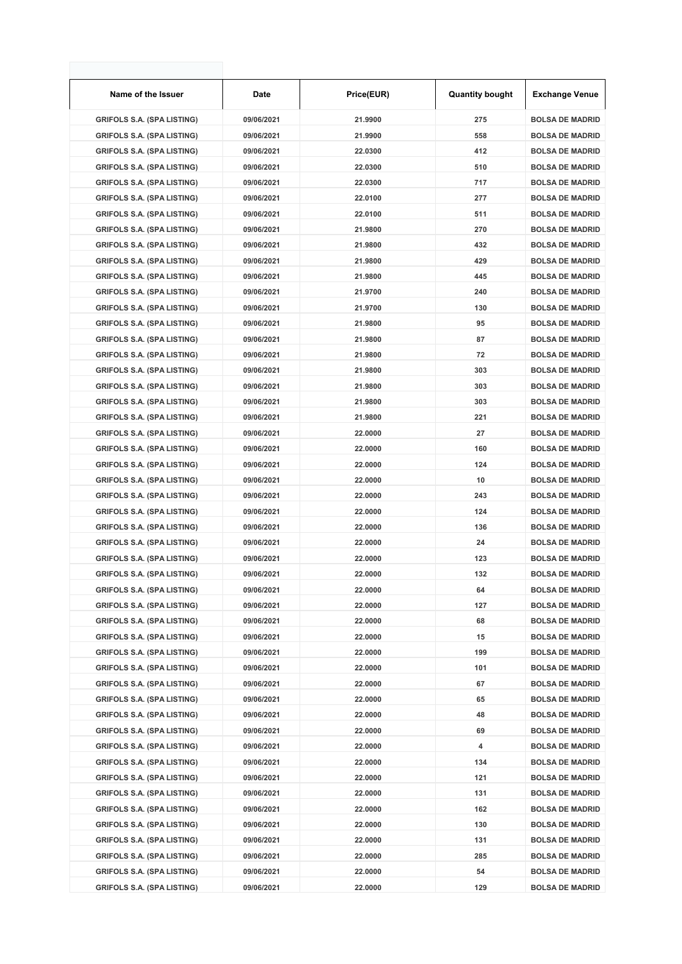| Name of the Issuer                | Date       | Price(EUR)         | <b>Quantity bought</b> | <b>Exchange Venue</b>                            |
|-----------------------------------|------------|--------------------|------------------------|--------------------------------------------------|
| <b>GRIFOLS S.A. (SPA LISTING)</b> | 09/06/2021 | 21.9900            | 275                    | <b>BOLSA DE MADRID</b>                           |
| <b>GRIFOLS S.A. (SPA LISTING)</b> | 09/06/2021 | 21.9900            | 558                    | <b>BOLSA DE MADRID</b>                           |
| <b>GRIFOLS S.A. (SPA LISTING)</b> | 09/06/2021 | 22.0300            | 412                    | <b>BOLSA DE MADRID</b>                           |
| <b>GRIFOLS S.A. (SPA LISTING)</b> | 09/06/2021 | 22.0300            | 510                    | <b>BOLSA DE MADRID</b>                           |
| <b>GRIFOLS S.A. (SPA LISTING)</b> | 09/06/2021 | 22.0300            | 717                    | <b>BOLSA DE MADRID</b>                           |
| <b>GRIFOLS S.A. (SPA LISTING)</b> | 09/06/2021 | 22.0100            | 277                    | <b>BOLSA DE MADRID</b>                           |
| <b>GRIFOLS S.A. (SPA LISTING)</b> | 09/06/2021 | 22.0100            | 511                    | <b>BOLSA DE MADRID</b>                           |
| <b>GRIFOLS S.A. (SPA LISTING)</b> | 09/06/2021 | 21.9800            | 270                    | <b>BOLSA DE MADRID</b>                           |
| <b>GRIFOLS S.A. (SPA LISTING)</b> | 09/06/2021 | 21.9800            | 432                    | <b>BOLSA DE MADRID</b>                           |
| <b>GRIFOLS S.A. (SPA LISTING)</b> | 09/06/2021 | 21.9800            | 429                    | <b>BOLSA DE MADRID</b>                           |
| <b>GRIFOLS S.A. (SPA LISTING)</b> | 09/06/2021 | 21.9800            | 445                    | <b>BOLSA DE MADRID</b>                           |
| <b>GRIFOLS S.A. (SPA LISTING)</b> | 09/06/2021 | 21.9700            | 240                    | <b>BOLSA DE MADRID</b>                           |
| <b>GRIFOLS S.A. (SPA LISTING)</b> | 09/06/2021 | 21.9700            | 130                    | <b>BOLSA DE MADRID</b>                           |
| <b>GRIFOLS S.A. (SPA LISTING)</b> | 09/06/2021 | 21.9800            | 95                     | <b>BOLSA DE MADRID</b>                           |
| <b>GRIFOLS S.A. (SPA LISTING)</b> | 09/06/2021 | 21.9800            | 87                     | <b>BOLSA DE MADRID</b>                           |
| <b>GRIFOLS S.A. (SPA LISTING)</b> | 09/06/2021 | 21.9800            | 72                     | <b>BOLSA DE MADRID</b>                           |
| <b>GRIFOLS S.A. (SPA LISTING)</b> | 09/06/2021 | 21.9800            | 303                    | <b>BOLSA DE MADRID</b>                           |
| <b>GRIFOLS S.A. (SPA LISTING)</b> | 09/06/2021 | 21.9800            | 303                    | <b>BOLSA DE MADRID</b>                           |
| <b>GRIFOLS S.A. (SPA LISTING)</b> | 09/06/2021 | 21.9800            | 303                    | <b>BOLSA DE MADRID</b>                           |
| <b>GRIFOLS S.A. (SPA LISTING)</b> | 09/06/2021 | 21.9800            | 221                    | <b>BOLSA DE MADRID</b>                           |
| <b>GRIFOLS S.A. (SPA LISTING)</b> | 09/06/2021 | 22.0000            | 27                     | <b>BOLSA DE MADRID</b>                           |
| <b>GRIFOLS S.A. (SPA LISTING)</b> | 09/06/2021 | 22.0000            | 160                    | <b>BOLSA DE MADRID</b>                           |
| <b>GRIFOLS S.A. (SPA LISTING)</b> | 09/06/2021 | 22.0000            | 124                    | <b>BOLSA DE MADRID</b>                           |
| <b>GRIFOLS S.A. (SPA LISTING)</b> | 09/06/2021 | 22.0000            | 10                     | <b>BOLSA DE MADRID</b>                           |
| <b>GRIFOLS S.A. (SPA LISTING)</b> | 09/06/2021 | 22.0000            | 243                    | <b>BOLSA DE MADRID</b>                           |
| <b>GRIFOLS S.A. (SPA LISTING)</b> | 09/06/2021 | 22.0000            | 124                    | <b>BOLSA DE MADRID</b>                           |
| <b>GRIFOLS S.A. (SPA LISTING)</b> | 09/06/2021 | 22.0000            | 136                    | <b>BOLSA DE MADRID</b>                           |
| <b>GRIFOLS S.A. (SPA LISTING)</b> | 09/06/2021 | 22.0000            | 24                     | <b>BOLSA DE MADRID</b>                           |
| <b>GRIFOLS S.A. (SPA LISTING)</b> | 09/06/2021 | 22.0000            | 123                    | <b>BOLSA DE MADRID</b>                           |
| <b>GRIFOLS S.A. (SPA LISTING)</b> | 09/06/2021 | 22.0000            | 132                    | <b>BOLSA DE MADRID</b>                           |
| <b>GRIFOLS S.A. (SPA LISTING)</b> | 09/06/2021 | 22.0000            | 64                     |                                                  |
| <b>GRIFOLS S.A. (SPA LISTING)</b> | 09/06/2021 | 22.0000            | 127                    | <b>BOLSA DE MADRID</b><br><b>BOLSA DE MADRID</b> |
| <b>GRIFOLS S.A. (SPA LISTING)</b> | 09/06/2021 | 22.0000            | 68                     | <b>BOLSA DE MADRID</b>                           |
| <b>GRIFOLS S.A. (SPA LISTING)</b> | 09/06/2021 | 22.0000            | 15                     | <b>BOLSA DE MADRID</b>                           |
| <b>GRIFOLS S.A. (SPA LISTING)</b> | 09/06/2021 | 22.0000            | 199                    | <b>BOLSA DE MADRID</b>                           |
| <b>GRIFOLS S.A. (SPA LISTING)</b> | 09/06/2021 | 22.0000            | 101                    | <b>BOLSA DE MADRID</b>                           |
| <b>GRIFOLS S.A. (SPA LISTING)</b> | 09/06/2021 | 22.0000            | 67                     | <b>BOLSA DE MADRID</b>                           |
| <b>GRIFOLS S.A. (SPA LISTING)</b> | 09/06/2021 | 22.0000            | 65                     | <b>BOLSA DE MADRID</b>                           |
| <b>GRIFOLS S.A. (SPA LISTING)</b> | 09/06/2021 | 22.0000            | 48                     |                                                  |
| <b>GRIFOLS S.A. (SPA LISTING)</b> |            |                    |                        | <b>BOLSA DE MADRID</b><br><b>BOLSA DE MADRID</b> |
| <b>GRIFOLS S.A. (SPA LISTING)</b> | 09/06/2021 | 22.0000<br>22.0000 | 69                     |                                                  |
|                                   | 09/06/2021 |                    | 4                      | <b>BOLSA DE MADRID</b>                           |
| <b>GRIFOLS S.A. (SPA LISTING)</b> | 09/06/2021 | 22.0000            | 134                    | <b>BOLSA DE MADRID</b>                           |
| <b>GRIFOLS S.A. (SPA LISTING)</b> | 09/06/2021 | 22.0000            | 121                    | <b>BOLSA DE MADRID</b>                           |
| <b>GRIFOLS S.A. (SPA LISTING)</b> | 09/06/2021 | 22.0000            | 131                    | <b>BOLSA DE MADRID</b>                           |
| <b>GRIFOLS S.A. (SPA LISTING)</b> | 09/06/2021 | 22.0000            | 162                    | <b>BOLSA DE MADRID</b>                           |
| <b>GRIFOLS S.A. (SPA LISTING)</b> | 09/06/2021 | 22.0000            | 130                    | <b>BOLSA DE MADRID</b>                           |
| <b>GRIFOLS S.A. (SPA LISTING)</b> | 09/06/2021 | 22.0000            | 131                    | <b>BOLSA DE MADRID</b>                           |
| <b>GRIFOLS S.A. (SPA LISTING)</b> | 09/06/2021 | 22.0000            | 285                    | <b>BOLSA DE MADRID</b>                           |
| <b>GRIFOLS S.A. (SPA LISTING)</b> | 09/06/2021 | 22.0000            | 54                     | <b>BOLSA DE MADRID</b>                           |
| <b>GRIFOLS S.A. (SPA LISTING)</b> | 09/06/2021 | 22.0000            | 129                    | <b>BOLSA DE MADRID</b>                           |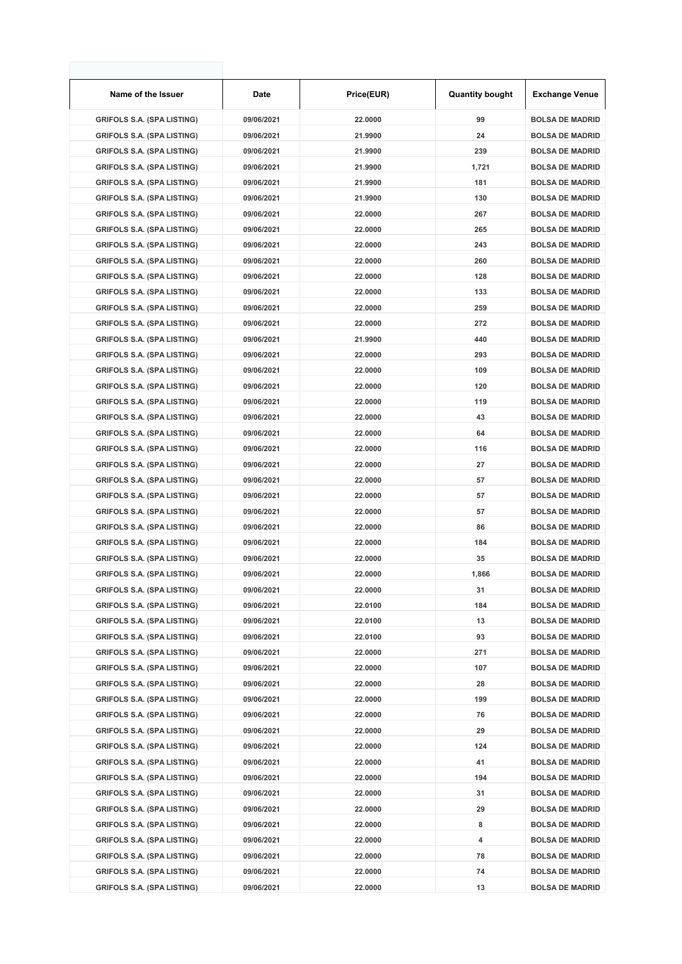| Name of the Issuer                | Date       | Price(EUR) | <b>Quantity bought</b> | <b>Exchange Venue</b>  |
|-----------------------------------|------------|------------|------------------------|------------------------|
| <b>GRIFOLS S.A. (SPA LISTING)</b> | 09/06/2021 | 22.0000    | 99                     | <b>BOLSA DE MADRID</b> |
| <b>GRIFOLS S.A. (SPA LISTING)</b> | 09/06/2021 | 21.9900    | 24                     | <b>BOLSA DE MADRID</b> |
| <b>GRIFOLS S.A. (SPA LISTING)</b> | 09/06/2021 | 21.9900    | 239                    | <b>BOLSA DE MADRID</b> |
| <b>GRIFOLS S.A. (SPA LISTING)</b> | 09/06/2021 | 21.9900    | 1,721                  | <b>BOLSA DE MADRID</b> |
| <b>GRIFOLS S.A. (SPA LISTING)</b> | 09/06/2021 | 21.9900    | 181                    | <b>BOLSA DE MADRID</b> |
| <b>GRIFOLS S.A. (SPA LISTING)</b> | 09/06/2021 | 21.9900    | 130                    | <b>BOLSA DE MADRID</b> |
| <b>GRIFOLS S.A. (SPA LISTING)</b> | 09/06/2021 | 22.0000    | 267                    | <b>BOLSA DE MADRID</b> |
| <b>GRIFOLS S.A. (SPA LISTING)</b> | 09/06/2021 | 22.0000    | 265                    | <b>BOLSA DE MADRID</b> |
| <b>GRIFOLS S.A. (SPA LISTING)</b> | 09/06/2021 | 22.0000    | 243                    | <b>BOLSA DE MADRID</b> |
| <b>GRIFOLS S.A. (SPA LISTING)</b> | 09/06/2021 | 22.0000    | 260                    | <b>BOLSA DE MADRID</b> |
| <b>GRIFOLS S.A. (SPA LISTING)</b> | 09/06/2021 | 22.0000    | 128                    | <b>BOLSA DE MADRID</b> |
| <b>GRIFOLS S.A. (SPA LISTING)</b> | 09/06/2021 | 22.0000    | 133                    | <b>BOLSA DE MADRID</b> |
| <b>GRIFOLS S.A. (SPA LISTING)</b> | 09/06/2021 | 22.0000    | 259                    | <b>BOLSA DE MADRID</b> |
| <b>GRIFOLS S.A. (SPA LISTING)</b> | 09/06/2021 | 22.0000    | 272                    | <b>BOLSA DE MADRID</b> |
| <b>GRIFOLS S.A. (SPA LISTING)</b> | 09/06/2021 | 21.9900    | 440                    | <b>BOLSA DE MADRID</b> |
| <b>GRIFOLS S.A. (SPA LISTING)</b> | 09/06/2021 | 22.0000    | 293                    | <b>BOLSA DE MADRID</b> |
| <b>GRIFOLS S.A. (SPA LISTING)</b> | 09/06/2021 | 22.0000    | 109                    | <b>BOLSA DE MADRID</b> |
| <b>GRIFOLS S.A. (SPA LISTING)</b> | 09/06/2021 | 22.0000    | 120                    | <b>BOLSA DE MADRID</b> |
| <b>GRIFOLS S.A. (SPA LISTING)</b> | 09/06/2021 | 22.0000    | 119                    | <b>BOLSA DE MADRID</b> |
| <b>GRIFOLS S.A. (SPA LISTING)</b> | 09/06/2021 | 22.0000    | 43                     | <b>BOLSA DE MADRID</b> |
| <b>GRIFOLS S.A. (SPA LISTING)</b> | 09/06/2021 | 22.0000    | 64                     | <b>BOLSA DE MADRID</b> |
| <b>GRIFOLS S.A. (SPA LISTING)</b> | 09/06/2021 | 22.0000    | 116                    | <b>BOLSA DE MADRID</b> |
| <b>GRIFOLS S.A. (SPA LISTING)</b> | 09/06/2021 | 22.0000    | 27                     | <b>BOLSA DE MADRID</b> |
| <b>GRIFOLS S.A. (SPA LISTING)</b> | 09/06/2021 | 22.0000    | 57                     | <b>BOLSA DE MADRID</b> |
| <b>GRIFOLS S.A. (SPA LISTING)</b> | 09/06/2021 | 22.0000    | 57                     | <b>BOLSA DE MADRID</b> |
| <b>GRIFOLS S.A. (SPA LISTING)</b> | 09/06/2021 | 22.0000    | 57                     | <b>BOLSA DE MADRID</b> |
| <b>GRIFOLS S.A. (SPA LISTING)</b> | 09/06/2021 | 22.0000    | 86                     | <b>BOLSA DE MADRID</b> |
| <b>GRIFOLS S.A. (SPA LISTING)</b> | 09/06/2021 | 22,0000    | 184                    | <b>BOLSA DE MADRID</b> |
| <b>GRIFOLS S.A. (SPA LISTING)</b> | 09/06/2021 | 22.0000    | 35                     | <b>BOLSA DE MADRID</b> |
| <b>GRIFOLS S.A. (SPA LISTING)</b> | 09/06/2021 | 22.0000    | 1,866                  | <b>BOLSA DE MADRID</b> |
| <b>GRIFOLS S.A. (SPA LISTING)</b> | 09/06/2021 | 22.0000    | 31                     | <b>BOLSA DE MADRID</b> |
| <b>GRIFOLS S.A. (SPA LISTING)</b> | 09/06/2021 | 22.0100    | 184                    | <b>BOLSA DE MADRID</b> |
| <b>GRIFOLS S.A. (SPA LISTING)</b> | 09/06/2021 | 22.0100    | 13                     | <b>BOLSA DE MADRID</b> |
| <b>GRIFOLS S.A. (SPA LISTING)</b> | 09/06/2021 | 22.0100    | 93                     | <b>BOLSA DE MADRID</b> |
| <b>GRIFOLS S.A. (SPA LISTING)</b> | 09/06/2021 | 22.0000    | 271                    | <b>BOLSA DE MADRID</b> |
| <b>GRIFOLS S.A. (SPA LISTING)</b> | 09/06/2021 | 22.0000    | 107                    | <b>BOLSA DE MADRID</b> |
| <b>GRIFOLS S.A. (SPA LISTING)</b> | 09/06/2021 | 22.0000    | 28                     | <b>BOLSA DE MADRID</b> |
| <b>GRIFOLS S.A. (SPA LISTING)</b> | 09/06/2021 | 22.0000    | 199                    | <b>BOLSA DE MADRID</b> |
| <b>GRIFOLS S.A. (SPA LISTING)</b> | 09/06/2021 | 22.0000    | 76                     | <b>BOLSA DE MADRID</b> |
| <b>GRIFOLS S.A. (SPA LISTING)</b> | 09/06/2021 | 22.0000    | 29                     | <b>BOLSA DE MADRID</b> |
| <b>GRIFOLS S.A. (SPA LISTING)</b> | 09/06/2021 | 22.0000    | 124                    | <b>BOLSA DE MADRID</b> |
| <b>GRIFOLS S.A. (SPA LISTING)</b> | 09/06/2021 | 22.0000    | 41                     | <b>BOLSA DE MADRID</b> |
| <b>GRIFOLS S.A. (SPA LISTING)</b> | 09/06/2021 | 22.0000    | 194                    | <b>BOLSA DE MADRID</b> |
| <b>GRIFOLS S.A. (SPA LISTING)</b> | 09/06/2021 | 22.0000    | 31                     | <b>BOLSA DE MADRID</b> |
| <b>GRIFOLS S.A. (SPA LISTING)</b> | 09/06/2021 | 22.0000    | 29                     | <b>BOLSA DE MADRID</b> |
| <b>GRIFOLS S.A. (SPA LISTING)</b> | 09/06/2021 | 22.0000    | 8                      | <b>BOLSA DE MADRID</b> |
| <b>GRIFOLS S.A. (SPA LISTING)</b> | 09/06/2021 | 22.0000    | 4                      | <b>BOLSA DE MADRID</b> |
| <b>GRIFOLS S.A. (SPA LISTING)</b> | 09/06/2021 | 22.0000    | 78                     | <b>BOLSA DE MADRID</b> |
| <b>GRIFOLS S.A. (SPA LISTING)</b> | 09/06/2021 | 22.0000    | 74                     | <b>BOLSA DE MADRID</b> |
| <b>GRIFOLS S.A. (SPA LISTING)</b> | 09/06/2021 | 22.0000    | 13                     | <b>BOLSA DE MADRID</b> |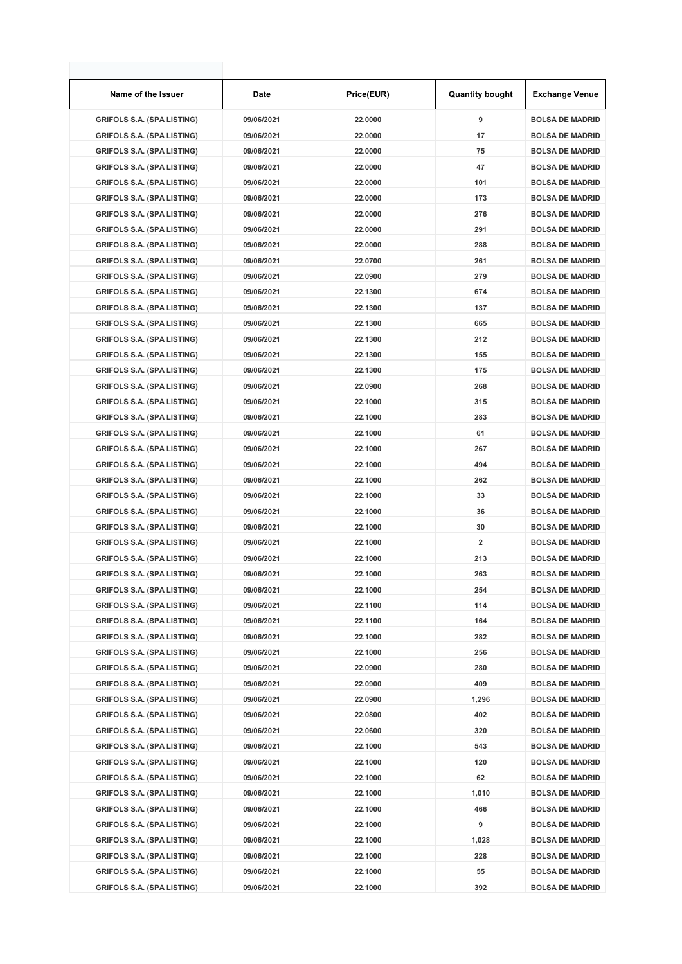| Name of the Issuer                | Date       | Price(EUR) | <b>Quantity bought</b>  | <b>Exchange Venue</b>  |
|-----------------------------------|------------|------------|-------------------------|------------------------|
| <b>GRIFOLS S.A. (SPA LISTING)</b> | 09/06/2021 | 22.0000    | 9                       | <b>BOLSA DE MADRID</b> |
| <b>GRIFOLS S.A. (SPA LISTING)</b> | 09/06/2021 | 22.0000    | 17                      | <b>BOLSA DE MADRID</b> |
| <b>GRIFOLS S.A. (SPA LISTING)</b> | 09/06/2021 | 22.0000    | 75                      | <b>BOLSA DE MADRID</b> |
| <b>GRIFOLS S.A. (SPA LISTING)</b> | 09/06/2021 | 22.0000    | 47                      | <b>BOLSA DE MADRID</b> |
| <b>GRIFOLS S.A. (SPA LISTING)</b> | 09/06/2021 | 22.0000    | 101                     | <b>BOLSA DE MADRID</b> |
| <b>GRIFOLS S.A. (SPA LISTING)</b> | 09/06/2021 | 22.0000    | 173                     | <b>BOLSA DE MADRID</b> |
| <b>GRIFOLS S.A. (SPA LISTING)</b> | 09/06/2021 | 22.0000    | 276                     | <b>BOLSA DE MADRID</b> |
| <b>GRIFOLS S.A. (SPA LISTING)</b> | 09/06/2021 | 22.0000    | 291                     | <b>BOLSA DE MADRID</b> |
| <b>GRIFOLS S.A. (SPA LISTING)</b> | 09/06/2021 | 22.0000    | 288                     | <b>BOLSA DE MADRID</b> |
| <b>GRIFOLS S.A. (SPA LISTING)</b> | 09/06/2021 | 22.0700    | 261                     | <b>BOLSA DE MADRID</b> |
| <b>GRIFOLS S.A. (SPA LISTING)</b> | 09/06/2021 | 22.0900    | 279                     | <b>BOLSA DE MADRID</b> |
| <b>GRIFOLS S.A. (SPA LISTING)</b> | 09/06/2021 | 22.1300    | 674                     | <b>BOLSA DE MADRID</b> |
| <b>GRIFOLS S.A. (SPA LISTING)</b> | 09/06/2021 | 22.1300    | 137                     | <b>BOLSA DE MADRID</b> |
| <b>GRIFOLS S.A. (SPA LISTING)</b> | 09/06/2021 | 22.1300    | 665                     | <b>BOLSA DE MADRID</b> |
| <b>GRIFOLS S.A. (SPA LISTING)</b> | 09/06/2021 | 22.1300    | 212                     | <b>BOLSA DE MADRID</b> |
| <b>GRIFOLS S.A. (SPA LISTING)</b> | 09/06/2021 | 22.1300    | 155                     | <b>BOLSA DE MADRID</b> |
| <b>GRIFOLS S.A. (SPA LISTING)</b> | 09/06/2021 | 22.1300    | 175                     | <b>BOLSA DE MADRID</b> |
| <b>GRIFOLS S.A. (SPA LISTING)</b> | 09/06/2021 | 22.0900    | 268                     | <b>BOLSA DE MADRID</b> |
| <b>GRIFOLS S.A. (SPA LISTING)</b> | 09/06/2021 | 22.1000    | 315                     | <b>BOLSA DE MADRID</b> |
| <b>GRIFOLS S.A. (SPA LISTING)</b> | 09/06/2021 | 22.1000    | 283                     | <b>BOLSA DE MADRID</b> |
| <b>GRIFOLS S.A. (SPA LISTING)</b> | 09/06/2021 | 22.1000    | 61                      | <b>BOLSA DE MADRID</b> |
| <b>GRIFOLS S.A. (SPA LISTING)</b> | 09/06/2021 | 22.1000    | 267                     | <b>BOLSA DE MADRID</b> |
| <b>GRIFOLS S.A. (SPA LISTING)</b> | 09/06/2021 | 22.1000    | 494                     | <b>BOLSA DE MADRID</b> |
| <b>GRIFOLS S.A. (SPA LISTING)</b> | 09/06/2021 | 22.1000    | 262                     | <b>BOLSA DE MADRID</b> |
| <b>GRIFOLS S.A. (SPA LISTING)</b> | 09/06/2021 | 22.1000    | 33                      | <b>BOLSA DE MADRID</b> |
| <b>GRIFOLS S.A. (SPA LISTING)</b> | 09/06/2021 | 22.1000    | 36                      | <b>BOLSA DE MADRID</b> |
| <b>GRIFOLS S.A. (SPA LISTING)</b> | 09/06/2021 | 22.1000    | 30                      | <b>BOLSA DE MADRID</b> |
| <b>GRIFOLS S.A. (SPA LISTING)</b> | 09/06/2021 | 22.1000    | $\overline{\mathbf{2}}$ | <b>BOLSA DE MADRID</b> |
| <b>GRIFOLS S.A. (SPA LISTING)</b> | 09/06/2021 | 22.1000    | 213                     | <b>BOLSA DE MADRID</b> |
| <b>GRIFOLS S.A. (SPA LISTING)</b> | 09/06/2021 | 22.1000    | 263                     | <b>BOLSA DE MADRID</b> |
| <b>GRIFOLS S.A. (SPA LISTING)</b> | 09/06/2021 | 22.1000    | 254                     | <b>BOLSA DE MADRID</b> |
| <b>GRIFOLS S.A. (SPA LISTING)</b> | 09/06/2021 | 22.1100    | 114                     | <b>BOLSA DE MADRID</b> |
| <b>GRIFOLS S.A. (SPA LISTING)</b> | 09/06/2021 | 22.1100    | 164                     | <b>BOLSA DE MADRID</b> |
| <b>GRIFOLS S.A. (SPA LISTING)</b> | 09/06/2021 | 22.1000    | 282                     | <b>BOLSA DE MADRID</b> |
| <b>GRIFOLS S.A. (SPA LISTING)</b> | 09/06/2021 | 22.1000    | 256                     | <b>BOLSA DE MADRID</b> |
| <b>GRIFOLS S.A. (SPA LISTING)</b> | 09/06/2021 | 22.0900    | 280                     | <b>BOLSA DE MADRID</b> |
| <b>GRIFOLS S.A. (SPA LISTING)</b> | 09/06/2021 | 22.0900    | 409                     | <b>BOLSA DE MADRID</b> |
| <b>GRIFOLS S.A. (SPA LISTING)</b> | 09/06/2021 | 22.0900    | 1,296                   | <b>BOLSA DE MADRID</b> |
| <b>GRIFOLS S.A. (SPA LISTING)</b> | 09/06/2021 | 22.0800    | 402                     | <b>BOLSA DE MADRID</b> |
| <b>GRIFOLS S.A. (SPA LISTING)</b> | 09/06/2021 | 22.0600    | 320                     | <b>BOLSA DE MADRID</b> |
| <b>GRIFOLS S.A. (SPA LISTING)</b> | 09/06/2021 | 22.1000    | 543                     | <b>BOLSA DE MADRID</b> |
| <b>GRIFOLS S.A. (SPA LISTING)</b> | 09/06/2021 | 22.1000    | 120                     | <b>BOLSA DE MADRID</b> |
| <b>GRIFOLS S.A. (SPA LISTING)</b> | 09/06/2021 | 22.1000    | 62                      | <b>BOLSA DE MADRID</b> |
| <b>GRIFOLS S.A. (SPA LISTING)</b> | 09/06/2021 | 22.1000    | 1,010                   | <b>BOLSA DE MADRID</b> |
| <b>GRIFOLS S.A. (SPA LISTING)</b> | 09/06/2021 | 22.1000    | 466                     | <b>BOLSA DE MADRID</b> |
| <b>GRIFOLS S.A. (SPA LISTING)</b> | 09/06/2021 | 22.1000    | 9                       | <b>BOLSA DE MADRID</b> |
| <b>GRIFOLS S.A. (SPA LISTING)</b> | 09/06/2021 | 22.1000    | 1,028                   | <b>BOLSA DE MADRID</b> |
| <b>GRIFOLS S.A. (SPA LISTING)</b> | 09/06/2021 | 22.1000    | 228                     | <b>BOLSA DE MADRID</b> |
| <b>GRIFOLS S.A. (SPA LISTING)</b> | 09/06/2021 | 22.1000    | 55                      | <b>BOLSA DE MADRID</b> |
| <b>GRIFOLS S.A. (SPA LISTING)</b> | 09/06/2021 | 22.1000    | 392                     | <b>BOLSA DE MADRID</b> |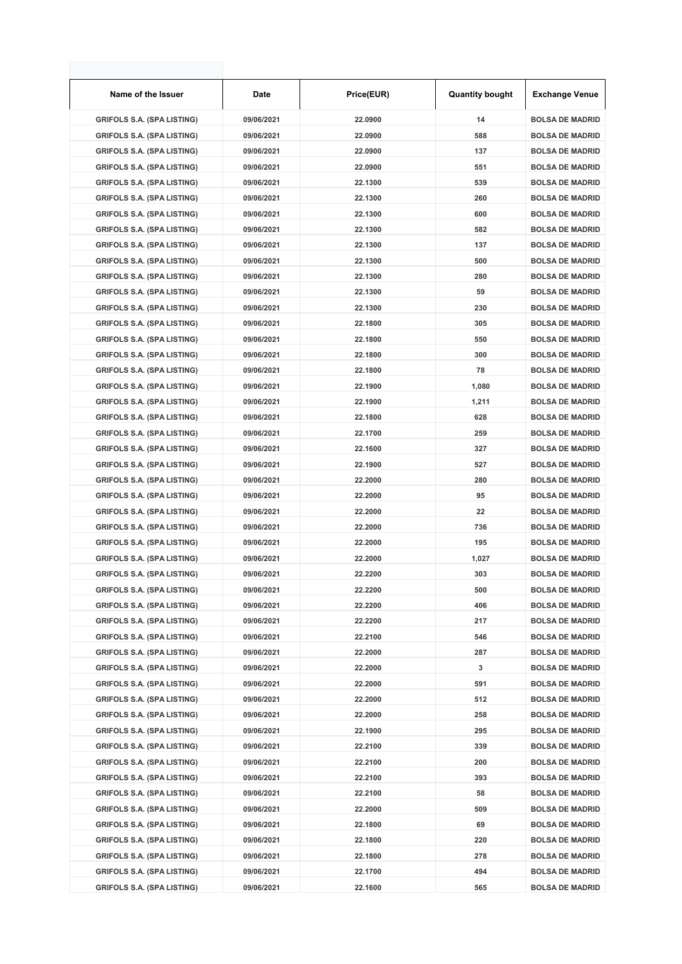| Name of the Issuer                | Date       | Price(EUR) | <b>Quantity bought</b> | <b>Exchange Venue</b>  |
|-----------------------------------|------------|------------|------------------------|------------------------|
| <b>GRIFOLS S.A. (SPA LISTING)</b> | 09/06/2021 | 22.0900    | 14                     | <b>BOLSA DE MADRID</b> |
| <b>GRIFOLS S.A. (SPA LISTING)</b> | 09/06/2021 | 22.0900    | 588                    | <b>BOLSA DE MADRID</b> |
| <b>GRIFOLS S.A. (SPA LISTING)</b> | 09/06/2021 | 22.0900    | 137                    | <b>BOLSA DE MADRID</b> |
| <b>GRIFOLS S.A. (SPA LISTING)</b> | 09/06/2021 | 22.0900    | 551                    | <b>BOLSA DE MADRID</b> |
| <b>GRIFOLS S.A. (SPA LISTING)</b> | 09/06/2021 | 22.1300    | 539                    | <b>BOLSA DE MADRID</b> |
| <b>GRIFOLS S.A. (SPA LISTING)</b> | 09/06/2021 | 22.1300    | 260                    | <b>BOLSA DE MADRID</b> |
| <b>GRIFOLS S.A. (SPA LISTING)</b> | 09/06/2021 | 22.1300    | 600                    | <b>BOLSA DE MADRID</b> |
| <b>GRIFOLS S.A. (SPA LISTING)</b> | 09/06/2021 | 22.1300    | 582                    | <b>BOLSA DE MADRID</b> |
| <b>GRIFOLS S.A. (SPA LISTING)</b> | 09/06/2021 | 22.1300    | 137                    | <b>BOLSA DE MADRID</b> |
| <b>GRIFOLS S.A. (SPA LISTING)</b> | 09/06/2021 | 22.1300    | 500                    | <b>BOLSA DE MADRID</b> |
| <b>GRIFOLS S.A. (SPA LISTING)</b> | 09/06/2021 | 22.1300    | 280                    | <b>BOLSA DE MADRID</b> |
| <b>GRIFOLS S.A. (SPA LISTING)</b> | 09/06/2021 | 22.1300    | 59                     | <b>BOLSA DE MADRID</b> |
| <b>GRIFOLS S.A. (SPA LISTING)</b> | 09/06/2021 | 22.1300    | 230                    | <b>BOLSA DE MADRID</b> |
| <b>GRIFOLS S.A. (SPA LISTING)</b> | 09/06/2021 | 22.1800    | 305                    | <b>BOLSA DE MADRID</b> |
| <b>GRIFOLS S.A. (SPA LISTING)</b> | 09/06/2021 | 22.1800    | 550                    | <b>BOLSA DE MADRID</b> |
| <b>GRIFOLS S.A. (SPA LISTING)</b> | 09/06/2021 | 22.1800    | 300                    | <b>BOLSA DE MADRID</b> |
| <b>GRIFOLS S.A. (SPA LISTING)</b> | 09/06/2021 | 22.1800    | 78                     | <b>BOLSA DE MADRID</b> |
| <b>GRIFOLS S.A. (SPA LISTING)</b> | 09/06/2021 | 22.1900    | 1,080                  | <b>BOLSA DE MADRID</b> |
| <b>GRIFOLS S.A. (SPA LISTING)</b> | 09/06/2021 | 22.1900    | 1,211                  | <b>BOLSA DE MADRID</b> |
| <b>GRIFOLS S.A. (SPA LISTING)</b> | 09/06/2021 | 22.1800    | 628                    | <b>BOLSA DE MADRID</b> |
| <b>GRIFOLS S.A. (SPA LISTING)</b> | 09/06/2021 | 22.1700    | 259                    | <b>BOLSA DE MADRID</b> |
| <b>GRIFOLS S.A. (SPA LISTING)</b> | 09/06/2021 | 22.1600    | 327                    | <b>BOLSA DE MADRID</b> |
| <b>GRIFOLS S.A. (SPA LISTING)</b> | 09/06/2021 | 22.1900    | 527                    | <b>BOLSA DE MADRID</b> |
| <b>GRIFOLS S.A. (SPA LISTING)</b> | 09/06/2021 | 22.2000    | 280                    | <b>BOLSA DE MADRID</b> |
| <b>GRIFOLS S.A. (SPA LISTING)</b> | 09/06/2021 | 22.2000    | 95                     | <b>BOLSA DE MADRID</b> |
| <b>GRIFOLS S.A. (SPA LISTING)</b> | 09/06/2021 | 22.2000    | 22                     | <b>BOLSA DE MADRID</b> |
| <b>GRIFOLS S.A. (SPA LISTING)</b> | 09/06/2021 | 22.2000    | 736                    | <b>BOLSA DE MADRID</b> |
| <b>GRIFOLS S.A. (SPA LISTING)</b> | 09/06/2021 | 22.2000    | 195                    | <b>BOLSA DE MADRID</b> |
| <b>GRIFOLS S.A. (SPA LISTING)</b> | 09/06/2021 | 22.2000    | 1,027                  | <b>BOLSA DE MADRID</b> |
| <b>GRIFOLS S.A. (SPA LISTING)</b> | 09/06/2021 | 22.2200    | 303                    | <b>BOLSA DE MADRID</b> |
| <b>GRIFOLS S.A. (SPA LISTING)</b> | 09/06/2021 | 22.2200    | 500                    | <b>BOLSA DE MADRID</b> |
| <b>GRIFOLS S.A. (SPA LISTING)</b> | 09/06/2021 | 22.2200    | 406                    | <b>BOLSA DE MADRID</b> |
| <b>GRIFOLS S.A. (SPA LISTING)</b> | 09/06/2021 | 22.2200    | 217                    | <b>BOLSA DE MADRID</b> |
| <b>GRIFOLS S.A. (SPA LISTING)</b> | 09/06/2021 | 22.2100    | 546                    | <b>BOLSA DE MADRID</b> |
| <b>GRIFOLS S.A. (SPA LISTING)</b> | 09/06/2021 | 22.2000    | 287                    | <b>BOLSA DE MADRID</b> |
| <b>GRIFOLS S.A. (SPA LISTING)</b> | 09/06/2021 | 22.2000    | 3                      | <b>BOLSA DE MADRID</b> |
| <b>GRIFOLS S.A. (SPA LISTING)</b> | 09/06/2021 | 22.2000    | 591                    | <b>BOLSA DE MADRID</b> |
| <b>GRIFOLS S.A. (SPA LISTING)</b> | 09/06/2021 | 22.2000    | 512                    | <b>BOLSA DE MADRID</b> |
| <b>GRIFOLS S.A. (SPA LISTING)</b> | 09/06/2021 | 22.2000    | 258                    | <b>BOLSA DE MADRID</b> |
| <b>GRIFOLS S.A. (SPA LISTING)</b> | 09/06/2021 | 22.1900    | 295                    | <b>BOLSA DE MADRID</b> |
| <b>GRIFOLS S.A. (SPA LISTING)</b> | 09/06/2021 | 22.2100    | 339                    | <b>BOLSA DE MADRID</b> |
| <b>GRIFOLS S.A. (SPA LISTING)</b> | 09/06/2021 | 22.2100    | 200                    | <b>BOLSA DE MADRID</b> |
| <b>GRIFOLS S.A. (SPA LISTING)</b> | 09/06/2021 | 22.2100    | 393                    | <b>BOLSA DE MADRID</b> |
| <b>GRIFOLS S.A. (SPA LISTING)</b> | 09/06/2021 | 22.2100    | 58                     | <b>BOLSA DE MADRID</b> |
| <b>GRIFOLS S.A. (SPA LISTING)</b> | 09/06/2021 | 22.2000    | 509                    | <b>BOLSA DE MADRID</b> |
| <b>GRIFOLS S.A. (SPA LISTING)</b> | 09/06/2021 | 22.1800    | 69                     | <b>BOLSA DE MADRID</b> |
| <b>GRIFOLS S.A. (SPA LISTING)</b> | 09/06/2021 | 22.1800    | 220                    | <b>BOLSA DE MADRID</b> |
| <b>GRIFOLS S.A. (SPA LISTING)</b> | 09/06/2021 | 22.1800    | 278                    | <b>BOLSA DE MADRID</b> |
| <b>GRIFOLS S.A. (SPA LISTING)</b> | 09/06/2021 | 22.1700    | 494                    | <b>BOLSA DE MADRID</b> |
| <b>GRIFOLS S.A. (SPA LISTING)</b> | 09/06/2021 | 22.1600    | 565                    | <b>BOLSA DE MADRID</b> |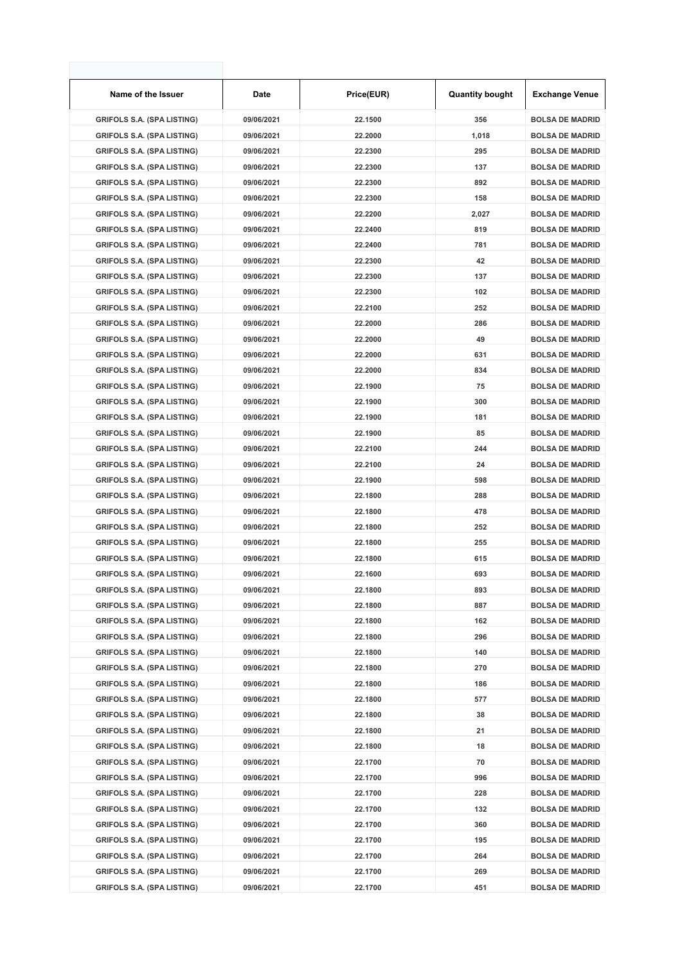| Name of the Issuer                | Date       | Price(EUR) | <b>Quantity bought</b> | <b>Exchange Venue</b>  |
|-----------------------------------|------------|------------|------------------------|------------------------|
| <b>GRIFOLS S.A. (SPA LISTING)</b> | 09/06/2021 | 22.1500    | 356                    | <b>BOLSA DE MADRID</b> |
| <b>GRIFOLS S.A. (SPA LISTING)</b> | 09/06/2021 | 22.2000    | 1,018                  | <b>BOLSA DE MADRID</b> |
| <b>GRIFOLS S.A. (SPA LISTING)</b> | 09/06/2021 | 22.2300    | 295                    | <b>BOLSA DE MADRID</b> |
| <b>GRIFOLS S.A. (SPA LISTING)</b> | 09/06/2021 | 22.2300    | 137                    | <b>BOLSA DE MADRID</b> |
| <b>GRIFOLS S.A. (SPA LISTING)</b> | 09/06/2021 | 22.2300    | 892                    | <b>BOLSA DE MADRID</b> |
| <b>GRIFOLS S.A. (SPA LISTING)</b> | 09/06/2021 | 22.2300    | 158                    | <b>BOLSA DE MADRID</b> |
| <b>GRIFOLS S.A. (SPA LISTING)</b> | 09/06/2021 | 22.2200    | 2,027                  | <b>BOLSA DE MADRID</b> |
| <b>GRIFOLS S.A. (SPA LISTING)</b> | 09/06/2021 | 22.2400    | 819                    | <b>BOLSA DE MADRID</b> |
| <b>GRIFOLS S.A. (SPA LISTING)</b> | 09/06/2021 | 22.2400    | 781                    | <b>BOLSA DE MADRID</b> |
| <b>GRIFOLS S.A. (SPA LISTING)</b> | 09/06/2021 | 22.2300    | 42                     | <b>BOLSA DE MADRID</b> |
| <b>GRIFOLS S.A. (SPA LISTING)</b> | 09/06/2021 | 22.2300    | 137                    | <b>BOLSA DE MADRID</b> |
| <b>GRIFOLS S.A. (SPA LISTING)</b> | 09/06/2021 | 22.2300    | 102                    | <b>BOLSA DE MADRID</b> |
| <b>GRIFOLS S.A. (SPA LISTING)</b> | 09/06/2021 | 22.2100    | 252                    | <b>BOLSA DE MADRID</b> |
| <b>GRIFOLS S.A. (SPA LISTING)</b> | 09/06/2021 | 22.2000    | 286                    | <b>BOLSA DE MADRID</b> |
| <b>GRIFOLS S.A. (SPA LISTING)</b> | 09/06/2021 | 22.2000    | 49                     | <b>BOLSA DE MADRID</b> |
| <b>GRIFOLS S.A. (SPA LISTING)</b> | 09/06/2021 | 22.2000    | 631                    | <b>BOLSA DE MADRID</b> |
| <b>GRIFOLS S.A. (SPA LISTING)</b> | 09/06/2021 | 22.2000    | 834                    | <b>BOLSA DE MADRID</b> |
| <b>GRIFOLS S.A. (SPA LISTING)</b> | 09/06/2021 | 22.1900    | 75                     | <b>BOLSA DE MADRID</b> |
| <b>GRIFOLS S.A. (SPA LISTING)</b> | 09/06/2021 | 22.1900    | 300                    | <b>BOLSA DE MADRID</b> |
| <b>GRIFOLS S.A. (SPA LISTING)</b> | 09/06/2021 | 22.1900    | 181                    | <b>BOLSA DE MADRID</b> |
| <b>GRIFOLS S.A. (SPA LISTING)</b> | 09/06/2021 | 22.1900    | 85                     | <b>BOLSA DE MADRID</b> |
| <b>GRIFOLS S.A. (SPA LISTING)</b> | 09/06/2021 | 22.2100    | 244                    | <b>BOLSA DE MADRID</b> |
| <b>GRIFOLS S.A. (SPA LISTING)</b> | 09/06/2021 | 22.2100    | 24                     | <b>BOLSA DE MADRID</b> |
| <b>GRIFOLS S.A. (SPA LISTING)</b> | 09/06/2021 | 22.1900    | 598                    | <b>BOLSA DE MADRID</b> |
| <b>GRIFOLS S.A. (SPA LISTING)</b> | 09/06/2021 | 22.1800    | 288                    | <b>BOLSA DE MADRID</b> |
| <b>GRIFOLS S.A. (SPA LISTING)</b> | 09/06/2021 | 22.1800    | 478                    | <b>BOLSA DE MADRID</b> |
| <b>GRIFOLS S.A. (SPA LISTING)</b> | 09/06/2021 | 22.1800    | 252                    | <b>BOLSA DE MADRID</b> |
| <b>GRIFOLS S.A. (SPA LISTING)</b> | 09/06/2021 | 22.1800    | 255                    | <b>BOLSA DE MADRID</b> |
| <b>GRIFOLS S.A. (SPA LISTING)</b> | 09/06/2021 | 22.1800    | 615                    | <b>BOLSA DE MADRID</b> |
| <b>GRIFOLS S.A. (SPA LISTING)</b> | 09/06/2021 | 22.1600    | 693                    | <b>BOLSA DE MADRID</b> |
| <b>GRIFOLS S.A. (SPA LISTING)</b> | 09/06/2021 | 22.1800    | 893                    | <b>BOLSA DE MADRID</b> |
| <b>GRIFOLS S.A. (SPA LISTING)</b> | 09/06/2021 | 22.1800    | 887                    | <b>BOLSA DE MADRID</b> |
| <b>GRIFOLS S.A. (SPA LISTING)</b> | 09/06/2021 | 22.1800    | 162                    | <b>BOLSA DE MADRID</b> |
| <b>GRIFOLS S.A. (SPA LISTING)</b> | 09/06/2021 | 22.1800    | 296                    | <b>BOLSA DE MADRID</b> |
| <b>GRIFOLS S.A. (SPA LISTING)</b> | 09/06/2021 | 22.1800    | 140                    | <b>BOLSA DE MADRID</b> |
| <b>GRIFOLS S.A. (SPA LISTING)</b> | 09/06/2021 | 22.1800    | 270                    | <b>BOLSA DE MADRID</b> |
| <b>GRIFOLS S.A. (SPA LISTING)</b> | 09/06/2021 | 22.1800    | 186                    | <b>BOLSA DE MADRID</b> |
| <b>GRIFOLS S.A. (SPA LISTING)</b> | 09/06/2021 | 22.1800    | 577                    | <b>BOLSA DE MADRID</b> |
| <b>GRIFOLS S.A. (SPA LISTING)</b> | 09/06/2021 | 22.1800    | 38                     | <b>BOLSA DE MADRID</b> |
| <b>GRIFOLS S.A. (SPA LISTING)</b> | 09/06/2021 | 22.1800    | 21                     | <b>BOLSA DE MADRID</b> |
| <b>GRIFOLS S.A. (SPA LISTING)</b> | 09/06/2021 | 22.1800    | 18                     | <b>BOLSA DE MADRID</b> |
| <b>GRIFOLS S.A. (SPA LISTING)</b> | 09/06/2021 | 22.1700    | 70                     | <b>BOLSA DE MADRID</b> |
| <b>GRIFOLS S.A. (SPA LISTING)</b> | 09/06/2021 | 22.1700    | 996                    | <b>BOLSA DE MADRID</b> |
| <b>GRIFOLS S.A. (SPA LISTING)</b> | 09/06/2021 | 22.1700    | 228                    | <b>BOLSA DE MADRID</b> |
| <b>GRIFOLS S.A. (SPA LISTING)</b> | 09/06/2021 | 22.1700    | 132                    | <b>BOLSA DE MADRID</b> |
| <b>GRIFOLS S.A. (SPA LISTING)</b> | 09/06/2021 | 22.1700    | 360                    | <b>BOLSA DE MADRID</b> |
| <b>GRIFOLS S.A. (SPA LISTING)</b> | 09/06/2021 | 22.1700    | 195                    | <b>BOLSA DE MADRID</b> |
| <b>GRIFOLS S.A. (SPA LISTING)</b> | 09/06/2021 | 22.1700    | 264                    | <b>BOLSA DE MADRID</b> |
| <b>GRIFOLS S.A. (SPA LISTING)</b> | 09/06/2021 | 22.1700    | 269                    | <b>BOLSA DE MADRID</b> |
| <b>GRIFOLS S.A. (SPA LISTING)</b> | 09/06/2021 | 22.1700    | 451                    | <b>BOLSA DE MADRID</b> |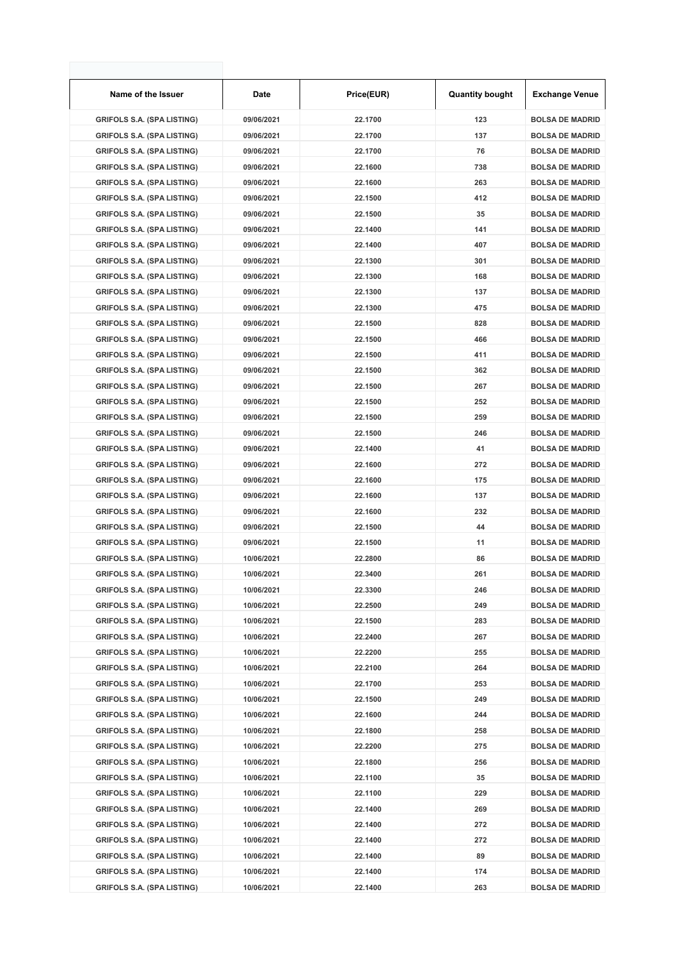| Name of the Issuer                | Date       | Price(EUR) | <b>Quantity bought</b> | <b>Exchange Venue</b>                            |
|-----------------------------------|------------|------------|------------------------|--------------------------------------------------|
| <b>GRIFOLS S.A. (SPA LISTING)</b> | 09/06/2021 | 22.1700    | 123                    | <b>BOLSA DE MADRID</b>                           |
| <b>GRIFOLS S.A. (SPA LISTING)</b> | 09/06/2021 | 22.1700    | 137                    | <b>BOLSA DE MADRID</b>                           |
| <b>GRIFOLS S.A. (SPA LISTING)</b> | 09/06/2021 | 22.1700    | 76                     | <b>BOLSA DE MADRID</b>                           |
| <b>GRIFOLS S.A. (SPA LISTING)</b> | 09/06/2021 | 22.1600    | 738                    | <b>BOLSA DE MADRID</b>                           |
| <b>GRIFOLS S.A. (SPA LISTING)</b> | 09/06/2021 | 22.1600    | 263                    | <b>BOLSA DE MADRID</b>                           |
| <b>GRIFOLS S.A. (SPA LISTING)</b> | 09/06/2021 | 22.1500    | 412                    | <b>BOLSA DE MADRID</b>                           |
| <b>GRIFOLS S.A. (SPA LISTING)</b> | 09/06/2021 | 22.1500    | 35                     | <b>BOLSA DE MADRID</b>                           |
| <b>GRIFOLS S.A. (SPA LISTING)</b> | 09/06/2021 | 22.1400    | 141                    | <b>BOLSA DE MADRID</b>                           |
| <b>GRIFOLS S.A. (SPA LISTING)</b> | 09/06/2021 | 22.1400    | 407                    | <b>BOLSA DE MADRID</b>                           |
| <b>GRIFOLS S.A. (SPA LISTING)</b> | 09/06/2021 | 22.1300    | 301                    | <b>BOLSA DE MADRID</b>                           |
| <b>GRIFOLS S.A. (SPA LISTING)</b> | 09/06/2021 | 22.1300    | 168                    | <b>BOLSA DE MADRID</b>                           |
| <b>GRIFOLS S.A. (SPA LISTING)</b> | 09/06/2021 | 22.1300    | 137                    | <b>BOLSA DE MADRID</b>                           |
| <b>GRIFOLS S.A. (SPA LISTING)</b> | 09/06/2021 | 22.1300    | 475                    | <b>BOLSA DE MADRID</b>                           |
| <b>GRIFOLS S.A. (SPA LISTING)</b> | 09/06/2021 | 22.1500    | 828                    | <b>BOLSA DE MADRID</b>                           |
| <b>GRIFOLS S.A. (SPA LISTING)</b> | 09/06/2021 | 22.1500    | 466                    | <b>BOLSA DE MADRID</b>                           |
| <b>GRIFOLS S.A. (SPA LISTING)</b> | 09/06/2021 | 22.1500    | 411                    | <b>BOLSA DE MADRID</b>                           |
| <b>GRIFOLS S.A. (SPA LISTING)</b> | 09/06/2021 | 22.1500    | 362                    | <b>BOLSA DE MADRID</b>                           |
| <b>GRIFOLS S.A. (SPA LISTING)</b> | 09/06/2021 | 22.1500    | 267                    | <b>BOLSA DE MADRID</b>                           |
| <b>GRIFOLS S.A. (SPA LISTING)</b> | 09/06/2021 | 22.1500    | 252                    | <b>BOLSA DE MADRID</b>                           |
| <b>GRIFOLS S.A. (SPA LISTING)</b> | 09/06/2021 | 22.1500    | 259                    | <b>BOLSA DE MADRID</b>                           |
| <b>GRIFOLS S.A. (SPA LISTING)</b> | 09/06/2021 | 22.1500    | 246                    | <b>BOLSA DE MADRID</b>                           |
| <b>GRIFOLS S.A. (SPA LISTING)</b> | 09/06/2021 | 22.1400    | 41                     | <b>BOLSA DE MADRID</b>                           |
| <b>GRIFOLS S.A. (SPA LISTING)</b> | 09/06/2021 | 22.1600    | 272                    | <b>BOLSA DE MADRID</b>                           |
|                                   | 09/06/2021 | 22.1600    | 175                    | <b>BOLSA DE MADRID</b>                           |
| <b>GRIFOLS S.A. (SPA LISTING)</b> |            |            | 137                    | <b>BOLSA DE MADRID</b>                           |
| <b>GRIFOLS S.A. (SPA LISTING)</b> | 09/06/2021 | 22.1600    |                        |                                                  |
| <b>GRIFOLS S.A. (SPA LISTING)</b> | 09/06/2021 | 22.1600    | 232                    | <b>BOLSA DE MADRID</b>                           |
| <b>GRIFOLS S.A. (SPA LISTING)</b> | 09/06/2021 | 22.1500    | 44                     | <b>BOLSA DE MADRID</b>                           |
| <b>GRIFOLS S.A. (SPA LISTING)</b> | 09/06/2021 | 22.1500    | 11                     | <b>BOLSA DE MADRID</b>                           |
| <b>GRIFOLS S.A. (SPA LISTING)</b> | 10/06/2021 | 22.2800    | 86                     | <b>BOLSA DE MADRID</b><br><b>BOLSA DE MADRID</b> |
| <b>GRIFOLS S.A. (SPA LISTING)</b> | 10/06/2021 | 22.3400    | 261                    |                                                  |
| <b>GRIFOLS S.A. (SPA LISTING)</b> | 10/06/2021 | 22.3300    | 246                    | <b>BOLSA DE MADRID</b>                           |
| <b>GRIFOLS S.A. (SPA LISTING)</b> | 10/06/2021 | 22.2500    | 249                    | <b>BOLSA DE MADRID</b>                           |
| <b>GRIFOLS S.A. (SPA LISTING)</b> | 10/06/2021 | 22.1500    | 283                    | <b>BOLSA DE MADRID</b>                           |
| <b>GRIFOLS S.A. (SPA LISTING)</b> | 10/06/2021 | 22.2400    | 267                    | <b>BOLSA DE MADRID</b>                           |
| <b>GRIFOLS S.A. (SPA LISTING)</b> | 10/06/2021 | 22.2200    | 255                    | <b>BOLSA DE MADRID</b>                           |
| <b>GRIFOLS S.A. (SPA LISTING)</b> | 10/06/2021 | 22.2100    | 264                    | <b>BOLSA DE MADRID</b>                           |
| <b>GRIFOLS S.A. (SPA LISTING)</b> | 10/06/2021 | 22.1700    | 253                    | <b>BOLSA DE MADRID</b>                           |
| <b>GRIFOLS S.A. (SPA LISTING)</b> | 10/06/2021 | 22.1500    | 249                    | <b>BOLSA DE MADRID</b>                           |
| <b>GRIFOLS S.A. (SPA LISTING)</b> | 10/06/2021 | 22.1600    | 244                    | <b>BOLSA DE MADRID</b>                           |
| <b>GRIFOLS S.A. (SPA LISTING)</b> | 10/06/2021 | 22.1800    | 258                    | <b>BOLSA DE MADRID</b>                           |
| <b>GRIFOLS S.A. (SPA LISTING)</b> | 10/06/2021 | 22.2200    | 275                    | <b>BOLSA DE MADRID</b>                           |
| <b>GRIFOLS S.A. (SPA LISTING)</b> | 10/06/2021 | 22.1800    | 256                    | <b>BOLSA DE MADRID</b>                           |
| <b>GRIFOLS S.A. (SPA LISTING)</b> | 10/06/2021 | 22.1100    | 35                     | <b>BOLSA DE MADRID</b>                           |
| <b>GRIFOLS S.A. (SPA LISTING)</b> | 10/06/2021 | 22.1100    | 229                    | <b>BOLSA DE MADRID</b>                           |
| <b>GRIFOLS S.A. (SPA LISTING)</b> | 10/06/2021 | 22.1400    | 269                    | <b>BOLSA DE MADRID</b>                           |
| <b>GRIFOLS S.A. (SPA LISTING)</b> | 10/06/2021 | 22.1400    | 272                    | <b>BOLSA DE MADRID</b>                           |
| <b>GRIFOLS S.A. (SPA LISTING)</b> | 10/06/2021 | 22.1400    | 272                    | <b>BOLSA DE MADRID</b>                           |
| <b>GRIFOLS S.A. (SPA LISTING)</b> | 10/06/2021 | 22.1400    | 89                     | <b>BOLSA DE MADRID</b>                           |
| <b>GRIFOLS S.A. (SPA LISTING)</b> | 10/06/2021 | 22.1400    | 174                    | <b>BOLSA DE MADRID</b>                           |
| <b>GRIFOLS S.A. (SPA LISTING)</b> | 10/06/2021 | 22.1400    | 263                    | <b>BOLSA DE MADRID</b>                           |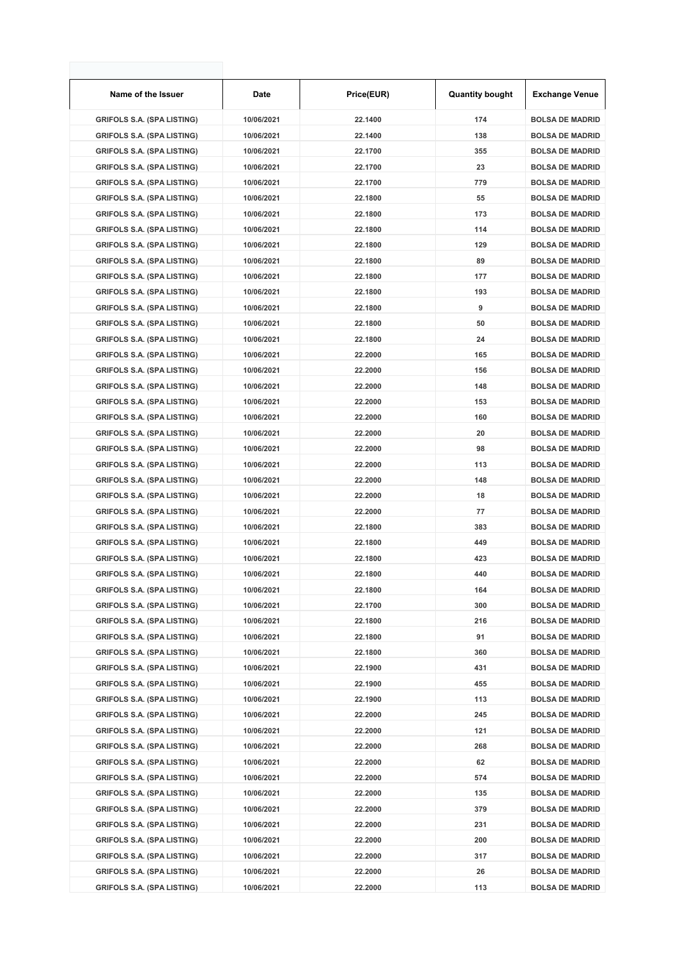| Name of the Issuer                | Date       | Price(EUR) | <b>Quantity bought</b> | <b>Exchange Venue</b>  |
|-----------------------------------|------------|------------|------------------------|------------------------|
| <b>GRIFOLS S.A. (SPA LISTING)</b> | 10/06/2021 | 22.1400    | 174                    | <b>BOLSA DE MADRID</b> |
| <b>GRIFOLS S.A. (SPA LISTING)</b> | 10/06/2021 | 22.1400    | 138                    | <b>BOLSA DE MADRID</b> |
| <b>GRIFOLS S.A. (SPA LISTING)</b> | 10/06/2021 | 22.1700    | 355                    | <b>BOLSA DE MADRID</b> |
| <b>GRIFOLS S.A. (SPA LISTING)</b> | 10/06/2021 | 22.1700    | 23                     | <b>BOLSA DE MADRID</b> |
| <b>GRIFOLS S.A. (SPA LISTING)</b> | 10/06/2021 | 22.1700    | 779                    | <b>BOLSA DE MADRID</b> |
| <b>GRIFOLS S.A. (SPA LISTING)</b> | 10/06/2021 | 22.1800    | 55                     | <b>BOLSA DE MADRID</b> |
| <b>GRIFOLS S.A. (SPA LISTING)</b> | 10/06/2021 | 22.1800    | 173                    | <b>BOLSA DE MADRID</b> |
| <b>GRIFOLS S.A. (SPA LISTING)</b> | 10/06/2021 | 22.1800    | 114                    | <b>BOLSA DE MADRID</b> |
| <b>GRIFOLS S.A. (SPA LISTING)</b> | 10/06/2021 | 22.1800    | 129                    | <b>BOLSA DE MADRID</b> |
| <b>GRIFOLS S.A. (SPA LISTING)</b> | 10/06/2021 | 22.1800    | 89                     | <b>BOLSA DE MADRID</b> |
| <b>GRIFOLS S.A. (SPA LISTING)</b> | 10/06/2021 | 22.1800    | 177                    | <b>BOLSA DE MADRID</b> |
| <b>GRIFOLS S.A. (SPA LISTING)</b> | 10/06/2021 | 22.1800    | 193                    | <b>BOLSA DE MADRID</b> |
| <b>GRIFOLS S.A. (SPA LISTING)</b> | 10/06/2021 | 22.1800    | 9                      | <b>BOLSA DE MADRID</b> |
| <b>GRIFOLS S.A. (SPA LISTING)</b> | 10/06/2021 | 22.1800    | 50                     | <b>BOLSA DE MADRID</b> |
| <b>GRIFOLS S.A. (SPA LISTING)</b> | 10/06/2021 | 22.1800    | 24                     | <b>BOLSA DE MADRID</b> |
| <b>GRIFOLS S.A. (SPA LISTING)</b> | 10/06/2021 | 22.2000    | 165                    | <b>BOLSA DE MADRID</b> |
| <b>GRIFOLS S.A. (SPA LISTING)</b> | 10/06/2021 | 22.2000    | 156                    | <b>BOLSA DE MADRID</b> |
| <b>GRIFOLS S.A. (SPA LISTING)</b> | 10/06/2021 | 22.2000    | 148                    | <b>BOLSA DE MADRID</b> |
| <b>GRIFOLS S.A. (SPA LISTING)</b> | 10/06/2021 | 22.2000    | 153                    | <b>BOLSA DE MADRID</b> |
| <b>GRIFOLS S.A. (SPA LISTING)</b> | 10/06/2021 | 22.2000    | 160                    | <b>BOLSA DE MADRID</b> |
| <b>GRIFOLS S.A. (SPA LISTING)</b> | 10/06/2021 | 22.2000    | 20                     | <b>BOLSA DE MADRID</b> |
| <b>GRIFOLS S.A. (SPA LISTING)</b> | 10/06/2021 | 22.2000    | 98                     | <b>BOLSA DE MADRID</b> |
| <b>GRIFOLS S.A. (SPA LISTING)</b> | 10/06/2021 | 22.2000    | 113                    | <b>BOLSA DE MADRID</b> |
| <b>GRIFOLS S.A. (SPA LISTING)</b> | 10/06/2021 | 22.2000    | 148                    | <b>BOLSA DE MADRID</b> |
| <b>GRIFOLS S.A. (SPA LISTING)</b> | 10/06/2021 | 22.2000    | 18                     | <b>BOLSA DE MADRID</b> |
| <b>GRIFOLS S.A. (SPA LISTING)</b> | 10/06/2021 | 22.2000    | 77                     | <b>BOLSA DE MADRID</b> |
| <b>GRIFOLS S.A. (SPA LISTING)</b> | 10/06/2021 | 22.1800    | 383                    | <b>BOLSA DE MADRID</b> |
| <b>GRIFOLS S.A. (SPA LISTING)</b> | 10/06/2021 | 22.1800    | 449                    | <b>BOLSA DE MADRID</b> |
| <b>GRIFOLS S.A. (SPA LISTING)</b> | 10/06/2021 | 22.1800    | 423                    | <b>BOLSA DE MADRID</b> |
| <b>GRIFOLS S.A. (SPA LISTING)</b> | 10/06/2021 | 22.1800    | 440                    | <b>BOLSA DE MADRID</b> |
| <b>GRIFOLS S.A. (SPA LISTING)</b> | 10/06/2021 | 22.1800    | 164                    | <b>BOLSA DE MADRID</b> |
| <b>GRIFOLS S.A. (SPA LISTING)</b> | 10/06/2021 | 22.1700    | 300                    | <b>BOLSA DE MADRID</b> |
| <b>GRIFOLS S.A. (SPA LISTING)</b> | 10/06/2021 | 22.1800    | 216                    | <b>BOLSA DE MADRID</b> |
| <b>GRIFOLS S.A. (SPA LISTING)</b> | 10/06/2021 | 22.1800    | 91                     | <b>BOLSA DE MADRID</b> |
| <b>GRIFOLS S.A. (SPA LISTING)</b> | 10/06/2021 | 22.1800    | 360                    | <b>BOLSA DE MADRID</b> |
| <b>GRIFOLS S.A. (SPA LISTING)</b> | 10/06/2021 | 22.1900    | 431                    | <b>BOLSA DE MADRID</b> |
| <b>GRIFOLS S.A. (SPA LISTING)</b> | 10/06/2021 | 22.1900    | 455                    | <b>BOLSA DE MADRID</b> |
| <b>GRIFOLS S.A. (SPA LISTING)</b> | 10/06/2021 | 22.1900    | 113                    | <b>BOLSA DE MADRID</b> |
| <b>GRIFOLS S.A. (SPA LISTING)</b> | 10/06/2021 | 22.2000    | 245                    | <b>BOLSA DE MADRID</b> |
| <b>GRIFOLS S.A. (SPA LISTING)</b> | 10/06/2021 | 22.2000    | 121                    | <b>BOLSA DE MADRID</b> |
| <b>GRIFOLS S.A. (SPA LISTING)</b> | 10/06/2021 | 22.2000    | 268                    | <b>BOLSA DE MADRID</b> |
| <b>GRIFOLS S.A. (SPA LISTING)</b> | 10/06/2021 | 22.2000    | 62                     | <b>BOLSA DE MADRID</b> |
| <b>GRIFOLS S.A. (SPA LISTING)</b> | 10/06/2021 | 22.2000    | 574                    | <b>BOLSA DE MADRID</b> |
| <b>GRIFOLS S.A. (SPA LISTING)</b> | 10/06/2021 | 22.2000    | 135                    | <b>BOLSA DE MADRID</b> |
| <b>GRIFOLS S.A. (SPA LISTING)</b> | 10/06/2021 | 22.2000    | 379                    | <b>BOLSA DE MADRID</b> |
| <b>GRIFOLS S.A. (SPA LISTING)</b> | 10/06/2021 | 22.2000    | 231                    | <b>BOLSA DE MADRID</b> |
| <b>GRIFOLS S.A. (SPA LISTING)</b> | 10/06/2021 | 22.2000    | 200                    | <b>BOLSA DE MADRID</b> |
| <b>GRIFOLS S.A. (SPA LISTING)</b> | 10/06/2021 | 22.2000    | 317                    | <b>BOLSA DE MADRID</b> |
| <b>GRIFOLS S.A. (SPA LISTING)</b> | 10/06/2021 | 22.2000    | 26                     | <b>BOLSA DE MADRID</b> |
| <b>GRIFOLS S.A. (SPA LISTING)</b> | 10/06/2021 | 22.2000    | 113                    | <b>BOLSA DE MADRID</b> |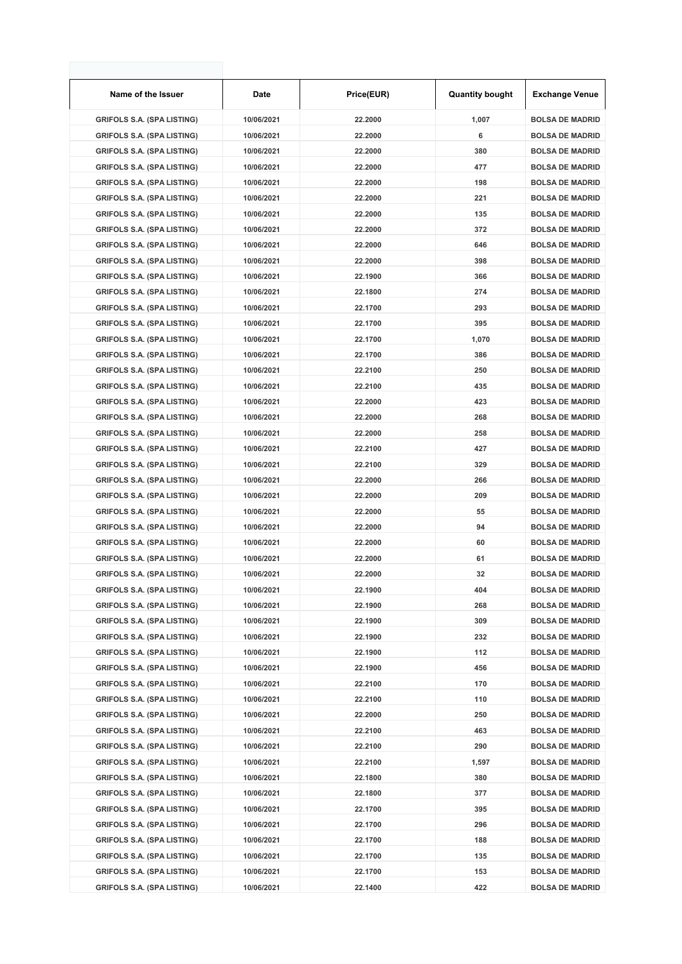| Name of the Issuer                                                     | Date                     | Price(EUR)         | <b>Quantity bought</b> | <b>Exchange Venue</b>                            |
|------------------------------------------------------------------------|--------------------------|--------------------|------------------------|--------------------------------------------------|
| <b>GRIFOLS S.A. (SPA LISTING)</b>                                      | 10/06/2021               | 22.2000            | 1,007                  | <b>BOLSA DE MADRID</b>                           |
| <b>GRIFOLS S.A. (SPA LISTING)</b>                                      | 10/06/2021               | 22.2000            | 6                      | <b>BOLSA DE MADRID</b>                           |
| <b>GRIFOLS S.A. (SPA LISTING)</b>                                      | 10/06/2021               | 22.2000            | 380                    | <b>BOLSA DE MADRID</b>                           |
| <b>GRIFOLS S.A. (SPA LISTING)</b>                                      | 10/06/2021               | 22.2000            | 477                    | <b>BOLSA DE MADRID</b>                           |
| <b>GRIFOLS S.A. (SPA LISTING)</b>                                      | 10/06/2021               | 22.2000            | 198                    | <b>BOLSA DE MADRID</b>                           |
| <b>GRIFOLS S.A. (SPA LISTING)</b>                                      | 10/06/2021               | 22.2000            | 221                    | <b>BOLSA DE MADRID</b>                           |
| <b>GRIFOLS S.A. (SPA LISTING)</b>                                      | 10/06/2021               | 22.2000            | 135                    | <b>BOLSA DE MADRID</b>                           |
| <b>GRIFOLS S.A. (SPA LISTING)</b>                                      | 10/06/2021               | 22.2000            | 372                    | <b>BOLSA DE MADRID</b>                           |
| <b>GRIFOLS S.A. (SPA LISTING)</b>                                      | 10/06/2021               | 22.2000            | 646                    | <b>BOLSA DE MADRID</b>                           |
| <b>GRIFOLS S.A. (SPA LISTING)</b>                                      | 10/06/2021               | 22.2000            | 398                    | <b>BOLSA DE MADRID</b>                           |
| <b>GRIFOLS S.A. (SPA LISTING)</b>                                      | 10/06/2021               | 22.1900            | 366                    | <b>BOLSA DE MADRID</b>                           |
| <b>GRIFOLS S.A. (SPA LISTING)</b>                                      | 10/06/2021               | 22.1800            | 274                    | <b>BOLSA DE MADRID</b>                           |
| <b>GRIFOLS S.A. (SPA LISTING)</b>                                      | 10/06/2021               | 22.1700            | 293                    | <b>BOLSA DE MADRID</b>                           |
| <b>GRIFOLS S.A. (SPA LISTING)</b>                                      | 10/06/2021               | 22.1700            | 395                    | <b>BOLSA DE MADRID</b>                           |
| <b>GRIFOLS S.A. (SPA LISTING)</b>                                      | 10/06/2021               | 22.1700            | 1,070                  | <b>BOLSA DE MADRID</b>                           |
| <b>GRIFOLS S.A. (SPA LISTING)</b>                                      | 10/06/2021               | 22.1700            | 386                    | <b>BOLSA DE MADRID</b>                           |
| <b>GRIFOLS S.A. (SPA LISTING)</b>                                      | 10/06/2021               | 22.2100            | 250                    | <b>BOLSA DE MADRID</b>                           |
| <b>GRIFOLS S.A. (SPA LISTING)</b>                                      | 10/06/2021               | 22.2100            | 435                    | <b>BOLSA DE MADRID</b>                           |
| <b>GRIFOLS S.A. (SPA LISTING)</b>                                      | 10/06/2021               | 22.2000            | 423                    | <b>BOLSA DE MADRID</b>                           |
| <b>GRIFOLS S.A. (SPA LISTING)</b>                                      | 10/06/2021               | 22.2000            | 268                    | <b>BOLSA DE MADRID</b>                           |
| <b>GRIFOLS S.A. (SPA LISTING)</b>                                      | 10/06/2021               | 22.2000            | 258                    | <b>BOLSA DE MADRID</b>                           |
| <b>GRIFOLS S.A. (SPA LISTING)</b>                                      | 10/06/2021               | 22.2100            | 427                    | <b>BOLSA DE MADRID</b>                           |
| <b>GRIFOLS S.A. (SPA LISTING)</b>                                      | 10/06/2021               | 22.2100            | 329                    | <b>BOLSA DE MADRID</b>                           |
| <b>GRIFOLS S.A. (SPA LISTING)</b>                                      | 10/06/2021               | 22.2000            | 266                    | <b>BOLSA DE MADRID</b>                           |
| <b>GRIFOLS S.A. (SPA LISTING)</b>                                      | 10/06/2021               | 22.2000            | 209                    | <b>BOLSA DE MADRID</b>                           |
| <b>GRIFOLS S.A. (SPA LISTING)</b>                                      | 10/06/2021               | 22.2000            | 55                     | <b>BOLSA DE MADRID</b>                           |
| <b>GRIFOLS S.A. (SPA LISTING)</b>                                      | 10/06/2021               | 22.2000            | 94                     | <b>BOLSA DE MADRID</b>                           |
| <b>GRIFOLS S.A. (SPA LISTING)</b>                                      | 10/06/2021               | 22.2000            | 60                     | <b>BOLSA DE MADRID</b>                           |
| <b>GRIFOLS S.A. (SPA LISTING)</b>                                      | 10/06/2021               | 22.2000            | 61                     | <b>BOLSA DE MADRID</b>                           |
| <b>GRIFOLS S.A. (SPA LISTING)</b>                                      | 10/06/2021               | 22.2000            | 32                     | <b>BOLSA DE MADRID</b>                           |
|                                                                        |                          |                    |                        |                                                  |
| <b>GRIFOLS S.A. (SPA LISTING)</b><br><b>GRIFOLS S.A. (SPA LISTING)</b> | 10/06/2021<br>10/06/2021 | 22.1900<br>22.1900 | 404<br>268             | <b>BOLSA DE MADRID</b><br><b>BOLSA DE MADRID</b> |
| <b>GRIFOLS S.A. (SPA LISTING)</b>                                      | 10/06/2021               | 22.1900            | 309                    | <b>BOLSA DE MADRID</b>                           |
| <b>GRIFOLS S.A. (SPA LISTING)</b>                                      | 10/06/2021               | 22.1900            | 232                    | <b>BOLSA DE MADRID</b>                           |
| <b>GRIFOLS S.A. (SPA LISTING)</b>                                      | 10/06/2021               |                    |                        | <b>BOLSA DE MADRID</b>                           |
|                                                                        |                          | 22.1900            | 112                    |                                                  |
| <b>GRIFOLS S.A. (SPA LISTING)</b>                                      | 10/06/2021               | 22.1900            | 456                    | <b>BOLSA DE MADRID</b>                           |
| <b>GRIFOLS S.A. (SPA LISTING)</b>                                      | 10/06/2021               | 22.2100            | 170                    | <b>BOLSA DE MADRID</b>                           |
| <b>GRIFOLS S.A. (SPA LISTING)</b>                                      | 10/06/2021               | 22.2100            | 110                    | <b>BOLSA DE MADRID</b>                           |
| <b>GRIFOLS S.A. (SPA LISTING)</b>                                      | 10/06/2021               | 22.2000            | 250                    | <b>BOLSA DE MADRID</b>                           |
| <b>GRIFOLS S.A. (SPA LISTING)</b>                                      | 10/06/2021               | 22.2100            | 463                    | <b>BOLSA DE MADRID</b>                           |
| <b>GRIFOLS S.A. (SPA LISTING)</b>                                      | 10/06/2021               | 22.2100            | 290                    | <b>BOLSA DE MADRID</b>                           |
| <b>GRIFOLS S.A. (SPA LISTING)</b>                                      | 10/06/2021               | 22.2100            | 1,597                  | <b>BOLSA DE MADRID</b>                           |
| <b>GRIFOLS S.A. (SPA LISTING)</b>                                      | 10/06/2021               | 22.1800            | 380                    | <b>BOLSA DE MADRID</b>                           |
| <b>GRIFOLS S.A. (SPA LISTING)</b>                                      | 10/06/2021               | 22.1800            | 377                    | <b>BOLSA DE MADRID</b>                           |
| <b>GRIFOLS S.A. (SPA LISTING)</b>                                      | 10/06/2021               | 22.1700            | 395                    | <b>BOLSA DE MADRID</b>                           |
| <b>GRIFOLS S.A. (SPA LISTING)</b>                                      | 10/06/2021               | 22.1700            | 296                    | <b>BOLSA DE MADRID</b>                           |
| <b>GRIFOLS S.A. (SPA LISTING)</b>                                      | 10/06/2021               | 22.1700            | 188                    | <b>BOLSA DE MADRID</b>                           |
| <b>GRIFOLS S.A. (SPA LISTING)</b>                                      | 10/06/2021               | 22.1700            | 135                    | <b>BOLSA DE MADRID</b>                           |
| <b>GRIFOLS S.A. (SPA LISTING)</b>                                      | 10/06/2021               | 22.1700            | 153                    | <b>BOLSA DE MADRID</b>                           |
| <b>GRIFOLS S.A. (SPA LISTING)</b>                                      | 10/06/2021               | 22.1400            | 422                    | <b>BOLSA DE MADRID</b>                           |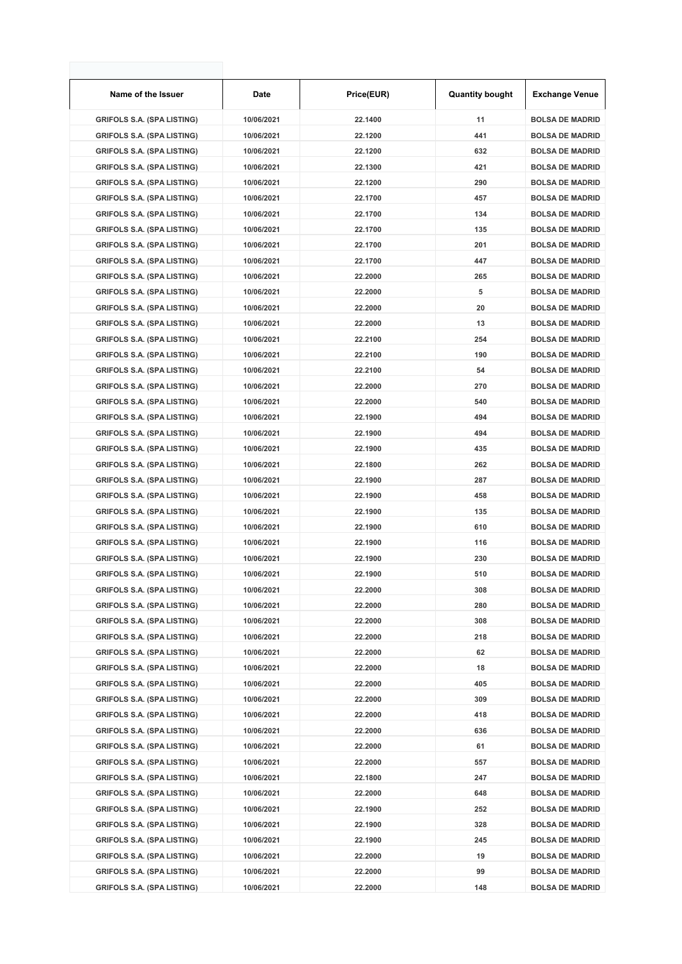| Name of the Issuer                | Date       | Price(EUR) | <b>Quantity bought</b> | <b>Exchange Venue</b>  |
|-----------------------------------|------------|------------|------------------------|------------------------|
| <b>GRIFOLS S.A. (SPA LISTING)</b> | 10/06/2021 | 22.1400    | 11                     | <b>BOLSA DE MADRID</b> |
| <b>GRIFOLS S.A. (SPA LISTING)</b> | 10/06/2021 | 22.1200    | 441                    | <b>BOLSA DE MADRID</b> |
| <b>GRIFOLS S.A. (SPA LISTING)</b> | 10/06/2021 | 22.1200    | 632                    | <b>BOLSA DE MADRID</b> |
| <b>GRIFOLS S.A. (SPA LISTING)</b> | 10/06/2021 | 22.1300    | 421                    | <b>BOLSA DE MADRID</b> |
| <b>GRIFOLS S.A. (SPA LISTING)</b> | 10/06/2021 | 22.1200    | 290                    | <b>BOLSA DE MADRID</b> |
| <b>GRIFOLS S.A. (SPA LISTING)</b> | 10/06/2021 | 22.1700    | 457                    | <b>BOLSA DE MADRID</b> |
| <b>GRIFOLS S.A. (SPA LISTING)</b> | 10/06/2021 | 22.1700    | 134                    | <b>BOLSA DE MADRID</b> |
| <b>GRIFOLS S.A. (SPA LISTING)</b> | 10/06/2021 | 22.1700    | 135                    | <b>BOLSA DE MADRID</b> |
| <b>GRIFOLS S.A. (SPA LISTING)</b> | 10/06/2021 | 22.1700    | 201                    | <b>BOLSA DE MADRID</b> |
| <b>GRIFOLS S.A. (SPA LISTING)</b> | 10/06/2021 | 22.1700    | 447                    | <b>BOLSA DE MADRID</b> |
| <b>GRIFOLS S.A. (SPA LISTING)</b> | 10/06/2021 | 22.2000    | 265                    | <b>BOLSA DE MADRID</b> |
| <b>GRIFOLS S.A. (SPA LISTING)</b> | 10/06/2021 | 22.2000    | 5                      | <b>BOLSA DE MADRID</b> |
| <b>GRIFOLS S.A. (SPA LISTING)</b> | 10/06/2021 | 22.2000    | 20                     | <b>BOLSA DE MADRID</b> |
| <b>GRIFOLS S.A. (SPA LISTING)</b> | 10/06/2021 | 22.2000    | 13                     | <b>BOLSA DE MADRID</b> |
| <b>GRIFOLS S.A. (SPA LISTING)</b> | 10/06/2021 | 22.2100    | 254                    | <b>BOLSA DE MADRID</b> |
| <b>GRIFOLS S.A. (SPA LISTING)</b> | 10/06/2021 | 22.2100    | 190                    | <b>BOLSA DE MADRID</b> |
| <b>GRIFOLS S.A. (SPA LISTING)</b> | 10/06/2021 | 22.2100    | 54                     | <b>BOLSA DE MADRID</b> |
| <b>GRIFOLS S.A. (SPA LISTING)</b> | 10/06/2021 | 22.2000    | 270                    | <b>BOLSA DE MADRID</b> |
| <b>GRIFOLS S.A. (SPA LISTING)</b> | 10/06/2021 | 22.2000    | 540                    | <b>BOLSA DE MADRID</b> |
| <b>GRIFOLS S.A. (SPA LISTING)</b> | 10/06/2021 | 22.1900    | 494                    | <b>BOLSA DE MADRID</b> |
| <b>GRIFOLS S.A. (SPA LISTING)</b> | 10/06/2021 | 22.1900    | 494                    | <b>BOLSA DE MADRID</b> |
| <b>GRIFOLS S.A. (SPA LISTING)</b> | 10/06/2021 | 22.1900    | 435                    | <b>BOLSA DE MADRID</b> |
| <b>GRIFOLS S.A. (SPA LISTING)</b> | 10/06/2021 | 22.1800    | 262                    | <b>BOLSA DE MADRID</b> |
| <b>GRIFOLS S.A. (SPA LISTING)</b> | 10/06/2021 | 22.1900    | 287                    | <b>BOLSA DE MADRID</b> |
| <b>GRIFOLS S.A. (SPA LISTING)</b> | 10/06/2021 | 22.1900    | 458                    | <b>BOLSA DE MADRID</b> |
| <b>GRIFOLS S.A. (SPA LISTING)</b> | 10/06/2021 | 22.1900    | 135                    | <b>BOLSA DE MADRID</b> |
| <b>GRIFOLS S.A. (SPA LISTING)</b> | 10/06/2021 | 22.1900    | 610                    | <b>BOLSA DE MADRID</b> |
| <b>GRIFOLS S.A. (SPA LISTING)</b> | 10/06/2021 | 22.1900    | 116                    | <b>BOLSA DE MADRID</b> |
| <b>GRIFOLS S.A. (SPA LISTING)</b> | 10/06/2021 | 22.1900    | 230                    | <b>BOLSA DE MADRID</b> |
| <b>GRIFOLS S.A. (SPA LISTING)</b> | 10/06/2021 | 22.1900    | 510                    | <b>BOLSA DE MADRID</b> |
| <b>GRIFOLS S.A. (SPA LISTING)</b> | 10/06/2021 | 22.2000    | 308                    | <b>BOLSA DE MADRID</b> |
| <b>GRIFOLS S.A. (SPA LISTING)</b> | 10/06/2021 | 22.2000    | 280                    | <b>BOLSA DE MADRID</b> |
| <b>GRIFOLS S.A. (SPA LISTING)</b> | 10/06/2021 | 22.2000    | 308                    | <b>BOLSA DE MADRID</b> |
| <b>GRIFOLS S.A. (SPA LISTING)</b> | 10/06/2021 | 22.2000    | 218                    | <b>BOLSA DE MADRID</b> |
| <b>GRIFOLS S.A. (SPA LISTING)</b> | 10/06/2021 | 22.2000    | 62                     | <b>BOLSA DE MADRID</b> |
| <b>GRIFOLS S.A. (SPA LISTING)</b> | 10/06/2021 | 22.2000    | 18                     | <b>BOLSA DE MADRID</b> |
| <b>GRIFOLS S.A. (SPA LISTING)</b> | 10/06/2021 | 22.2000    | 405                    | <b>BOLSA DE MADRID</b> |
| <b>GRIFOLS S.A. (SPA LISTING)</b> | 10/06/2021 | 22.2000    | 309                    | <b>BOLSA DE MADRID</b> |
| <b>GRIFOLS S.A. (SPA LISTING)</b> | 10/06/2021 | 22.2000    | 418                    | <b>BOLSA DE MADRID</b> |
| <b>GRIFOLS S.A. (SPA LISTING)</b> | 10/06/2021 | 22.2000    | 636                    | <b>BOLSA DE MADRID</b> |
| <b>GRIFOLS S.A. (SPA LISTING)</b> | 10/06/2021 | 22.2000    | 61                     | <b>BOLSA DE MADRID</b> |
| <b>GRIFOLS S.A. (SPA LISTING)</b> | 10/06/2021 | 22.2000    | 557                    | <b>BOLSA DE MADRID</b> |
| <b>GRIFOLS S.A. (SPA LISTING)</b> | 10/06/2021 | 22.1800    | 247                    | <b>BOLSA DE MADRID</b> |
| <b>GRIFOLS S.A. (SPA LISTING)</b> | 10/06/2021 | 22.2000    | 648                    | <b>BOLSA DE MADRID</b> |
| <b>GRIFOLS S.A. (SPA LISTING)</b> | 10/06/2021 | 22.1900    | 252                    | <b>BOLSA DE MADRID</b> |
| <b>GRIFOLS S.A. (SPA LISTING)</b> | 10/06/2021 | 22.1900    | 328                    | <b>BOLSA DE MADRID</b> |
| <b>GRIFOLS S.A. (SPA LISTING)</b> | 10/06/2021 | 22.1900    | 245                    | <b>BOLSA DE MADRID</b> |
| <b>GRIFOLS S.A. (SPA LISTING)</b> | 10/06/2021 | 22.2000    | 19                     | <b>BOLSA DE MADRID</b> |
| <b>GRIFOLS S.A. (SPA LISTING)</b> | 10/06/2021 | 22.2000    | 99                     | <b>BOLSA DE MADRID</b> |
| <b>GRIFOLS S.A. (SPA LISTING)</b> | 10/06/2021 | 22.2000    | 148                    | <b>BOLSA DE MADRID</b> |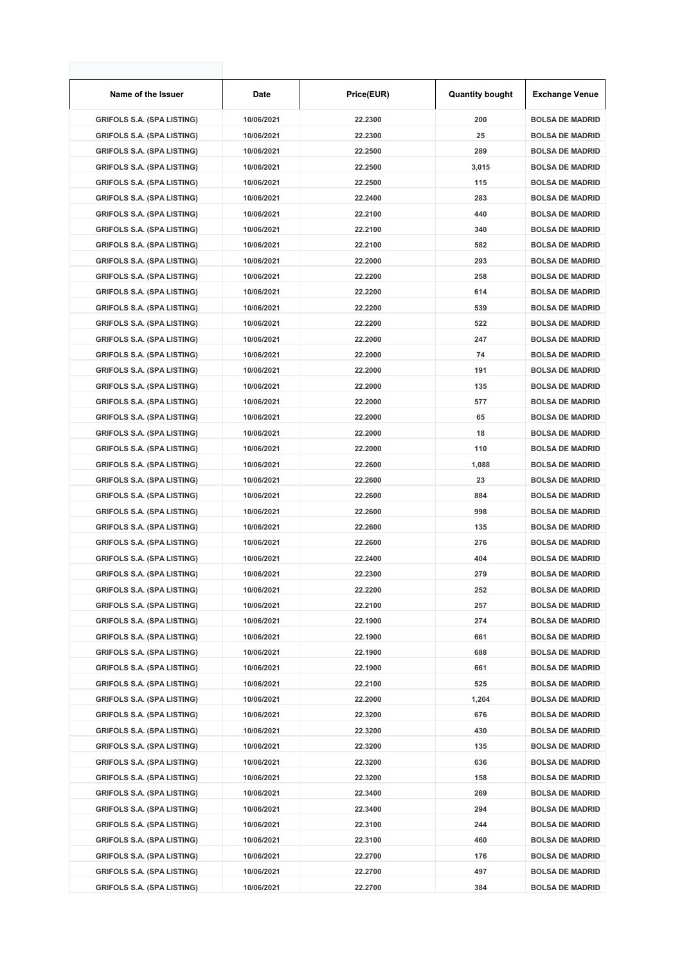| Name of the Issuer                | Date       | Price(EUR) | <b>Quantity bought</b> | <b>Exchange Venue</b>  |
|-----------------------------------|------------|------------|------------------------|------------------------|
| <b>GRIFOLS S.A. (SPA LISTING)</b> | 10/06/2021 | 22.2300    | 200                    | <b>BOLSA DE MADRID</b> |
| <b>GRIFOLS S.A. (SPA LISTING)</b> | 10/06/2021 | 22.2300    | 25                     | <b>BOLSA DE MADRID</b> |
| <b>GRIFOLS S.A. (SPA LISTING)</b> | 10/06/2021 | 22.2500    | 289                    | <b>BOLSA DE MADRID</b> |
| <b>GRIFOLS S.A. (SPA LISTING)</b> | 10/06/2021 | 22.2500    | 3,015                  | <b>BOLSA DE MADRID</b> |
| <b>GRIFOLS S.A. (SPA LISTING)</b> | 10/06/2021 | 22.2500    | 115                    | <b>BOLSA DE MADRID</b> |
| <b>GRIFOLS S.A. (SPA LISTING)</b> | 10/06/2021 | 22.2400    | 283                    | <b>BOLSA DE MADRID</b> |
| <b>GRIFOLS S.A. (SPA LISTING)</b> | 10/06/2021 | 22.2100    | 440                    | <b>BOLSA DE MADRID</b> |
| <b>GRIFOLS S.A. (SPA LISTING)</b> | 10/06/2021 | 22.2100    | 340                    | <b>BOLSA DE MADRID</b> |
| <b>GRIFOLS S.A. (SPA LISTING)</b> | 10/06/2021 | 22.2100    | 582                    | <b>BOLSA DE MADRID</b> |
| <b>GRIFOLS S.A. (SPA LISTING)</b> | 10/06/2021 | 22.2000    | 293                    | <b>BOLSA DE MADRID</b> |
| <b>GRIFOLS S.A. (SPA LISTING)</b> | 10/06/2021 | 22.2200    | 258                    | <b>BOLSA DE MADRID</b> |
| <b>GRIFOLS S.A. (SPA LISTING)</b> | 10/06/2021 | 22.2200    | 614                    | <b>BOLSA DE MADRID</b> |
| <b>GRIFOLS S.A. (SPA LISTING)</b> | 10/06/2021 | 22.2200    | 539                    | <b>BOLSA DE MADRID</b> |
| <b>GRIFOLS S.A. (SPA LISTING)</b> | 10/06/2021 | 22.2200    | 522                    | <b>BOLSA DE MADRID</b> |
| <b>GRIFOLS S.A. (SPA LISTING)</b> | 10/06/2021 | 22.2000    | 247                    | <b>BOLSA DE MADRID</b> |
| <b>GRIFOLS S.A. (SPA LISTING)</b> | 10/06/2021 | 22.2000    | 74                     | <b>BOLSA DE MADRID</b> |
| <b>GRIFOLS S.A. (SPA LISTING)</b> | 10/06/2021 | 22.2000    | 191                    | <b>BOLSA DE MADRID</b> |
| <b>GRIFOLS S.A. (SPA LISTING)</b> | 10/06/2021 | 22.2000    | 135                    | <b>BOLSA DE MADRID</b> |
| <b>GRIFOLS S.A. (SPA LISTING)</b> | 10/06/2021 | 22.2000    | 577                    | <b>BOLSA DE MADRID</b> |
| <b>GRIFOLS S.A. (SPA LISTING)</b> | 10/06/2021 | 22.2000    | 65                     | <b>BOLSA DE MADRID</b> |
| <b>GRIFOLS S.A. (SPA LISTING)</b> | 10/06/2021 | 22.2000    | 18                     | <b>BOLSA DE MADRID</b> |
| <b>GRIFOLS S.A. (SPA LISTING)</b> | 10/06/2021 | 22.2000    | 110                    | <b>BOLSA DE MADRID</b> |
| <b>GRIFOLS S.A. (SPA LISTING)</b> | 10/06/2021 | 22.2600    | 1,088                  | <b>BOLSA DE MADRID</b> |
| <b>GRIFOLS S.A. (SPA LISTING)</b> | 10/06/2021 | 22.2600    | 23                     | <b>BOLSA DE MADRID</b> |
| <b>GRIFOLS S.A. (SPA LISTING)</b> | 10/06/2021 | 22.2600    | 884                    | <b>BOLSA DE MADRID</b> |
| <b>GRIFOLS S.A. (SPA LISTING)</b> | 10/06/2021 | 22.2600    | 998                    | <b>BOLSA DE MADRID</b> |
| <b>GRIFOLS S.A. (SPA LISTING)</b> | 10/06/2021 | 22.2600    | 135                    | <b>BOLSA DE MADRID</b> |
| <b>GRIFOLS S.A. (SPA LISTING)</b> | 10/06/2021 | 22.2600    | 276                    | <b>BOLSA DE MADRID</b> |
| <b>GRIFOLS S.A. (SPA LISTING)</b> | 10/06/2021 | 22.2400    | 404                    | <b>BOLSA DE MADRID</b> |
| <b>GRIFOLS S.A. (SPA LISTING)</b> | 10/06/2021 | 22.2300    | 279                    | <b>BOLSA DE MADRID</b> |
| <b>GRIFOLS S.A. (SPA LISTING)</b> | 10/06/2021 | 22.2200    | 252                    | <b>BOLSA DE MADRID</b> |
| <b>GRIFOLS S.A. (SPA LISTING)</b> | 10/06/2021 | 22.2100    | 257                    | <b>BOLSA DE MADRID</b> |
| <b>GRIFOLS S.A. (SPA LISTING)</b> | 10/06/2021 | 22.1900    | 274                    | <b>BOLSA DE MADRID</b> |
| <b>GRIFOLS S.A. (SPA LISTING)</b> | 10/06/2021 | 22.1900    | 661                    | <b>BOLSA DE MADRID</b> |
| <b>GRIFOLS S.A. (SPA LISTING)</b> | 10/06/2021 | 22.1900    | 688                    | <b>BOLSA DE MADRID</b> |
| <b>GRIFOLS S.A. (SPA LISTING)</b> | 10/06/2021 | 22.1900    | 661                    | <b>BOLSA DE MADRID</b> |
| <b>GRIFOLS S.A. (SPA LISTING)</b> | 10/06/2021 | 22.2100    | 525                    | <b>BOLSA DE MADRID</b> |
| <b>GRIFOLS S.A. (SPA LISTING)</b> | 10/06/2021 | 22.2000    | 1,204                  | <b>BOLSA DE MADRID</b> |
| <b>GRIFOLS S.A. (SPA LISTING)</b> | 10/06/2021 | 22.3200    | 676                    | <b>BOLSA DE MADRID</b> |
| <b>GRIFOLS S.A. (SPA LISTING)</b> | 10/06/2021 | 22.3200    | 430                    | <b>BOLSA DE MADRID</b> |
| <b>GRIFOLS S.A. (SPA LISTING)</b> | 10/06/2021 | 22.3200    | 135                    | <b>BOLSA DE MADRID</b> |
| <b>GRIFOLS S.A. (SPA LISTING)</b> | 10/06/2021 | 22.3200    | 636                    | <b>BOLSA DE MADRID</b> |
| <b>GRIFOLS S.A. (SPA LISTING)</b> | 10/06/2021 | 22.3200    | 158                    | <b>BOLSA DE MADRID</b> |
| <b>GRIFOLS S.A. (SPA LISTING)</b> | 10/06/2021 | 22.3400    | 269                    | <b>BOLSA DE MADRID</b> |
| <b>GRIFOLS S.A. (SPA LISTING)</b> | 10/06/2021 | 22.3400    | 294                    | <b>BOLSA DE MADRID</b> |
| <b>GRIFOLS S.A. (SPA LISTING)</b> | 10/06/2021 | 22.3100    | 244                    | <b>BOLSA DE MADRID</b> |
| <b>GRIFOLS S.A. (SPA LISTING)</b> | 10/06/2021 | 22.3100    | 460                    | <b>BOLSA DE MADRID</b> |
| <b>GRIFOLS S.A. (SPA LISTING)</b> | 10/06/2021 | 22.2700    | 176                    | <b>BOLSA DE MADRID</b> |
| <b>GRIFOLS S.A. (SPA LISTING)</b> | 10/06/2021 | 22.2700    | 497                    | <b>BOLSA DE MADRID</b> |
| <b>GRIFOLS S.A. (SPA LISTING)</b> | 10/06/2021 | 22.2700    | 384                    | <b>BOLSA DE MADRID</b> |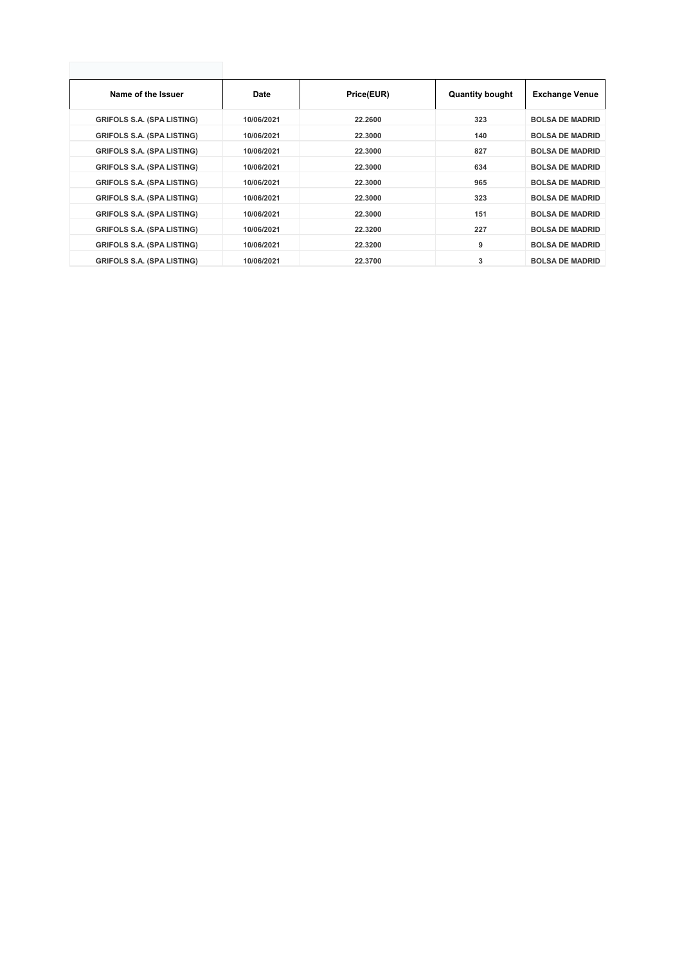| Name of the Issuer                | Date       | Price(EUR) | <b>Quantity bought</b> | <b>Exchange Venue</b>  |
|-----------------------------------|------------|------------|------------------------|------------------------|
| <b>GRIFOLS S.A. (SPA LISTING)</b> | 10/06/2021 | 22.2600    | 323                    | <b>BOLSA DE MADRID</b> |
| <b>GRIFOLS S.A. (SPA LISTING)</b> | 10/06/2021 | 22,3000    | 140                    | <b>BOLSA DE MADRID</b> |
| <b>GRIFOLS S.A. (SPA LISTING)</b> | 10/06/2021 | 22.3000    | 827                    | <b>BOLSA DE MADRID</b> |
| <b>GRIFOLS S.A. (SPA LISTING)</b> | 10/06/2021 | 22,3000    | 634                    | <b>BOLSA DE MADRID</b> |
| <b>GRIFOLS S.A. (SPA LISTING)</b> | 10/06/2021 | 22.3000    | 965                    | <b>BOLSA DE MADRID</b> |
| <b>GRIFOLS S.A. (SPA LISTING)</b> | 10/06/2021 | 22,3000    | 323                    | <b>BOLSA DE MADRID</b> |
| <b>GRIFOLS S.A. (SPA LISTING)</b> | 10/06/2021 | 22.3000    | 151                    | <b>BOLSA DE MADRID</b> |
| <b>GRIFOLS S.A. (SPA LISTING)</b> | 10/06/2021 | 22.3200    | 227                    | <b>BOLSA DE MADRID</b> |
| <b>GRIFOLS S.A. (SPA LISTING)</b> | 10/06/2021 | 22.3200    | 9                      | <b>BOLSA DE MADRID</b> |
| <b>GRIFOLS S.A. (SPA LISTING)</b> | 10/06/2021 | 22.3700    | 3                      | <b>BOLSA DE MADRID</b> |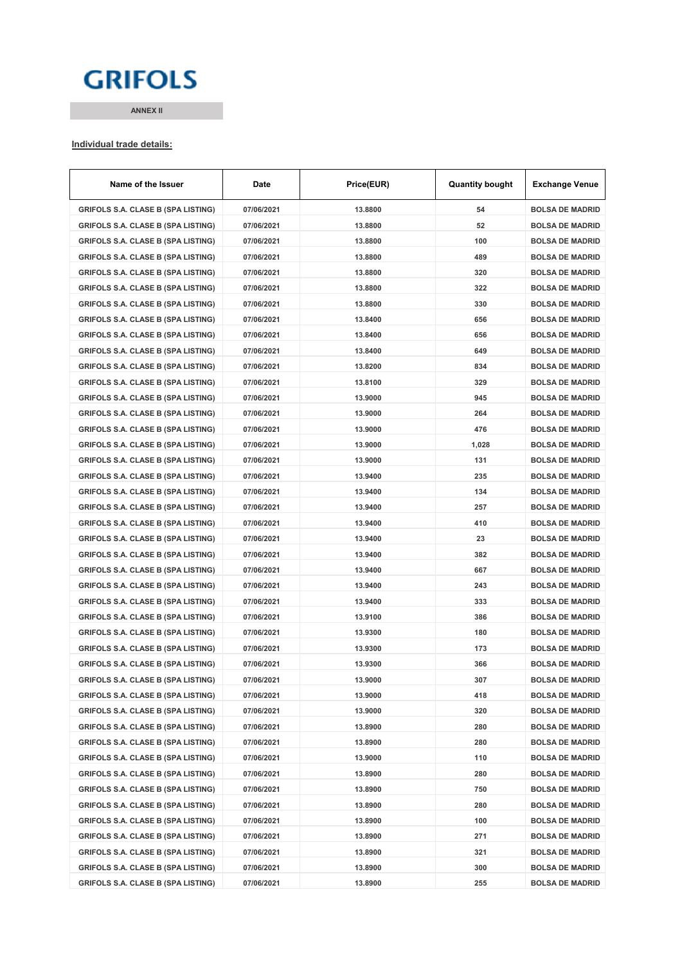# **GRIFOLS**

**ANNEX II**

#### **Individual trade details:**

| Name of the Issuer                        | Date       | Price(EUR) | <b>Quantity bought</b> | <b>Exchange Venue</b>  |
|-------------------------------------------|------------|------------|------------------------|------------------------|
| <b>GRIFOLS S.A. CLASE B (SPA LISTING)</b> | 07/06/2021 | 13,8800    | 54                     | <b>BOLSA DE MADRID</b> |
| <b>GRIFOLS S.A. CLASE B (SPA LISTING)</b> | 07/06/2021 | 13.8800    | 52                     | <b>BOLSA DE MADRID</b> |
| <b>GRIFOLS S.A. CLASE B (SPA LISTING)</b> | 07/06/2021 | 13.8800    | 100                    | <b>BOLSA DE MADRID</b> |
| <b>GRIFOLS S.A. CLASE B (SPA LISTING)</b> | 07/06/2021 | 13.8800    | 489                    | <b>BOLSA DE MADRID</b> |
| <b>GRIFOLS S.A. CLASE B (SPA LISTING)</b> | 07/06/2021 | 13.8800    | 320                    | <b>BOLSA DE MADRID</b> |
| <b>GRIFOLS S.A. CLASE B (SPA LISTING)</b> | 07/06/2021 | 13.8800    | 322                    | <b>BOLSA DE MADRID</b> |
| <b>GRIFOLS S.A. CLASE B (SPA LISTING)</b> | 07/06/2021 | 13.8800    | 330                    | <b>BOLSA DE MADRID</b> |
| <b>GRIFOLS S.A. CLASE B (SPA LISTING)</b> | 07/06/2021 | 13.8400    | 656                    | <b>BOLSA DE MADRID</b> |
| <b>GRIFOLS S.A. CLASE B (SPA LISTING)</b> | 07/06/2021 | 13.8400    | 656                    | <b>BOLSA DE MADRID</b> |
| <b>GRIFOLS S.A. CLASE B (SPA LISTING)</b> | 07/06/2021 | 13.8400    | 649                    | <b>BOLSA DE MADRID</b> |
| <b>GRIFOLS S.A. CLASE B (SPA LISTING)</b> | 07/06/2021 | 13.8200    | 834                    | <b>BOLSA DE MADRID</b> |
| <b>GRIFOLS S.A. CLASE B (SPA LISTING)</b> | 07/06/2021 | 13.8100    | 329                    | <b>BOLSA DE MADRID</b> |
| <b>GRIFOLS S.A. CLASE B (SPA LISTING)</b> | 07/06/2021 | 13.9000    | 945                    | <b>BOLSA DE MADRID</b> |
| <b>GRIFOLS S.A. CLASE B (SPA LISTING)</b> | 07/06/2021 | 13.9000    | 264                    | <b>BOLSA DE MADRID</b> |
| <b>GRIFOLS S.A. CLASE B (SPA LISTING)</b> | 07/06/2021 | 13,9000    | 476                    | <b>BOLSA DE MADRID</b> |
| <b>GRIFOLS S.A. CLASE B (SPA LISTING)</b> | 07/06/2021 | 13,9000    | 1,028                  | <b>BOLSA DE MADRID</b> |
| <b>GRIFOLS S.A. CLASE B (SPA LISTING)</b> | 07/06/2021 | 13.9000    | 131                    | <b>BOLSA DE MADRID</b> |
| <b>GRIFOLS S.A. CLASE B (SPA LISTING)</b> | 07/06/2021 | 13.9400    | 235                    | <b>BOLSA DE MADRID</b> |
| <b>GRIFOLS S.A. CLASE B (SPA LISTING)</b> | 07/06/2021 | 13.9400    | 134                    | <b>BOLSA DE MADRID</b> |
| <b>GRIFOLS S.A. CLASE B (SPA LISTING)</b> | 07/06/2021 | 13.9400    | 257                    | <b>BOLSA DE MADRID</b> |
| <b>GRIFOLS S.A. CLASE B (SPA LISTING)</b> | 07/06/2021 | 13.9400    | 410                    | <b>BOLSA DE MADRID</b> |
| <b>GRIFOLS S.A. CLASE B (SPA LISTING)</b> | 07/06/2021 | 13.9400    | 23                     | <b>BOLSA DE MADRID</b> |
| <b>GRIFOLS S.A. CLASE B (SPA LISTING)</b> | 07/06/2021 | 13.9400    | 382                    | <b>BOLSA DE MADRID</b> |
| <b>GRIFOLS S.A. CLASE B (SPA LISTING)</b> | 07/06/2021 | 13.9400    | 667                    | <b>BOLSA DE MADRID</b> |
| <b>GRIFOLS S.A. CLASE B (SPA LISTING)</b> | 07/06/2021 | 13.9400    | 243                    | <b>BOLSA DE MADRID</b> |
| <b>GRIFOLS S.A. CLASE B (SPA LISTING)</b> | 07/06/2021 | 13.9400    | 333                    | <b>BOLSA DE MADRID</b> |
| <b>GRIFOLS S.A. CLASE B (SPA LISTING)</b> | 07/06/2021 | 13.9100    | 386                    | <b>BOLSA DE MADRID</b> |
| <b>GRIFOLS S.A. CLASE B (SPA LISTING)</b> | 07/06/2021 | 13.9300    | 180                    | <b>BOLSA DE MADRID</b> |
| <b>GRIFOLS S.A. CLASE B (SPA LISTING)</b> | 07/06/2021 | 13.9300    | 173                    | <b>BOLSA DE MADRID</b> |
| <b>GRIFOLS S.A. CLASE B (SPA LISTING)</b> | 07/06/2021 | 13.9300    | 366                    | <b>BOLSA DE MADRID</b> |
| <b>GRIFOLS S.A. CLASE B (SPA LISTING)</b> | 07/06/2021 | 13.9000    | 307                    | <b>BOLSA DE MADRID</b> |
| <b>GRIFOLS S.A. CLASE B (SPA LISTING)</b> | 07/06/2021 | 13.9000    | 418                    | <b>BOLSA DE MADRID</b> |
| <b>GRIFOLS S.A. CLASE B (SPA LISTING)</b> | 07/06/2021 | 13.9000    | 320                    | <b>BOLSA DE MADRID</b> |
| <b>GRIFOLS S.A. CLASE B (SPA LISTING)</b> | 07/06/2021 | 13.8900    | 280                    | <b>BOLSA DE MADRID</b> |
| <b>GRIFOLS S.A. CLASE B (SPA LISTING)</b> | 07/06/2021 | 13.8900    | 280                    | <b>BOLSA DE MADRID</b> |
| <b>GRIFOLS S.A. CLASE B (SPA LISTING)</b> | 07/06/2021 | 13.9000    | 110                    | <b>BOLSA DE MADRID</b> |
| <b>GRIFOLS S.A. CLASE B (SPA LISTING)</b> | 07/06/2021 | 13.8900    | 280                    | <b>BOLSA DE MADRID</b> |
| <b>GRIFOLS S.A. CLASE B (SPA LISTING)</b> | 07/06/2021 | 13.8900    | 750                    | <b>BOLSA DE MADRID</b> |
| <b>GRIFOLS S.A. CLASE B (SPA LISTING)</b> | 07/06/2021 | 13.8900    | 280                    | <b>BOLSA DE MADRID</b> |
| <b>GRIFOLS S.A. CLASE B (SPA LISTING)</b> | 07/06/2021 | 13.8900    | 100                    | <b>BOLSA DE MADRID</b> |
| <b>GRIFOLS S.A. CLASE B (SPA LISTING)</b> | 07/06/2021 | 13.8900    | 271                    | <b>BOLSA DE MADRID</b> |
| <b>GRIFOLS S.A. CLASE B (SPA LISTING)</b> | 07/06/2021 | 13.8900    | 321                    | <b>BOLSA DE MADRID</b> |
| <b>GRIFOLS S.A. CLASE B (SPA LISTING)</b> | 07/06/2021 | 13.8900    | 300                    | <b>BOLSA DE MADRID</b> |
| <b>GRIFOLS S.A. CLASE B (SPA LISTING)</b> | 07/06/2021 | 13.8900    | 255                    | <b>BOLSA DE MADRID</b> |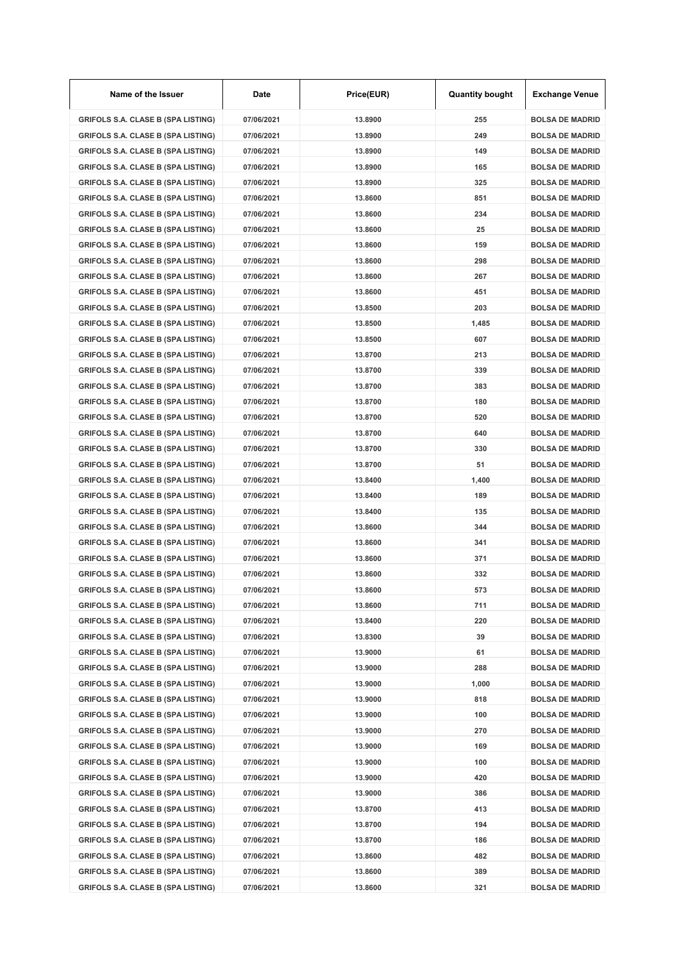| Name of the Issuer                        | Date       | Price(EUR) | <b>Quantity bought</b> | <b>Exchange Venue</b>  |
|-------------------------------------------|------------|------------|------------------------|------------------------|
| <b>GRIFOLS S.A. CLASE B (SPA LISTING)</b> | 07/06/2021 | 13.8900    | 255                    | <b>BOLSA DE MADRID</b> |
| <b>GRIFOLS S.A. CLASE B (SPA LISTING)</b> | 07/06/2021 | 13.8900    | 249                    | <b>BOLSA DE MADRID</b> |
| <b>GRIFOLS S.A. CLASE B (SPA LISTING)</b> | 07/06/2021 | 13.8900    | 149                    | <b>BOLSA DE MADRID</b> |
| GRIFOLS S.A. CLASE B (SPA LISTING)        | 07/06/2021 | 13.8900    | 165                    | <b>BOLSA DE MADRID</b> |
| <b>GRIFOLS S.A. CLASE B (SPA LISTING)</b> | 07/06/2021 | 13.8900    | 325                    | <b>BOLSA DE MADRID</b> |
| <b>GRIFOLS S.A. CLASE B (SPA LISTING)</b> | 07/06/2021 | 13.8600    | 851                    | <b>BOLSA DE MADRID</b> |
| <b>GRIFOLS S.A. CLASE B (SPA LISTING)</b> | 07/06/2021 | 13.8600    | 234                    | <b>BOLSA DE MADRID</b> |
| <b>GRIFOLS S.A. CLASE B (SPA LISTING)</b> | 07/06/2021 | 13.8600    | 25                     | <b>BOLSA DE MADRID</b> |
| <b>GRIFOLS S.A. CLASE B (SPA LISTING)</b> | 07/06/2021 | 13.8600    | 159                    | <b>BOLSA DE MADRID</b> |
| <b>GRIFOLS S.A. CLASE B (SPA LISTING)</b> | 07/06/2021 | 13.8600    | 298                    | <b>BOLSA DE MADRID</b> |
| <b>GRIFOLS S.A. CLASE B (SPA LISTING)</b> | 07/06/2021 | 13.8600    | 267                    | <b>BOLSA DE MADRID</b> |
| GRIFOLS S.A. CLASE B (SPA LISTING)        | 07/06/2021 | 13.8600    | 451                    | <b>BOLSA DE MADRID</b> |
| <b>GRIFOLS S.A. CLASE B (SPA LISTING)</b> | 07/06/2021 | 13.8500    | 203                    | <b>BOLSA DE MADRID</b> |
| <b>GRIFOLS S.A. CLASE B (SPA LISTING)</b> | 07/06/2021 | 13.8500    | 1,485                  | <b>BOLSA DE MADRID</b> |
| <b>GRIFOLS S.A. CLASE B (SPA LISTING)</b> | 07/06/2021 | 13.8500    | 607                    | <b>BOLSA DE MADRID</b> |
| <b>GRIFOLS S.A. CLASE B (SPA LISTING)</b> | 07/06/2021 | 13.8700    | 213                    | <b>BOLSA DE MADRID</b> |
| <b>GRIFOLS S.A. CLASE B (SPA LISTING)</b> | 07/06/2021 | 13.8700    | 339                    | <b>BOLSA DE MADRID</b> |
| <b>GRIFOLS S.A. CLASE B (SPA LISTING)</b> | 07/06/2021 | 13.8700    | 383                    | <b>BOLSA DE MADRID</b> |
| <b>GRIFOLS S.A. CLASE B (SPA LISTING)</b> | 07/06/2021 | 13,8700    | 180                    | <b>BOLSA DE MADRID</b> |
| GRIFOLS S.A. CLASE B (SPA LISTING)        | 07/06/2021 | 13.8700    | 520                    | <b>BOLSA DE MADRID</b> |
| <b>GRIFOLS S.A. CLASE B (SPA LISTING)</b> | 07/06/2021 | 13.8700    | 640                    | <b>BOLSA DE MADRID</b> |
| <b>GRIFOLS S.A. CLASE B (SPA LISTING)</b> | 07/06/2021 | 13.8700    | 330                    | <b>BOLSA DE MADRID</b> |
| <b>GRIFOLS S.A. CLASE B (SPA LISTING)</b> | 07/06/2021 | 13.8700    | 51                     | <b>BOLSA DE MADRID</b> |
| <b>GRIFOLS S.A. CLASE B (SPA LISTING)</b> | 07/06/2021 | 13.8400    | 1,400                  | <b>BOLSA DE MADRID</b> |
| <b>GRIFOLS S.A. CLASE B (SPA LISTING)</b> | 07/06/2021 | 13.8400    | 189                    | <b>BOLSA DE MADRID</b> |
| <b>GRIFOLS S.A. CLASE B (SPA LISTING)</b> | 07/06/2021 | 13.8400    | 135                    | <b>BOLSA DE MADRID</b> |
| <b>GRIFOLS S.A. CLASE B (SPA LISTING)</b> | 07/06/2021 | 13.8600    | 344                    | <b>BOLSA DE MADRID</b> |
| <b>GRIFOLS S.A. CLASE B (SPA LISTING)</b> | 07/06/2021 | 13.8600    | 341                    | <b>BOLSA DE MADRID</b> |
| GRIFOLS S.A. CLASE B (SPA LISTING)        | 07/06/2021 | 13.8600    | 371                    | <b>BOLSA DE MADRID</b> |
| <b>GRIFOLS S.A. CLASE B (SPA LISTING)</b> | 07/06/2021 | 13.8600    | 332                    | <b>BOLSA DE MADRID</b> |
| <b>GRIFOLS S.A. CLASE B (SPA LISTING)</b> | 07/06/2021 | 13.8600    | 573                    | <b>BOLSA DE MADRID</b> |
| <b>GRIFOLS S.A. CLASE B (SPA LISTING)</b> | 07/06/2021 | 13.8600    | 711                    | <b>BOLSA DE MADRID</b> |
| <b>GRIFOLS S.A. CLASE B (SPA LISTING)</b> | 07/06/2021 | 13.8400    | 220                    | <b>BOLSA DE MADRID</b> |
| <b>GRIFOLS S.A. CLASE B (SPA LISTING)</b> | 07/06/2021 | 13.8300    | 39                     | <b>BOLSA DE MADRID</b> |
| <b>GRIFOLS S.A. CLASE B (SPA LISTING)</b> | 07/06/2021 | 13.9000    | 61                     | <b>BOLSA DE MADRID</b> |
| <b>GRIFOLS S.A. CLASE B (SPA LISTING)</b> | 07/06/2021 | 13.9000    | 288                    | <b>BOLSA DE MADRID</b> |
| <b>GRIFOLS S.A. CLASE B (SPA LISTING)</b> | 07/06/2021 | 13.9000    | 1,000                  | <b>BOLSA DE MADRID</b> |
| <b>GRIFOLS S.A. CLASE B (SPA LISTING)</b> | 07/06/2021 | 13.9000    | 818                    | <b>BOLSA DE MADRID</b> |
| GRIFOLS S.A. CLASE B (SPA LISTING)        | 07/06/2021 | 13.9000    | 100                    | <b>BOLSA DE MADRID</b> |
| <b>GRIFOLS S.A. CLASE B (SPA LISTING)</b> | 07/06/2021 | 13.9000    | 270                    | <b>BOLSA DE MADRID</b> |
| <b>GRIFOLS S.A. CLASE B (SPA LISTING)</b> | 07/06/2021 | 13.9000    | 169                    | <b>BOLSA DE MADRID</b> |
| <b>GRIFOLS S.A. CLASE B (SPA LISTING)</b> | 07/06/2021 | 13.9000    | 100                    | <b>BOLSA DE MADRID</b> |
| <b>GRIFOLS S.A. CLASE B (SPA LISTING)</b> | 07/06/2021 | 13.9000    | 420                    | <b>BOLSA DE MADRID</b> |
| <b>GRIFOLS S.A. CLASE B (SPA LISTING)</b> | 07/06/2021 | 13.9000    | 386                    | <b>BOLSA DE MADRID</b> |
| <b>GRIFOLS S.A. CLASE B (SPA LISTING)</b> | 07/06/2021 | 13.8700    | 413                    | <b>BOLSA DE MADRID</b> |
| <b>GRIFOLS S.A. CLASE B (SPA LISTING)</b> | 07/06/2021 | 13.8700    | 194                    | <b>BOLSA DE MADRID</b> |
| <b>GRIFOLS S.A. CLASE B (SPA LISTING)</b> | 07/06/2021 | 13.8700    | 186                    | <b>BOLSA DE MADRID</b> |
| <b>GRIFOLS S.A. CLASE B (SPA LISTING)</b> | 07/06/2021 | 13.8600    | 482                    | <b>BOLSA DE MADRID</b> |
| <b>GRIFOLS S.A. CLASE B (SPA LISTING)</b> | 07/06/2021 | 13.8600    | 389                    | <b>BOLSA DE MADRID</b> |
| <b>GRIFOLS S.A. CLASE B (SPA LISTING)</b> | 07/06/2021 | 13.8600    | 321                    | <b>BOLSA DE MADRID</b> |
|                                           |            |            |                        |                        |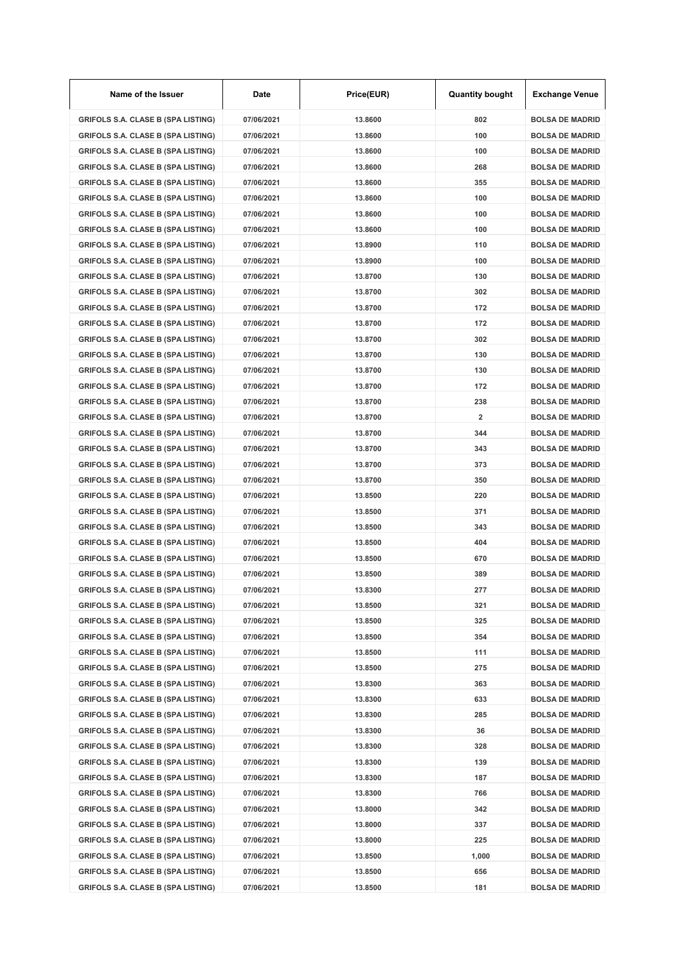| Name of the Issuer                        | Date              | Price(EUR) | <b>Quantity bought</b>  | <b>Exchange Venue</b>  |
|-------------------------------------------|-------------------|------------|-------------------------|------------------------|
| <b>GRIFOLS S.A. CLASE B (SPA LISTING)</b> | 07/06/2021        | 13.8600    | 802                     | <b>BOLSA DE MADRID</b> |
| <b>GRIFOLS S.A. CLASE B (SPA LISTING)</b> | 07/06/2021        | 13.8600    | 100                     | <b>BOLSA DE MADRID</b> |
| <b>GRIFOLS S.A. CLASE B (SPA LISTING)</b> | 07/06/2021        | 13.8600    | 100                     | <b>BOLSA DE MADRID</b> |
| <b>GRIFOLS S.A. CLASE B (SPA LISTING)</b> | 07/06/2021        | 13.8600    | 268                     | <b>BOLSA DE MADRID</b> |
| <b>GRIFOLS S.A. CLASE B (SPA LISTING)</b> | 07/06/2021        | 13.8600    | 355                     | <b>BOLSA DE MADRID</b> |
| <b>GRIFOLS S.A. CLASE B (SPA LISTING)</b> | 07/06/2021        | 13.8600    | 100                     | <b>BOLSA DE MADRID</b> |
| <b>GRIFOLS S.A. CLASE B (SPA LISTING)</b> | 07/06/2021        | 13.8600    | 100                     | <b>BOLSA DE MADRID</b> |
| <b>GRIFOLS S.A. CLASE B (SPA LISTING)</b> | 07/06/2021        | 13.8600    | 100                     | <b>BOLSA DE MADRID</b> |
| <b>GRIFOLS S.A. CLASE B (SPA LISTING)</b> | 07/06/2021        | 13.8900    | 110                     | <b>BOLSA DE MADRID</b> |
| <b>GRIFOLS S.A. CLASE B (SPA LISTING)</b> | 07/06/2021        | 13.8900    | 100                     | <b>BOLSA DE MADRID</b> |
| <b>GRIFOLS S.A. CLASE B (SPA LISTING)</b> | 07/06/2021        | 13.8700    | 130                     | <b>BOLSA DE MADRID</b> |
| <b>GRIFOLS S.A. CLASE B (SPA LISTING)</b> | 07/06/2021        | 13.8700    | 302                     | <b>BOLSA DE MADRID</b> |
| <b>GRIFOLS S.A. CLASE B (SPA LISTING)</b> | 07/06/2021        | 13.8700    | 172                     | <b>BOLSA DE MADRID</b> |
| <b>GRIFOLS S.A. CLASE B (SPA LISTING)</b> | 07/06/2021        | 13.8700    | 172                     | <b>BOLSA DE MADRID</b> |
| <b>GRIFOLS S.A. CLASE B (SPA LISTING)</b> | 07/06/2021        | 13.8700    | 302                     | <b>BOLSA DE MADRID</b> |
| GRIFOLS S.A. CLASE B (SPA LISTING)        | 07/06/2021        | 13.8700    | 130                     | <b>BOLSA DE MADRID</b> |
| <b>GRIFOLS S.A. CLASE B (SPA LISTING)</b> | 07/06/2021        | 13.8700    | 130                     | <b>BOLSA DE MADRID</b> |
| <b>GRIFOLS S.A. CLASE B (SPA LISTING)</b> | 07/06/2021        | 13.8700    | 172                     | <b>BOLSA DE MADRID</b> |
| <b>GRIFOLS S.A. CLASE B (SPA LISTING)</b> | 07/06/2021        | 13.8700    | 238                     | <b>BOLSA DE MADRID</b> |
| GRIFOLS S.A. CLASE B (SPA LISTING)        | 07/06/2021        | 13.8700    | $\overline{\mathbf{2}}$ | <b>BOLSA DE MADRID</b> |
| <b>GRIFOLS S.A. CLASE B (SPA LISTING)</b> | 07/06/2021        | 13.8700    | 344                     | <b>BOLSA DE MADRID</b> |
| <b>GRIFOLS S.A. CLASE B (SPA LISTING)</b> | 07/06/2021        | 13.8700    | 343                     | <b>BOLSA DE MADRID</b> |
| <b>GRIFOLS S.A. CLASE B (SPA LISTING)</b> | 07/06/2021        | 13.8700    | 373                     | <b>BOLSA DE MADRID</b> |
| GRIFOLS S.A. CLASE B (SPA LISTING)        | 07/06/2021        | 13.8700    | 350                     | <b>BOLSA DE MADRID</b> |
| <b>GRIFOLS S.A. CLASE B (SPA LISTING)</b> | 07/06/2021        | 13.8500    | 220                     | <b>BOLSA DE MADRID</b> |
| <b>GRIFOLS S.A. CLASE B (SPA LISTING)</b> | 07/06/2021        | 13.8500    | 371                     | <b>BOLSA DE MADRID</b> |
| <b>GRIFOLS S.A. CLASE B (SPA LISTING)</b> | 07/06/2021        | 13.8500    | 343                     | <b>BOLSA DE MADRID</b> |
| GRIFOLS S.A. CLASE B (SPA LISTING)        | 07/06/2021        | 13.8500    | 404                     | <b>BOLSA DE MADRID</b> |
| <b>GRIFOLS S.A. CLASE B (SPA LISTING)</b> | 07/06/2021        | 13.8500    | 670                     | <b>BOLSA DE MADRID</b> |
| <b>GRIFOLS S.A. CLASE B (SPA LISTING)</b> | 07/06/2021        | 13.8500    | 389                     | <b>BOLSA DE MADRID</b> |
| <b>GRIFOLS S.A. CLASE B (SPA LISTING)</b> | <b>07/06/2021</b> | 13,8300    | 277                     | <b>BOLSA DE MADRID</b> |
| GRIFOLS S.A. CLASE B (SPA LISTING)        | 07/06/2021        | 13.8500    | 321                     | <b>BOLSA DE MADRID</b> |
| <b>GRIFOLS S.A. CLASE B (SPA LISTING)</b> | 07/06/2021        | 13.8500    | 325                     | <b>BOLSA DE MADRID</b> |
| <b>GRIFOLS S.A. CLASE B (SPA LISTING)</b> | 07/06/2021        | 13.8500    | 354                     | <b>BOLSA DE MADRID</b> |
| <b>GRIFOLS S.A. CLASE B (SPA LISTING)</b> | 07/06/2021        | 13.8500    | 111                     | <b>BOLSA DE MADRID</b> |
| <b>GRIFOLS S.A. CLASE B (SPA LISTING)</b> | 07/06/2021        | 13.8500    | 275                     | <b>BOLSA DE MADRID</b> |
| <b>GRIFOLS S.A. CLASE B (SPA LISTING)</b> | 07/06/2021        | 13,8300    | 363                     | <b>BOLSA DE MADRID</b> |
| <b>GRIFOLS S.A. CLASE B (SPA LISTING)</b> | 07/06/2021        | 13.8300    | 633                     | <b>BOLSA DE MADRID</b> |
| <b>GRIFOLS S.A. CLASE B (SPA LISTING)</b> | 07/06/2021        | 13.8300    | 285                     | <b>BOLSA DE MADRID</b> |
| <b>GRIFOLS S.A. CLASE B (SPA LISTING)</b> | 07/06/2021        | 13.8300    | 36                      | <b>BOLSA DE MADRID</b> |
| <b>GRIFOLS S.A. CLASE B (SPA LISTING)</b> | 07/06/2021        | 13.8300    | 328                     | <b>BOLSA DE MADRID</b> |
| <b>GRIFOLS S.A. CLASE B (SPA LISTING)</b> | 07/06/2021        | 13.8300    | 139                     | <b>BOLSA DE MADRID</b> |
| <b>GRIFOLS S.A. CLASE B (SPA LISTING)</b> | 07/06/2021        | 13.8300    | 187                     | <b>BOLSA DE MADRID</b> |
| <b>GRIFOLS S.A. CLASE B (SPA LISTING)</b> | 07/06/2021        | 13.8300    | 766                     | <b>BOLSA DE MADRID</b> |
| <b>GRIFOLS S.A. CLASE B (SPA LISTING)</b> | 07/06/2021        | 13.8000    | 342                     | <b>BOLSA DE MADRID</b> |
| <b>GRIFOLS S.A. CLASE B (SPA LISTING)</b> | 07/06/2021        | 13.8000    | 337                     | <b>BOLSA DE MADRID</b> |
| <b>GRIFOLS S.A. CLASE B (SPA LISTING)</b> | 07/06/2021        | 13.8000    | 225                     | <b>BOLSA DE MADRID</b> |
| <b>GRIFOLS S.A. CLASE B (SPA LISTING)</b> | 07/06/2021        | 13.8500    | 1,000                   | <b>BOLSA DE MADRID</b> |
| <b>GRIFOLS S.A. CLASE B (SPA LISTING)</b> | 07/06/2021        | 13.8500    | 656                     | <b>BOLSA DE MADRID</b> |
| <b>GRIFOLS S.A. CLASE B (SPA LISTING)</b> | 07/06/2021        | 13.8500    | 181                     | <b>BOLSA DE MADRID</b> |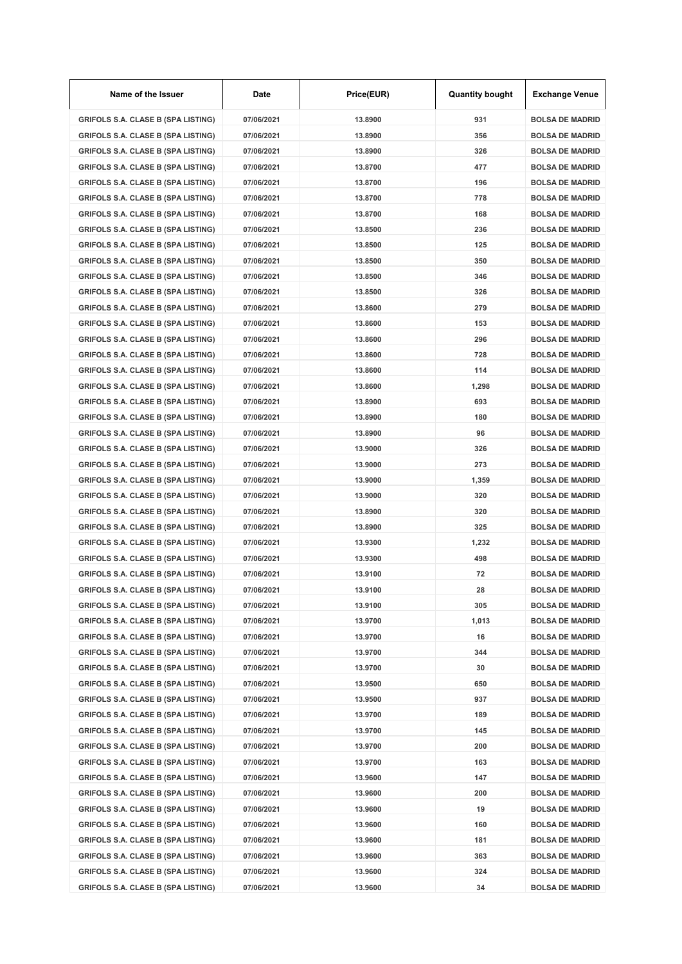| Name of the Issuer                        | Date              | Price(EUR) | <b>Quantity bought</b> | <b>Exchange Venue</b>  |
|-------------------------------------------|-------------------|------------|------------------------|------------------------|
| <b>GRIFOLS S.A. CLASE B (SPA LISTING)</b> | 07/06/2021        | 13.8900    | 931                    | <b>BOLSA DE MADRID</b> |
| <b>GRIFOLS S.A. CLASE B (SPA LISTING)</b> | 07/06/2021        | 13.8900    | 356                    | <b>BOLSA DE MADRID</b> |
| <b>GRIFOLS S.A. CLASE B (SPA LISTING)</b> | 07/06/2021        | 13.8900    | 326                    | <b>BOLSA DE MADRID</b> |
| <b>GRIFOLS S.A. CLASE B (SPA LISTING)</b> | 07/06/2021        | 13.8700    | 477                    | <b>BOLSA DE MADRID</b> |
| <b>GRIFOLS S.A. CLASE B (SPA LISTING)</b> | 07/06/2021        | 13.8700    | 196                    | <b>BOLSA DE MADRID</b> |
| <b>GRIFOLS S.A. CLASE B (SPA LISTING)</b> | 07/06/2021        | 13.8700    | 778                    | <b>BOLSA DE MADRID</b> |
| <b>GRIFOLS S.A. CLASE B (SPA LISTING)</b> | 07/06/2021        | 13.8700    | 168                    | <b>BOLSA DE MADRID</b> |
| <b>GRIFOLS S.A. CLASE B (SPA LISTING)</b> | 07/06/2021        | 13.8500    | 236                    | <b>BOLSA DE MADRID</b> |
| <b>GRIFOLS S.A. CLASE B (SPA LISTING)</b> | 07/06/2021        | 13.8500    | 125                    | <b>BOLSA DE MADRID</b> |
| <b>GRIFOLS S.A. CLASE B (SPA LISTING)</b> | 07/06/2021        | 13.8500    | 350                    | <b>BOLSA DE MADRID</b> |
| <b>GRIFOLS S.A. CLASE B (SPA LISTING)</b> | 07/06/2021        | 13.8500    | 346                    | <b>BOLSA DE MADRID</b> |
| <b>GRIFOLS S.A. CLASE B (SPA LISTING)</b> | 07/06/2021        | 13.8500    | 326                    | <b>BOLSA DE MADRID</b> |
| <b>GRIFOLS S.A. CLASE B (SPA LISTING)</b> | 07/06/2021        | 13.8600    | 279                    | <b>BOLSA DE MADRID</b> |
| <b>GRIFOLS S.A. CLASE B (SPA LISTING)</b> | 07/06/2021        | 13.8600    | 153                    | <b>BOLSA DE MADRID</b> |
| <b>GRIFOLS S.A. CLASE B (SPA LISTING)</b> | 07/06/2021        | 13.8600    | 296                    | <b>BOLSA DE MADRID</b> |
| GRIFOLS S.A. CLASE B (SPA LISTING)        | 07/06/2021        | 13.8600    | 728                    | <b>BOLSA DE MADRID</b> |
| <b>GRIFOLS S.A. CLASE B (SPA LISTING)</b> | 07/06/2021        | 13.8600    | 114                    | <b>BOLSA DE MADRID</b> |
| <b>GRIFOLS S.A. CLASE B (SPA LISTING)</b> | 07/06/2021        | 13.8600    | 1,298                  | <b>BOLSA DE MADRID</b> |
| <b>GRIFOLS S.A. CLASE B (SPA LISTING)</b> | 07/06/2021        | 13.8900    | 693                    | <b>BOLSA DE MADRID</b> |
| GRIFOLS S.A. CLASE B (SPA LISTING)        | 07/06/2021        | 13.8900    | 180                    | <b>BOLSA DE MADRID</b> |
| <b>GRIFOLS S.A. CLASE B (SPA LISTING)</b> | 07/06/2021        | 13.8900    | 96                     | <b>BOLSA DE MADRID</b> |
| GRIFOLS S.A. CLASE B (SPA LISTING)        | 07/06/2021        | 13.9000    | 326                    | <b>BOLSA DE MADRID</b> |
| <b>GRIFOLS S.A. CLASE B (SPA LISTING)</b> | 07/06/2021        | 13.9000    | 273                    | <b>BOLSA DE MADRID</b> |
| GRIFOLS S.A. CLASE B (SPA LISTING)        | 07/06/2021        | 13.9000    | 1,359                  | <b>BOLSA DE MADRID</b> |
| <b>GRIFOLS S.A. CLASE B (SPA LISTING)</b> | 07/06/2021        | 13.9000    | 320                    | <b>BOLSA DE MADRID</b> |
| <b>GRIFOLS S.A. CLASE B (SPA LISTING)</b> | 07/06/2021        | 13.8900    | 320                    | <b>BOLSA DE MADRID</b> |
| <b>GRIFOLS S.A. CLASE B (SPA LISTING)</b> | 07/06/2021        | 13.8900    | 325                    | <b>BOLSA DE MADRID</b> |
| GRIFOLS S.A. CLASE B (SPA LISTING)        | 07/06/2021        | 13.9300    | 1,232                  | <b>BOLSA DE MADRID</b> |
| GRIFOLS S.A. CLASE B (SPA LISTING)        | 07/06/2021        | 13.9300    | 498                    | <b>BOLSA DE MADRID</b> |
| <b>GRIFOLS S.A. CLASE B (SPA LISTING)</b> | 07/06/2021        | 13.9100    | 72                     | <b>BOLSA DE MADRID</b> |
| <b>GRIFOLS S.A. CLASE B (SPA LISTING)</b> | <b>07/06/2021</b> | 13.9100    | 28                     | <b>BOLSA DE MADRID</b> |
| GRIFOLS S.A. CLASE B (SPA LISTING)        | 07/06/2021        | 13.9100    | 305                    | <b>BOLSA DE MADRID</b> |
| <b>GRIFOLS S.A. CLASE B (SPA LISTING)</b> | 07/06/2021        | 13.9700    | 1,013                  | <b>BOLSA DE MADRID</b> |
| <b>GRIFOLS S.A. CLASE B (SPA LISTING)</b> | 07/06/2021        | 13.9700    | 16                     | <b>BOLSA DE MADRID</b> |
| <b>GRIFOLS S.A. CLASE B (SPA LISTING)</b> | 07/06/2021        | 13.9700    | 344                    | <b>BOLSA DE MADRID</b> |
| <b>GRIFOLS S.A. CLASE B (SPA LISTING)</b> | 07/06/2021        | 13.9700    | 30                     | <b>BOLSA DE MADRID</b> |
| <b>GRIFOLS S.A. CLASE B (SPA LISTING)</b> | 07/06/2021        | 13.9500    | 650                    | <b>BOLSA DE MADRID</b> |
| <b>GRIFOLS S.A. CLASE B (SPA LISTING)</b> | 07/06/2021        | 13.9500    | 937                    | <b>BOLSA DE MADRID</b> |
| GRIFOLS S.A. CLASE B (SPA LISTING)        | 07/06/2021        | 13.9700    | 189                    | <b>BOLSA DE MADRID</b> |
| <b>GRIFOLS S.A. CLASE B (SPA LISTING)</b> | 07/06/2021        | 13.9700    | 145                    | <b>BOLSA DE MADRID</b> |
| <b>GRIFOLS S.A. CLASE B (SPA LISTING)</b> | 07/06/2021        | 13.9700    | 200                    | <b>BOLSA DE MADRID</b> |
| <b>GRIFOLS S.A. CLASE B (SPA LISTING)</b> | 07/06/2021        | 13.9700    | 163                    | <b>BOLSA DE MADRID</b> |
| <b>GRIFOLS S.A. CLASE B (SPA LISTING)</b> | 07/06/2021        | 13.9600    | 147                    | <b>BOLSA DE MADRID</b> |
| <b>GRIFOLS S.A. CLASE B (SPA LISTING)</b> | 07/06/2021        | 13.9600    | 200                    | <b>BOLSA DE MADRID</b> |
| <b>GRIFOLS S.A. CLASE B (SPA LISTING)</b> | 07/06/2021        | 13.9600    | 19                     | <b>BOLSA DE MADRID</b> |
| <b>GRIFOLS S.A. CLASE B (SPA LISTING)</b> | 07/06/2021        | 13.9600    | 160                    | <b>BOLSA DE MADRID</b> |
| <b>GRIFOLS S.A. CLASE B (SPA LISTING)</b> | 07/06/2021        | 13.9600    | 181                    | <b>BOLSA DE MADRID</b> |
| <b>GRIFOLS S.A. CLASE B (SPA LISTING)</b> | 07/06/2021        | 13.9600    | 363                    | <b>BOLSA DE MADRID</b> |
| <b>GRIFOLS S.A. CLASE B (SPA LISTING)</b> | 07/06/2021        | 13.9600    | 324                    | <b>BOLSA DE MADRID</b> |
| <b>GRIFOLS S.A. CLASE B (SPA LISTING)</b> | 07/06/2021        | 13.9600    | 34                     | <b>BOLSA DE MADRID</b> |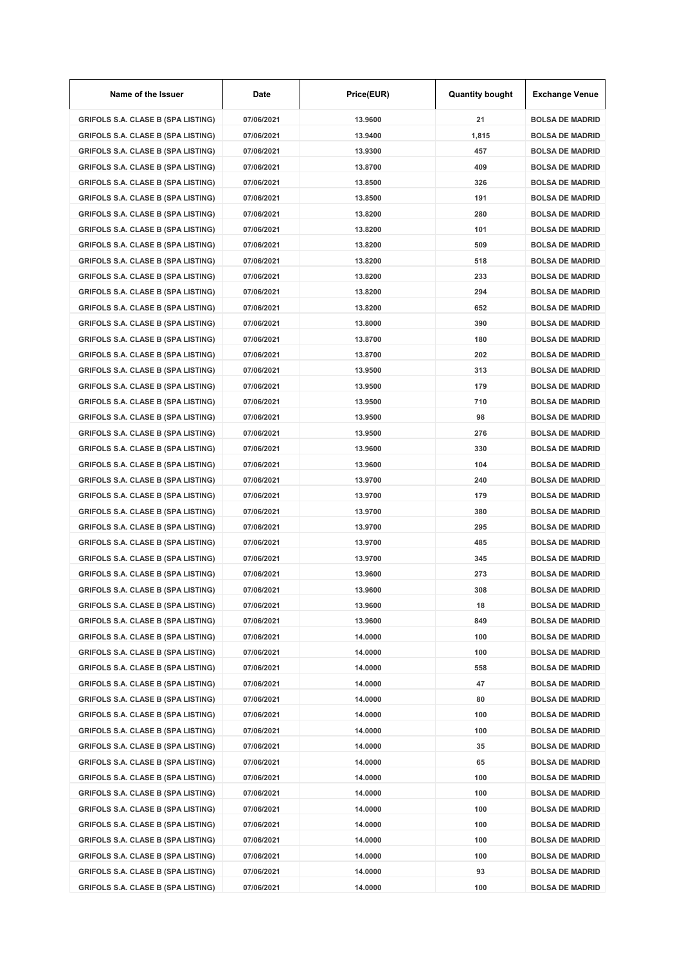| Name of the Issuer                        | Date              | Price(EUR) | <b>Quantity bought</b> | <b>Exchange Venue</b>  |
|-------------------------------------------|-------------------|------------|------------------------|------------------------|
| <b>GRIFOLS S.A. CLASE B (SPA LISTING)</b> | 07/06/2021        | 13.9600    | 21                     | <b>BOLSA DE MADRID</b> |
| <b>GRIFOLS S.A. CLASE B (SPA LISTING)</b> | 07/06/2021        | 13.9400    | 1,815                  | <b>BOLSA DE MADRID</b> |
| <b>GRIFOLS S.A. CLASE B (SPA LISTING)</b> | 07/06/2021        | 13.9300    | 457                    | <b>BOLSA DE MADRID</b> |
| <b>GRIFOLS S.A. CLASE B (SPA LISTING)</b> | 07/06/2021        | 13.8700    | 409                    | <b>BOLSA DE MADRID</b> |
| <b>GRIFOLS S.A. CLASE B (SPA LISTING)</b> | 07/06/2021        | 13.8500    | 326                    | <b>BOLSA DE MADRID</b> |
| <b>GRIFOLS S.A. CLASE B (SPA LISTING)</b> | 07/06/2021        | 13.8500    | 191                    | <b>BOLSA DE MADRID</b> |
| <b>GRIFOLS S.A. CLASE B (SPA LISTING)</b> | 07/06/2021        | 13.8200    | 280                    | <b>BOLSA DE MADRID</b> |
| <b>GRIFOLS S.A. CLASE B (SPA LISTING)</b> | 07/06/2021        | 13.8200    | 101                    | <b>BOLSA DE MADRID</b> |
| <b>GRIFOLS S.A. CLASE B (SPA LISTING)</b> | 07/06/2021        | 13.8200    | 509                    | <b>BOLSA DE MADRID</b> |
| <b>GRIFOLS S.A. CLASE B (SPA LISTING)</b> | 07/06/2021        | 13.8200    | 518                    | <b>BOLSA DE MADRID</b> |
| <b>GRIFOLS S.A. CLASE B (SPA LISTING)</b> | 07/06/2021        | 13.8200    | 233                    | <b>BOLSA DE MADRID</b> |
| <b>GRIFOLS S.A. CLASE B (SPA LISTING)</b> | 07/06/2021        | 13.8200    | 294                    | <b>BOLSA DE MADRID</b> |
| <b>GRIFOLS S.A. CLASE B (SPA LISTING)</b> | 07/06/2021        | 13.8200    | 652                    | <b>BOLSA DE MADRID</b> |
| <b>GRIFOLS S.A. CLASE B (SPA LISTING)</b> | 07/06/2021        | 13.8000    | 390                    | <b>BOLSA DE MADRID</b> |
| <b>GRIFOLS S.A. CLASE B (SPA LISTING)</b> | 07/06/2021        | 13.8700    | 180                    | <b>BOLSA DE MADRID</b> |
| GRIFOLS S.A. CLASE B (SPA LISTING)        | 07/06/2021        | 13.8700    | 202                    | <b>BOLSA DE MADRID</b> |
| <b>GRIFOLS S.A. CLASE B (SPA LISTING)</b> | 07/06/2021        | 13.9500    | 313                    | <b>BOLSA DE MADRID</b> |
| <b>GRIFOLS S.A. CLASE B (SPA LISTING)</b> | 07/06/2021        | 13.9500    | 179                    | <b>BOLSA DE MADRID</b> |
| <b>GRIFOLS S.A. CLASE B (SPA LISTING)</b> | 07/06/2021        | 13.9500    | 710                    | <b>BOLSA DE MADRID</b> |
| GRIFOLS S.A. CLASE B (SPA LISTING)        | 07/06/2021        | 13.9500    | 98                     | <b>BOLSA DE MADRID</b> |
| <b>GRIFOLS S.A. CLASE B (SPA LISTING)</b> | 07/06/2021        | 13.9500    | 276                    | <b>BOLSA DE MADRID</b> |
| <b>GRIFOLS S.A. CLASE B (SPA LISTING)</b> | 07/06/2021        | 13.9600    | 330                    | <b>BOLSA DE MADRID</b> |
| <b>GRIFOLS S.A. CLASE B (SPA LISTING)</b> | 07/06/2021        | 13.9600    | 104                    | <b>BOLSA DE MADRID</b> |
| GRIFOLS S.A. CLASE B (SPA LISTING)        | 07/06/2021        | 13.9700    | 240                    | <b>BOLSA DE MADRID</b> |
| <b>GRIFOLS S.A. CLASE B (SPA LISTING)</b> | 07/06/2021        | 13.9700    | 179                    | <b>BOLSA DE MADRID</b> |
| <b>GRIFOLS S.A. CLASE B (SPA LISTING)</b> | 07/06/2021        | 13.9700    | 380                    | <b>BOLSA DE MADRID</b> |
| <b>GRIFOLS S.A. CLASE B (SPA LISTING)</b> | 07/06/2021        | 13.9700    | 295                    | <b>BOLSA DE MADRID</b> |
| <b>GRIFOLS S.A. CLASE B (SPA LISTING)</b> | 07/06/2021        | 13.9700    | 485                    | <b>BOLSA DE MADRID</b> |
| <b>GRIFOLS S.A. CLASE B (SPA LISTING)</b> | 07/06/2021        | 13.9700    | 345                    | <b>BOLSA DE MADRID</b> |
| <b>GRIFOLS S.A. CLASE B (SPA LISTING)</b> | 07/06/2021        | 13.9600    | 273                    | <b>BOLSA DE MADRID</b> |
| <b>GRIFOLS S.A. CLASE B (SPA LISTING)</b> | <b>07/06/2021</b> | 13.9600    | 308                    | <b>BOLSA DE MADRID</b> |
| GRIFOLS S.A. CLASE B (SPA LISTING)        | 07/06/2021        | 13.9600    | 18                     | <b>BOLSA DE MADRID</b> |
| <b>GRIFOLS S.A. CLASE B (SPA LISTING)</b> | 07/06/2021        | 13.9600    | 849                    | <b>BOLSA DE MADRID</b> |
| <b>GRIFOLS S.A. CLASE B (SPA LISTING)</b> | 07/06/2021        | 14.0000    | 100                    | <b>BOLSA DE MADRID</b> |
| <b>GRIFOLS S.A. CLASE B (SPA LISTING)</b> | 07/06/2021        | 14.0000    | 100                    | <b>BOLSA DE MADRID</b> |
| <b>GRIFOLS S.A. CLASE B (SPA LISTING)</b> | 07/06/2021        | 14.0000    | 558                    | <b>BOLSA DE MADRID</b> |
| <b>GRIFOLS S.A. CLASE B (SPA LISTING)</b> | 07/06/2021        | 14.0000    | 47                     | <b>BOLSA DE MADRID</b> |
| <b>GRIFOLS S.A. CLASE B (SPA LISTING)</b> | 07/06/2021        | 14.0000    | 80                     | <b>BOLSA DE MADRID</b> |
| GRIFOLS S.A. CLASE B (SPA LISTING)        | 07/06/2021        | 14.0000    | 100                    | <b>BOLSA DE MADRID</b> |
| <b>GRIFOLS S.A. CLASE B (SPA LISTING)</b> | 07/06/2021        | 14.0000    | 100                    | <b>BOLSA DE MADRID</b> |
| <b>GRIFOLS S.A. CLASE B (SPA LISTING)</b> | 07/06/2021        | 14.0000    | 35                     | <b>BOLSA DE MADRID</b> |
| <b>GRIFOLS S.A. CLASE B (SPA LISTING)</b> | 07/06/2021        | 14.0000    | 65                     | <b>BOLSA DE MADRID</b> |
| <b>GRIFOLS S.A. CLASE B (SPA LISTING)</b> | 07/06/2021        | 14.0000    | 100                    | <b>BOLSA DE MADRID</b> |
| <b>GRIFOLS S.A. CLASE B (SPA LISTING)</b> | 07/06/2021        | 14.0000    | 100                    | <b>BOLSA DE MADRID</b> |
| <b>GRIFOLS S.A. CLASE B (SPA LISTING)</b> | 07/06/2021        | 14.0000    | 100                    | <b>BOLSA DE MADRID</b> |
| <b>GRIFOLS S.A. CLASE B (SPA LISTING)</b> | 07/06/2021        | 14.0000    | 100                    | <b>BOLSA DE MADRID</b> |
| <b>GRIFOLS S.A. CLASE B (SPA LISTING)</b> | 07/06/2021        | 14.0000    | 100                    | <b>BOLSA DE MADRID</b> |
| <b>GRIFOLS S.A. CLASE B (SPA LISTING)</b> | 07/06/2021        | 14.0000    | 100                    | <b>BOLSA DE MADRID</b> |
| <b>GRIFOLS S.A. CLASE B (SPA LISTING)</b> | 07/06/2021        | 14.0000    | 93                     | <b>BOLSA DE MADRID</b> |
| <b>GRIFOLS S.A. CLASE B (SPA LISTING)</b> | 07/06/2021        | 14.0000    | 100                    | <b>BOLSA DE MADRID</b> |
|                                           |                   |            |                        |                        |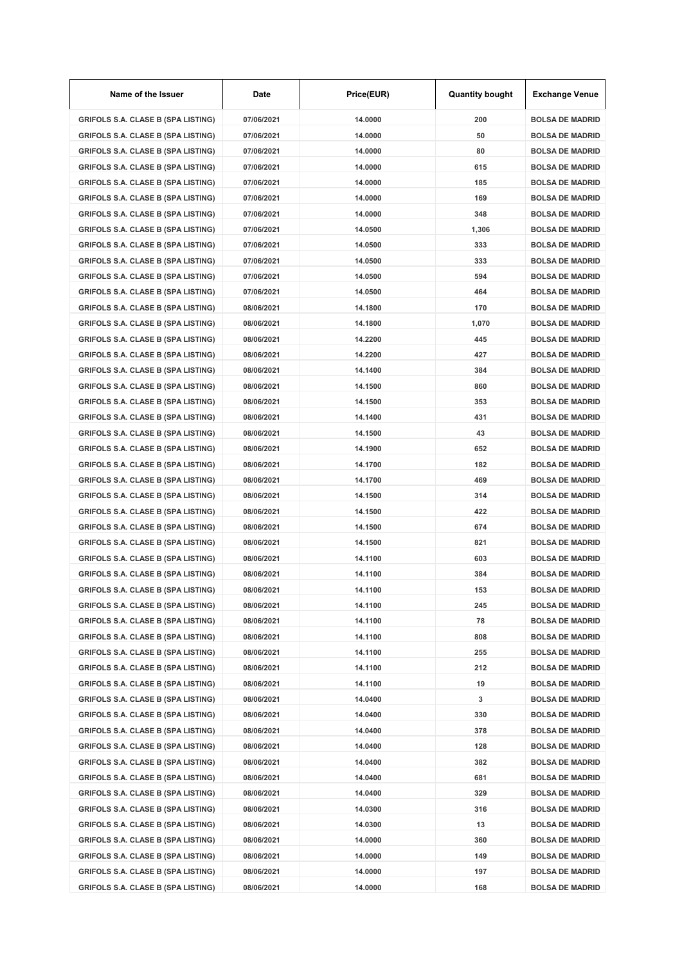| Name of the Issuer                        | Date       | Price(EUR) | <b>Quantity bought</b> | <b>Exchange Venue</b>  |
|-------------------------------------------|------------|------------|------------------------|------------------------|
| <b>GRIFOLS S.A. CLASE B (SPA LISTING)</b> | 07/06/2021 | 14.0000    | 200                    | <b>BOLSA DE MADRID</b> |
| <b>GRIFOLS S.A. CLASE B (SPA LISTING)</b> | 07/06/2021 | 14.0000    | 50                     | <b>BOLSA DE MADRID</b> |
| <b>GRIFOLS S.A. CLASE B (SPA LISTING)</b> | 07/06/2021 | 14.0000    | 80                     | <b>BOLSA DE MADRID</b> |
| <b>GRIFOLS S.A. CLASE B (SPA LISTING)</b> | 07/06/2021 | 14.0000    | 615                    | <b>BOLSA DE MADRID</b> |
| <b>GRIFOLS S.A. CLASE B (SPA LISTING)</b> | 07/06/2021 | 14.0000    | 185                    | <b>BOLSA DE MADRID</b> |
| GRIFOLS S.A. CLASE B (SPA LISTING)        | 07/06/2021 | 14.0000    | 169                    | <b>BOLSA DE MADRID</b> |
| <b>GRIFOLS S.A. CLASE B (SPA LISTING)</b> | 07/06/2021 | 14.0000    | 348                    | <b>BOLSA DE MADRID</b> |
| <b>GRIFOLS S.A. CLASE B (SPA LISTING)</b> | 07/06/2021 | 14.0500    | 1,306                  | <b>BOLSA DE MADRID</b> |
| <b>GRIFOLS S.A. CLASE B (SPA LISTING)</b> | 07/06/2021 | 14.0500    | 333                    | <b>BOLSA DE MADRID</b> |
| <b>GRIFOLS S.A. CLASE B (SPA LISTING)</b> | 07/06/2021 | 14.0500    | 333                    | <b>BOLSA DE MADRID</b> |
| <b>GRIFOLS S.A. CLASE B (SPA LISTING)</b> | 07/06/2021 | 14.0500    | 594                    | <b>BOLSA DE MADRID</b> |
| <b>GRIFOLS S.A. CLASE B (SPA LISTING)</b> | 07/06/2021 | 14.0500    | 464                    | <b>BOLSA DE MADRID</b> |
| <b>GRIFOLS S.A. CLASE B (SPA LISTING)</b> | 08/06/2021 | 14.1800    | 170                    | <b>BOLSA DE MADRID</b> |
| <b>GRIFOLS S.A. CLASE B (SPA LISTING)</b> | 08/06/2021 | 14.1800    | 1,070                  | <b>BOLSA DE MADRID</b> |
| <b>GRIFOLS S.A. CLASE B (SPA LISTING)</b> | 08/06/2021 | 14.2200    | 445                    | <b>BOLSA DE MADRID</b> |
| <b>GRIFOLS S.A. CLASE B (SPA LISTING)</b> | 08/06/2021 | 14.2200    | 427                    | <b>BOLSA DE MADRID</b> |
| <b>GRIFOLS S.A. CLASE B (SPA LISTING)</b> | 08/06/2021 | 14.1400    | 384                    | <b>BOLSA DE MADRID</b> |
| <b>GRIFOLS S.A. CLASE B (SPA LISTING)</b> | 08/06/2021 | 14.1500    | 860                    | <b>BOLSA DE MADRID</b> |
| GRIFOLS S.A. CLASE B (SPA LISTING)        | 08/06/2021 | 14.1500    | 353                    | <b>BOLSA DE MADRID</b> |
| GRIFOLS S.A. CLASE B (SPA LISTING)        | 08/06/2021 | 14.1400    | 431                    | <b>BOLSA DE MADRID</b> |
| <b>GRIFOLS S.A. CLASE B (SPA LISTING)</b> | 08/06/2021 | 14.1500    | 43                     | <b>BOLSA DE MADRID</b> |
| GRIFOLS S.A. CLASE B (SPA LISTING)        | 08/06/2021 | 14.1900    | 652                    | <b>BOLSA DE MADRID</b> |
| <b>GRIFOLS S.A. CLASE B (SPA LISTING)</b> | 08/06/2021 | 14.1700    | 182                    | <b>BOLSA DE MADRID</b> |
| GRIFOLS S.A. CLASE B (SPA LISTING)        | 08/06/2021 | 14.1700    | 469                    | <b>BOLSA DE MADRID</b> |
| <b>GRIFOLS S.A. CLASE B (SPA LISTING)</b> | 08/06/2021 | 14.1500    | 314                    | <b>BOLSA DE MADRID</b> |
| <b>GRIFOLS S.A. CLASE B (SPA LISTING)</b> | 08/06/2021 | 14.1500    | 422                    | <b>BOLSA DE MADRID</b> |
| GRIFOLS S.A. CLASE B (SPA LISTING)        | 08/06/2021 | 14.1500    | 674                    | <b>BOLSA DE MADRID</b> |
| <b>GRIFOLS S.A. CLASE B (SPA LISTING)</b> | 08/06/2021 | 14.1500    | 821                    | <b>BOLSA DE MADRID</b> |
| <b>GRIFOLS S.A. CLASE B (SPA LISTING)</b> | 08/06/2021 | 14.1100    | 603                    | <b>BOLSA DE MADRID</b> |
| <b>GRIFOLS S.A. CLASE B (SPA LISTING)</b> | 08/06/2021 | 14.1100    | 384                    | <b>BOLSA DE MADRID</b> |
| <b>GRIFOLS S.A. CLASE B (SPA LISTING)</b> | 08/06/2021 | 14.1100    | 153                    | <b>BOLSA DE MADRID</b> |
| GRIFOLS S.A. CLASE B (SPA LISTING)        | 08/06/2021 | 14.1100    | 245                    | <b>BOLSA DE MADRID</b> |
| <b>GRIFOLS S.A. CLASE B (SPA LISTING)</b> | 08/06/2021 | 14.1100    | 78                     | <b>BOLSA DE MADRID</b> |
| <b>GRIFOLS S.A. CLASE B (SPA LISTING)</b> | 08/06/2021 | 14.1100    | 808                    | <b>BOLSA DE MADRID</b> |
| <b>GRIFOLS S.A. CLASE B (SPA LISTING)</b> | 08/06/2021 | 14.1100    | 255                    | <b>BOLSA DE MADRID</b> |
| <b>GRIFOLS S.A. CLASE B (SPA LISTING)</b> | 08/06/2021 | 14.1100    | 212                    | <b>BOLSA DE MADRID</b> |
| <b>GRIFOLS S.A. CLASE B (SPA LISTING)</b> | 08/06/2021 | 14.1100    | 19                     | <b>BOLSA DE MADRID</b> |
| <b>GRIFOLS S.A. CLASE B (SPA LISTING)</b> | 08/06/2021 | 14.0400    | 3                      | <b>BOLSA DE MADRID</b> |
| GRIFOLS S.A. CLASE B (SPA LISTING)        | 08/06/2021 | 14.0400    | 330                    | <b>BOLSA DE MADRID</b> |
| <b>GRIFOLS S.A. CLASE B (SPA LISTING)</b> | 08/06/2021 | 14.0400    | 378                    | <b>BOLSA DE MADRID</b> |
| <b>GRIFOLS S.A. CLASE B (SPA LISTING)</b> | 08/06/2021 | 14.0400    | 128                    | <b>BOLSA DE MADRID</b> |
| <b>GRIFOLS S.A. CLASE B (SPA LISTING)</b> | 08/06/2021 | 14.0400    | 382                    | <b>BOLSA DE MADRID</b> |
| <b>GRIFOLS S.A. CLASE B (SPA LISTING)</b> | 08/06/2021 | 14.0400    | 681                    | <b>BOLSA DE MADRID</b> |
| <b>GRIFOLS S.A. CLASE B (SPA LISTING)</b> | 08/06/2021 | 14.0400    | 329                    | <b>BOLSA DE MADRID</b> |
| <b>GRIFOLS S.A. CLASE B (SPA LISTING)</b> | 08/06/2021 | 14.0300    | 316                    | <b>BOLSA DE MADRID</b> |
| <b>GRIFOLS S.A. CLASE B (SPA LISTING)</b> | 08/06/2021 | 14.0300    | 13                     | <b>BOLSA DE MADRID</b> |
| <b>GRIFOLS S.A. CLASE B (SPA LISTING)</b> | 08/06/2021 | 14.0000    | 360                    | <b>BOLSA DE MADRID</b> |
| <b>GRIFOLS S.A. CLASE B (SPA LISTING)</b> | 08/06/2021 | 14.0000    | 149                    | <b>BOLSA DE MADRID</b> |
| <b>GRIFOLS S.A. CLASE B (SPA LISTING)</b> | 08/06/2021 | 14.0000    | 197                    | <b>BOLSA DE MADRID</b> |
| <b>GRIFOLS S.A. CLASE B (SPA LISTING)</b> | 08/06/2021 | 14.0000    | 168                    | <b>BOLSA DE MADRID</b> |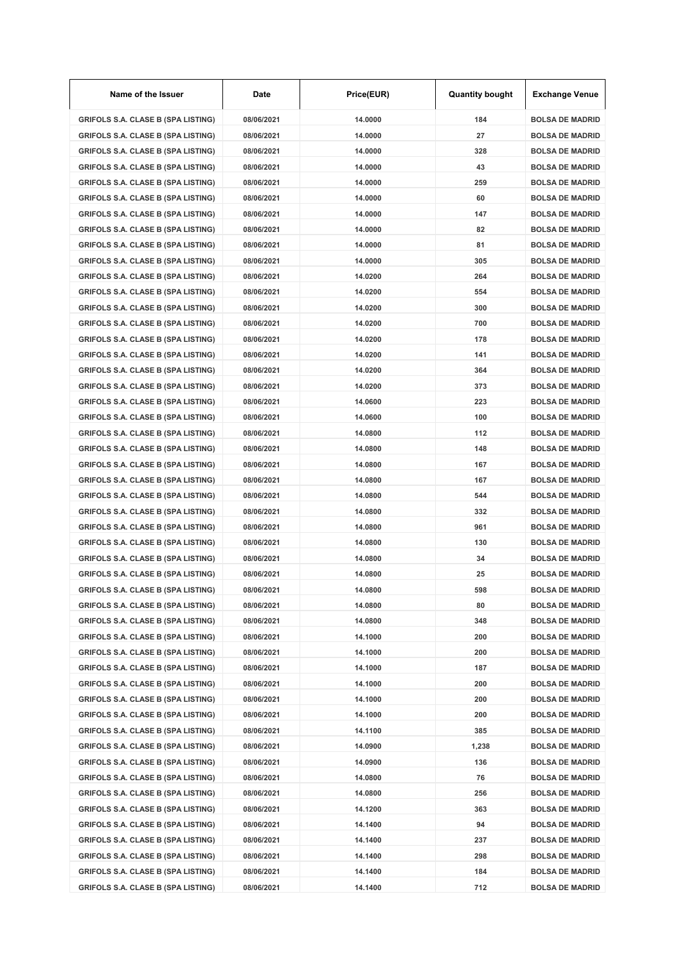| Name of the Issuer                        | Date       | Price(EUR) | <b>Quantity bought</b> | <b>Exchange Venue</b>  |
|-------------------------------------------|------------|------------|------------------------|------------------------|
| <b>GRIFOLS S.A. CLASE B (SPA LISTING)</b> | 08/06/2021 | 14.0000    | 184                    | <b>BOLSA DE MADRID</b> |
| <b>GRIFOLS S.A. CLASE B (SPA LISTING)</b> | 08/06/2021 | 14.0000    | 27                     | <b>BOLSA DE MADRID</b> |
| <b>GRIFOLS S.A. CLASE B (SPA LISTING)</b> | 08/06/2021 | 14.0000    | 328                    | <b>BOLSA DE MADRID</b> |
| <b>GRIFOLS S.A. CLASE B (SPA LISTING)</b> | 08/06/2021 | 14.0000    | 43                     | <b>BOLSA DE MADRID</b> |
| <b>GRIFOLS S.A. CLASE B (SPA LISTING)</b> | 08/06/2021 | 14.0000    | 259                    | <b>BOLSA DE MADRID</b> |
| <b>GRIFOLS S.A. CLASE B (SPA LISTING)</b> | 08/06/2021 | 14.0000    | 60                     | <b>BOLSA DE MADRID</b> |
| <b>GRIFOLS S.A. CLASE B (SPA LISTING)</b> | 08/06/2021 | 14.0000    | 147                    | <b>BOLSA DE MADRID</b> |
| <b>GRIFOLS S.A. CLASE B (SPA LISTING)</b> | 08/06/2021 | 14.0000    | 82                     | <b>BOLSA DE MADRID</b> |
| <b>GRIFOLS S.A. CLASE B (SPA LISTING)</b> | 08/06/2021 | 14.0000    | 81                     | <b>BOLSA DE MADRID</b> |
| GRIFOLS S.A. CLASE B (SPA LISTING)        | 08/06/2021 | 14.0000    | 305                    | <b>BOLSA DE MADRID</b> |
| <b>GRIFOLS S.A. CLASE B (SPA LISTING)</b> | 08/06/2021 | 14.0200    | 264                    | <b>BOLSA DE MADRID</b> |
| <b>GRIFOLS S.A. CLASE B (SPA LISTING)</b> | 08/06/2021 | 14.0200    | 554                    | <b>BOLSA DE MADRID</b> |
| <b>GRIFOLS S.A. CLASE B (SPA LISTING)</b> | 08/06/2021 | 14.0200    | 300                    | <b>BOLSA DE MADRID</b> |
| <b>GRIFOLS S.A. CLASE B (SPA LISTING)</b> | 08/06/2021 | 14.0200    | 700                    | <b>BOLSA DE MADRID</b> |
| <b>GRIFOLS S.A. CLASE B (SPA LISTING)</b> | 08/06/2021 | 14.0200    | 178                    | <b>BOLSA DE MADRID</b> |
| <b>GRIFOLS S.A. CLASE B (SPA LISTING)</b> | 08/06/2021 | 14.0200    | 141                    | <b>BOLSA DE MADRID</b> |
| <b>GRIFOLS S.A. CLASE B (SPA LISTING)</b> | 08/06/2021 | 14.0200    | 364                    | <b>BOLSA DE MADRID</b> |
| <b>GRIFOLS S.A. CLASE B (SPA LISTING)</b> | 08/06/2021 | 14.0200    | 373                    | <b>BOLSA DE MADRID</b> |
| <b>GRIFOLS S.A. CLASE B (SPA LISTING)</b> | 08/06/2021 | 14.0600    | 223                    | <b>BOLSA DE MADRID</b> |
| GRIFOLS S.A. CLASE B (SPA LISTING)        | 08/06/2021 | 14.0600    | 100                    | <b>BOLSA DE MADRID</b> |
| <b>GRIFOLS S.A. CLASE B (SPA LISTING)</b> | 08/06/2021 | 14.0800    | 112                    | <b>BOLSA DE MADRID</b> |
| <b>GRIFOLS S.A. CLASE B (SPA LISTING)</b> | 08/06/2021 | 14.0800    | 148                    | <b>BOLSA DE MADRID</b> |
| <b>GRIFOLS S.A. CLASE B (SPA LISTING)</b> | 08/06/2021 | 14.0800    | 167                    | <b>BOLSA DE MADRID</b> |
| GRIFOLS S.A. CLASE B (SPA LISTING)        | 08/06/2021 | 14.0800    | 167                    | <b>BOLSA DE MADRID</b> |
| <b>GRIFOLS S.A. CLASE B (SPA LISTING)</b> | 08/06/2021 | 14.0800    | 544                    | <b>BOLSA DE MADRID</b> |
| GRIFOLS S.A. CLASE B (SPA LISTING)        | 08/06/2021 | 14.0800    | 332                    | <b>BOLSA DE MADRID</b> |
| <b>GRIFOLS S.A. CLASE B (SPA LISTING)</b> | 08/06/2021 | 14.0800    | 961                    | <b>BOLSA DE MADRID</b> |
| <b>GRIFOLS S.A. CLASE B (SPA LISTING)</b> | 08/06/2021 | 14.0800    | 130                    | <b>BOLSA DE MADRID</b> |
| <b>GRIFOLS S.A. CLASE B (SPA LISTING)</b> | 08/06/2021 | 14.0800    | 34                     | <b>BOLSA DE MADRID</b> |
| <b>GRIFOLS S.A. CLASE B (SPA LISTING)</b> | 08/06/2021 | 14.0800    | 25                     | <b>BOLSA DE MADRID</b> |
| <b>GRIFOLS S.A. CLASE B (SPA LISTING)</b> | 08/06/2021 | 14.0800    | 598                    | <b>BOLSA DE MADRID</b> |
| <b>GRIFOLS S.A. CLASE B (SPA LISTING)</b> | 08/06/2021 | 14.0800    | 80                     | <b>BOLSA DE MADRID</b> |
| <b>GRIFOLS S.A. CLASE B (SPA LISTING)</b> | 08/06/2021 | 14.0800    | 348                    | <b>BOLSA DE MADRID</b> |
| <b>GRIFOLS S.A. CLASE B (SPA LISTING)</b> | 08/06/2021 | 14.1000    | 200                    | <b>BOLSA DE MADRID</b> |
| <b>GRIFOLS S.A. CLASE B (SPA LISTING)</b> | 08/06/2021 | 14.1000    | 200                    | <b>BOLSA DE MADRID</b> |
| <b>GRIFOLS S.A. CLASE B (SPA LISTING)</b> | 08/06/2021 | 14.1000    | 187                    | <b>BOLSA DE MADRID</b> |
| <b>GRIFOLS S.A. CLASE B (SPA LISTING)</b> | 08/06/2021 | 14.1000    | 200                    | <b>BOLSA DE MADRID</b> |
| <b>GRIFOLS S.A. CLASE B (SPA LISTING)</b> | 08/06/2021 | 14.1000    | 200                    | <b>BOLSA DE MADRID</b> |
| <b>GRIFOLS S.A. CLASE B (SPA LISTING)</b> | 08/06/2021 | 14.1000    | 200                    | <b>BOLSA DE MADRID</b> |
| <b>GRIFOLS S.A. CLASE B (SPA LISTING)</b> | 08/06/2021 | 14.1100    | 385                    | <b>BOLSA DE MADRID</b> |
| GRIFOLS S.A. CLASE B (SPA LISTING)        | 08/06/2021 | 14.0900    | 1,238                  | <b>BOLSA DE MADRID</b> |
| <b>GRIFOLS S.A. CLASE B (SPA LISTING)</b> | 08/06/2021 | 14.0900    | 136                    | <b>BOLSA DE MADRID</b> |
| <b>GRIFOLS S.A. CLASE B (SPA LISTING)</b> | 08/06/2021 | 14.0800    | 76                     | <b>BOLSA DE MADRID</b> |
| <b>GRIFOLS S.A. CLASE B (SPA LISTING)</b> | 08/06/2021 | 14.0800    | 256                    | <b>BOLSA DE MADRID</b> |
| <b>GRIFOLS S.A. CLASE B (SPA LISTING)</b> | 08/06/2021 | 14.1200    | 363                    | <b>BOLSA DE MADRID</b> |
| <b>GRIFOLS S.A. CLASE B (SPA LISTING)</b> | 08/06/2021 | 14.1400    | 94                     | <b>BOLSA DE MADRID</b> |
| <b>GRIFOLS S.A. CLASE B (SPA LISTING)</b> | 08/06/2021 | 14.1400    | 237                    | <b>BOLSA DE MADRID</b> |
| <b>GRIFOLS S.A. CLASE B (SPA LISTING)</b> | 08/06/2021 | 14.1400    | 298                    | <b>BOLSA DE MADRID</b> |
| <b>GRIFOLS S.A. CLASE B (SPA LISTING)</b> | 08/06/2021 | 14.1400    | 184                    | <b>BOLSA DE MADRID</b> |
| <b>GRIFOLS S.A. CLASE B (SPA LISTING)</b> | 08/06/2021 | 14.1400    | 712                    | <b>BOLSA DE MADRID</b> |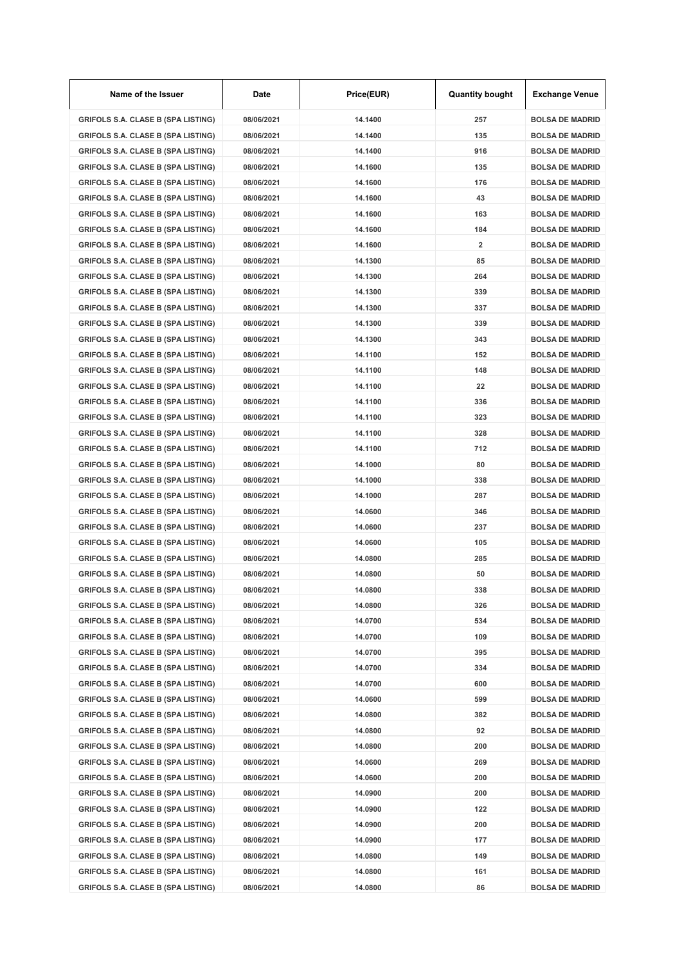| Name of the Issuer                        | Date       | Price(EUR) | <b>Quantity bought</b> | <b>Exchange Venue</b>  |
|-------------------------------------------|------------|------------|------------------------|------------------------|
| <b>GRIFOLS S.A. CLASE B (SPA LISTING)</b> | 08/06/2021 | 14.1400    | 257                    | <b>BOLSA DE MADRID</b> |
| <b>GRIFOLS S.A. CLASE B (SPA LISTING)</b> | 08/06/2021 | 14.1400    | 135                    | <b>BOLSA DE MADRID</b> |
| <b>GRIFOLS S.A. CLASE B (SPA LISTING)</b> | 08/06/2021 | 14.1400    | 916                    | <b>BOLSA DE MADRID</b> |
| <b>GRIFOLS S.A. CLASE B (SPA LISTING)</b> | 08/06/2021 | 14.1600    | 135                    | <b>BOLSA DE MADRID</b> |
| <b>GRIFOLS S.A. CLASE B (SPA LISTING)</b> | 08/06/2021 | 14.1600    | 176                    | <b>BOLSA DE MADRID</b> |
| GRIFOLS S.A. CLASE B (SPA LISTING)        | 08/06/2021 | 14.1600    | 43                     | <b>BOLSA DE MADRID</b> |
| <b>GRIFOLS S.A. CLASE B (SPA LISTING)</b> | 08/06/2021 | 14.1600    | 163                    | <b>BOLSA DE MADRID</b> |
| <b>GRIFOLS S.A. CLASE B (SPA LISTING)</b> | 08/06/2021 | 14.1600    | 184                    | <b>BOLSA DE MADRID</b> |
| <b>GRIFOLS S.A. CLASE B (SPA LISTING)</b> | 08/06/2021 | 14.1600    | $\overline{2}$         | <b>BOLSA DE MADRID</b> |
| GRIFOLS S.A. CLASE B (SPA LISTING)        | 08/06/2021 | 14.1300    | 85                     | <b>BOLSA DE MADRID</b> |
| <b>GRIFOLS S.A. CLASE B (SPA LISTING)</b> | 08/06/2021 | 14.1300    | 264                    | <b>BOLSA DE MADRID</b> |
| <b>GRIFOLS S.A. CLASE B (SPA LISTING)</b> | 08/06/2021 | 14.1300    | 339                    | <b>BOLSA DE MADRID</b> |
| <b>GRIFOLS S.A. CLASE B (SPA LISTING)</b> | 08/06/2021 | 14.1300    | 337                    | <b>BOLSA DE MADRID</b> |
| <b>GRIFOLS S.A. CLASE B (SPA LISTING)</b> | 08/06/2021 | 14.1300    | 339                    | <b>BOLSA DE MADRID</b> |
| <b>GRIFOLS S.A. CLASE B (SPA LISTING)</b> | 08/06/2021 | 14.1300    | 343                    | <b>BOLSA DE MADRID</b> |
| <b>GRIFOLS S.A. CLASE B (SPA LISTING)</b> | 08/06/2021 | 14.1100    | 152                    | <b>BOLSA DE MADRID</b> |
| <b>GRIFOLS S.A. CLASE B (SPA LISTING)</b> | 08/06/2021 | 14.1100    | 148                    | <b>BOLSA DE MADRID</b> |
| GRIFOLS S.A. CLASE B (SPA LISTING)        | 08/06/2021 | 14.1100    | 22                     | <b>BOLSA DE MADRID</b> |
| <b>GRIFOLS S.A. CLASE B (SPA LISTING)</b> | 08/06/2021 | 14.1100    | 336                    | <b>BOLSA DE MADRID</b> |
| GRIFOLS S.A. CLASE B (SPA LISTING)        | 08/06/2021 | 14.1100    | 323                    | <b>BOLSA DE MADRID</b> |
| <b>GRIFOLS S.A. CLASE B (SPA LISTING)</b> | 08/06/2021 | 14.1100    | 328                    | <b>BOLSA DE MADRID</b> |
| <b>GRIFOLS S.A. CLASE B (SPA LISTING)</b> | 08/06/2021 | 14.1100    | 712                    | <b>BOLSA DE MADRID</b> |
| <b>GRIFOLS S.A. CLASE B (SPA LISTING)</b> | 08/06/2021 | 14.1000    | 80                     | <b>BOLSA DE MADRID</b> |
| GRIFOLS S.A. CLASE B (SPA LISTING)        | 08/06/2021 | 14.1000    | 338                    | <b>BOLSA DE MADRID</b> |
| <b>GRIFOLS S.A. CLASE B (SPA LISTING)</b> | 08/06/2021 | 14.1000    | 287                    | <b>BOLSA DE MADRID</b> |
| GRIFOLS S.A. CLASE B (SPA LISTING)        | 08/06/2021 | 14.0600    | 346                    | <b>BOLSA DE MADRID</b> |
| <b>GRIFOLS S.A. CLASE B (SPA LISTING)</b> | 08/06/2021 | 14.0600    | 237                    | <b>BOLSA DE MADRID</b> |
| <b>GRIFOLS S.A. CLASE B (SPA LISTING)</b> | 08/06/2021 | 14.0600    | 105                    | <b>BOLSA DE MADRID</b> |
| <b>GRIFOLS S.A. CLASE B (SPA LISTING)</b> | 08/06/2021 | 14.0800    | 285                    | <b>BOLSA DE MADRID</b> |
| <b>GRIFOLS S.A. CLASE B (SPA LISTING)</b> | 08/06/2021 | 14.0800    | 50                     | <b>BOLSA DE MADRID</b> |
| <b>GRIFOLS S.A. CLASE B (SPA LISTING)</b> | 08/06/2021 | 14.0800    | 338                    | <b>BOLSA DE MADRID</b> |
| <b>GRIFOLS S.A. CLASE B (SPA LISTING)</b> | 08/06/2021 | 14.0800    | 326                    | <b>BOLSA DE MADRID</b> |
| <b>GRIFOLS S.A. CLASE B (SPA LISTING)</b> | 08/06/2021 | 14.0700    | 534                    | <b>BOLSA DE MADRID</b> |
| <b>GRIFOLS S.A. CLASE B (SPA LISTING)</b> | 08/06/2021 | 14.0700    | 109                    | <b>BOLSA DE MADRID</b> |
| <b>GRIFOLS S.A. CLASE B (SPA LISTING)</b> | 08/06/2021 | 14.0700    | 395                    | <b>BOLSA DE MADRID</b> |
| <b>GRIFOLS S.A. CLASE B (SPA LISTING)</b> | 08/06/2021 | 14.0700    | 334                    | <b>BOLSA DE MADRID</b> |
| <b>GRIFOLS S.A. CLASE B (SPA LISTING)</b> | 08/06/2021 | 14.0700    | 600                    | <b>BOLSA DE MADRID</b> |
| <b>GRIFOLS S.A. CLASE B (SPA LISTING)</b> | 08/06/2021 | 14.0600    | 599                    | <b>BOLSA DE MADRID</b> |
| <b>GRIFOLS S.A. CLASE B (SPA LISTING)</b> | 08/06/2021 | 14.0800    | 382                    | <b>BOLSA DE MADRID</b> |
| <b>GRIFOLS S.A. CLASE B (SPA LISTING)</b> | 08/06/2021 | 14.0800    | 92                     | <b>BOLSA DE MADRID</b> |
| <b>GRIFOLS S.A. CLASE B (SPA LISTING)</b> | 08/06/2021 | 14.0800    | 200                    | <b>BOLSA DE MADRID</b> |
| <b>GRIFOLS S.A. CLASE B (SPA LISTING)</b> | 08/06/2021 | 14.0600    | 269                    | <b>BOLSA DE MADRID</b> |
| <b>GRIFOLS S.A. CLASE B (SPA LISTING)</b> | 08/06/2021 | 14.0600    | 200                    | <b>BOLSA DE MADRID</b> |
| <b>GRIFOLS S.A. CLASE B (SPA LISTING)</b> | 08/06/2021 | 14.0900    | 200                    | <b>BOLSA DE MADRID</b> |
| <b>GRIFOLS S.A. CLASE B (SPA LISTING)</b> | 08/06/2021 | 14.0900    | 122                    | <b>BOLSA DE MADRID</b> |
| <b>GRIFOLS S.A. CLASE B (SPA LISTING)</b> | 08/06/2021 | 14.0900    | 200                    | <b>BOLSA DE MADRID</b> |
| <b>GRIFOLS S.A. CLASE B (SPA LISTING)</b> | 08/06/2021 | 14.0900    | 177                    | <b>BOLSA DE MADRID</b> |
| <b>GRIFOLS S.A. CLASE B (SPA LISTING)</b> | 08/06/2021 | 14.0800    | 149                    | <b>BOLSA DE MADRID</b> |
| <b>GRIFOLS S.A. CLASE B (SPA LISTING)</b> | 08/06/2021 | 14.0800    | 161                    | <b>BOLSA DE MADRID</b> |
| <b>GRIFOLS S.A. CLASE B (SPA LISTING)</b> | 08/06/2021 | 14.0800    | 86                     | <b>BOLSA DE MADRID</b> |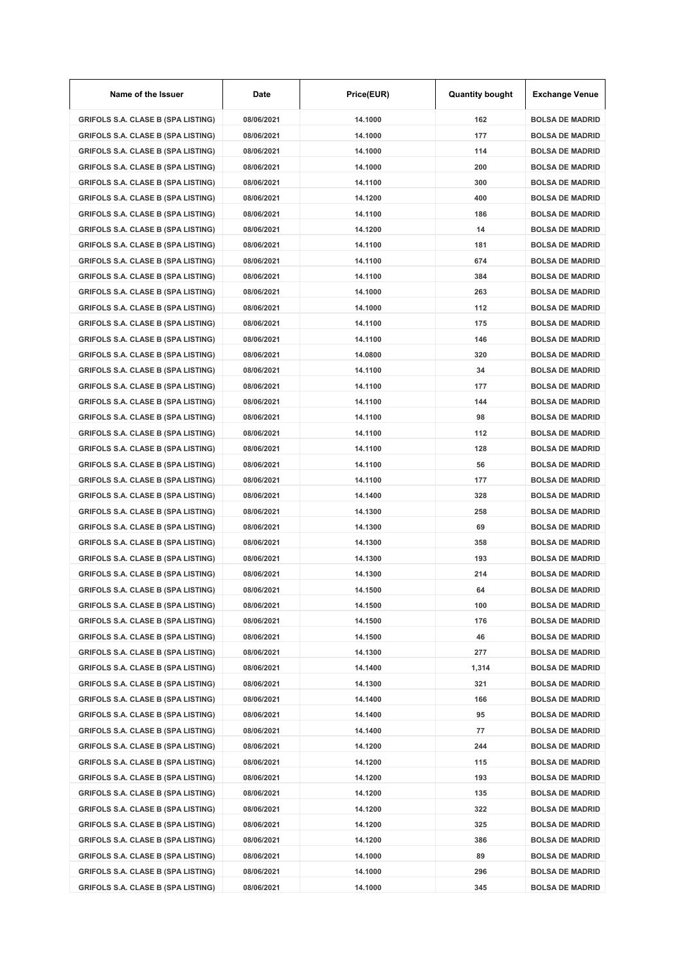| Name of the Issuer                        | Date       | Price(EUR) | <b>Quantity bought</b> | <b>Exchange Venue</b>  |
|-------------------------------------------|------------|------------|------------------------|------------------------|
| <b>GRIFOLS S.A. CLASE B (SPA LISTING)</b> | 08/06/2021 | 14.1000    | 162                    | <b>BOLSA DE MADRID</b> |
| <b>GRIFOLS S.A. CLASE B (SPA LISTING)</b> | 08/06/2021 | 14.1000    | 177                    | <b>BOLSA DE MADRID</b> |
| <b>GRIFOLS S.A. CLASE B (SPA LISTING)</b> | 08/06/2021 | 14.1000    | 114                    | <b>BOLSA DE MADRID</b> |
| <b>GRIFOLS S.A. CLASE B (SPA LISTING)</b> | 08/06/2021 | 14.1000    | 200                    | <b>BOLSA DE MADRID</b> |
| <b>GRIFOLS S.A. CLASE B (SPA LISTING)</b> | 08/06/2021 | 14.1100    | 300                    | <b>BOLSA DE MADRID</b> |
| GRIFOLS S.A. CLASE B (SPA LISTING)        | 08/06/2021 | 14.1200    | 400                    | <b>BOLSA DE MADRID</b> |
| <b>GRIFOLS S.A. CLASE B (SPA LISTING)</b> | 08/06/2021 | 14.1100    | 186                    | <b>BOLSA DE MADRID</b> |
| <b>GRIFOLS S.A. CLASE B (SPA LISTING)</b> | 08/06/2021 | 14.1200    | 14                     | <b>BOLSA DE MADRID</b> |
| <b>GRIFOLS S.A. CLASE B (SPA LISTING)</b> | 08/06/2021 | 14.1100    | 181                    | <b>BOLSA DE MADRID</b> |
| <b>GRIFOLS S.A. CLASE B (SPA LISTING)</b> | 08/06/2021 | 14.1100    | 674                    | <b>BOLSA DE MADRID</b> |
| <b>GRIFOLS S.A. CLASE B (SPA LISTING)</b> | 08/06/2021 | 14.1100    | 384                    | <b>BOLSA DE MADRID</b> |
| <b>GRIFOLS S.A. CLASE B (SPA LISTING)</b> | 08/06/2021 | 14.1000    | 263                    | <b>BOLSA DE MADRID</b> |
| <b>GRIFOLS S.A. CLASE B (SPA LISTING)</b> | 08/06/2021 | 14.1000    | 112                    | <b>BOLSA DE MADRID</b> |
| <b>GRIFOLS S.A. CLASE B (SPA LISTING)</b> | 08/06/2021 | 14.1100    | 175                    | <b>BOLSA DE MADRID</b> |
| <b>GRIFOLS S.A. CLASE B (SPA LISTING)</b> | 08/06/2021 | 14.1100    | 146                    | <b>BOLSA DE MADRID</b> |
| GRIFOLS S.A. CLASE B (SPA LISTING)        | 08/06/2021 | 14.0800    | 320                    | <b>BOLSA DE MADRID</b> |
| <b>GRIFOLS S.A. CLASE B (SPA LISTING)</b> | 08/06/2021 | 14.1100    | 34                     | <b>BOLSA DE MADRID</b> |
| <b>GRIFOLS S.A. CLASE B (SPA LISTING)</b> | 08/06/2021 | 14.1100    | 177                    | <b>BOLSA DE MADRID</b> |
| <b>GRIFOLS S.A. CLASE B (SPA LISTING)</b> | 08/06/2021 | 14.1100    | 144                    | <b>BOLSA DE MADRID</b> |
| GRIFOLS S.A. CLASE B (SPA LISTING)        | 08/06/2021 | 14.1100    | 98                     | <b>BOLSA DE MADRID</b> |
| <b>GRIFOLS S.A. CLASE B (SPA LISTING)</b> | 08/06/2021 | 14.1100    | 112                    | <b>BOLSA DE MADRID</b> |
| <b>GRIFOLS S.A. CLASE B (SPA LISTING)</b> | 08/06/2021 | 14.1100    | 128                    | <b>BOLSA DE MADRID</b> |
| <b>GRIFOLS S.A. CLASE B (SPA LISTING)</b> | 08/06/2021 | 14.1100    | 56                     | <b>BOLSA DE MADRID</b> |
| GRIFOLS S.A. CLASE B (SPA LISTING)        | 08/06/2021 | 14.1100    | 177                    | <b>BOLSA DE MADRID</b> |
| <b>GRIFOLS S.A. CLASE B (SPA LISTING)</b> | 08/06/2021 | 14.1400    | 328                    | <b>BOLSA DE MADRID</b> |
| <b>GRIFOLS S.A. CLASE B (SPA LISTING)</b> | 08/06/2021 | 14.1300    | 258                    | <b>BOLSA DE MADRID</b> |
| GRIFOLS S.A. CLASE B (SPA LISTING)        | 08/06/2021 | 14.1300    | 69                     | <b>BOLSA DE MADRID</b> |
| GRIFOLS S.A. CLASE B (SPA LISTING)        | 08/06/2021 | 14.1300    | 358                    | <b>BOLSA DE MADRID</b> |
| GRIFOLS S.A. CLASE B (SPA LISTING)        | 08/06/2021 | 14.1300    | 193                    | <b>BOLSA DE MADRID</b> |
| <b>GRIFOLS S.A. CLASE B (SPA LISTING)</b> | 08/06/2021 | 14.1300    | 214                    | <b>BOLSA DE MADRID</b> |
| <b>GRIFOLS S.A. CLASE B (SPA LISTING)</b> | 08/06/2021 | 14.1500    | 64                     | <b>BOLSA DE MADRID</b> |
| GRIFOLS S.A. CLASE B (SPA LISTING)        | 08/06/2021 | 14.1500    | 100                    | <b>BOLSA DE MADRID</b> |
| <b>GRIFOLS S.A. CLASE B (SPA LISTING)</b> | 08/06/2021 | 14.1500    | 176                    | <b>BOLSA DE MADRID</b> |
| <b>GRIFOLS S.A. CLASE B (SPA LISTING)</b> | 08/06/2021 | 14.1500    | 46                     | <b>BOLSA DE MADRID</b> |
| <b>GRIFOLS S.A. CLASE B (SPA LISTING)</b> | 08/06/2021 | 14.1300    | 277                    | <b>BOLSA DE MADRID</b> |
| <b>GRIFOLS S.A. CLASE B (SPA LISTING)</b> | 08/06/2021 | 14.1400    | 1,314                  | <b>BOLSA DE MADRID</b> |
| <b>GRIFOLS S.A. CLASE B (SPA LISTING)</b> | 08/06/2021 | 14.1300    | 321                    | <b>BOLSA DE MADRID</b> |
| <b>GRIFOLS S.A. CLASE B (SPA LISTING)</b> | 08/06/2021 | 14.1400    | 166                    | <b>BOLSA DE MADRID</b> |
| GRIFOLS S.A. CLASE B (SPA LISTING)        | 08/06/2021 | 14.1400    | 95                     | <b>BOLSA DE MADRID</b> |
| <b>GRIFOLS S.A. CLASE B (SPA LISTING)</b> | 08/06/2021 | 14.1400    | 77                     | <b>BOLSA DE MADRID</b> |
| <b>GRIFOLS S.A. CLASE B (SPA LISTING)</b> | 08/06/2021 | 14.1200    | 244                    | <b>BOLSA DE MADRID</b> |
| <b>GRIFOLS S.A. CLASE B (SPA LISTING)</b> | 08/06/2021 | 14.1200    | 115                    | <b>BOLSA DE MADRID</b> |
| <b>GRIFOLS S.A. CLASE B (SPA LISTING)</b> | 08/06/2021 | 14.1200    | 193                    | <b>BOLSA DE MADRID</b> |
| <b>GRIFOLS S.A. CLASE B (SPA LISTING)</b> | 08/06/2021 | 14.1200    | 135                    | <b>BOLSA DE MADRID</b> |
| <b>GRIFOLS S.A. CLASE B (SPA LISTING)</b> | 08/06/2021 | 14.1200    | 322                    | <b>BOLSA DE MADRID</b> |
| <b>GRIFOLS S.A. CLASE B (SPA LISTING)</b> | 08/06/2021 | 14.1200    | 325                    | <b>BOLSA DE MADRID</b> |
| <b>GRIFOLS S.A. CLASE B (SPA LISTING)</b> | 08/06/2021 | 14.1200    | 386                    | <b>BOLSA DE MADRID</b> |
| <b>GRIFOLS S.A. CLASE B (SPA LISTING)</b> | 08/06/2021 | 14.1000    | 89                     | <b>BOLSA DE MADRID</b> |
| <b>GRIFOLS S.A. CLASE B (SPA LISTING)</b> | 08/06/2021 | 14.1000    | 296                    | <b>BOLSA DE MADRID</b> |
| <b>GRIFOLS S.A. CLASE B (SPA LISTING)</b> | 08/06/2021 | 14.1000    | 345                    | <b>BOLSA DE MADRID</b> |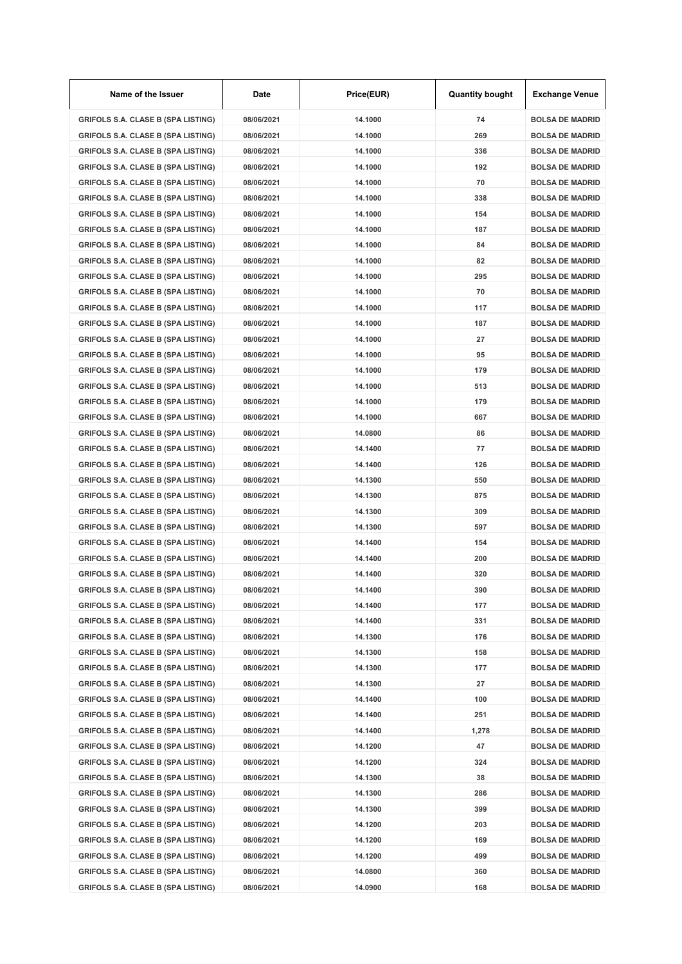| Name of the Issuer                        | Date       | Price(EUR) | <b>Quantity bought</b> | <b>Exchange Venue</b>  |
|-------------------------------------------|------------|------------|------------------------|------------------------|
| <b>GRIFOLS S.A. CLASE B (SPA LISTING)</b> | 08/06/2021 | 14.1000    | 74                     | <b>BOLSA DE MADRID</b> |
| <b>GRIFOLS S.A. CLASE B (SPA LISTING)</b> | 08/06/2021 | 14.1000    | 269                    | <b>BOLSA DE MADRID</b> |
| <b>GRIFOLS S.A. CLASE B (SPA LISTING)</b> | 08/06/2021 | 14.1000    | 336                    | <b>BOLSA DE MADRID</b> |
| <b>GRIFOLS S.A. CLASE B (SPA LISTING)</b> | 08/06/2021 | 14.1000    | 192                    | <b>BOLSA DE MADRID</b> |
| <b>GRIFOLS S.A. CLASE B (SPA LISTING)</b> | 08/06/2021 | 14.1000    | 70                     | <b>BOLSA DE MADRID</b> |
| <b>GRIFOLS S.A. CLASE B (SPA LISTING)</b> | 08/06/2021 | 14.1000    | 338                    | <b>BOLSA DE MADRID</b> |
| <b>GRIFOLS S.A. CLASE B (SPA LISTING)</b> | 08/06/2021 | 14.1000    | 154                    | <b>BOLSA DE MADRID</b> |
| <b>GRIFOLS S.A. CLASE B (SPA LISTING)</b> | 08/06/2021 | 14.1000    | 187                    | <b>BOLSA DE MADRID</b> |
| <b>GRIFOLS S.A. CLASE B (SPA LISTING)</b> | 08/06/2021 | 14.1000    | 84                     | <b>BOLSA DE MADRID</b> |
| <b>GRIFOLS S.A. CLASE B (SPA LISTING)</b> | 08/06/2021 | 14.1000    | 82                     | <b>BOLSA DE MADRID</b> |
| <b>GRIFOLS S.A. CLASE B (SPA LISTING)</b> | 08/06/2021 | 14.1000    | 295                    | <b>BOLSA DE MADRID</b> |
| <b>GRIFOLS S.A. CLASE B (SPA LISTING)</b> | 08/06/2021 | 14.1000    | 70                     | <b>BOLSA DE MADRID</b> |
| <b>GRIFOLS S.A. CLASE B (SPA LISTING)</b> | 08/06/2021 | 14.1000    | 117                    | <b>BOLSA DE MADRID</b> |
| <b>GRIFOLS S.A. CLASE B (SPA LISTING)</b> | 08/06/2021 | 14.1000    | 187                    | <b>BOLSA DE MADRID</b> |
| <b>GRIFOLS S.A. CLASE B (SPA LISTING)</b> | 08/06/2021 | 14.1000    | 27                     | <b>BOLSA DE MADRID</b> |
| GRIFOLS S.A. CLASE B (SPA LISTING)        | 08/06/2021 | 14.1000    | 95                     | <b>BOLSA DE MADRID</b> |
| <b>GRIFOLS S.A. CLASE B (SPA LISTING)</b> | 08/06/2021 | 14.1000    | 179                    | <b>BOLSA DE MADRID</b> |
| <b>GRIFOLS S.A. CLASE B (SPA LISTING)</b> | 08/06/2021 | 14.1000    | 513                    | <b>BOLSA DE MADRID</b> |
| <b>GRIFOLS S.A. CLASE B (SPA LISTING)</b> | 08/06/2021 | 14.1000    | 179                    | <b>BOLSA DE MADRID</b> |
| GRIFOLS S.A. CLASE B (SPA LISTING)        | 08/06/2021 | 14.1000    | 667                    | <b>BOLSA DE MADRID</b> |
| <b>GRIFOLS S.A. CLASE B (SPA LISTING)</b> | 08/06/2021 | 14.0800    | 86                     | <b>BOLSA DE MADRID</b> |
| <b>GRIFOLS S.A. CLASE B (SPA LISTING)</b> | 08/06/2021 | 14.1400    | 77                     | <b>BOLSA DE MADRID</b> |
| <b>GRIFOLS S.A. CLASE B (SPA LISTING)</b> | 08/06/2021 | 14.1400    | 126                    | <b>BOLSA DE MADRID</b> |
| GRIFOLS S.A. CLASE B (SPA LISTING)        | 08/06/2021 | 14.1300    | 550                    | <b>BOLSA DE MADRID</b> |
| <b>GRIFOLS S.A. CLASE B (SPA LISTING)</b> | 08/06/2021 | 14.1300    | 875                    | <b>BOLSA DE MADRID</b> |
| <b>GRIFOLS S.A. CLASE B (SPA LISTING)</b> | 08/06/2021 | 14.1300    | 309                    | <b>BOLSA DE MADRID</b> |
| GRIFOLS S.A. CLASE B (SPA LISTING)        | 08/06/2021 | 14.1300    | 597                    | <b>BOLSA DE MADRID</b> |
| GRIFOLS S.A. CLASE B (SPA LISTING)        | 08/06/2021 | 14.1400    | 154                    | <b>BOLSA DE MADRID</b> |
| GRIFOLS S.A. CLASE B (SPA LISTING)        | 08/06/2021 | 14.1400    | 200                    | <b>BOLSA DE MADRID</b> |
| <b>GRIFOLS S.A. CLASE B (SPA LISTING)</b> | 08/06/2021 | 14.1400    | 320                    | <b>BOLSA DE MADRID</b> |
| <b>GRIFOLS S.A. CLASE B (SPA LISTING)</b> | 08/06/2021 | 14.1400    | 390                    | <b>BOLSA DE MADRID</b> |
| GRIFOLS S.A. CLASE B (SPA LISTING)        | 08/06/2021 | 14.1400    | 177                    | <b>BOLSA DE MADRID</b> |
| <b>GRIFOLS S.A. CLASE B (SPA LISTING)</b> | 08/06/2021 | 14.1400    | 331                    | <b>BOLSA DE MADRID</b> |
| <b>GRIFOLS S.A. CLASE B (SPA LISTING)</b> | 08/06/2021 | 14.1300    | 176                    | <b>BOLSA DE MADRID</b> |
| <b>GRIFOLS S.A. CLASE B (SPA LISTING)</b> | 08/06/2021 | 14.1300    | 158                    | <b>BOLSA DE MADRID</b> |
| <b>GRIFOLS S.A. CLASE B (SPA LISTING)</b> | 08/06/2021 | 14.1300    | 177                    | <b>BOLSA DE MADRID</b> |
| <b>GRIFOLS S.A. CLASE B (SPA LISTING)</b> | 08/06/2021 | 14.1300    | 27                     | <b>BOLSA DE MADRID</b> |
| <b>GRIFOLS S.A. CLASE B (SPA LISTING)</b> | 08/06/2021 | 14.1400    | 100                    | <b>BOLSA DE MADRID</b> |
| GRIFOLS S.A. CLASE B (SPA LISTING)        | 08/06/2021 | 14.1400    | 251                    | <b>BOLSA DE MADRID</b> |
| <b>GRIFOLS S.A. CLASE B (SPA LISTING)</b> | 08/06/2021 | 14.1400    | 1,278                  | <b>BOLSA DE MADRID</b> |
| <b>GRIFOLS S.A. CLASE B (SPA LISTING)</b> | 08/06/2021 | 14.1200    | 47                     | <b>BOLSA DE MADRID</b> |
| <b>GRIFOLS S.A. CLASE B (SPA LISTING)</b> | 08/06/2021 | 14.1200    | 324                    | <b>BOLSA DE MADRID</b> |
| <b>GRIFOLS S.A. CLASE B (SPA LISTING)</b> | 08/06/2021 | 14.1300    | 38                     | <b>BOLSA DE MADRID</b> |
| <b>GRIFOLS S.A. CLASE B (SPA LISTING)</b> | 08/06/2021 | 14.1300    | 286                    | <b>BOLSA DE MADRID</b> |
| <b>GRIFOLS S.A. CLASE B (SPA LISTING)</b> | 08/06/2021 | 14.1300    | 399                    | <b>BOLSA DE MADRID</b> |
| <b>GRIFOLS S.A. CLASE B (SPA LISTING)</b> | 08/06/2021 | 14.1200    | 203                    | <b>BOLSA DE MADRID</b> |
| <b>GRIFOLS S.A. CLASE B (SPA LISTING)</b> | 08/06/2021 | 14.1200    | 169                    | <b>BOLSA DE MADRID</b> |
| <b>GRIFOLS S.A. CLASE B (SPA LISTING)</b> | 08/06/2021 | 14.1200    | 499                    | <b>BOLSA DE MADRID</b> |
| <b>GRIFOLS S.A. CLASE B (SPA LISTING)</b> | 08/06/2021 | 14.0800    | 360                    | <b>BOLSA DE MADRID</b> |
| <b>GRIFOLS S.A. CLASE B (SPA LISTING)</b> | 08/06/2021 | 14.0900    | 168                    | <b>BOLSA DE MADRID</b> |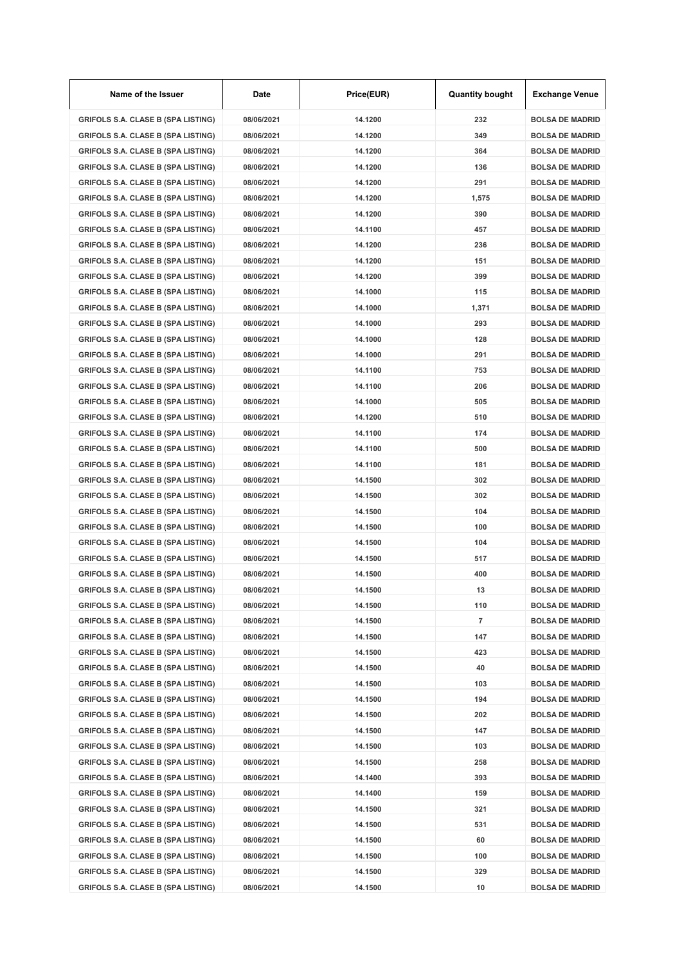| Name of the Issuer                        | Date       | Price(EUR) | <b>Quantity bought</b> | <b>Exchange Venue</b>  |
|-------------------------------------------|------------|------------|------------------------|------------------------|
| <b>GRIFOLS S.A. CLASE B (SPA LISTING)</b> | 08/06/2021 | 14.1200    | 232                    | <b>BOLSA DE MADRID</b> |
| <b>GRIFOLS S.A. CLASE B (SPA LISTING)</b> | 08/06/2021 | 14.1200    | 349                    | <b>BOLSA DE MADRID</b> |
| <b>GRIFOLS S.A. CLASE B (SPA LISTING)</b> | 08/06/2021 | 14.1200    | 364                    | <b>BOLSA DE MADRID</b> |
| <b>GRIFOLS S.A. CLASE B (SPA LISTING)</b> | 08/06/2021 | 14.1200    | 136                    | <b>BOLSA DE MADRID</b> |
| <b>GRIFOLS S.A. CLASE B (SPA LISTING)</b> | 08/06/2021 | 14.1200    | 291                    | <b>BOLSA DE MADRID</b> |
| GRIFOLS S.A. CLASE B (SPA LISTING)        | 08/06/2021 | 14.1200    | 1,575                  | <b>BOLSA DE MADRID</b> |
| <b>GRIFOLS S.A. CLASE B (SPA LISTING)</b> | 08/06/2021 | 14.1200    | 390                    | <b>BOLSA DE MADRID</b> |
| <b>GRIFOLS S.A. CLASE B (SPA LISTING)</b> | 08/06/2021 | 14.1100    | 457                    | <b>BOLSA DE MADRID</b> |
| <b>GRIFOLS S.A. CLASE B (SPA LISTING)</b> | 08/06/2021 | 14.1200    | 236                    | <b>BOLSA DE MADRID</b> |
| GRIFOLS S.A. CLASE B (SPA LISTING)        | 08/06/2021 | 14.1200    | 151                    | <b>BOLSA DE MADRID</b> |
| <b>GRIFOLS S.A. CLASE B (SPA LISTING)</b> | 08/06/2021 | 14.1200    | 399                    | <b>BOLSA DE MADRID</b> |
| <b>GRIFOLS S.A. CLASE B (SPA LISTING)</b> | 08/06/2021 | 14.1000    | 115                    | <b>BOLSA DE MADRID</b> |
| <b>GRIFOLS S.A. CLASE B (SPA LISTING)</b> | 08/06/2021 | 14.1000    | 1,371                  | <b>BOLSA DE MADRID</b> |
| <b>GRIFOLS S.A. CLASE B (SPA LISTING)</b> | 08/06/2021 | 14.1000    | 293                    | <b>BOLSA DE MADRID</b> |
| <b>GRIFOLS S.A. CLASE B (SPA LISTING)</b> | 08/06/2021 | 14.1000    | 128                    | <b>BOLSA DE MADRID</b> |
| <b>GRIFOLS S.A. CLASE B (SPA LISTING)</b> | 08/06/2021 | 14.1000    | 291                    | <b>BOLSA DE MADRID</b> |
| <b>GRIFOLS S.A. CLASE B (SPA LISTING)</b> | 08/06/2021 | 14.1100    | 753                    | <b>BOLSA DE MADRID</b> |
| GRIFOLS S.A. CLASE B (SPA LISTING)        | 08/06/2021 | 14.1100    | 206                    | <b>BOLSA DE MADRID</b> |
| <b>GRIFOLS S.A. CLASE B (SPA LISTING)</b> | 08/06/2021 | 14.1000    | 505                    | <b>BOLSA DE MADRID</b> |
| GRIFOLS S.A. CLASE B (SPA LISTING)        | 08/06/2021 | 14.1200    | 510                    | <b>BOLSA DE MADRID</b> |
| <b>GRIFOLS S.A. CLASE B (SPA LISTING)</b> | 08/06/2021 | 14.1100    | 174                    | <b>BOLSA DE MADRID</b> |
| <b>GRIFOLS S.A. CLASE B (SPA LISTING)</b> | 08/06/2021 | 14.1100    | 500                    | <b>BOLSA DE MADRID</b> |
| <b>GRIFOLS S.A. CLASE B (SPA LISTING)</b> | 08/06/2021 | 14.1100    | 181                    | <b>BOLSA DE MADRID</b> |
| GRIFOLS S.A. CLASE B (SPA LISTING)        | 08/06/2021 | 14.1500    | 302                    | <b>BOLSA DE MADRID</b> |
| <b>GRIFOLS S.A. CLASE B (SPA LISTING)</b> | 08/06/2021 | 14.1500    | 302                    | <b>BOLSA DE MADRID</b> |
| GRIFOLS S.A. CLASE B (SPA LISTING)        | 08/06/2021 | 14.1500    | 104                    | <b>BOLSA DE MADRID</b> |
| <b>GRIFOLS S.A. CLASE B (SPA LISTING)</b> | 08/06/2021 | 14.1500    | 100                    | <b>BOLSA DE MADRID</b> |
| <b>GRIFOLS S.A. CLASE B (SPA LISTING)</b> | 08/06/2021 | 14.1500    | 104                    | <b>BOLSA DE MADRID</b> |
| <b>GRIFOLS S.A. CLASE B (SPA LISTING)</b> | 08/06/2021 | 14.1500    | 517                    | <b>BOLSA DE MADRID</b> |
| <b>GRIFOLS S.A. CLASE B (SPA LISTING)</b> | 08/06/2021 | 14.1500    | 400                    | <b>BOLSA DE MADRID</b> |
| <b>GRIFOLS S.A. CLASE B (SPA LISTING)</b> | 08/06/2021 | 14.1500    | 13                     | <b>BOLSA DE MADRID</b> |
| <b>GRIFOLS S.A. CLASE B (SPA LISTING)</b> | 08/06/2021 | 14.1500    | 110                    | <b>BOLSA DE MADRID</b> |
| <b>GRIFOLS S.A. CLASE B (SPA LISTING)</b> | 08/06/2021 | 14.1500    | $\overline{7}$         | <b>BOLSA DE MADRID</b> |
| <b>GRIFOLS S.A. CLASE B (SPA LISTING)</b> | 08/06/2021 | 14.1500    | 147                    | <b>BOLSA DE MADRID</b> |
| <b>GRIFOLS S.A. CLASE B (SPA LISTING)</b> | 08/06/2021 | 14.1500    | 423                    | <b>BOLSA DE MADRID</b> |
| <b>GRIFOLS S.A. CLASE B (SPA LISTING)</b> | 08/06/2021 | 14.1500    | 40                     | <b>BOLSA DE MADRID</b> |
| <b>GRIFOLS S.A. CLASE B (SPA LISTING)</b> | 08/06/2021 | 14.1500    | 103                    | <b>BOLSA DE MADRID</b> |
| <b>GRIFOLS S.A. CLASE B (SPA LISTING)</b> | 08/06/2021 | 14.1500    | 194                    | <b>BOLSA DE MADRID</b> |
| <b>GRIFOLS S.A. CLASE B (SPA LISTING)</b> | 08/06/2021 | 14.1500    | 202                    | <b>BOLSA DE MADRID</b> |
| <b>GRIFOLS S.A. CLASE B (SPA LISTING)</b> | 08/06/2021 | 14.1500    | 147                    | <b>BOLSA DE MADRID</b> |
| GRIFOLS S.A. CLASE B (SPA LISTING)        | 08/06/2021 | 14.1500    | 103                    | <b>BOLSA DE MADRID</b> |
| <b>GRIFOLS S.A. CLASE B (SPA LISTING)</b> | 08/06/2021 | 14.1500    | 258                    | <b>BOLSA DE MADRID</b> |
| <b>GRIFOLS S.A. CLASE B (SPA LISTING)</b> | 08/06/2021 | 14.1400    | 393                    | <b>BOLSA DE MADRID</b> |
| <b>GRIFOLS S.A. CLASE B (SPA LISTING)</b> | 08/06/2021 | 14.1400    | 159                    | <b>BOLSA DE MADRID</b> |
| <b>GRIFOLS S.A. CLASE B (SPA LISTING)</b> | 08/06/2021 | 14.1500    | 321                    | <b>BOLSA DE MADRID</b> |
| <b>GRIFOLS S.A. CLASE B (SPA LISTING)</b> | 08/06/2021 | 14.1500    | 531                    | <b>BOLSA DE MADRID</b> |
| <b>GRIFOLS S.A. CLASE B (SPA LISTING)</b> | 08/06/2021 | 14.1500    | 60                     | <b>BOLSA DE MADRID</b> |
| <b>GRIFOLS S.A. CLASE B (SPA LISTING)</b> | 08/06/2021 | 14.1500    | 100                    | <b>BOLSA DE MADRID</b> |
| <b>GRIFOLS S.A. CLASE B (SPA LISTING)</b> | 08/06/2021 | 14.1500    | 329                    | <b>BOLSA DE MADRID</b> |
| <b>GRIFOLS S.A. CLASE B (SPA LISTING)</b> | 08/06/2021 | 14.1500    | 10                     | <b>BOLSA DE MADRID</b> |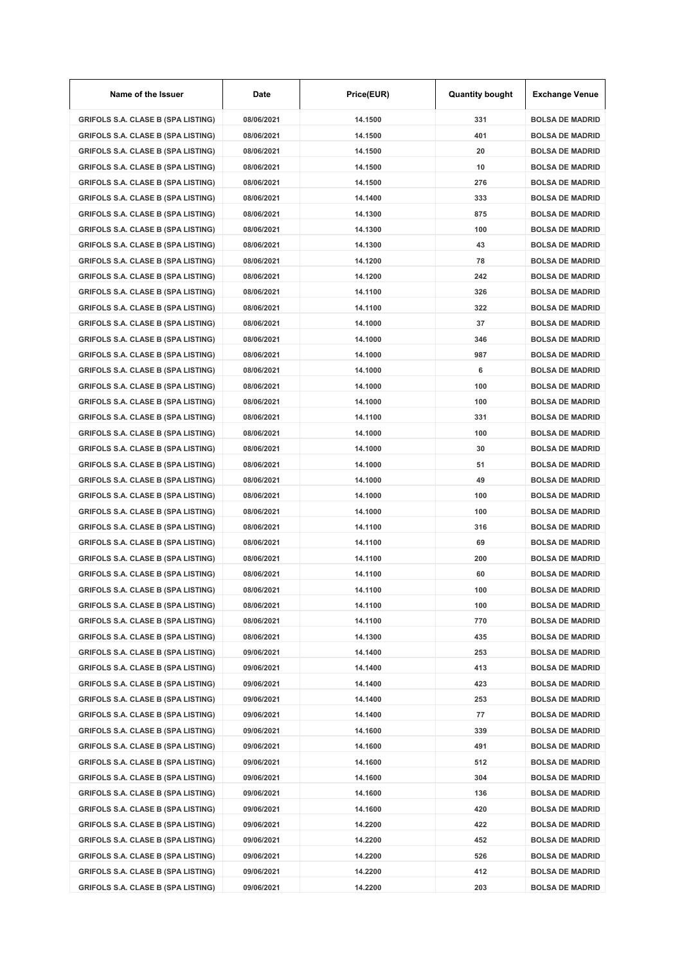| Name of the Issuer                        | Date       | Price(EUR) | <b>Quantity bought</b> | <b>Exchange Venue</b>  |
|-------------------------------------------|------------|------------|------------------------|------------------------|
| <b>GRIFOLS S.A. CLASE B (SPA LISTING)</b> | 08/06/2021 | 14.1500    | 331                    | <b>BOLSA DE MADRID</b> |
| <b>GRIFOLS S.A. CLASE B (SPA LISTING)</b> | 08/06/2021 | 14.1500    | 401                    | <b>BOLSA DE MADRID</b> |
| <b>GRIFOLS S.A. CLASE B (SPA LISTING)</b> | 08/06/2021 | 14.1500    | 20                     | <b>BOLSA DE MADRID</b> |
| <b>GRIFOLS S.A. CLASE B (SPA LISTING)</b> | 08/06/2021 | 14.1500    | 10                     | <b>BOLSA DE MADRID</b> |
| <b>GRIFOLS S.A. CLASE B (SPA LISTING)</b> | 08/06/2021 | 14.1500    | 276                    | <b>BOLSA DE MADRID</b> |
| GRIFOLS S.A. CLASE B (SPA LISTING)        | 08/06/2021 | 14.1400    | 333                    | <b>BOLSA DE MADRID</b> |
| <b>GRIFOLS S.A. CLASE B (SPA LISTING)</b> | 08/06/2021 | 14.1300    | 875                    | <b>BOLSA DE MADRID</b> |
| <b>GRIFOLS S.A. CLASE B (SPA LISTING)</b> | 08/06/2021 | 14.1300    | 100                    | <b>BOLSA DE MADRID</b> |
| <b>GRIFOLS S.A. CLASE B (SPA LISTING)</b> | 08/06/2021 | 14.1300    | 43                     | <b>BOLSA DE MADRID</b> |
| <b>GRIFOLS S.A. CLASE B (SPA LISTING)</b> | 08/06/2021 | 14.1200    | 78                     | <b>BOLSA DE MADRID</b> |
| <b>GRIFOLS S.A. CLASE B (SPA LISTING)</b> | 08/06/2021 | 14.1200    | 242                    | <b>BOLSA DE MADRID</b> |
| <b>GRIFOLS S.A. CLASE B (SPA LISTING)</b> | 08/06/2021 | 14.1100    | 326                    | <b>BOLSA DE MADRID</b> |
| <b>GRIFOLS S.A. CLASE B (SPA LISTING)</b> | 08/06/2021 | 14.1100    | 322                    | <b>BOLSA DE MADRID</b> |
| <b>GRIFOLS S.A. CLASE B (SPA LISTING)</b> | 08/06/2021 | 14.1000    | 37                     | <b>BOLSA DE MADRID</b> |
| <b>GRIFOLS S.A. CLASE B (SPA LISTING)</b> | 08/06/2021 | 14.1000    | 346                    | <b>BOLSA DE MADRID</b> |
| GRIFOLS S.A. CLASE B (SPA LISTING)        | 08/06/2021 | 14.1000    | 987                    | <b>BOLSA DE MADRID</b> |
| <b>GRIFOLS S.A. CLASE B (SPA LISTING)</b> | 08/06/2021 | 14.1000    | 6                      | <b>BOLSA DE MADRID</b> |
| <b>GRIFOLS S.A. CLASE B (SPA LISTING)</b> | 08/06/2021 | 14.1000    | 100                    | <b>BOLSA DE MADRID</b> |
| <b>GRIFOLS S.A. CLASE B (SPA LISTING)</b> | 08/06/2021 | 14.1000    | 100                    | <b>BOLSA DE MADRID</b> |
| GRIFOLS S.A. CLASE B (SPA LISTING)        | 08/06/2021 | 14.1100    | 331                    | <b>BOLSA DE MADRID</b> |
| <b>GRIFOLS S.A. CLASE B (SPA LISTING)</b> | 08/06/2021 | 14.1000    | 100                    | <b>BOLSA DE MADRID</b> |
| GRIFOLS S.A. CLASE B (SPA LISTING)        | 08/06/2021 | 14.1000    | 30                     | <b>BOLSA DE MADRID</b> |
| <b>GRIFOLS S.A. CLASE B (SPA LISTING)</b> | 08/06/2021 | 14.1000    | 51                     | <b>BOLSA DE MADRID</b> |
| GRIFOLS S.A. CLASE B (SPA LISTING)        | 08/06/2021 | 14.1000    | 49                     | <b>BOLSA DE MADRID</b> |
| <b>GRIFOLS S.A. CLASE B (SPA LISTING)</b> | 08/06/2021 | 14.1000    | 100                    | <b>BOLSA DE MADRID</b> |
| <b>GRIFOLS S.A. CLASE B (SPA LISTING)</b> | 08/06/2021 | 14.1000    | 100                    | <b>BOLSA DE MADRID</b> |
| GRIFOLS S.A. CLASE B (SPA LISTING)        | 08/06/2021 | 14.1100    | 316                    | <b>BOLSA DE MADRID</b> |
| GRIFOLS S.A. CLASE B (SPA LISTING)        | 08/06/2021 | 14.1100    | 69                     | <b>BOLSA DE MADRID</b> |
| GRIFOLS S.A. CLASE B (SPA LISTING)        | 08/06/2021 | 14.1100    | 200                    | <b>BOLSA DE MADRID</b> |
| <b>GRIFOLS S.A. CLASE B (SPA LISTING)</b> | 08/06/2021 | 14.1100    | 60                     | <b>BOLSA DE MADRID</b> |
| <b>GRIFOLS S.A. CLASE B (SPA LISTING)</b> | 08/06/2021 | 14.1100    | 100                    | <b>BOLSA DE MADRID</b> |
| GRIFOLS S.A. CLASE B (SPA LISTING)        | 08/06/2021 | 14.1100    | 100                    | <b>BOLSA DE MADRID</b> |
| <b>GRIFOLS S.A. CLASE B (SPA LISTING)</b> | 08/06/2021 | 14.1100    | 770                    | <b>BOLSA DE MADRID</b> |
| <b>GRIFOLS S.A. CLASE B (SPA LISTING)</b> | 08/06/2021 | 14.1300    | 435                    | <b>BOLSA DE MADRID</b> |
| <b>GRIFOLS S.A. CLASE B (SPA LISTING)</b> | 09/06/2021 | 14.1400    | 253                    | <b>BOLSA DE MADRID</b> |
| <b>GRIFOLS S.A. CLASE B (SPA LISTING)</b> | 09/06/2021 | 14.1400    | 413                    | <b>BOLSA DE MADRID</b> |
| <b>GRIFOLS S.A. CLASE B (SPA LISTING)</b> | 09/06/2021 | 14.1400    | 423                    | <b>BOLSA DE MADRID</b> |
| <b>GRIFOLS S.A. CLASE B (SPA LISTING)</b> | 09/06/2021 | 14.1400    | 253                    | <b>BOLSA DE MADRID</b> |
| GRIFOLS S.A. CLASE B (SPA LISTING)        | 09/06/2021 | 14.1400    | 77                     | <b>BOLSA DE MADRID</b> |
| <b>GRIFOLS S.A. CLASE B (SPA LISTING)</b> | 09/06/2021 | 14.1600    | 339                    | <b>BOLSA DE MADRID</b> |
| <b>GRIFOLS S.A. CLASE B (SPA LISTING)</b> | 09/06/2021 | 14.1600    | 491                    | <b>BOLSA DE MADRID</b> |
| <b>GRIFOLS S.A. CLASE B (SPA LISTING)</b> | 09/06/2021 | 14.1600    | 512                    | <b>BOLSA DE MADRID</b> |
| <b>GRIFOLS S.A. CLASE B (SPA LISTING)</b> | 09/06/2021 | 14.1600    | 304                    | <b>BOLSA DE MADRID</b> |
| <b>GRIFOLS S.A. CLASE B (SPA LISTING)</b> | 09/06/2021 | 14.1600    | 136                    | <b>BOLSA DE MADRID</b> |
| GRIFOLS S.A. CLASE B (SPA LISTING)        | 09/06/2021 | 14.1600    | 420                    | <b>BOLSA DE MADRID</b> |
| <b>GRIFOLS S.A. CLASE B (SPA LISTING)</b> | 09/06/2021 | 14.2200    | 422                    | <b>BOLSA DE MADRID</b> |
| <b>GRIFOLS S.A. CLASE B (SPA LISTING)</b> | 09/06/2021 | 14.2200    | 452                    | <b>BOLSA DE MADRID</b> |
| <b>GRIFOLS S.A. CLASE B (SPA LISTING)</b> | 09/06/2021 | 14.2200    | 526                    | <b>BOLSA DE MADRID</b> |
| <b>GRIFOLS S.A. CLASE B (SPA LISTING)</b> | 09/06/2021 | 14.2200    | 412                    | <b>BOLSA DE MADRID</b> |
| <b>GRIFOLS S.A. CLASE B (SPA LISTING)</b> | 09/06/2021 | 14.2200    | 203                    | <b>BOLSA DE MADRID</b> |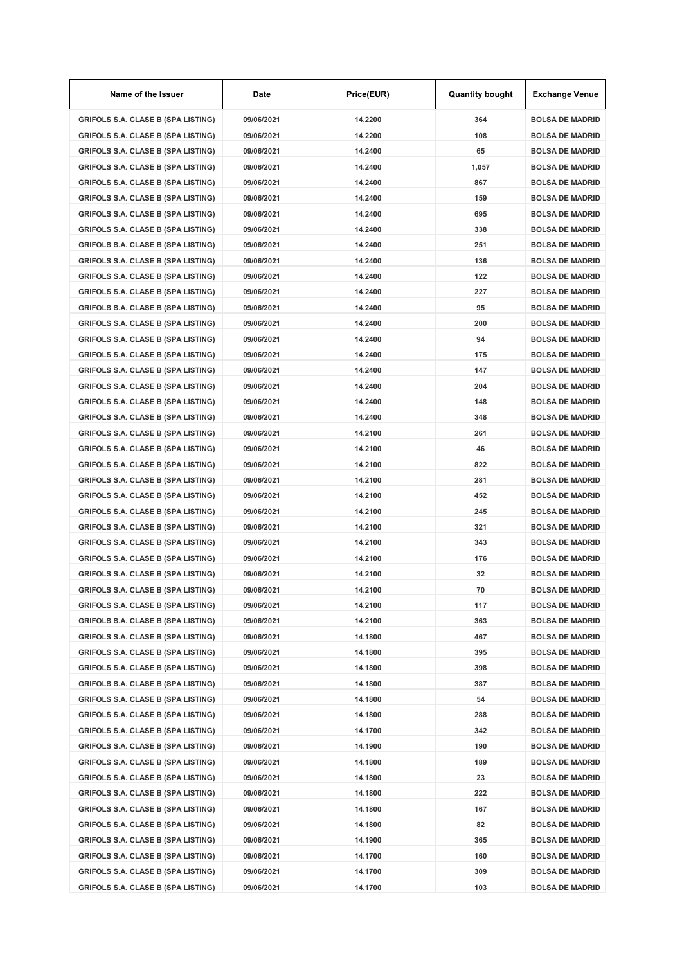| Name of the Issuer                        | Date       | Price(EUR) | <b>Quantity bought</b> | <b>Exchange Venue</b>  |
|-------------------------------------------|------------|------------|------------------------|------------------------|
| <b>GRIFOLS S.A. CLASE B (SPA LISTING)</b> | 09/06/2021 | 14.2200    | 364                    | <b>BOLSA DE MADRID</b> |
| <b>GRIFOLS S.A. CLASE B (SPA LISTING)</b> | 09/06/2021 | 14.2200    | 108                    | <b>BOLSA DE MADRID</b> |
| <b>GRIFOLS S.A. CLASE B (SPA LISTING)</b> | 09/06/2021 | 14.2400    | 65                     | <b>BOLSA DE MADRID</b> |
| <b>GRIFOLS S.A. CLASE B (SPA LISTING)</b> | 09/06/2021 | 14.2400    | 1,057                  | <b>BOLSA DE MADRID</b> |
| <b>GRIFOLS S.A. CLASE B (SPA LISTING)</b> | 09/06/2021 | 14.2400    | 867                    | <b>BOLSA DE MADRID</b> |
| GRIFOLS S.A. CLASE B (SPA LISTING)        | 09/06/2021 | 14.2400    | 159                    | <b>BOLSA DE MADRID</b> |
| <b>GRIFOLS S.A. CLASE B (SPA LISTING)</b> | 09/06/2021 | 14.2400    | 695                    | <b>BOLSA DE MADRID</b> |
| <b>GRIFOLS S.A. CLASE B (SPA LISTING)</b> | 09/06/2021 | 14.2400    | 338                    | <b>BOLSA DE MADRID</b> |
| <b>GRIFOLS S.A. CLASE B (SPA LISTING)</b> | 09/06/2021 | 14.2400    | 251                    | <b>BOLSA DE MADRID</b> |
| GRIFOLS S.A. CLASE B (SPA LISTING)        | 09/06/2021 | 14.2400    | 136                    | <b>BOLSA DE MADRID</b> |
| <b>GRIFOLS S.A. CLASE B (SPA LISTING)</b> | 09/06/2021 | 14.2400    | 122                    | <b>BOLSA DE MADRID</b> |
| <b>GRIFOLS S.A. CLASE B (SPA LISTING)</b> | 09/06/2021 | 14.2400    | 227                    | <b>BOLSA DE MADRID</b> |
| <b>GRIFOLS S.A. CLASE B (SPA LISTING)</b> | 09/06/2021 | 14.2400    | 95                     | <b>BOLSA DE MADRID</b> |
| <b>GRIFOLS S.A. CLASE B (SPA LISTING)</b> | 09/06/2021 | 14.2400    | 200                    | <b>BOLSA DE MADRID</b> |
| <b>GRIFOLS S.A. CLASE B (SPA LISTING)</b> | 09/06/2021 | 14.2400    | 94                     | <b>BOLSA DE MADRID</b> |
| <b>GRIFOLS S.A. CLASE B (SPA LISTING)</b> | 09/06/2021 | 14.2400    | 175                    | <b>BOLSA DE MADRID</b> |
| <b>GRIFOLS S.A. CLASE B (SPA LISTING)</b> | 09/06/2021 | 14.2400    | 147                    | <b>BOLSA DE MADRID</b> |
| <b>GRIFOLS S.A. CLASE B (SPA LISTING)</b> | 09/06/2021 | 14.2400    | 204                    | <b>BOLSA DE MADRID</b> |
| <b>GRIFOLS S.A. CLASE B (SPA LISTING)</b> | 09/06/2021 | 14.2400    | 148                    | <b>BOLSA DE MADRID</b> |
| GRIFOLS S.A. CLASE B (SPA LISTING)        | 09/06/2021 | 14.2400    | 348                    | <b>BOLSA DE MADRID</b> |
| <b>GRIFOLS S.A. CLASE B (SPA LISTING)</b> | 09/06/2021 | 14.2100    | 261                    | <b>BOLSA DE MADRID</b> |
| <b>GRIFOLS S.A. CLASE B (SPA LISTING)</b> | 09/06/2021 | 14.2100    | 46                     | <b>BOLSA DE MADRID</b> |
| <b>GRIFOLS S.A. CLASE B (SPA LISTING)</b> | 09/06/2021 | 14.2100    | 822                    | <b>BOLSA DE MADRID</b> |
| GRIFOLS S.A. CLASE B (SPA LISTING)        | 09/06/2021 | 14.2100    | 281                    | <b>BOLSA DE MADRID</b> |
| <b>GRIFOLS S.A. CLASE B (SPA LISTING)</b> | 09/06/2021 | 14.2100    | 452                    | <b>BOLSA DE MADRID</b> |
| GRIFOLS S.A. CLASE B (SPA LISTING)        | 09/06/2021 | 14.2100    | 245                    | <b>BOLSA DE MADRID</b> |
| <b>GRIFOLS S.A. CLASE B (SPA LISTING)</b> | 09/06/2021 | 14.2100    | 321                    | <b>BOLSA DE MADRID</b> |
| <b>GRIFOLS S.A. CLASE B (SPA LISTING)</b> | 09/06/2021 | 14.2100    | 343                    | <b>BOLSA DE MADRID</b> |
| <b>GRIFOLS S.A. CLASE B (SPA LISTING)</b> | 09/06/2021 | 14.2100    | 176                    | <b>BOLSA DE MADRID</b> |
| <b>GRIFOLS S.A. CLASE B (SPA LISTING)</b> | 09/06/2021 | 14.2100    | 32                     | <b>BOLSA DE MADRID</b> |
| <b>GRIFOLS S.A. CLASE B (SPA LISTING)</b> | 09/06/2021 | 14.2100    | 70                     | <b>BOLSA DE MADRID</b> |
| <b>GRIFOLS S.A. CLASE B (SPA LISTING)</b> | 09/06/2021 | 14.2100    | 117                    | <b>BOLSA DE MADRID</b> |
| <b>GRIFOLS S.A. CLASE B (SPA LISTING)</b> | 09/06/2021 | 14.2100    | 363                    | <b>BOLSA DE MADRID</b> |
| <b>GRIFOLS S.A. CLASE B (SPA LISTING)</b> | 09/06/2021 | 14.1800    | 467                    | <b>BOLSA DE MADRID</b> |
| <b>GRIFOLS S.A. CLASE B (SPA LISTING)</b> | 09/06/2021 | 14.1800    | 395                    | <b>BOLSA DE MADRID</b> |
| <b>GRIFOLS S.A. CLASE B (SPA LISTING)</b> | 09/06/2021 | 14.1800    | 398                    | <b>BOLSA DE MADRID</b> |
| <b>GRIFOLS S.A. CLASE B (SPA LISTING)</b> | 09/06/2021 | 14.1800    | 387                    | <b>BOLSA DE MADRID</b> |
| <b>GRIFOLS S.A. CLASE B (SPA LISTING)</b> | 09/06/2021 | 14.1800    | 54                     | <b>BOLSA DE MADRID</b> |
| <b>GRIFOLS S.A. CLASE B (SPA LISTING)</b> | 09/06/2021 | 14.1800    | 288                    | <b>BOLSA DE MADRID</b> |
| <b>GRIFOLS S.A. CLASE B (SPA LISTING)</b> | 09/06/2021 | 14.1700    | 342                    | <b>BOLSA DE MADRID</b> |
| GRIFOLS S.A. CLASE B (SPA LISTING)        | 09/06/2021 | 14.1900    | 190                    | <b>BOLSA DE MADRID</b> |
| <b>GRIFOLS S.A. CLASE B (SPA LISTING)</b> | 09/06/2021 | 14.1800    | 189                    | <b>BOLSA DE MADRID</b> |
| <b>GRIFOLS S.A. CLASE B (SPA LISTING)</b> | 09/06/2021 | 14.1800    | 23                     | <b>BOLSA DE MADRID</b> |
| <b>GRIFOLS S.A. CLASE B (SPA LISTING)</b> | 09/06/2021 | 14.1800    | 222                    | <b>BOLSA DE MADRID</b> |
| <b>GRIFOLS S.A. CLASE B (SPA LISTING)</b> | 09/06/2021 | 14.1800    | 167                    | <b>BOLSA DE MADRID</b> |
| <b>GRIFOLS S.A. CLASE B (SPA LISTING)</b> | 09/06/2021 | 14.1800    | 82                     | <b>BOLSA DE MADRID</b> |
| <b>GRIFOLS S.A. CLASE B (SPA LISTING)</b> | 09/06/2021 | 14.1900    | 365                    | <b>BOLSA DE MADRID</b> |
| <b>GRIFOLS S.A. CLASE B (SPA LISTING)</b> | 09/06/2021 | 14.1700    | 160                    | <b>BOLSA DE MADRID</b> |
| <b>GRIFOLS S.A. CLASE B (SPA LISTING)</b> | 09/06/2021 | 14.1700    | 309                    | <b>BOLSA DE MADRID</b> |
| <b>GRIFOLS S.A. CLASE B (SPA LISTING)</b> | 09/06/2021 | 14.1700    | 103                    | <b>BOLSA DE MADRID</b> |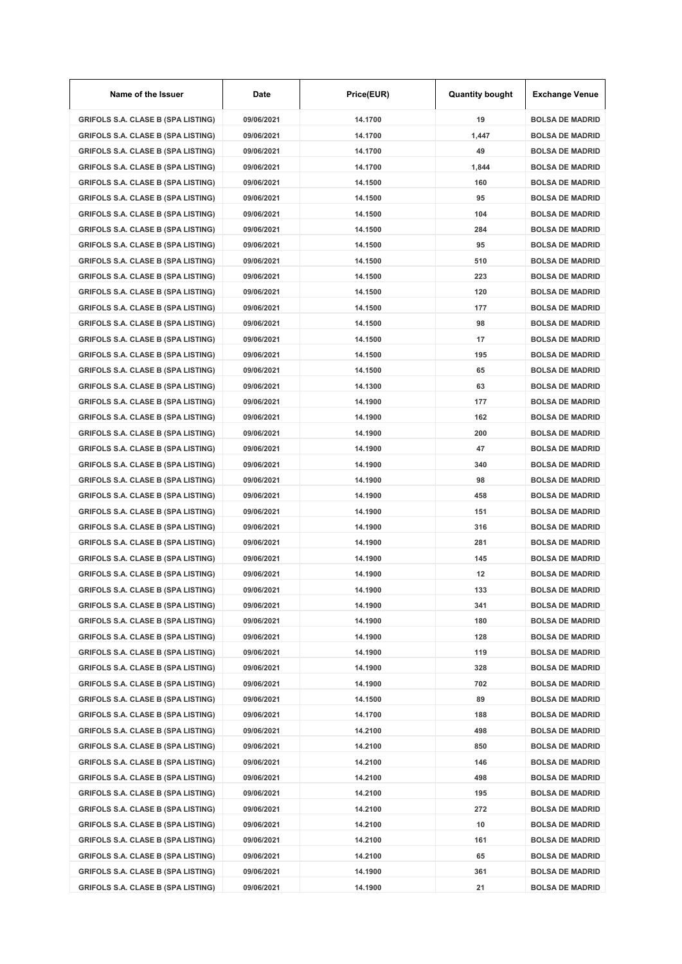| Name of the Issuer                        | Date       | Price(EUR) | <b>Quantity bought</b> | <b>Exchange Venue</b>  |
|-------------------------------------------|------------|------------|------------------------|------------------------|
| <b>GRIFOLS S.A. CLASE B (SPA LISTING)</b> | 09/06/2021 | 14.1700    | 19                     | <b>BOLSA DE MADRID</b> |
| <b>GRIFOLS S.A. CLASE B (SPA LISTING)</b> | 09/06/2021 | 14.1700    | 1,447                  | <b>BOLSA DE MADRID</b> |
| <b>GRIFOLS S.A. CLASE B (SPA LISTING)</b> | 09/06/2021 | 14.1700    | 49                     | <b>BOLSA DE MADRID</b> |
| <b>GRIFOLS S.A. CLASE B (SPA LISTING)</b> | 09/06/2021 | 14.1700    | 1,844                  | <b>BOLSA DE MADRID</b> |
| <b>GRIFOLS S.A. CLASE B (SPA LISTING)</b> | 09/06/2021 | 14.1500    | 160                    | <b>BOLSA DE MADRID</b> |
| <b>GRIFOLS S.A. CLASE B (SPA LISTING)</b> | 09/06/2021 | 14.1500    | 95                     | <b>BOLSA DE MADRID</b> |
| <b>GRIFOLS S.A. CLASE B (SPA LISTING)</b> | 09/06/2021 | 14.1500    | 104                    | <b>BOLSA DE MADRID</b> |
| <b>GRIFOLS S.A. CLASE B (SPA LISTING)</b> | 09/06/2021 | 14.1500    | 284                    | <b>BOLSA DE MADRID</b> |
| <b>GRIFOLS S.A. CLASE B (SPA LISTING)</b> | 09/06/2021 | 14.1500    | 95                     | <b>BOLSA DE MADRID</b> |
| <b>GRIFOLS S.A. CLASE B (SPA LISTING)</b> | 09/06/2021 | 14.1500    | 510                    | <b>BOLSA DE MADRID</b> |
| <b>GRIFOLS S.A. CLASE B (SPA LISTING)</b> | 09/06/2021 | 14.1500    | 223                    | <b>BOLSA DE MADRID</b> |
| <b>GRIFOLS S.A. CLASE B (SPA LISTING)</b> | 09/06/2021 | 14.1500    | 120                    | <b>BOLSA DE MADRID</b> |
| <b>GRIFOLS S.A. CLASE B (SPA LISTING)</b> | 09/06/2021 | 14.1500    | 177                    | <b>BOLSA DE MADRID</b> |
| <b>GRIFOLS S.A. CLASE B (SPA LISTING)</b> | 09/06/2021 | 14.1500    | 98                     | <b>BOLSA DE MADRID</b> |
| <b>GRIFOLS S.A. CLASE B (SPA LISTING)</b> | 09/06/2021 | 14.1500    | 17                     | <b>BOLSA DE MADRID</b> |
| <b>GRIFOLS S.A. CLASE B (SPA LISTING)</b> | 09/06/2021 | 14.1500    | 195                    | <b>BOLSA DE MADRID</b> |
| <b>GRIFOLS S.A. CLASE B (SPA LISTING)</b> | 09/06/2021 | 14.1500    | 65                     | <b>BOLSA DE MADRID</b> |
|                                           |            |            |                        |                        |
| <b>GRIFOLS S.A. CLASE B (SPA LISTING)</b> | 09/06/2021 | 14.1300    | 63                     | <b>BOLSA DE MADRID</b> |
| <b>GRIFOLS S.A. CLASE B (SPA LISTING)</b> | 09/06/2021 | 14.1900    | 177                    | <b>BOLSA DE MADRID</b> |
| <b>GRIFOLS S.A. CLASE B (SPA LISTING)</b> | 09/06/2021 | 14.1900    | 162                    | <b>BOLSA DE MADRID</b> |
| <b>GRIFOLS S.A. CLASE B (SPA LISTING)</b> | 09/06/2021 | 14.1900    | 200                    | <b>BOLSA DE MADRID</b> |
| <b>GRIFOLS S.A. CLASE B (SPA LISTING)</b> | 09/06/2021 | 14.1900    | 47                     | <b>BOLSA DE MADRID</b> |
| <b>GRIFOLS S.A. CLASE B (SPA LISTING)</b> | 09/06/2021 | 14.1900    | 340                    | <b>BOLSA DE MADRID</b> |
| <b>GRIFOLS S.A. CLASE B (SPA LISTING)</b> | 09/06/2021 | 14.1900    | 98                     | <b>BOLSA DE MADRID</b> |
| <b>GRIFOLS S.A. CLASE B (SPA LISTING)</b> | 09/06/2021 | 14.1900    | 458                    | <b>BOLSA DE MADRID</b> |
| <b>GRIFOLS S.A. CLASE B (SPA LISTING)</b> | 09/06/2021 | 14.1900    | 151                    | <b>BOLSA DE MADRID</b> |
| <b>GRIFOLS S.A. CLASE B (SPA LISTING)</b> | 09/06/2021 | 14.1900    | 316                    | <b>BOLSA DE MADRID</b> |
| <b>GRIFOLS S.A. CLASE B (SPA LISTING)</b> | 09/06/2021 | 14.1900    | 281                    | <b>BOLSA DE MADRID</b> |
| <b>GRIFOLS S.A. CLASE B (SPA LISTING)</b> | 09/06/2021 | 14.1900    | 145                    | <b>BOLSA DE MADRID</b> |
| <b>GRIFOLS S.A. CLASE B (SPA LISTING)</b> | 09/06/2021 | 14.1900    | 12                     | <b>BOLSA DE MADRID</b> |
| <b>GRIFOLS S.A. CLASE B (SPA LISTING)</b> | 09/06/2021 | 14.1900    | 133                    | <b>BOLSA DE MADRID</b> |
| <b>GRIFOLS S.A. CLASE B (SPA LISTING)</b> | 09/06/2021 | 14.1900    | 341                    | <b>BOLSA DE MADRID</b> |
| <b>GRIFOLS S.A. CLASE B (SPA LISTING)</b> | 09/06/2021 | 14.1900    | 180                    | <b>BOLSA DE MADRID</b> |
| <b>GRIFOLS S.A. CLASE B (SPA LISTING)</b> | 09/06/2021 | 14.1900    | 128                    | <b>BOLSA DE MADRID</b> |
| <b>GRIFOLS S.A. CLASE B (SPA LISTING)</b> | 09/06/2021 | 14.1900    | 119                    | <b>BOLSA DE MADRID</b> |
| <b>GRIFOLS S.A. CLASE B (SPA LISTING)</b> | 09/06/2021 | 14.1900    | 328                    | <b>BOLSA DE MADRID</b> |
| <b>GRIFOLS S.A. CLASE B (SPA LISTING)</b> | 09/06/2021 | 14.1900    | 702                    | <b>BOLSA DE MADRID</b> |
| <b>GRIFOLS S.A. CLASE B (SPA LISTING)</b> | 09/06/2021 | 14.1500    | 89                     | <b>BOLSA DE MADRID</b> |
| <b>GRIFOLS S.A. CLASE B (SPA LISTING)</b> | 09/06/2021 | 14.1700    | 188                    | <b>BOLSA DE MADRID</b> |
| <b>GRIFOLS S.A. CLASE B (SPA LISTING)</b> | 09/06/2021 | 14.2100    | 498                    | <b>BOLSA DE MADRID</b> |
| <b>GRIFOLS S.A. CLASE B (SPA LISTING)</b> | 09/06/2021 | 14.2100    | 850                    | <b>BOLSA DE MADRID</b> |
| <b>GRIFOLS S.A. CLASE B (SPA LISTING)</b> | 09/06/2021 | 14.2100    | 146                    | <b>BOLSA DE MADRID</b> |
| <b>GRIFOLS S.A. CLASE B (SPA LISTING)</b> | 09/06/2021 | 14.2100    | 498                    | <b>BOLSA DE MADRID</b> |
| <b>GRIFOLS S.A. CLASE B (SPA LISTING)</b> | 09/06/2021 | 14.2100    | 195                    | <b>BOLSA DE MADRID</b> |
| <b>GRIFOLS S.A. CLASE B (SPA LISTING)</b> | 09/06/2021 | 14.2100    | 272                    | <b>BOLSA DE MADRID</b> |
| <b>GRIFOLS S.A. CLASE B (SPA LISTING)</b> | 09/06/2021 | 14.2100    | 10                     | <b>BOLSA DE MADRID</b> |
|                                           |            |            |                        |                        |
| <b>GRIFOLS S.A. CLASE B (SPA LISTING)</b> | 09/06/2021 | 14.2100    | 161                    | <b>BOLSA DE MADRID</b> |
| <b>GRIFOLS S.A. CLASE B (SPA LISTING)</b> | 09/06/2021 | 14.2100    | 65                     | <b>BOLSA DE MADRID</b> |
| <b>GRIFOLS S.A. CLASE B (SPA LISTING)</b> | 09/06/2021 | 14.1900    | 361                    | <b>BOLSA DE MADRID</b> |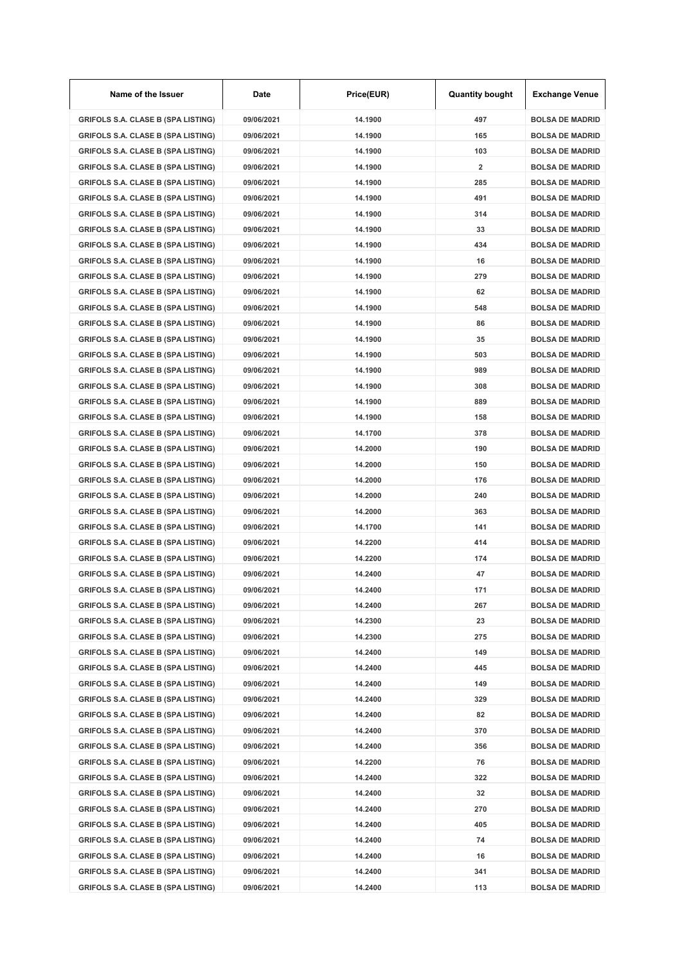| Name of the Issuer                        | Date       | Price(EUR) | <b>Quantity bought</b>  | <b>Exchange Venue</b>  |
|-------------------------------------------|------------|------------|-------------------------|------------------------|
| <b>GRIFOLS S.A. CLASE B (SPA LISTING)</b> | 09/06/2021 | 14.1900    | 497                     | <b>BOLSA DE MADRID</b> |
| <b>GRIFOLS S.A. CLASE B (SPA LISTING)</b> | 09/06/2021 | 14.1900    | 165                     | <b>BOLSA DE MADRID</b> |
| <b>GRIFOLS S.A. CLASE B (SPA LISTING)</b> | 09/06/2021 | 14.1900    | 103                     | <b>BOLSA DE MADRID</b> |
| <b>GRIFOLS S.A. CLASE B (SPA LISTING)</b> | 09/06/2021 | 14.1900    | $\overline{\mathbf{2}}$ | <b>BOLSA DE MADRID</b> |
| <b>GRIFOLS S.A. CLASE B (SPA LISTING)</b> | 09/06/2021 | 14.1900    | 285                     | <b>BOLSA DE MADRID</b> |
| <b>GRIFOLS S.A. CLASE B (SPA LISTING)</b> | 09/06/2021 | 14.1900    | 491                     | <b>BOLSA DE MADRID</b> |
| <b>GRIFOLS S.A. CLASE B (SPA LISTING)</b> | 09/06/2021 | 14.1900    | 314                     | <b>BOLSA DE MADRID</b> |
| <b>GRIFOLS S.A. CLASE B (SPA LISTING)</b> | 09/06/2021 | 14.1900    | 33                      | <b>BOLSA DE MADRID</b> |
| <b>GRIFOLS S.A. CLASE B (SPA LISTING)</b> | 09/06/2021 | 14.1900    | 434                     | <b>BOLSA DE MADRID</b> |
| <b>GRIFOLS S.A. CLASE B (SPA LISTING)</b> | 09/06/2021 | 14.1900    | 16                      | <b>BOLSA DE MADRID</b> |
| <b>GRIFOLS S.A. CLASE B (SPA LISTING)</b> | 09/06/2021 | 14.1900    | 279                     | <b>BOLSA DE MADRID</b> |
| <b>GRIFOLS S.A. CLASE B (SPA LISTING)</b> | 09/06/2021 | 14.1900    | 62                      | <b>BOLSA DE MADRID</b> |
| <b>GRIFOLS S.A. CLASE B (SPA LISTING)</b> | 09/06/2021 | 14.1900    | 548                     | <b>BOLSA DE MADRID</b> |
| <b>GRIFOLS S.A. CLASE B (SPA LISTING)</b> | 09/06/2021 | 14.1900    | 86                      | <b>BOLSA DE MADRID</b> |
| <b>GRIFOLS S.A. CLASE B (SPA LISTING)</b> | 09/06/2021 | 14.1900    | 35                      | <b>BOLSA DE MADRID</b> |
| <b>GRIFOLS S.A. CLASE B (SPA LISTING)</b> | 09/06/2021 | 14.1900    | 503                     | <b>BOLSA DE MADRID</b> |
| <b>GRIFOLS S.A. CLASE B (SPA LISTING)</b> | 09/06/2021 | 14.1900    | 989                     | <b>BOLSA DE MADRID</b> |
| <b>GRIFOLS S.A. CLASE B (SPA LISTING)</b> | 09/06/2021 | 14.1900    | 308                     | <b>BOLSA DE MADRID</b> |
| <b>GRIFOLS S.A. CLASE B (SPA LISTING)</b> | 09/06/2021 | 14.1900    | 889                     | <b>BOLSA DE MADRID</b> |
| GRIFOLS S.A. CLASE B (SPA LISTING)        | 09/06/2021 | 14.1900    | 158                     | <b>BOLSA DE MADRID</b> |
| <b>GRIFOLS S.A. CLASE B (SPA LISTING)</b> | 09/06/2021 | 14.1700    | 378                     | <b>BOLSA DE MADRID</b> |
| GRIFOLS S.A. CLASE B (SPA LISTING)        | 09/06/2021 | 14.2000    | 190                     | <b>BOLSA DE MADRID</b> |
| <b>GRIFOLS S.A. CLASE B (SPA LISTING)</b> | 09/06/2021 | 14.2000    | 150                     | <b>BOLSA DE MADRID</b> |
| GRIFOLS S.A. CLASE B (SPA LISTING)        | 09/06/2021 | 14.2000    | 176                     | <b>BOLSA DE MADRID</b> |
| <b>GRIFOLS S.A. CLASE B (SPA LISTING)</b> | 09/06/2021 | 14.2000    | 240                     | <b>BOLSA DE MADRID</b> |
| <b>GRIFOLS S.A. CLASE B (SPA LISTING)</b> | 09/06/2021 | 14.2000    | 363                     | <b>BOLSA DE MADRID</b> |
| GRIFOLS S.A. CLASE B (SPA LISTING)        | 09/06/2021 | 14.1700    | 141                     | <b>BOLSA DE MADRID</b> |
| <b>GRIFOLS S.A. CLASE B (SPA LISTING)</b> | 09/06/2021 | 14.2200    | 414                     | <b>BOLSA DE MADRID</b> |
| GRIFOLS S.A. CLASE B (SPA LISTING)        | 09/06/2021 | 14.2200    | 174                     | <b>BOLSA DE MADRID</b> |
| <b>GRIFOLS S.A. CLASE B (SPA LISTING)</b> | 09/06/2021 | 14.2400    | 47                      | <b>BOLSA DE MADRID</b> |
| <b>GRIFOLS S.A. CLASE B (SPA LISTING)</b> | 09/06/2021 | 14.2400    | 171                     | <b>BOLSA DE MADRID</b> |
| GRIFOLS S.A. CLASE B (SPA LISTING)        | 09/06/2021 | 14.2400    | 267                     | <b>BOLSA DE MADRID</b> |
| <b>GRIFOLS S.A. CLASE B (SPA LISTING)</b> | 09/06/2021 | 14.2300    | 23                      | <b>BOLSA DE MADRID</b> |
| <b>GRIFOLS S.A. CLASE B (SPA LISTING)</b> | 09/06/2021 | 14.2300    | 275                     | <b>BOLSA DE MADRID</b> |
| <b>GRIFOLS S.A. CLASE B (SPA LISTING)</b> | 09/06/2021 | 14.2400    | 149                     | <b>BOLSA DE MADRID</b> |
| <b>GRIFOLS S.A. CLASE B (SPA LISTING)</b> | 09/06/2021 | 14.2400    | 445                     | <b>BOLSA DE MADRID</b> |
| <b>GRIFOLS S.A. CLASE B (SPA LISTING)</b> | 09/06/2021 | 14.2400    | 149                     | <b>BOLSA DE MADRID</b> |
| <b>GRIFOLS S.A. CLASE B (SPA LISTING)</b> | 09/06/2021 | 14.2400    | 329                     | <b>BOLSA DE MADRID</b> |
| GRIFOLS S.A. CLASE B (SPA LISTING)        | 09/06/2021 | 14.2400    | 82                      | <b>BOLSA DE MADRID</b> |
| <b>GRIFOLS S.A. CLASE B (SPA LISTING)</b> | 09/06/2021 | 14.2400    | 370                     | <b>BOLSA DE MADRID</b> |
| <b>GRIFOLS S.A. CLASE B (SPA LISTING)</b> | 09/06/2021 | 14.2400    | 356                     | <b>BOLSA DE MADRID</b> |
| <b>GRIFOLS S.A. CLASE B (SPA LISTING)</b> | 09/06/2021 | 14.2200    | 76                      | <b>BOLSA DE MADRID</b> |
| <b>GRIFOLS S.A. CLASE B (SPA LISTING)</b> | 09/06/2021 | 14.2400    | 322                     | <b>BOLSA DE MADRID</b> |
| <b>GRIFOLS S.A. CLASE B (SPA LISTING)</b> | 09/06/2021 | 14.2400    | 32                      | <b>BOLSA DE MADRID</b> |
| <b>GRIFOLS S.A. CLASE B (SPA LISTING)</b> | 09/06/2021 | 14.2400    | 270                     | <b>BOLSA DE MADRID</b> |
| <b>GRIFOLS S.A. CLASE B (SPA LISTING)</b> | 09/06/2021 | 14.2400    | 405                     | <b>BOLSA DE MADRID</b> |
| <b>GRIFOLS S.A. CLASE B (SPA LISTING)</b> | 09/06/2021 | 14.2400    | 74                      | <b>BOLSA DE MADRID</b> |
| <b>GRIFOLS S.A. CLASE B (SPA LISTING)</b> | 09/06/2021 | 14.2400    | 16                      | <b>BOLSA DE MADRID</b> |
| <b>GRIFOLS S.A. CLASE B (SPA LISTING)</b> | 09/06/2021 | 14.2400    | 341                     | <b>BOLSA DE MADRID</b> |
| <b>GRIFOLS S.A. CLASE B (SPA LISTING)</b> | 09/06/2021 | 14.2400    | 113                     | <b>BOLSA DE MADRID</b> |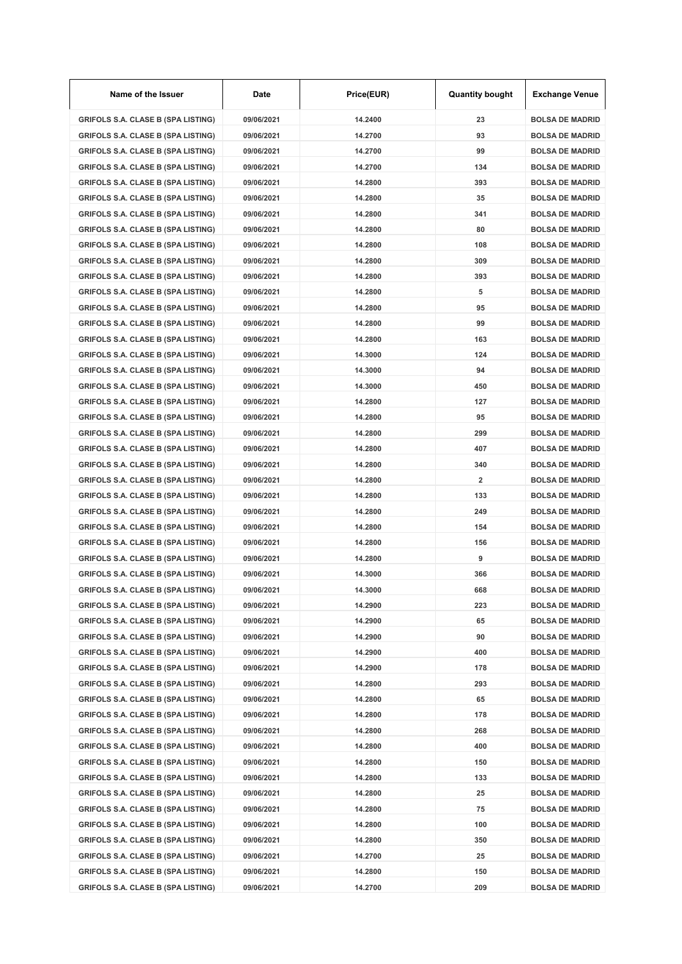| Name of the Issuer                        | Date       | Price(EUR) | <b>Quantity bought</b> | <b>Exchange Venue</b>  |
|-------------------------------------------|------------|------------|------------------------|------------------------|
| <b>GRIFOLS S.A. CLASE B (SPA LISTING)</b> | 09/06/2021 | 14.2400    | 23                     | <b>BOLSA DE MADRID</b> |
| <b>GRIFOLS S.A. CLASE B (SPA LISTING)</b> | 09/06/2021 | 14.2700    | 93                     | <b>BOLSA DE MADRID</b> |
| <b>GRIFOLS S.A. CLASE B (SPA LISTING)</b> | 09/06/2021 | 14.2700    | 99                     | <b>BOLSA DE MADRID</b> |
| <b>GRIFOLS S.A. CLASE B (SPA LISTING)</b> | 09/06/2021 | 14.2700    | 134                    | <b>BOLSA DE MADRID</b> |
| <b>GRIFOLS S.A. CLASE B (SPA LISTING)</b> | 09/06/2021 | 14.2800    | 393                    | <b>BOLSA DE MADRID</b> |
| GRIFOLS S.A. CLASE B (SPA LISTING)        | 09/06/2021 | 14.2800    | 35                     | <b>BOLSA DE MADRID</b> |
| <b>GRIFOLS S.A. CLASE B (SPA LISTING)</b> | 09/06/2021 | 14.2800    | 341                    | <b>BOLSA DE MADRID</b> |
| <b>GRIFOLS S.A. CLASE B (SPA LISTING)</b> | 09/06/2021 | 14.2800    | 80                     | <b>BOLSA DE MADRID</b> |
| <b>GRIFOLS S.A. CLASE B (SPA LISTING)</b> | 09/06/2021 | 14.2800    | 108                    | <b>BOLSA DE MADRID</b> |
| <b>GRIFOLS S.A. CLASE B (SPA LISTING)</b> | 09/06/2021 | 14.2800    | 309                    | <b>BOLSA DE MADRID</b> |
| <b>GRIFOLS S.A. CLASE B (SPA LISTING)</b> | 09/06/2021 | 14.2800    | 393                    | <b>BOLSA DE MADRID</b> |
| <b>GRIFOLS S.A. CLASE B (SPA LISTING)</b> | 09/06/2021 | 14.2800    | 5                      | <b>BOLSA DE MADRID</b> |
| <b>GRIFOLS S.A. CLASE B (SPA LISTING)</b> | 09/06/2021 | 14.2800    | 95                     | <b>BOLSA DE MADRID</b> |
| <b>GRIFOLS S.A. CLASE B (SPA LISTING)</b> | 09/06/2021 | 14.2800    | 99                     | <b>BOLSA DE MADRID</b> |
| <b>GRIFOLS S.A. CLASE B (SPA LISTING)</b> | 09/06/2021 | 14.2800    | 163                    | <b>BOLSA DE MADRID</b> |
| <b>GRIFOLS S.A. CLASE B (SPA LISTING)</b> | 09/06/2021 | 14.3000    | 124                    | <b>BOLSA DE MADRID</b> |
| <b>GRIFOLS S.A. CLASE B (SPA LISTING)</b> | 09/06/2021 | 14.3000    | 94                     | <b>BOLSA DE MADRID</b> |
| <b>GRIFOLS S.A. CLASE B (SPA LISTING)</b> | 09/06/2021 | 14.3000    | 450                    | <b>BOLSA DE MADRID</b> |
| <b>GRIFOLS S.A. CLASE B (SPA LISTING)</b> | 09/06/2021 | 14.2800    | 127                    | <b>BOLSA DE MADRID</b> |
| GRIFOLS S.A. CLASE B (SPA LISTING)        | 09/06/2021 | 14.2800    | 95                     | <b>BOLSA DE MADRID</b> |
| <b>GRIFOLS S.A. CLASE B (SPA LISTING)</b> | 09/06/2021 | 14.2800    | 299                    | <b>BOLSA DE MADRID</b> |
| <b>GRIFOLS S.A. CLASE B (SPA LISTING)</b> | 09/06/2021 | 14.2800    | 407                    | <b>BOLSA DE MADRID</b> |
| <b>GRIFOLS S.A. CLASE B (SPA LISTING)</b> | 09/06/2021 | 14.2800    | 340                    | <b>BOLSA DE MADRID</b> |
| <b>GRIFOLS S.A. CLASE B (SPA LISTING)</b> | 09/06/2021 | 14.2800    | 2                      | <b>BOLSA DE MADRID</b> |
| <b>GRIFOLS S.A. CLASE B (SPA LISTING)</b> | 09/06/2021 | 14.2800    | 133                    | <b>BOLSA DE MADRID</b> |
| GRIFOLS S.A. CLASE B (SPA LISTING)        | 09/06/2021 | 14.2800    | 249                    | <b>BOLSA DE MADRID</b> |
| <b>GRIFOLS S.A. CLASE B (SPA LISTING)</b> | 09/06/2021 | 14.2800    | 154                    | <b>BOLSA DE MADRID</b> |
| <b>GRIFOLS S.A. CLASE B (SPA LISTING)</b> | 09/06/2021 | 14.2800    | 156                    | <b>BOLSA DE MADRID</b> |
| <b>GRIFOLS S.A. CLASE B (SPA LISTING)</b> | 09/06/2021 | 14.2800    | 9                      | <b>BOLSA DE MADRID</b> |
| GRIFOLS S.A. CLASE B (SPA LISTING)        | 09/06/2021 | 14.3000    | 366                    | <b>BOLSA DE MADRID</b> |
| <b>GRIFOLS S.A. CLASE B (SPA LISTING)</b> | 09/06/2021 | 14.3000    | 668                    | <b>BOLSA DE MADRID</b> |
| <b>GRIFOLS S.A. CLASE B (SPA LISTING)</b> | 09/06/2021 | 14.2900    | 223                    | <b>BOLSA DE MADRID</b> |
| <b>GRIFOLS S.A. CLASE B (SPA LISTING)</b> | 09/06/2021 | 14.2900    | 65                     | <b>BOLSA DE MADRID</b> |
| <b>GRIFOLS S.A. CLASE B (SPA LISTING)</b> | 09/06/2021 | 14.2900    | 90                     | <b>BOLSA DE MADRID</b> |
| <b>GRIFOLS S.A. CLASE B (SPA LISTING)</b> | 09/06/2021 | 14.2900    | 400                    | <b>BOLSA DE MADRID</b> |
| <b>GRIFOLS S.A. CLASE B (SPA LISTING)</b> | 09/06/2021 | 14.2900    | 178                    | <b>BOLSA DE MADRID</b> |
| <b>GRIFOLS S.A. CLASE B (SPA LISTING)</b> | 09/06/2021 | 14.2800    | 293                    | <b>BOLSA DE MADRID</b> |
| <b>GRIFOLS S.A. CLASE B (SPA LISTING)</b> | 09/06/2021 | 14.2800    | 65                     | <b>BOLSA DE MADRID</b> |
| <b>GRIFOLS S.A. CLASE B (SPA LISTING)</b> | 09/06/2021 | 14.2800    | 178                    | <b>BOLSA DE MADRID</b> |
| <b>GRIFOLS S.A. CLASE B (SPA LISTING)</b> | 09/06/2021 | 14.2800    | 268                    | <b>BOLSA DE MADRID</b> |
| <b>GRIFOLS S.A. CLASE B (SPA LISTING)</b> | 09/06/2021 | 14.2800    | 400                    | <b>BOLSA DE MADRID</b> |
| <b>GRIFOLS S.A. CLASE B (SPA LISTING)</b> | 09/06/2021 | 14.2800    | 150                    | <b>BOLSA DE MADRID</b> |
| <b>GRIFOLS S.A. CLASE B (SPA LISTING)</b> | 09/06/2021 | 14.2800    | 133                    | <b>BOLSA DE MADRID</b> |
| <b>GRIFOLS S.A. CLASE B (SPA LISTING)</b> | 09/06/2021 | 14.2800    | 25                     | <b>BOLSA DE MADRID</b> |
| <b>GRIFOLS S.A. CLASE B (SPA LISTING)</b> | 09/06/2021 | 14.2800    | 75                     | <b>BOLSA DE MADRID</b> |
| <b>GRIFOLS S.A. CLASE B (SPA LISTING)</b> | 09/06/2021 | 14.2800    | 100                    | <b>BOLSA DE MADRID</b> |
| <b>GRIFOLS S.A. CLASE B (SPA LISTING)</b> | 09/06/2021 | 14.2800    | 350                    | <b>BOLSA DE MADRID</b> |
| <b>GRIFOLS S.A. CLASE B (SPA LISTING)</b> | 09/06/2021 | 14.2700    | 25                     | <b>BOLSA DE MADRID</b> |
| <b>GRIFOLS S.A. CLASE B (SPA LISTING)</b> | 09/06/2021 | 14.2800    | 150                    | <b>BOLSA DE MADRID</b> |
| <b>GRIFOLS S.A. CLASE B (SPA LISTING)</b> | 09/06/2021 | 14.2700    | 209                    | <b>BOLSA DE MADRID</b> |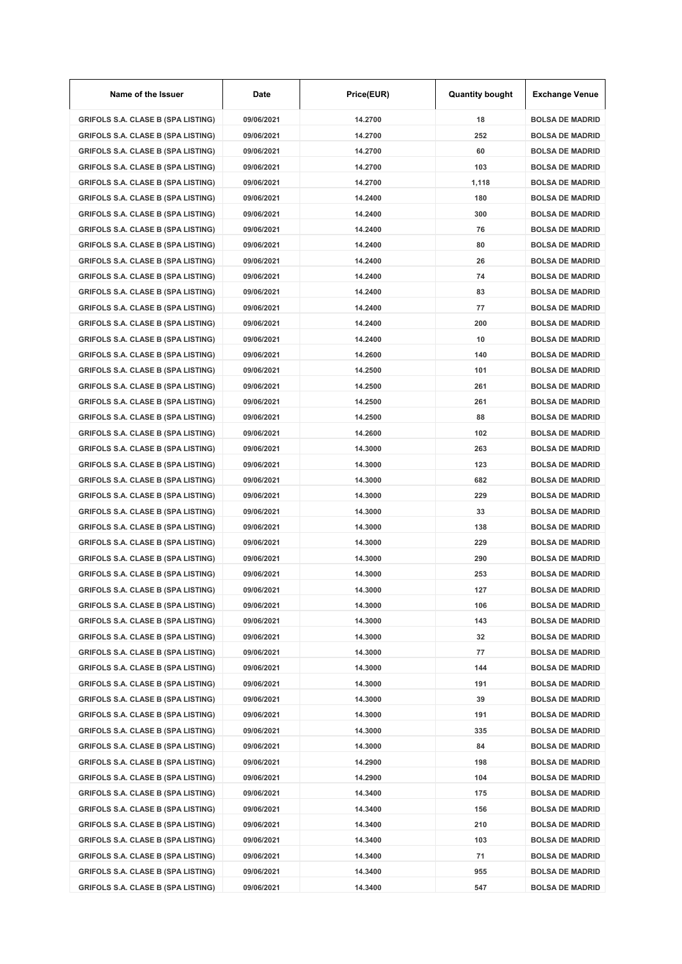| Name of the Issuer                        | Date       | Price(EUR) | <b>Quantity bought</b> | <b>Exchange Venue</b>  |
|-------------------------------------------|------------|------------|------------------------|------------------------|
| <b>GRIFOLS S.A. CLASE B (SPA LISTING)</b> | 09/06/2021 | 14.2700    | 18                     | <b>BOLSA DE MADRID</b> |
| <b>GRIFOLS S.A. CLASE B (SPA LISTING)</b> | 09/06/2021 | 14.2700    | 252                    | <b>BOLSA DE MADRID</b> |
| <b>GRIFOLS S.A. CLASE B (SPA LISTING)</b> | 09/06/2021 | 14.2700    | 60                     | <b>BOLSA DE MADRID</b> |
| <b>GRIFOLS S.A. CLASE B (SPA LISTING)</b> | 09/06/2021 | 14.2700    | 103                    | <b>BOLSA DE MADRID</b> |
| <b>GRIFOLS S.A. CLASE B (SPA LISTING)</b> | 09/06/2021 | 14.2700    | 1,118                  | <b>BOLSA DE MADRID</b> |
| <b>GRIFOLS S.A. CLASE B (SPA LISTING)</b> | 09/06/2021 | 14.2400    | 180                    | <b>BOLSA DE MADRID</b> |
| <b>GRIFOLS S.A. CLASE B (SPA LISTING)</b> | 09/06/2021 | 14.2400    | 300                    | <b>BOLSA DE MADRID</b> |
| <b>GRIFOLS S.A. CLASE B (SPA LISTING)</b> | 09/06/2021 | 14.2400    | 76                     | <b>BOLSA DE MADRID</b> |
| <b>GRIFOLS S.A. CLASE B (SPA LISTING)</b> | 09/06/2021 | 14.2400    | 80                     | <b>BOLSA DE MADRID</b> |
| <b>GRIFOLS S.A. CLASE B (SPA LISTING)</b> | 09/06/2021 | 14.2400    | 26                     | <b>BOLSA DE MADRID</b> |
| <b>GRIFOLS S.A. CLASE B (SPA LISTING)</b> | 09/06/2021 | 14.2400    | 74                     | <b>BOLSA DE MADRID</b> |
| <b>GRIFOLS S.A. CLASE B (SPA LISTING)</b> | 09/06/2021 | 14.2400    | 83                     | <b>BOLSA DE MADRID</b> |
| <b>GRIFOLS S.A. CLASE B (SPA LISTING)</b> | 09/06/2021 | 14.2400    | 77                     | <b>BOLSA DE MADRID</b> |
| <b>GRIFOLS S.A. CLASE B (SPA LISTING)</b> | 09/06/2021 | 14.2400    | 200                    | <b>BOLSA DE MADRID</b> |
| <b>GRIFOLS S.A. CLASE B (SPA LISTING)</b> | 09/06/2021 | 14.2400    | 10                     | <b>BOLSA DE MADRID</b> |
| <b>GRIFOLS S.A. CLASE B (SPA LISTING)</b> | 09/06/2021 | 14.2600    | 140                    | <b>BOLSA DE MADRID</b> |
| <b>GRIFOLS S.A. CLASE B (SPA LISTING)</b> | 09/06/2021 | 14.2500    | 101                    | <b>BOLSA DE MADRID</b> |
| <b>GRIFOLS S.A. CLASE B (SPA LISTING)</b> | 09/06/2021 | 14.2500    | 261                    | <b>BOLSA DE MADRID</b> |
| <b>GRIFOLS S.A. CLASE B (SPA LISTING)</b> | 09/06/2021 | 14.2500    | 261                    | <b>BOLSA DE MADRID</b> |
| GRIFOLS S.A. CLASE B (SPA LISTING)        | 09/06/2021 | 14.2500    | 88                     | <b>BOLSA DE MADRID</b> |
| <b>GRIFOLS S.A. CLASE B (SPA LISTING)</b> | 09/06/2021 | 14.2600    | 102                    | <b>BOLSA DE MADRID</b> |
| GRIFOLS S.A. CLASE B (SPA LISTING)        | 09/06/2021 | 14.3000    | 263                    | <b>BOLSA DE MADRID</b> |
| <b>GRIFOLS S.A. CLASE B (SPA LISTING)</b> | 09/06/2021 | 14.3000    | 123                    | <b>BOLSA DE MADRID</b> |
| GRIFOLS S.A. CLASE B (SPA LISTING)        | 09/06/2021 | 14.3000    | 682                    | <b>BOLSA DE MADRID</b> |
| <b>GRIFOLS S.A. CLASE B (SPA LISTING)</b> | 09/06/2021 | 14.3000    | 229                    | <b>BOLSA DE MADRID</b> |
| <b>GRIFOLS S.A. CLASE B (SPA LISTING)</b> | 09/06/2021 | 14.3000    | 33                     | <b>BOLSA DE MADRID</b> |
| GRIFOLS S.A. CLASE B (SPA LISTING)        | 09/06/2021 | 14.3000    | 138                    | <b>BOLSA DE MADRID</b> |
| <b>GRIFOLS S.A. CLASE B (SPA LISTING)</b> | 09/06/2021 | 14.3000    | 229                    | <b>BOLSA DE MADRID</b> |
| GRIFOLS S.A. CLASE B (SPA LISTING)        | 09/06/2021 | 14.3000    | 290                    | <b>BOLSA DE MADRID</b> |
| <b>GRIFOLS S.A. CLASE B (SPA LISTING)</b> | 09/06/2021 | 14.3000    | 253                    | <b>BOLSA DE MADRID</b> |
| <b>GRIFOLS S.A. CLASE B (SPA LISTING)</b> | 09/06/2021 | 14.3000    | 127                    | <b>BOLSA DE MADRID</b> |
| GRIFOLS S.A. CLASE B (SPA LISTING)        | 09/06/2021 | 14.3000    | 106                    | <b>BOLSA DE MADRID</b> |
| <b>GRIFOLS S.A. CLASE B (SPA LISTING)</b> | 09/06/2021 | 14.3000    | 143                    | <b>BOLSA DE MADRID</b> |
| <b>GRIFOLS S.A. CLASE B (SPA LISTING)</b> | 09/06/2021 | 14.3000    | 32                     | <b>BOLSA DE MADRID</b> |
| <b>GRIFOLS S.A. CLASE B (SPA LISTING)</b> | 09/06/2021 | 14.3000    | 77                     | <b>BOLSA DE MADRID</b> |
| <b>GRIFOLS S.A. CLASE B (SPA LISTING)</b> | 09/06/2021 | 14.3000    | 144                    | <b>BOLSA DE MADRID</b> |
| <b>GRIFOLS S.A. CLASE B (SPA LISTING)</b> | 09/06/2021 | 14.3000    | 191                    | <b>BOLSA DE MADRID</b> |
| <b>GRIFOLS S.A. CLASE B (SPA LISTING)</b> | 09/06/2021 | 14.3000    | 39                     | <b>BOLSA DE MADRID</b> |
| GRIFOLS S.A. CLASE B (SPA LISTING)        | 09/06/2021 | 14.3000    | 191                    | <b>BOLSA DE MADRID</b> |
| <b>GRIFOLS S.A. CLASE B (SPA LISTING)</b> | 09/06/2021 | 14.3000    | 335                    | <b>BOLSA DE MADRID</b> |
| <b>GRIFOLS S.A. CLASE B (SPA LISTING)</b> | 09/06/2021 | 14.3000    | 84                     | <b>BOLSA DE MADRID</b> |
| <b>GRIFOLS S.A. CLASE B (SPA LISTING)</b> | 09/06/2021 | 14.2900    | 198                    | <b>BOLSA DE MADRID</b> |
| <b>GRIFOLS S.A. CLASE B (SPA LISTING)</b> | 09/06/2021 | 14.2900    | 104                    | <b>BOLSA DE MADRID</b> |
| <b>GRIFOLS S.A. CLASE B (SPA LISTING)</b> | 09/06/2021 | 14.3400    | 175                    | <b>BOLSA DE MADRID</b> |
| <b>GRIFOLS S.A. CLASE B (SPA LISTING)</b> | 09/06/2021 | 14.3400    | 156                    | <b>BOLSA DE MADRID</b> |
| <b>GRIFOLS S.A. CLASE B (SPA LISTING)</b> | 09/06/2021 | 14.3400    | 210                    | <b>BOLSA DE MADRID</b> |
| <b>GRIFOLS S.A. CLASE B (SPA LISTING)</b> | 09/06/2021 | 14.3400    | 103                    | <b>BOLSA DE MADRID</b> |
| <b>GRIFOLS S.A. CLASE B (SPA LISTING)</b> | 09/06/2021 | 14.3400    | 71                     | <b>BOLSA DE MADRID</b> |
| <b>GRIFOLS S.A. CLASE B (SPA LISTING)</b> | 09/06/2021 | 14.3400    | 955                    | <b>BOLSA DE MADRID</b> |
| <b>GRIFOLS S.A. CLASE B (SPA LISTING)</b> | 09/06/2021 | 14.3400    | 547                    | <b>BOLSA DE MADRID</b> |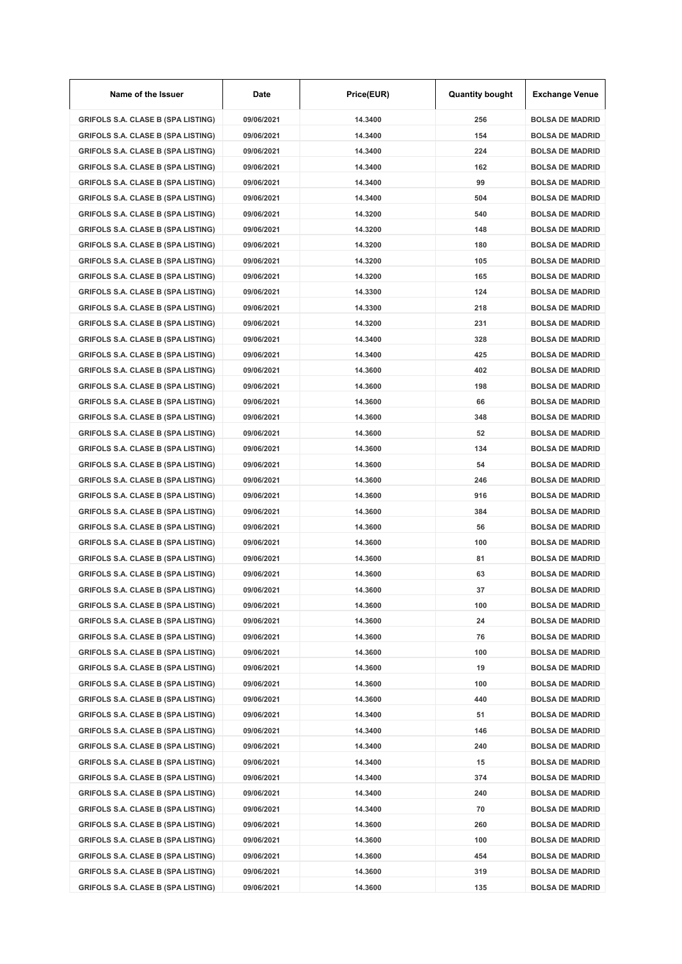| Name of the Issuer                        | Date       | Price(EUR) | <b>Quantity bought</b> | <b>Exchange Venue</b>  |
|-------------------------------------------|------------|------------|------------------------|------------------------|
| <b>GRIFOLS S.A. CLASE B (SPA LISTING)</b> | 09/06/2021 | 14.3400    | 256                    | <b>BOLSA DE MADRID</b> |
| <b>GRIFOLS S.A. CLASE B (SPA LISTING)</b> | 09/06/2021 | 14.3400    | 154                    | <b>BOLSA DE MADRID</b> |
| <b>GRIFOLS S.A. CLASE B (SPA LISTING)</b> | 09/06/2021 | 14.3400    | 224                    | <b>BOLSA DE MADRID</b> |
| <b>GRIFOLS S.A. CLASE B (SPA LISTING)</b> | 09/06/2021 | 14.3400    | 162                    | <b>BOLSA DE MADRID</b> |
| <b>GRIFOLS S.A. CLASE B (SPA LISTING)</b> | 09/06/2021 | 14.3400    | 99                     | <b>BOLSA DE MADRID</b> |
| GRIFOLS S.A. CLASE B (SPA LISTING)        | 09/06/2021 | 14.3400    | 504                    | <b>BOLSA DE MADRID</b> |
| <b>GRIFOLS S.A. CLASE B (SPA LISTING)</b> | 09/06/2021 | 14.3200    | 540                    | <b>BOLSA DE MADRID</b> |
| <b>GRIFOLS S.A. CLASE B (SPA LISTING)</b> | 09/06/2021 | 14.3200    | 148                    | <b>BOLSA DE MADRID</b> |
| <b>GRIFOLS S.A. CLASE B (SPA LISTING)</b> | 09/06/2021 | 14.3200    | 180                    | <b>BOLSA DE MADRID</b> |
| <b>GRIFOLS S.A. CLASE B (SPA LISTING)</b> | 09/06/2021 | 14.3200    | 105                    | <b>BOLSA DE MADRID</b> |
| <b>GRIFOLS S.A. CLASE B (SPA LISTING)</b> | 09/06/2021 | 14.3200    | 165                    | <b>BOLSA DE MADRID</b> |
| <b>GRIFOLS S.A. CLASE B (SPA LISTING)</b> | 09/06/2021 | 14.3300    | 124                    | <b>BOLSA DE MADRID</b> |
| <b>GRIFOLS S.A. CLASE B (SPA LISTING)</b> | 09/06/2021 | 14.3300    | 218                    | <b>BOLSA DE MADRID</b> |
| <b>GRIFOLS S.A. CLASE B (SPA LISTING)</b> | 09/06/2021 | 14.3200    | 231                    | <b>BOLSA DE MADRID</b> |
| <b>GRIFOLS S.A. CLASE B (SPA LISTING)</b> | 09/06/2021 | 14.3400    | 328                    | <b>BOLSA DE MADRID</b> |
| <b>GRIFOLS S.A. CLASE B (SPA LISTING)</b> | 09/06/2021 | 14.3400    | 425                    | <b>BOLSA DE MADRID</b> |
| <b>GRIFOLS S.A. CLASE B (SPA LISTING)</b> | 09/06/2021 | 14.3600    | 402                    | <b>BOLSA DE MADRID</b> |
| <b>GRIFOLS S.A. CLASE B (SPA LISTING)</b> | 09/06/2021 | 14.3600    | 198                    | <b>BOLSA DE MADRID</b> |
| GRIFOLS S.A. CLASE B (SPA LISTING)        | 09/06/2021 | 14.3600    | 66                     | <b>BOLSA DE MADRID</b> |
| <b>GRIFOLS S.A. CLASE B (SPA LISTING)</b> | 09/06/2021 | 14.3600    | 348                    | <b>BOLSA DE MADRID</b> |
| <b>GRIFOLS S.A. CLASE B (SPA LISTING)</b> | 09/06/2021 | 14.3600    | 52                     | <b>BOLSA DE MADRID</b> |
| GRIFOLS S.A. CLASE B (SPA LISTING)        | 09/06/2021 | 14.3600    | 134                    | <b>BOLSA DE MADRID</b> |
| <b>GRIFOLS S.A. CLASE B (SPA LISTING)</b> | 09/06/2021 | 14.3600    | 54                     | <b>BOLSA DE MADRID</b> |
| GRIFOLS S.A. CLASE B (SPA LISTING)        | 09/06/2021 | 14.3600    | 246                    | <b>BOLSA DE MADRID</b> |
| <b>GRIFOLS S.A. CLASE B (SPA LISTING)</b> | 09/06/2021 | 14.3600    | 916                    | <b>BOLSA DE MADRID</b> |
| <b>GRIFOLS S.A. CLASE B (SPA LISTING)</b> | 09/06/2021 | 14.3600    | 384                    | <b>BOLSA DE MADRID</b> |
| GRIFOLS S.A. CLASE B (SPA LISTING)        | 09/06/2021 | 14.3600    | 56                     | <b>BOLSA DE MADRID</b> |
| <b>GRIFOLS S.A. CLASE B (SPA LISTING)</b> | 09/06/2021 | 14.3600    | 100                    | <b>BOLSA DE MADRID</b> |
| GRIFOLS S.A. CLASE B (SPA LISTING)        | 09/06/2021 | 14.3600    | 81                     | <b>BOLSA DE MADRID</b> |
| <b>GRIFOLS S.A. CLASE B (SPA LISTING)</b> | 09/06/2021 | 14.3600    | 63                     | <b>BOLSA DE MADRID</b> |
| <b>GRIFOLS S.A. CLASE B (SPA LISTING)</b> | 09/06/2021 | 14.3600    | 37                     | <b>BOLSA DE MADRID</b> |
| GRIFOLS S.A. CLASE B (SPA LISTING)        | 09/06/2021 | 14.3600    | 100                    | <b>BOLSA DE MADRID</b> |
| <b>GRIFOLS S.A. CLASE B (SPA LISTING)</b> | 09/06/2021 | 14.3600    | 24                     | <b>BOLSA DE MADRID</b> |
| <b>GRIFOLS S.A. CLASE B (SPA LISTING)</b> | 09/06/2021 | 14.3600    | 76                     | <b>BOLSA DE MADRID</b> |
| <b>GRIFOLS S.A. CLASE B (SPA LISTING)</b> | 09/06/2021 | 14.3600    | 100                    | <b>BOLSA DE MADRID</b> |
| <b>GRIFOLS S.A. CLASE B (SPA LISTING)</b> | 09/06/2021 | 14.3600    | 19                     | <b>BOLSA DE MADRID</b> |
| <b>GRIFOLS S.A. CLASE B (SPA LISTING)</b> | 09/06/2021 | 14.3600    | 100                    | <b>BOLSA DE MADRID</b> |
| <b>GRIFOLS S.A. CLASE B (SPA LISTING)</b> | 09/06/2021 | 14.3600    | 440                    | <b>BOLSA DE MADRID</b> |
| GRIFOLS S.A. CLASE B (SPA LISTING)        | 09/06/2021 | 14.3400    | 51                     | <b>BOLSA DE MADRID</b> |
| <b>GRIFOLS S.A. CLASE B (SPA LISTING)</b> | 09/06/2021 | 14.3400    | 146                    | <b>BOLSA DE MADRID</b> |
| <b>GRIFOLS S.A. CLASE B (SPA LISTING)</b> | 09/06/2021 | 14.3400    | 240                    | <b>BOLSA DE MADRID</b> |
| <b>GRIFOLS S.A. CLASE B (SPA LISTING)</b> | 09/06/2021 | 14.3400    | 15                     | <b>BOLSA DE MADRID</b> |
| <b>GRIFOLS S.A. CLASE B (SPA LISTING)</b> | 09/06/2021 | 14.3400    | 374                    | <b>BOLSA DE MADRID</b> |
| <b>GRIFOLS S.A. CLASE B (SPA LISTING)</b> | 09/06/2021 | 14.3400    | 240                    | <b>BOLSA DE MADRID</b> |
| <b>GRIFOLS S.A. CLASE B (SPA LISTING)</b> | 09/06/2021 | 14.3400    | 70                     | <b>BOLSA DE MADRID</b> |
| <b>GRIFOLS S.A. CLASE B (SPA LISTING)</b> | 09/06/2021 | 14.3600    | 260                    | <b>BOLSA DE MADRID</b> |
| <b>GRIFOLS S.A. CLASE B (SPA LISTING)</b> | 09/06/2021 | 14.3600    | 100                    | <b>BOLSA DE MADRID</b> |
| <b>GRIFOLS S.A. CLASE B (SPA LISTING)</b> | 09/06/2021 | 14.3600    | 454                    | <b>BOLSA DE MADRID</b> |
| <b>GRIFOLS S.A. CLASE B (SPA LISTING)</b> | 09/06/2021 | 14.3600    | 319                    | <b>BOLSA DE MADRID</b> |
| <b>GRIFOLS S.A. CLASE B (SPA LISTING)</b> | 09/06/2021 | 14.3600    | 135                    | <b>BOLSA DE MADRID</b> |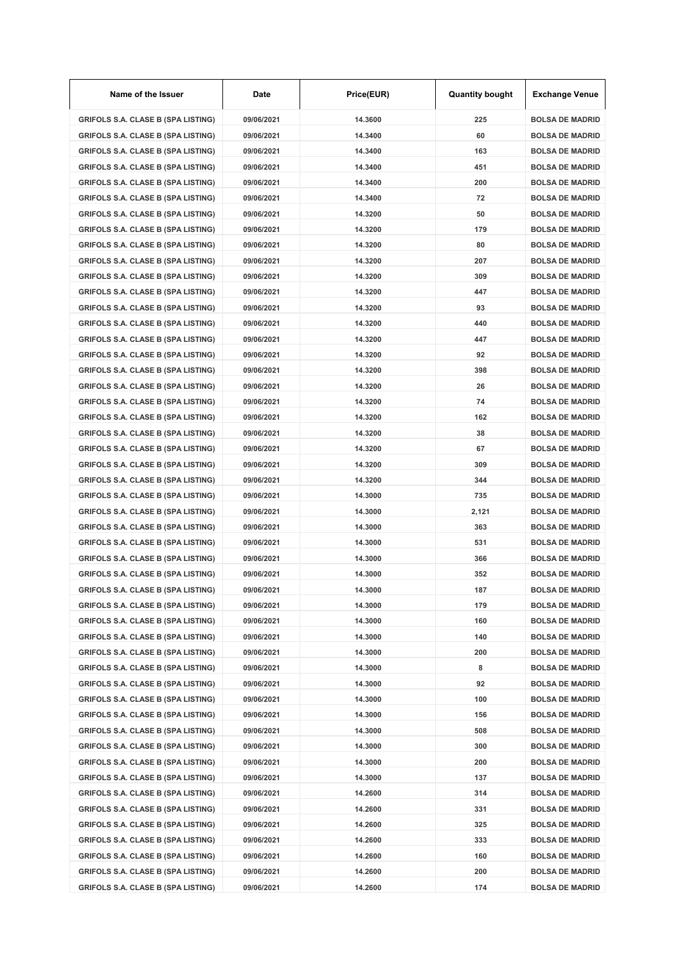| Name of the Issuer                        | Date       | Price(EUR) | <b>Quantity bought</b> | <b>Exchange Venue</b>  |
|-------------------------------------------|------------|------------|------------------------|------------------------|
| <b>GRIFOLS S.A. CLASE B (SPA LISTING)</b> | 09/06/2021 | 14.3600    | 225                    | <b>BOLSA DE MADRID</b> |
| <b>GRIFOLS S.A. CLASE B (SPA LISTING)</b> | 09/06/2021 | 14.3400    | 60                     | <b>BOLSA DE MADRID</b> |
| <b>GRIFOLS S.A. CLASE B (SPA LISTING)</b> | 09/06/2021 | 14.3400    | 163                    | <b>BOLSA DE MADRID</b> |
| <b>GRIFOLS S.A. CLASE B (SPA LISTING)</b> | 09/06/2021 | 14.3400    | 451                    | <b>BOLSA DE MADRID</b> |
| <b>GRIFOLS S.A. CLASE B (SPA LISTING)</b> | 09/06/2021 | 14.3400    | 200                    | <b>BOLSA DE MADRID</b> |
| <b>GRIFOLS S.A. CLASE B (SPA LISTING)</b> | 09/06/2021 | 14.3400    | 72                     | <b>BOLSA DE MADRID</b> |
| <b>GRIFOLS S.A. CLASE B (SPA LISTING)</b> | 09/06/2021 | 14.3200    | 50                     | <b>BOLSA DE MADRID</b> |
| <b>GRIFOLS S.A. CLASE B (SPA LISTING)</b> | 09/06/2021 | 14.3200    | 179                    | <b>BOLSA DE MADRID</b> |
| <b>GRIFOLS S.A. CLASE B (SPA LISTING)</b> | 09/06/2021 | 14.3200    | 80                     | <b>BOLSA DE MADRID</b> |
| GRIFOLS S.A. CLASE B (SPA LISTING)        | 09/06/2021 | 14.3200    | 207                    | <b>BOLSA DE MADRID</b> |
| <b>GRIFOLS S.A. CLASE B (SPA LISTING)</b> | 09/06/2021 | 14.3200    | 309                    | <b>BOLSA DE MADRID</b> |
| <b>GRIFOLS S.A. CLASE B (SPA LISTING)</b> | 09/06/2021 | 14.3200    | 447                    | <b>BOLSA DE MADRID</b> |
| <b>GRIFOLS S.A. CLASE B (SPA LISTING)</b> | 09/06/2021 | 14.3200    | 93                     | <b>BOLSA DE MADRID</b> |
| <b>GRIFOLS S.A. CLASE B (SPA LISTING)</b> | 09/06/2021 | 14.3200    | 440                    | <b>BOLSA DE MADRID</b> |
| <b>GRIFOLS S.A. CLASE B (SPA LISTING)</b> | 09/06/2021 | 14.3200    | 447                    | <b>BOLSA DE MADRID</b> |
| <b>GRIFOLS S.A. CLASE B (SPA LISTING)</b> | 09/06/2021 | 14.3200    | 92                     | <b>BOLSA DE MADRID</b> |
| <b>GRIFOLS S.A. CLASE B (SPA LISTING)</b> | 09/06/2021 | 14.3200    | 398                    | <b>BOLSA DE MADRID</b> |
| GRIFOLS S.A. CLASE B (SPA LISTING)        | 09/06/2021 | 14.3200    | 26                     | <b>BOLSA DE MADRID</b> |
| <b>GRIFOLS S.A. CLASE B (SPA LISTING)</b> | 09/06/2021 | 14.3200    | 74                     | <b>BOLSA DE MADRID</b> |
| GRIFOLS S.A. CLASE B (SPA LISTING)        | 09/06/2021 | 14.3200    | 162                    | <b>BOLSA DE MADRID</b> |
| <b>GRIFOLS S.A. CLASE B (SPA LISTING)</b> | 09/06/2021 | 14.3200    | 38                     | <b>BOLSA DE MADRID</b> |
| <b>GRIFOLS S.A. CLASE B (SPA LISTING)</b> | 09/06/2021 | 14.3200    | 67                     | <b>BOLSA DE MADRID</b> |
| <b>GRIFOLS S.A. CLASE B (SPA LISTING)</b> | 09/06/2021 | 14.3200    | 309                    | <b>BOLSA DE MADRID</b> |
| GRIFOLS S.A. CLASE B (SPA LISTING)        | 09/06/2021 | 14.3200    | 344                    | <b>BOLSA DE MADRID</b> |
| <b>GRIFOLS S.A. CLASE B (SPA LISTING)</b> | 09/06/2021 | 14.3000    | 735                    | <b>BOLSA DE MADRID</b> |
| GRIFOLS S.A. CLASE B (SPA LISTING)        | 09/06/2021 | 14.3000    | 2,121                  | <b>BOLSA DE MADRID</b> |
| <b>GRIFOLS S.A. CLASE B (SPA LISTING)</b> | 09/06/2021 | 14.3000    | 363                    | <b>BOLSA DE MADRID</b> |
| <b>GRIFOLS S.A. CLASE B (SPA LISTING)</b> | 09/06/2021 | 14.3000    | 531                    | <b>BOLSA DE MADRID</b> |
| <b>GRIFOLS S.A. CLASE B (SPA LISTING)</b> | 09/06/2021 | 14.3000    | 366                    | <b>BOLSA DE MADRID</b> |
| <b>GRIFOLS S.A. CLASE B (SPA LISTING)</b> | 09/06/2021 | 14.3000    | 352                    | <b>BOLSA DE MADRID</b> |
| <b>GRIFOLS S.A. CLASE B (SPA LISTING)</b> | 09/06/2021 | 14.3000    | 187                    | <b>BOLSA DE MADRID</b> |
| <b>GRIFOLS S.A. CLASE B (SPA LISTING)</b> | 09/06/2021 | 14.3000    | 179                    | <b>BOLSA DE MADRID</b> |
| <b>GRIFOLS S.A. CLASE B (SPA LISTING)</b> | 09/06/2021 | 14.3000    | 160                    | <b>BOLSA DE MADRID</b> |
| <b>GRIFOLS S.A. CLASE B (SPA LISTING)</b> | 09/06/2021 | 14.3000    | 140                    | <b>BOLSA DE MADRID</b> |
| <b>GRIFOLS S.A. CLASE B (SPA LISTING)</b> | 09/06/2021 | 14.3000    | 200                    | <b>BOLSA DE MADRID</b> |
| <b>GRIFOLS S.A. CLASE B (SPA LISTING)</b> | 09/06/2021 | 14.3000    | 8                      | <b>BOLSA DE MADRID</b> |
| <b>GRIFOLS S.A. CLASE B (SPA LISTING)</b> | 09/06/2021 | 14.3000    | 92                     | <b>BOLSA DE MADRID</b> |
| <b>GRIFOLS S.A. CLASE B (SPA LISTING)</b> | 09/06/2021 | 14.3000    | 100                    | <b>BOLSA DE MADRID</b> |
| <b>GRIFOLS S.A. CLASE B (SPA LISTING)</b> | 09/06/2021 | 14.3000    | 156                    | <b>BOLSA DE MADRID</b> |
| <b>GRIFOLS S.A. CLASE B (SPA LISTING)</b> | 09/06/2021 | 14.3000    | 508                    | <b>BOLSA DE MADRID</b> |
| GRIFOLS S.A. CLASE B (SPA LISTING)        | 09/06/2021 | 14.3000    | 300                    | <b>BOLSA DE MADRID</b> |
| <b>GRIFOLS S.A. CLASE B (SPA LISTING)</b> | 09/06/2021 | 14.3000    | 200                    | <b>BOLSA DE MADRID</b> |
| <b>GRIFOLS S.A. CLASE B (SPA LISTING)</b> | 09/06/2021 | 14.3000    | 137                    | <b>BOLSA DE MADRID</b> |
| <b>GRIFOLS S.A. CLASE B (SPA LISTING)</b> | 09/06/2021 | 14.2600    | 314                    | <b>BOLSA DE MADRID</b> |
| <b>GRIFOLS S.A. CLASE B (SPA LISTING)</b> | 09/06/2021 | 14.2600    | 331                    | <b>BOLSA DE MADRID</b> |
| <b>GRIFOLS S.A. CLASE B (SPA LISTING)</b> | 09/06/2021 | 14.2600    | 325                    | <b>BOLSA DE MADRID</b> |
| <b>GRIFOLS S.A. CLASE B (SPA LISTING)</b> | 09/06/2021 | 14.2600    | 333                    | <b>BOLSA DE MADRID</b> |
| <b>GRIFOLS S.A. CLASE B (SPA LISTING)</b> | 09/06/2021 | 14.2600    | 160                    | <b>BOLSA DE MADRID</b> |
| <b>GRIFOLS S.A. CLASE B (SPA LISTING)</b> | 09/06/2021 | 14.2600    | 200                    | <b>BOLSA DE MADRID</b> |
| <b>GRIFOLS S.A. CLASE B (SPA LISTING)</b> | 09/06/2021 | 14.2600    | 174                    | <b>BOLSA DE MADRID</b> |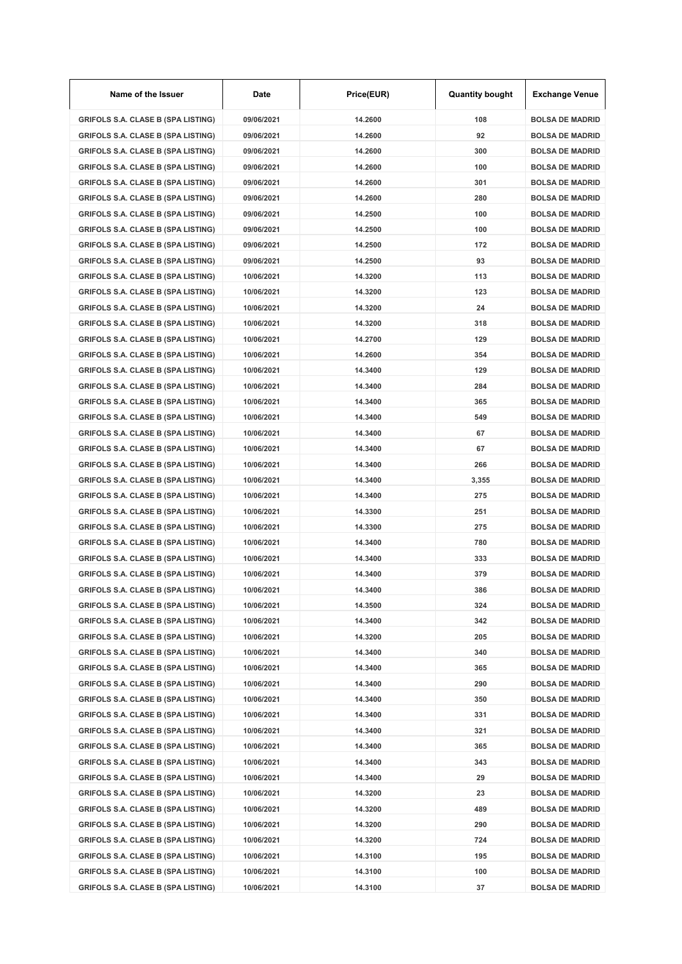| Name of the Issuer                        | Date       | Price(EUR) | <b>Quantity bought</b> | <b>Exchange Venue</b>  |
|-------------------------------------------|------------|------------|------------------------|------------------------|
| <b>GRIFOLS S.A. CLASE B (SPA LISTING)</b> | 09/06/2021 | 14.2600    | 108                    | <b>BOLSA DE MADRID</b> |
| <b>GRIFOLS S.A. CLASE B (SPA LISTING)</b> | 09/06/2021 | 14.2600    | 92                     | <b>BOLSA DE MADRID</b> |
| <b>GRIFOLS S.A. CLASE B (SPA LISTING)</b> | 09/06/2021 | 14.2600    | 300                    | <b>BOLSA DE MADRID</b> |
| <b>GRIFOLS S.A. CLASE B (SPA LISTING)</b> | 09/06/2021 | 14.2600    | 100                    | <b>BOLSA DE MADRID</b> |
| <b>GRIFOLS S.A. CLASE B (SPA LISTING)</b> | 09/06/2021 | 14.2600    | 301                    | <b>BOLSA DE MADRID</b> |
| <b>GRIFOLS S.A. CLASE B (SPA LISTING)</b> | 09/06/2021 | 14.2600    | 280                    | <b>BOLSA DE MADRID</b> |
| <b>GRIFOLS S.A. CLASE B (SPA LISTING)</b> | 09/06/2021 | 14.2500    | 100                    | <b>BOLSA DE MADRID</b> |
| <b>GRIFOLS S.A. CLASE B (SPA LISTING)</b> | 09/06/2021 | 14.2500    | 100                    | <b>BOLSA DE MADRID</b> |
| <b>GRIFOLS S.A. CLASE B (SPA LISTING)</b> | 09/06/2021 | 14.2500    | 172                    | <b>BOLSA DE MADRID</b> |
| GRIFOLS S.A. CLASE B (SPA LISTING)        | 09/06/2021 | 14.2500    | 93                     | <b>BOLSA DE MADRID</b> |
| <b>GRIFOLS S.A. CLASE B (SPA LISTING)</b> | 10/06/2021 | 14.3200    | 113                    | <b>BOLSA DE MADRID</b> |
| <b>GRIFOLS S.A. CLASE B (SPA LISTING)</b> | 10/06/2021 | 14.3200    | 123                    | <b>BOLSA DE MADRID</b> |
| <b>GRIFOLS S.A. CLASE B (SPA LISTING)</b> | 10/06/2021 | 14.3200    | 24                     | <b>BOLSA DE MADRID</b> |
| <b>GRIFOLS S.A. CLASE B (SPA LISTING)</b> | 10/06/2021 | 14.3200    | 318                    | <b>BOLSA DE MADRID</b> |
| <b>GRIFOLS S.A. CLASE B (SPA LISTING)</b> | 10/06/2021 | 14.2700    | 129                    | <b>BOLSA DE MADRID</b> |
| <b>GRIFOLS S.A. CLASE B (SPA LISTING)</b> | 10/06/2021 | 14.2600    | 354                    | <b>BOLSA DE MADRID</b> |
| <b>GRIFOLS S.A. CLASE B (SPA LISTING)</b> | 10/06/2021 | 14.3400    | 129                    | <b>BOLSA DE MADRID</b> |
| <b>GRIFOLS S.A. CLASE B (SPA LISTING)</b> | 10/06/2021 | 14.3400    | 284                    | <b>BOLSA DE MADRID</b> |
| <b>GRIFOLS S.A. CLASE B (SPA LISTING)</b> | 10/06/2021 | 14.3400    | 365                    | <b>BOLSA DE MADRID</b> |
| GRIFOLS S.A. CLASE B (SPA LISTING)        | 10/06/2021 | 14.3400    | 549                    | <b>BOLSA DE MADRID</b> |
| <b>GRIFOLS S.A. CLASE B (SPA LISTING)</b> | 10/06/2021 | 14.3400    | 67                     | <b>BOLSA DE MADRID</b> |
| <b>GRIFOLS S.A. CLASE B (SPA LISTING)</b> | 10/06/2021 | 14.3400    | 67                     | <b>BOLSA DE MADRID</b> |
| <b>GRIFOLS S.A. CLASE B (SPA LISTING)</b> | 10/06/2021 | 14.3400    | 266                    | <b>BOLSA DE MADRID</b> |
| GRIFOLS S.A. CLASE B (SPA LISTING)        | 10/06/2021 | 14.3400    | 3,355                  | <b>BOLSA DE MADRID</b> |
| <b>GRIFOLS S.A. CLASE B (SPA LISTING)</b> | 10/06/2021 | 14.3400    | 275                    | <b>BOLSA DE MADRID</b> |
| GRIFOLS S.A. CLASE B (SPA LISTING)        | 10/06/2021 | 14.3300    | 251                    | <b>BOLSA DE MADRID</b> |
| <b>GRIFOLS S.A. CLASE B (SPA LISTING)</b> | 10/06/2021 | 14.3300    | 275                    | <b>BOLSA DE MADRID</b> |
| <b>GRIFOLS S.A. CLASE B (SPA LISTING)</b> | 10/06/2021 | 14.3400    | 780                    | <b>BOLSA DE MADRID</b> |
| <b>GRIFOLS S.A. CLASE B (SPA LISTING)</b> | 10/06/2021 | 14.3400    | 333                    | <b>BOLSA DE MADRID</b> |
| <b>GRIFOLS S.A. CLASE B (SPA LISTING)</b> | 10/06/2021 | 14.3400    | 379                    | <b>BOLSA DE MADRID</b> |
| <b>GRIFOLS S.A. CLASE B (SPA LISTING)</b> | 10/06/2021 | 14.3400    | 386                    | <b>BOLSA DE MADRID</b> |
| <b>GRIFOLS S.A. CLASE B (SPA LISTING)</b> | 10/06/2021 | 14.3500    | 324                    | <b>BOLSA DE MADRID</b> |
| <b>GRIFOLS S.A. CLASE B (SPA LISTING)</b> | 10/06/2021 | 14.3400    | 342                    | <b>BOLSA DE MADRID</b> |
| <b>GRIFOLS S.A. CLASE B (SPA LISTING)</b> | 10/06/2021 | 14.3200    | 205                    | <b>BOLSA DE MADRID</b> |
| <b>GRIFOLS S.A. CLASE B (SPA LISTING)</b> | 10/06/2021 | 14.3400    | 340                    | <b>BOLSA DE MADRID</b> |
| <b>GRIFOLS S.A. CLASE B (SPA LISTING)</b> | 10/06/2021 | 14.3400    | 365                    | <b>BOLSA DE MADRID</b> |
| <b>GRIFOLS S.A. CLASE B (SPA LISTING)</b> | 10/06/2021 | 14.3400    | 290                    | <b>BOLSA DE MADRID</b> |
| <b>GRIFOLS S.A. CLASE B (SPA LISTING)</b> | 10/06/2021 | 14.3400    | 350                    | <b>BOLSA DE MADRID</b> |
| <b>GRIFOLS S.A. CLASE B (SPA LISTING)</b> | 10/06/2021 | 14.3400    | 331                    | <b>BOLSA DE MADRID</b> |
| <b>GRIFOLS S.A. CLASE B (SPA LISTING)</b> | 10/06/2021 | 14.3400    | 321                    | <b>BOLSA DE MADRID</b> |
| <b>GRIFOLS S.A. CLASE B (SPA LISTING)</b> | 10/06/2021 | 14.3400    | 365                    | <b>BOLSA DE MADRID</b> |
| <b>GRIFOLS S.A. CLASE B (SPA LISTING)</b> | 10/06/2021 | 14.3400    | 343                    | <b>BOLSA DE MADRID</b> |
| <b>GRIFOLS S.A. CLASE B (SPA LISTING)</b> | 10/06/2021 | 14.3400    | 29                     | <b>BOLSA DE MADRID</b> |
| <b>GRIFOLS S.A. CLASE B (SPA LISTING)</b> | 10/06/2021 | 14.3200    | 23                     | <b>BOLSA DE MADRID</b> |
| <b>GRIFOLS S.A. CLASE B (SPA LISTING)</b> | 10/06/2021 | 14.3200    | 489                    | <b>BOLSA DE MADRID</b> |
| <b>GRIFOLS S.A. CLASE B (SPA LISTING)</b> | 10/06/2021 | 14.3200    | 290                    | <b>BOLSA DE MADRID</b> |
| <b>GRIFOLS S.A. CLASE B (SPA LISTING)</b> | 10/06/2021 | 14.3200    | 724                    | <b>BOLSA DE MADRID</b> |
| <b>GRIFOLS S.A. CLASE B (SPA LISTING)</b> | 10/06/2021 | 14.3100    | 195                    | <b>BOLSA DE MADRID</b> |
| <b>GRIFOLS S.A. CLASE B (SPA LISTING)</b> | 10/06/2021 | 14.3100    | 100                    | <b>BOLSA DE MADRID</b> |
| <b>GRIFOLS S.A. CLASE B (SPA LISTING)</b> | 10/06/2021 | 14.3100    | 37                     | <b>BOLSA DE MADRID</b> |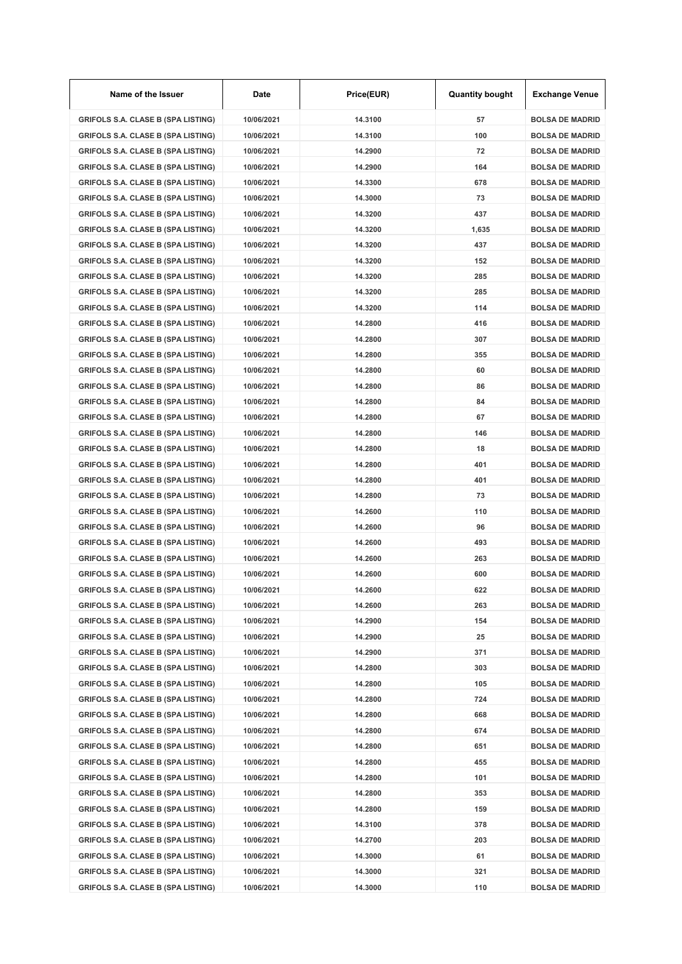| Name of the Issuer                        | Date       | Price(EUR) | <b>Quantity bought</b> | <b>Exchange Venue</b>  |
|-------------------------------------------|------------|------------|------------------------|------------------------|
| <b>GRIFOLS S.A. CLASE B (SPA LISTING)</b> | 10/06/2021 | 14.3100    | 57                     | <b>BOLSA DE MADRID</b> |
| <b>GRIFOLS S.A. CLASE B (SPA LISTING)</b> | 10/06/2021 | 14.3100    | 100                    | <b>BOLSA DE MADRID</b> |
| <b>GRIFOLS S.A. CLASE B (SPA LISTING)</b> | 10/06/2021 | 14.2900    | 72                     | <b>BOLSA DE MADRID</b> |
| <b>GRIFOLS S.A. CLASE B (SPA LISTING)</b> | 10/06/2021 | 14.2900    | 164                    | <b>BOLSA DE MADRID</b> |
| <b>GRIFOLS S.A. CLASE B (SPA LISTING)</b> | 10/06/2021 | 14.3300    | 678                    | <b>BOLSA DE MADRID</b> |
| <b>GRIFOLS S.A. CLASE B (SPA LISTING)</b> | 10/06/2021 | 14.3000    | 73                     | <b>BOLSA DE MADRID</b> |
| <b>GRIFOLS S.A. CLASE B (SPA LISTING)</b> | 10/06/2021 | 14.3200    | 437                    | <b>BOLSA DE MADRID</b> |
| <b>GRIFOLS S.A. CLASE B (SPA LISTING)</b> | 10/06/2021 | 14.3200    | 1,635                  | <b>BOLSA DE MADRID</b> |
| <b>GRIFOLS S.A. CLASE B (SPA LISTING)</b> | 10/06/2021 | 14.3200    | 437                    | <b>BOLSA DE MADRID</b> |
| <b>GRIFOLS S.A. CLASE B (SPA LISTING)</b> | 10/06/2021 | 14.3200    | 152                    | <b>BOLSA DE MADRID</b> |
| <b>GRIFOLS S.A. CLASE B (SPA LISTING)</b> | 10/06/2021 | 14.3200    | 285                    | <b>BOLSA DE MADRID</b> |
| <b>GRIFOLS S.A. CLASE B (SPA LISTING)</b> | 10/06/2021 | 14.3200    | 285                    | <b>BOLSA DE MADRID</b> |
| <b>GRIFOLS S.A. CLASE B (SPA LISTING)</b> | 10/06/2021 | 14.3200    | 114                    | <b>BOLSA DE MADRID</b> |
| <b>GRIFOLS S.A. CLASE B (SPA LISTING)</b> | 10/06/2021 | 14.2800    | 416                    | <b>BOLSA DE MADRID</b> |
| <b>GRIFOLS S.A. CLASE B (SPA LISTING)</b> | 10/06/2021 | 14.2800    | 307                    | <b>BOLSA DE MADRID</b> |
| <b>GRIFOLS S.A. CLASE B (SPA LISTING)</b> | 10/06/2021 | 14.2800    | 355                    | <b>BOLSA DE MADRID</b> |
| <b>GRIFOLS S.A. CLASE B (SPA LISTING)</b> | 10/06/2021 | 14.2800    | 60                     | <b>BOLSA DE MADRID</b> |
| <b>GRIFOLS S.A. CLASE B (SPA LISTING)</b> | 10/06/2021 | 14.2800    | 86                     | <b>BOLSA DE MADRID</b> |
| <b>GRIFOLS S.A. CLASE B (SPA LISTING)</b> | 10/06/2021 | 14.2800    | 84                     | <b>BOLSA DE MADRID</b> |
| GRIFOLS S.A. CLASE B (SPA LISTING)        | 10/06/2021 | 14.2800    | 67                     | <b>BOLSA DE MADRID</b> |
| <b>GRIFOLS S.A. CLASE B (SPA LISTING)</b> | 10/06/2021 | 14.2800    | 146                    | <b>BOLSA DE MADRID</b> |
| <b>GRIFOLS S.A. CLASE B (SPA LISTING)</b> | 10/06/2021 | 14.2800    | 18                     | <b>BOLSA DE MADRID</b> |
| <b>GRIFOLS S.A. CLASE B (SPA LISTING)</b> | 10/06/2021 | 14.2800    | 401                    | <b>BOLSA DE MADRID</b> |
| GRIFOLS S.A. CLASE B (SPA LISTING)        | 10/06/2021 | 14.2800    | 401                    | <b>BOLSA DE MADRID</b> |
| <b>GRIFOLS S.A. CLASE B (SPA LISTING)</b> | 10/06/2021 | 14.2800    | 73                     | <b>BOLSA DE MADRID</b> |
| <b>GRIFOLS S.A. CLASE B (SPA LISTING)</b> | 10/06/2021 | 14.2600    | 110                    | <b>BOLSA DE MADRID</b> |
| GRIFOLS S.A. CLASE B (SPA LISTING)        | 10/06/2021 | 14.2600    | 96                     | <b>BOLSA DE MADRID</b> |
| <b>GRIFOLS S.A. CLASE B (SPA LISTING)</b> | 10/06/2021 | 14.2600    | 493                    | <b>BOLSA DE MADRID</b> |
| <b>GRIFOLS S.A. CLASE B (SPA LISTING)</b> | 10/06/2021 | 14.2600    | 263                    | <b>BOLSA DE MADRID</b> |
| <b>GRIFOLS S.A. CLASE B (SPA LISTING)</b> | 10/06/2021 | 14.2600    | 600                    | <b>BOLSA DE MADRID</b> |
| <b>GRIFOLS S.A. CLASE B (SPA LISTING)</b> | 10/06/2021 | 14.2600    | 622                    | <b>BOLSA DE MADRID</b> |
| <b>GRIFOLS S.A. CLASE B (SPA LISTING)</b> | 10/06/2021 | 14.2600    | 263                    | <b>BOLSA DE MADRID</b> |
| <b>GRIFOLS S.A. CLASE B (SPA LISTING)</b> | 10/06/2021 | 14.2900    | 154                    | <b>BOLSA DE MADRID</b> |
| <b>GRIFOLS S.A. CLASE B (SPA LISTING)</b> | 10/06/2021 | 14.2900    | 25                     | <b>BOLSA DE MADRID</b> |
| <b>GRIFOLS S.A. CLASE B (SPA LISTING)</b> | 10/06/2021 | 14.2900    | 371                    | <b>BOLSA DE MADRID</b> |
| <b>GRIFOLS S.A. CLASE B (SPA LISTING)</b> | 10/06/2021 | 14.2800    | 303                    | <b>BOLSA DE MADRID</b> |
| <b>GRIFOLS S.A. CLASE B (SPA LISTING)</b> | 10/06/2021 | 14.2800    | 105                    | <b>BOLSA DE MADRID</b> |
| <b>GRIFOLS S.A. CLASE B (SPA LISTING)</b> | 10/06/2021 | 14.2800    | 724                    | <b>BOLSA DE MADRID</b> |
| GRIFOLS S.A. CLASE B (SPA LISTING)        | 10/06/2021 | 14.2800    | 668                    | <b>BOLSA DE MADRID</b> |
| <b>GRIFOLS S.A. CLASE B (SPA LISTING)</b> | 10/06/2021 | 14.2800    | 674                    | <b>BOLSA DE MADRID</b> |
| <b>GRIFOLS S.A. CLASE B (SPA LISTING)</b> | 10/06/2021 | 14.2800    | 651                    | <b>BOLSA DE MADRID</b> |
| <b>GRIFOLS S.A. CLASE B (SPA LISTING)</b> | 10/06/2021 | 14.2800    | 455                    | <b>BOLSA DE MADRID</b> |
| <b>GRIFOLS S.A. CLASE B (SPA LISTING)</b> | 10/06/2021 | 14.2800    | 101                    | <b>BOLSA DE MADRID</b> |
| <b>GRIFOLS S.A. CLASE B (SPA LISTING)</b> | 10/06/2021 | 14.2800    | 353                    | <b>BOLSA DE MADRID</b> |
| <b>GRIFOLS S.A. CLASE B (SPA LISTING)</b> | 10/06/2021 | 14.2800    | 159                    | <b>BOLSA DE MADRID</b> |
| <b>GRIFOLS S.A. CLASE B (SPA LISTING)</b> | 10/06/2021 | 14.3100    | 378                    | <b>BOLSA DE MADRID</b> |
| <b>GRIFOLS S.A. CLASE B (SPA LISTING)</b> | 10/06/2021 | 14.2700    | 203                    | <b>BOLSA DE MADRID</b> |
| <b>GRIFOLS S.A. CLASE B (SPA LISTING)</b> | 10/06/2021 | 14.3000    | 61                     | <b>BOLSA DE MADRID</b> |
| <b>GRIFOLS S.A. CLASE B (SPA LISTING)</b> | 10/06/2021 | 14.3000    | 321                    | <b>BOLSA DE MADRID</b> |
| <b>GRIFOLS S.A. CLASE B (SPA LISTING)</b> | 10/06/2021 | 14.3000    | 110                    | <b>BOLSA DE MADRID</b> |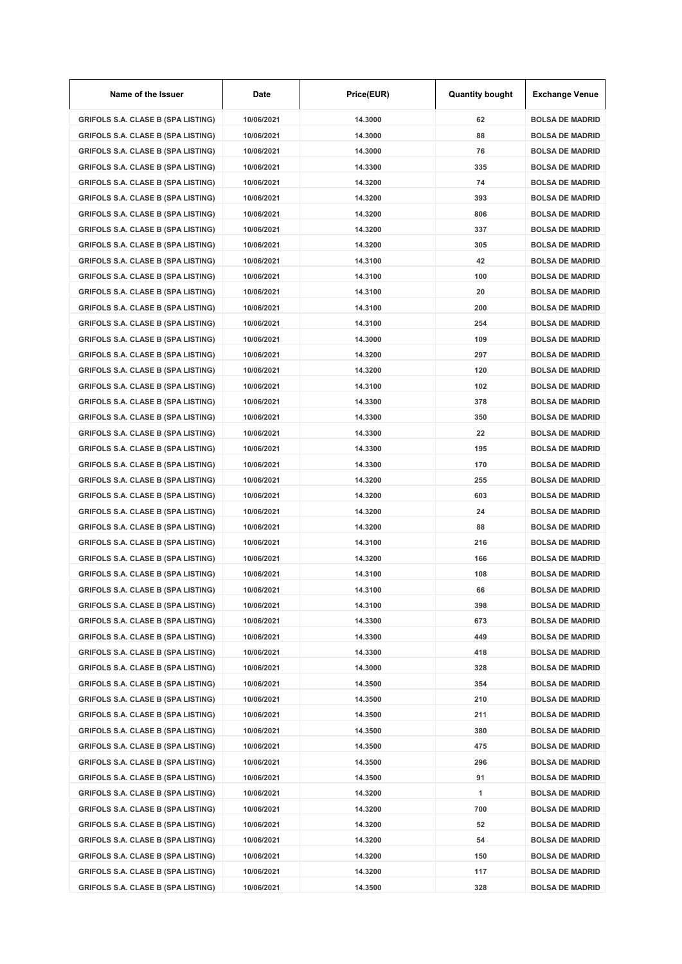| Name of the Issuer                        | Date       | Price(EUR) | <b>Quantity bought</b> | <b>Exchange Venue</b>  |
|-------------------------------------------|------------|------------|------------------------|------------------------|
| <b>GRIFOLS S.A. CLASE B (SPA LISTING)</b> | 10/06/2021 | 14.3000    | 62                     | <b>BOLSA DE MADRID</b> |
| <b>GRIFOLS S.A. CLASE B (SPA LISTING)</b> | 10/06/2021 | 14.3000    | 88                     | <b>BOLSA DE MADRID</b> |
| <b>GRIFOLS S.A. CLASE B (SPA LISTING)</b> | 10/06/2021 | 14.3000    | 76                     | <b>BOLSA DE MADRID</b> |
| <b>GRIFOLS S.A. CLASE B (SPA LISTING)</b> | 10/06/2021 | 14.3300    | 335                    | <b>BOLSA DE MADRID</b> |
| <b>GRIFOLS S.A. CLASE B (SPA LISTING)</b> | 10/06/2021 | 14.3200    | 74                     | <b>BOLSA DE MADRID</b> |
| <b>GRIFOLS S.A. CLASE B (SPA LISTING)</b> | 10/06/2021 | 14.3200    | 393                    | <b>BOLSA DE MADRID</b> |
| <b>GRIFOLS S.A. CLASE B (SPA LISTING)</b> | 10/06/2021 | 14.3200    | 806                    | <b>BOLSA DE MADRID</b> |
| <b>GRIFOLS S.A. CLASE B (SPA LISTING)</b> | 10/06/2021 | 14.3200    | 337                    | <b>BOLSA DE MADRID</b> |
| <b>GRIFOLS S.A. CLASE B (SPA LISTING)</b> | 10/06/2021 | 14.3200    | 305                    | <b>BOLSA DE MADRID</b> |
| <b>GRIFOLS S.A. CLASE B (SPA LISTING)</b> | 10/06/2021 | 14.3100    | 42                     | <b>BOLSA DE MADRID</b> |
| <b>GRIFOLS S.A. CLASE B (SPA LISTING)</b> | 10/06/2021 | 14.3100    | 100                    | <b>BOLSA DE MADRID</b> |
| GRIFOLS S.A. CLASE B (SPA LISTING)        | 10/06/2021 | 14.3100    | 20                     | <b>BOLSA DE MADRID</b> |
| <b>GRIFOLS S.A. CLASE B (SPA LISTING)</b> | 10/06/2021 | 14.3100    | 200                    | <b>BOLSA DE MADRID</b> |
| <b>GRIFOLS S.A. CLASE B (SPA LISTING)</b> | 10/06/2021 | 14.3100    | 254                    | <b>BOLSA DE MADRID</b> |
| <b>GRIFOLS S.A. CLASE B (SPA LISTING)</b> | 10/06/2021 | 14.3000    | 109                    | <b>BOLSA DE MADRID</b> |
| <b>GRIFOLS S.A. CLASE B (SPA LISTING)</b> | 10/06/2021 | 14.3200    | 297                    | <b>BOLSA DE MADRID</b> |
| <b>GRIFOLS S.A. CLASE B (SPA LISTING)</b> | 10/06/2021 | 14.3200    | 120                    | <b>BOLSA DE MADRID</b> |
| <b>GRIFOLS S.A. CLASE B (SPA LISTING)</b> | 10/06/2021 | 14.3100    | 102                    | <b>BOLSA DE MADRID</b> |
| <b>GRIFOLS S.A. CLASE B (SPA LISTING)</b> | 10/06/2021 | 14.3300    | 378                    | <b>BOLSA DE MADRID</b> |
| GRIFOLS S.A. CLASE B (SPA LISTING)        | 10/06/2021 | 14.3300    | 350                    | <b>BOLSA DE MADRID</b> |
| <b>GRIFOLS S.A. CLASE B (SPA LISTING)</b> | 10/06/2021 | 14.3300    | 22                     | <b>BOLSA DE MADRID</b> |
| <b>GRIFOLS S.A. CLASE B (SPA LISTING)</b> | 10/06/2021 | 14.3300    | 195                    | <b>BOLSA DE MADRID</b> |
| <b>GRIFOLS S.A. CLASE B (SPA LISTING)</b> | 10/06/2021 | 14.3300    | 170                    | <b>BOLSA DE MADRID</b> |
| <b>GRIFOLS S.A. CLASE B (SPA LISTING)</b> | 10/06/2021 | 14.3200    | 255                    | <b>BOLSA DE MADRID</b> |
| <b>GRIFOLS S.A. CLASE B (SPA LISTING)</b> | 10/06/2021 | 14.3200    | 603                    | <b>BOLSA DE MADRID</b> |
| <b>GRIFOLS S.A. CLASE B (SPA LISTING)</b> | 10/06/2021 | 14.3200    | 24                     | <b>BOLSA DE MADRID</b> |
| <b>GRIFOLS S.A. CLASE B (SPA LISTING)</b> | 10/06/2021 | 14.3200    | 88                     | <b>BOLSA DE MADRID</b> |
| GRIFOLS S.A. CLASE B (SPA LISTING)        | 10/06/2021 | 14.3100    | 216                    | <b>BOLSA DE MADRID</b> |
| <b>GRIFOLS S.A. CLASE B (SPA LISTING)</b> | 10/06/2021 | 14.3200    | 166                    | <b>BOLSA DE MADRID</b> |
| GRIFOLS S.A. CLASE B (SPA LISTING)        | 10/06/2021 | 14.3100    | 108                    | <b>BOLSA DE MADRID</b> |
| <b>GRIFOLS S.A. CLASE B (SPA LISTING)</b> | 10/06/2021 | 14.3100    | 66                     | <b>BOLSA DE MADRID</b> |
| <b>GRIFOLS S.A. CLASE B (SPA LISTING)</b> | 10/06/2021 | 14.3100    | 398                    | <b>BOLSA DE MADRID</b> |
| <b>GRIFOLS S.A. CLASE B (SPA LISTING)</b> | 10/06/2021 | 14.3300    | 673                    | <b>BOLSA DE MADRID</b> |
| <b>GRIFOLS S.A. CLASE B (SPA LISTING)</b> | 10/06/2021 | 14.3300    | 449                    | <b>BOLSA DE MADRID</b> |
| <b>GRIFOLS S.A. CLASE B (SPA LISTING)</b> | 10/06/2021 | 14.3300    | 418                    | <b>BOLSA DE MADRID</b> |
| <b>GRIFOLS S.A. CLASE B (SPA LISTING)</b> | 10/06/2021 | 14.3000    | 328                    | <b>BOLSA DE MADRID</b> |
| <b>GRIFOLS S.A. CLASE B (SPA LISTING)</b> | 10/06/2021 | 14.3500    | 354                    | <b>BOLSA DE MADRID</b> |
| <b>GRIFOLS S.A. CLASE B (SPA LISTING)</b> | 10/06/2021 | 14.3500    | 210                    | <b>BOLSA DE MADRID</b> |
| GRIFOLS S.A. CLASE B (SPA LISTING)        | 10/06/2021 | 14.3500    | 211                    | <b>BOLSA DE MADRID</b> |
| <b>GRIFOLS S.A. CLASE B (SPA LISTING)</b> | 10/06/2021 | 14.3500    | 380                    | <b>BOLSA DE MADRID</b> |
| <b>GRIFOLS S.A. CLASE B (SPA LISTING)</b> | 10/06/2021 | 14.3500    | 475                    | <b>BOLSA DE MADRID</b> |
| <b>GRIFOLS S.A. CLASE B (SPA LISTING)</b> | 10/06/2021 | 14.3500    | 296                    | <b>BOLSA DE MADRID</b> |
| <b>GRIFOLS S.A. CLASE B (SPA LISTING)</b> | 10/06/2021 | 14.3500    | 91                     | <b>BOLSA DE MADRID</b> |
| <b>GRIFOLS S.A. CLASE B (SPA LISTING)</b> | 10/06/2021 | 14.3200    | 1                      | <b>BOLSA DE MADRID</b> |
| GRIFOLS S.A. CLASE B (SPA LISTING)        | 10/06/2021 | 14.3200    | 700                    | <b>BOLSA DE MADRID</b> |
| <b>GRIFOLS S.A. CLASE B (SPA LISTING)</b> | 10/06/2021 | 14.3200    | 52                     | <b>BOLSA DE MADRID</b> |
| <b>GRIFOLS S.A. CLASE B (SPA LISTING)</b> | 10/06/2021 | 14.3200    | 54                     | <b>BOLSA DE MADRID</b> |
| <b>GRIFOLS S.A. CLASE B (SPA LISTING)</b> | 10/06/2021 | 14.3200    | 150                    | <b>BOLSA DE MADRID</b> |
| <b>GRIFOLS S.A. CLASE B (SPA LISTING)</b> | 10/06/2021 | 14.3200    | 117                    | <b>BOLSA DE MADRID</b> |
| <b>GRIFOLS S.A. CLASE B (SPA LISTING)</b> | 10/06/2021 | 14.3500    | 328                    | <b>BOLSA DE MADRID</b> |
|                                           |            |            |                        |                        |